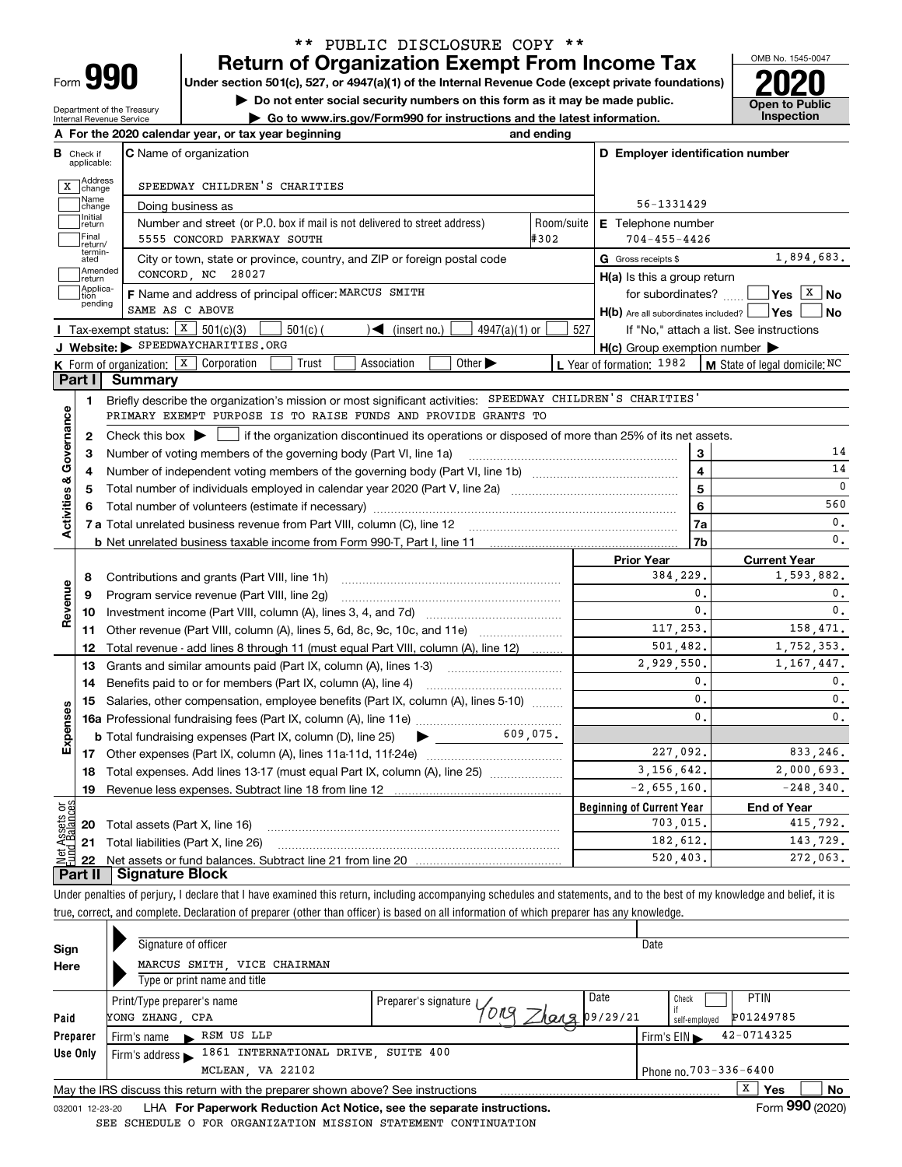| -orm |  |
|------|--|
|      |  |

Department of the Treasury Internal Revenue Service

## **Return of Organization Exempt From Income Tax** \*\* PUBLIC DISCLOSURE COPY \*\*

**Under section 501(c), 527, or 4947(a)(1) of the Internal Revenue Code (except private foundations) 2020**

**| Do not enter social security numbers on this form as it may be made public.**

**| Go to www.irs.gov/Form990 for instructions and the latest information. Inspection**



|                                         | A For the 2020 calendar year, or tax year beginning<br>and ending                                                                                   |                                                     |                               |
|-----------------------------------------|-----------------------------------------------------------------------------------------------------------------------------------------------------|-----------------------------------------------------|-------------------------------|
| В<br>Check if<br>applicable:            | <b>C</b> Name of organization                                                                                                                       | D Employer identification number                    |                               |
| change                                  | Address<br>SPEEDWAY CHILDREN'S CHARITIES                                                                                                            |                                                     |                               |
| Name<br>change                          | Doing business as                                                                                                                                   | 56-1331429                                          |                               |
| Initial<br>return                       | Number and street (or P.O. box if mail is not delivered to street address)                                                                          | Room/suite<br><b>E</b> Telephone number             |                               |
| Final<br>return/                        | #302<br>5555 CONCORD PARKWAY SOUTH                                                                                                                  | $704 - 455 - 4426$                                  |                               |
| termin-<br>ated                         | City or town, state or province, country, and ZIP or foreign postal code                                                                            | G Gross receipts \$                                 | 1,894,683.                    |
| return                                  | Amended<br>CONCORD, NC 28027                                                                                                                        | H(a) Is this a group return                         |                               |
| Applica-<br>tion                        | F Name and address of principal officer: MARCUS SMITH                                                                                               | for subordinates?                                   | Yes $X$ No                    |
| pending                                 | SAME AS C ABOVE                                                                                                                                     | H(b) Are all subordinates included?   Yes           | l No                          |
|                                         | Tax-exempt status: $X$ 501(c)(3)<br>$501(c)$ (<br>$\leq$ (insert no.)<br>$4947(a)(1)$ or                                                            | 527<br>If "No," attach a list. See instructions     |                               |
|                                         | J Website: > SPEEDWAYCHARITIES.ORG                                                                                                                  | $H(c)$ Group exemption number $\blacktriangleright$ |                               |
|                                         | K Form of organization: $\boxed{\textbf{x}}$ Corporation<br>Other $\blacktriangleright$<br>Trust<br>Association                                     | L Year of formation: 1982                           | M State of legal domicile: NC |
| Part I                                  | <b>Summary</b>                                                                                                                                      |                                                     |                               |
| 1.                                      | Briefly describe the organization's mission or most significant activities: SPEEDWAY CHILDREN'S CHARITIES'                                          |                                                     |                               |
|                                         | PRIMARY EXEMPT PURPOSE IS TO RAISE FUNDS AND PROVIDE GRANTS TO                                                                                      |                                                     |                               |
| Activities & Governance<br>$\mathbf{2}$ | Check this box $\blacktriangleright$ $\parallel$<br>if the organization discontinued its operations or disposed of more than 25% of its net assets. |                                                     |                               |
| З                                       | Number of voting members of the governing body (Part VI, line 1a)                                                                                   | 3                                                   | 14                            |
| 4                                       |                                                                                                                                                     | $\overline{\mathbf{4}}$                             | 14                            |
| 5                                       |                                                                                                                                                     | 5                                                   | $\mathbf 0$                   |
| 6                                       |                                                                                                                                                     | 6                                                   | 560                           |
|                                         |                                                                                                                                                     | 7a                                                  | 0.                            |
|                                         |                                                                                                                                                     | 7b                                                  | $\mathbf{0}$ .                |
|                                         |                                                                                                                                                     | <b>Prior Year</b>                                   | <b>Current Year</b>           |
| 8                                       | Contributions and grants (Part VIII, line 1h)                                                                                                       | 384,229.                                            | 1,593,882.                    |
| Revenue<br>9                            | Program service revenue (Part VIII, line 2g)                                                                                                        | 0.                                                  | 0.                            |
| 10                                      |                                                                                                                                                     | $\mathbf{0}$ .                                      | 0.                            |
| 11                                      | Other revenue (Part VIII, column (A), lines 5, 6d, 8c, 9c, 10c, and 11e)                                                                            | 117,253.                                            | 158,471.                      |
| 12                                      | Total revenue - add lines 8 through 11 (must equal Part VIII, column (A), line 12)                                                                  | 501,482.                                            | 1,752,353.                    |
| 13                                      | Grants and similar amounts paid (Part IX, column (A), lines 1-3)                                                                                    | 2,929,550.                                          | 1, 167, 447.                  |
| 14                                      | Benefits paid to or for members (Part IX, column (A), line 4)                                                                                       | $\mathbf{0}$ .                                      | $\mathbf{0}$ .                |
| 15                                      | Salaries, other compensation, employee benefits (Part IX, column (A), lines 5-10)                                                                   | $\mathbf{0}$ .                                      | $\mathbf{0}$ .                |
|                                         |                                                                                                                                                     | $\mathbf{0}$ .                                      | $\mathbf{0}$ .                |
| Expenses                                | $\bullet$ 609,075.<br><b>b</b> Total fundraising expenses (Part IX, column (D), line 25)                                                            |                                                     |                               |
|                                         |                                                                                                                                                     | 227.092.                                            | 833.246.                      |
| 18                                      | Total expenses. Add lines 13-17 (must equal Part IX, column (A), line 25) <i></i>                                                                   | 3.156.642.                                          | 2,000,693.                    |
| 19                                      |                                                                                                                                                     | $-2,655,160.$                                       | $-248, 340.$                  |
| ăğ                                      |                                                                                                                                                     | <b>Beginning of Current Year</b>                    | <b>End of Year</b>            |
|                                         | <b>20</b> Total assets (Part X, line 16)                                                                                                            | 703,015.                                            | 415,792.                      |
|                                         |                                                                                                                                                     |                                                     |                               |
| Assets                                  | 21 Total liabilities (Part X, line 26)                                                                                                              | 182,612.<br>520.403.                                | 143,729.<br>272,063.          |

Under penalties of perjury, I declare that I have examined this return, including accompanying schedules and statements, and to the best of my knowledge and belief, it is true, correct, and complete. Declaration of preparer (other than officer) is based on all information of which preparer has any knowledge.

| Sign            | Signature of officer                                                            |                                           | Date                       |  |  |  |  |  |  |  |
|-----------------|---------------------------------------------------------------------------------|-------------------------------------------|----------------------------|--|--|--|--|--|--|--|
| Here            | MARCUS SMITH, VICE CHAIRMAN                                                     |                                           |                            |  |  |  |  |  |  |  |
|                 | Type or print name and title                                                    |                                           |                            |  |  |  |  |  |  |  |
|                 | Print/Type preparer's name                                                      | Date<br>Preparer's signature V<br>ORA     | <b>PTIN</b><br>Check       |  |  |  |  |  |  |  |
| Paid            | YONG ZHANG, CPA                                                                 | 20220220222<br>P01249785<br>self-emploved |                            |  |  |  |  |  |  |  |
| Preparer        | RSM US LLP<br>Firm's name<br>$\mathbf{r}$                                       |                                           | 42-0714325<br>Firm's $EIN$ |  |  |  |  |  |  |  |
| Use Only        | 1861 INTERNATIONAL DRIVE, SUITE 400<br>Firm's address                           |                                           |                            |  |  |  |  |  |  |  |
|                 | MCLEAN, VA 22102<br>Phone no. 703-336-6400                                      |                                           |                            |  |  |  |  |  |  |  |
|                 | May the IRS discuss this return with the preparer shown above? See instructions |                                           | v<br>No<br><b>Yes</b><br>A |  |  |  |  |  |  |  |
| 032001 12-23-20 | LHA For Paperwork Reduction Act Notice, see the separate instructions.          |                                           | Form 990 (2020)            |  |  |  |  |  |  |  |

Form (2020) SEE SCHEDULE O FOR ORGANIZATION MISSION STATEMENT CONTINUATION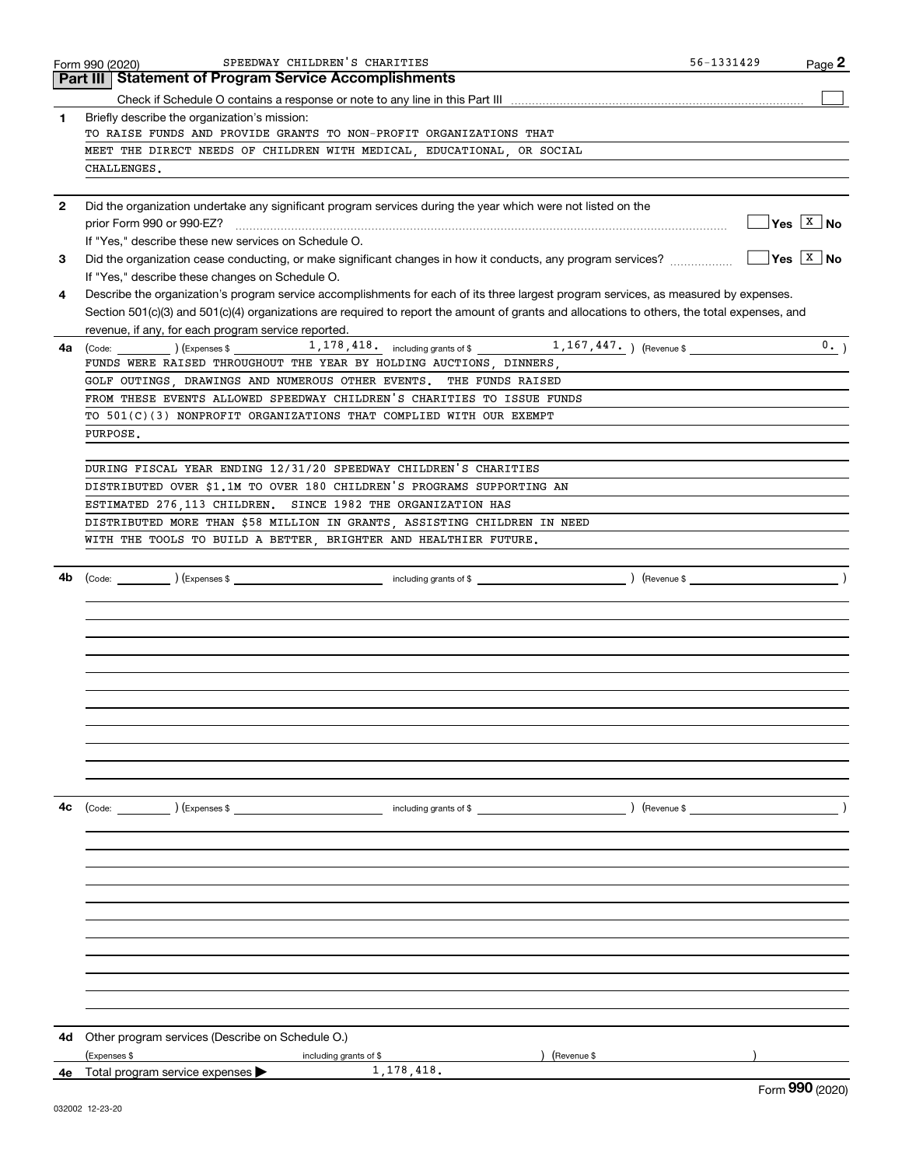|              | SPEEDWAY CHILDREN'S CHARITIES<br>Form 990 (2020)                                                                                             | $56 - 1331429$ | Page 2                                               |
|--------------|----------------------------------------------------------------------------------------------------------------------------------------------|----------------|------------------------------------------------------|
|              | Part III   Statement of Program Service Accomplishments                                                                                      |                |                                                      |
|              |                                                                                                                                              |                |                                                      |
| 1            | Briefly describe the organization's mission:                                                                                                 |                |                                                      |
|              | TO RAISE FUNDS AND PROVIDE GRANTS TO NON-PROFIT ORGANIZATIONS THAT                                                                           |                |                                                      |
|              | MEET THE DIRECT NEEDS OF CHILDREN WITH MEDICAL, EDUCATIONAL, OR SOCIAL<br>CHALLENGES.                                                        |                |                                                      |
|              |                                                                                                                                              |                |                                                      |
| $\mathbf{2}$ |                                                                                                                                              |                |                                                      |
|              | Did the organization undertake any significant program services during the year which were not listed on the                                 |                | $\sqrt{}$ Yes $\sqrt{X}$ No                          |
|              | If "Yes," describe these new services on Schedule O.                                                                                         |                |                                                      |
| 3            | Did the organization cease conducting, or make significant changes in how it conducts, any program services?                                 |                | $\overline{\mathsf{Yes}}$ $\overline{\mathsf{X}}$ No |
|              | If "Yes," describe these changes on Schedule O.                                                                                              |                |                                                      |
| 4            | Describe the organization's program service accomplishments for each of its three largest program services, as measured by expenses.         |                |                                                      |
|              | Section 501(c)(3) and 501(c)(4) organizations are required to report the amount of grants and allocations to others, the total expenses, and |                |                                                      |
|              | revenue, if any, for each program service reported.                                                                                          |                |                                                      |
| 4a -         |                                                                                                                                              |                | 0.                                                   |
|              | FUNDS WERE RAISED THROUGHOUT THE YEAR BY HOLDING AUCTIONS, DINNERS,                                                                          |                |                                                      |
|              | GOLF OUTINGS, DRAWINGS AND NUMEROUS OTHER EVENTS. THE FUNDS RAISED                                                                           |                |                                                      |
|              | FROM THESE EVENTS ALLOWED SPEEDWAY CHILDREN'S CHARITIES TO ISSUE FUNDS                                                                       |                |                                                      |
|              | TO 501(C)(3) NONPROFIT ORGANIZATIONS THAT COMPLIED WITH OUR EXEMPT                                                                           |                |                                                      |
|              | PURPOSE.                                                                                                                                     |                |                                                      |
|              |                                                                                                                                              |                |                                                      |
|              | DURING FISCAL YEAR ENDING 12/31/20 SPEEDWAY CHILDREN'S CHARITIES                                                                             |                |                                                      |
|              | DISTRIBUTED OVER \$1.1M TO OVER 180 CHILDREN'S PROGRAMS SUPPORTING AN                                                                        |                |                                                      |
|              | ESTIMATED 276,113 CHILDREN. SINCE 1982 THE ORGANIZATION HAS                                                                                  |                |                                                      |
|              | DISTRIBUTED MORE THAN \$58 MILLION IN GRANTS, ASSISTING CHILDREN IN NEED                                                                     |                |                                                      |
|              | WITH THE TOOLS TO BUILD A BETTER, BRIGHTER AND HEALTHIER FUTURE.                                                                             |                |                                                      |
|              |                                                                                                                                              |                |                                                      |
|              |                                                                                                                                              |                |                                                      |
|              |                                                                                                                                              |                |                                                      |
|              |                                                                                                                                              |                |                                                      |
|              |                                                                                                                                              |                |                                                      |
|              |                                                                                                                                              |                |                                                      |
|              |                                                                                                                                              |                |                                                      |
|              |                                                                                                                                              |                |                                                      |
|              |                                                                                                                                              |                |                                                      |
|              |                                                                                                                                              |                |                                                      |
|              |                                                                                                                                              |                |                                                      |
|              |                                                                                                                                              |                |                                                      |
|              |                                                                                                                                              |                |                                                      |
|              |                                                                                                                                              |                |                                                      |
| 4с           |                                                                                                                                              | $($ Revenue \$ |                                                      |
|              |                                                                                                                                              |                |                                                      |
|              |                                                                                                                                              |                |                                                      |
|              |                                                                                                                                              |                |                                                      |
|              |                                                                                                                                              |                |                                                      |
|              |                                                                                                                                              |                |                                                      |
|              |                                                                                                                                              |                |                                                      |
|              |                                                                                                                                              |                |                                                      |
|              |                                                                                                                                              |                |                                                      |
|              |                                                                                                                                              |                |                                                      |
|              |                                                                                                                                              |                |                                                      |
|              |                                                                                                                                              |                |                                                      |
|              |                                                                                                                                              |                |                                                      |
| 4d           | Other program services (Describe on Schedule O.)                                                                                             |                |                                                      |
|              | ) (Revenue \$<br>(Expenses \$<br>including grants of \$                                                                                      |                |                                                      |
| 4е           | 1, 178, 418.<br>Total program service expenses                                                                                               |                | $\sim$                                               |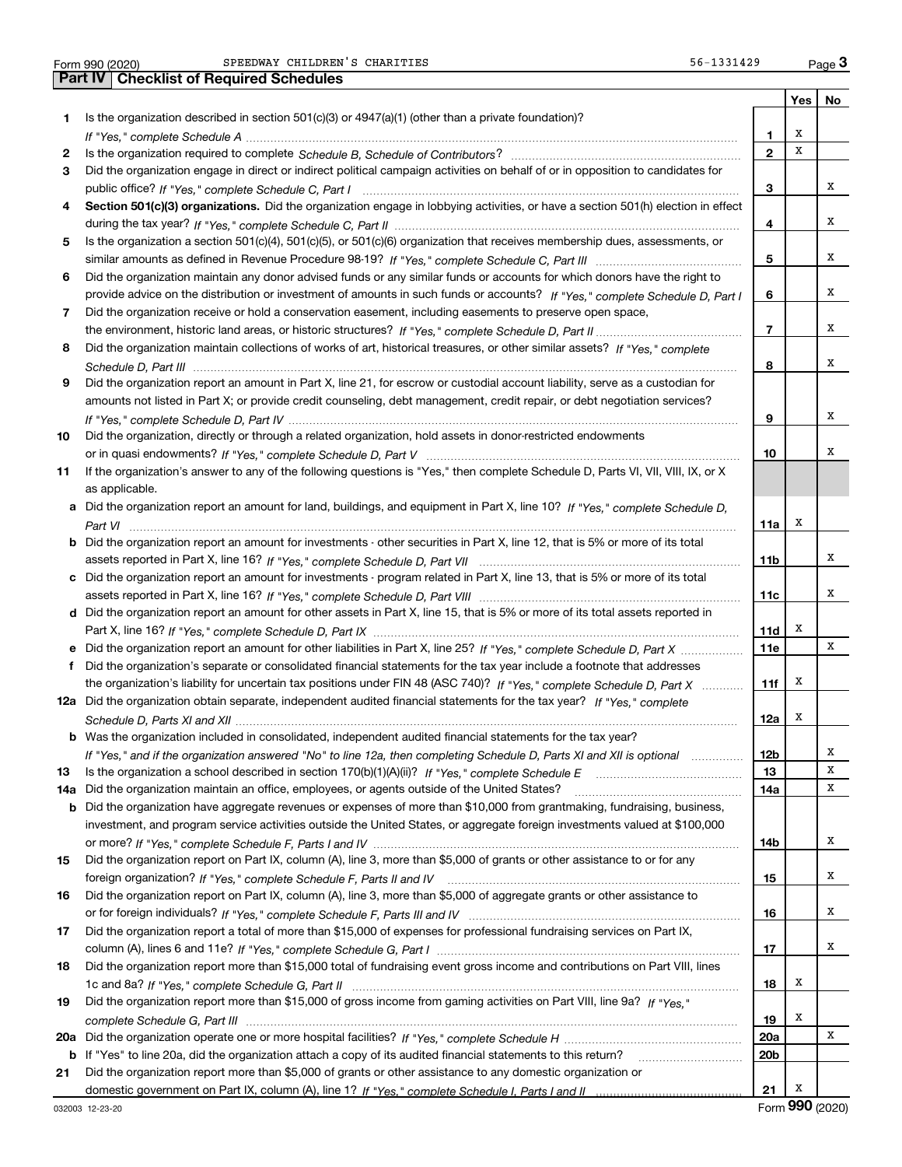Form 990 (2020) Page **3Part IV Checklist of Required Schedules** SPEEDWAY CHILDREN'S CHARITIES 56-1331429

|     |                                                                                                                                       |                 |   | Yes   No |
|-----|---------------------------------------------------------------------------------------------------------------------------------------|-----------------|---|----------|
| 1   | Is the organization described in section 501(c)(3) or 4947(a)(1) (other than a private foundation)?                                   |                 |   |          |
|     |                                                                                                                                       | 1               | X |          |
| 2   |                                                                                                                                       | $\overline{2}$  | X |          |
| 3   | Did the organization engage in direct or indirect political campaign activities on behalf of or in opposition to candidates for       |                 |   |          |
|     |                                                                                                                                       | 3               |   | х        |
| 4   | Section 501(c)(3) organizations. Did the organization engage in lobbying activities, or have a section 501(h) election in effect      |                 |   |          |
|     |                                                                                                                                       | 4               |   | x        |
| 5   | Is the organization a section 501(c)(4), 501(c)(5), or 501(c)(6) organization that receives membership dues, assessments, or          |                 |   |          |
|     |                                                                                                                                       | 5               |   | Χ        |
| 6   | Did the organization maintain any donor advised funds or any similar funds or accounts for which donors have the right to             |                 |   |          |
|     | provide advice on the distribution or investment of amounts in such funds or accounts? If "Yes," complete Schedule D, Part I          | 6               |   | х        |
| 7   | Did the organization receive or hold a conservation easement, including easements to preserve open space,                             |                 |   |          |
|     |                                                                                                                                       | 7               |   | х        |
| 8   | Did the organization maintain collections of works of art, historical treasures, or other similar assets? If "Yes," complete          |                 |   |          |
|     |                                                                                                                                       | 8               |   | Χ        |
| 9   | Did the organization report an amount in Part X, line 21, for escrow or custodial account liability, serve as a custodian for         |                 |   |          |
|     | amounts not listed in Part X; or provide credit counseling, debt management, credit repair, or debt negotiation services?             |                 |   |          |
|     |                                                                                                                                       | 9               |   | х        |
|     |                                                                                                                                       |                 |   |          |
| 10  | Did the organization, directly or through a related organization, hold assets in donor-restricted endowments                          |                 |   | х        |
|     |                                                                                                                                       | 10              |   |          |
| 11  | If the organization's answer to any of the following questions is "Yes," then complete Schedule D, Parts VI, VII, VIII, IX, or X      |                 |   |          |
|     | as applicable.                                                                                                                        |                 |   |          |
|     | a Did the organization report an amount for land, buildings, and equipment in Part X, line 10? If "Yes," complete Schedule D,         |                 |   |          |
|     |                                                                                                                                       | 11a             | х |          |
|     | <b>b</b> Did the organization report an amount for investments - other securities in Part X, line 12, that is 5% or more of its total |                 |   |          |
|     |                                                                                                                                       | 11b             |   | х        |
|     | c Did the organization report an amount for investments - program related in Part X, line 13, that is 5% or more of its total         |                 |   |          |
|     |                                                                                                                                       | 11c             |   | х        |
|     | d Did the organization report an amount for other assets in Part X, line 15, that is 5% or more of its total assets reported in       |                 |   |          |
|     |                                                                                                                                       | 11d             | х |          |
|     |                                                                                                                                       | 11e             |   | х        |
| f.  | Did the organization's separate or consolidated financial statements for the tax year include a footnote that addresses               |                 |   |          |
|     | the organization's liability for uncertain tax positions under FIN 48 (ASC 740)? If "Yes," complete Schedule D, Part X                | 11f             | х |          |
|     | 12a Did the organization obtain separate, independent audited financial statements for the tax year? If "Yes." complete               |                 |   |          |
|     |                                                                                                                                       | 12a             | х |          |
|     | <b>b</b> Was the organization included in consolidated, independent audited financial statements for the tax year?                    |                 |   |          |
|     | If "Yes," and if the organization answered "No" to line 12a, then completing Schedule D, Parts XI and XII is optional metalliming     | 12 <sub>b</sub> |   | х        |
| 13  | Is the organization a school described in section $170(b)(1)(A)(ii)?$ If "Yes," complete Schedule E                                   | 13              |   | X        |
| 14a | Did the organization maintain an office, employees, or agents outside of the United States?                                           | 14a             |   | х        |
| b   | Did the organization have aggregate revenues or expenses of more than \$10,000 from grantmaking, fundraising, business,               |                 |   |          |
|     | investment, and program service activities outside the United States, or aggregate foreign investments valued at \$100,000            |                 |   |          |
|     |                                                                                                                                       | 14b             |   | х        |
| 15  | Did the organization report on Part IX, column (A), line 3, more than \$5,000 of grants or other assistance to or for any             |                 |   |          |
|     |                                                                                                                                       | 15              |   | X        |
| 16  | Did the organization report on Part IX, column (A), line 3, more than \$5,000 of aggregate grants or other assistance to              |                 |   |          |
|     |                                                                                                                                       | 16              |   | х        |
| 17  | Did the organization report a total of more than \$15,000 of expenses for professional fundraising services on Part IX,               |                 |   |          |
|     |                                                                                                                                       | 17              |   | х        |
| 18  | Did the organization report more than \$15,000 total of fundraising event gross income and contributions on Part VIII, lines          |                 |   |          |
|     |                                                                                                                                       | 18              | x |          |
| 19  | Did the organization report more than \$15,000 of gross income from gaming activities on Part VIII, line 9a? If "Yes."                |                 |   |          |
|     |                                                                                                                                       | 19              | х |          |
| 20a |                                                                                                                                       | 20a             |   | х        |
| b   | If "Yes" to line 20a, did the organization attach a copy of its audited financial statements to this return?                          | 20 <sub>b</sub> |   |          |
| 21  | Did the organization report more than \$5,000 of grants or other assistance to any domestic organization or                           |                 |   |          |
|     |                                                                                                                                       | 21              | х |          |
|     |                                                                                                                                       |                 |   |          |

Form (2020) **990**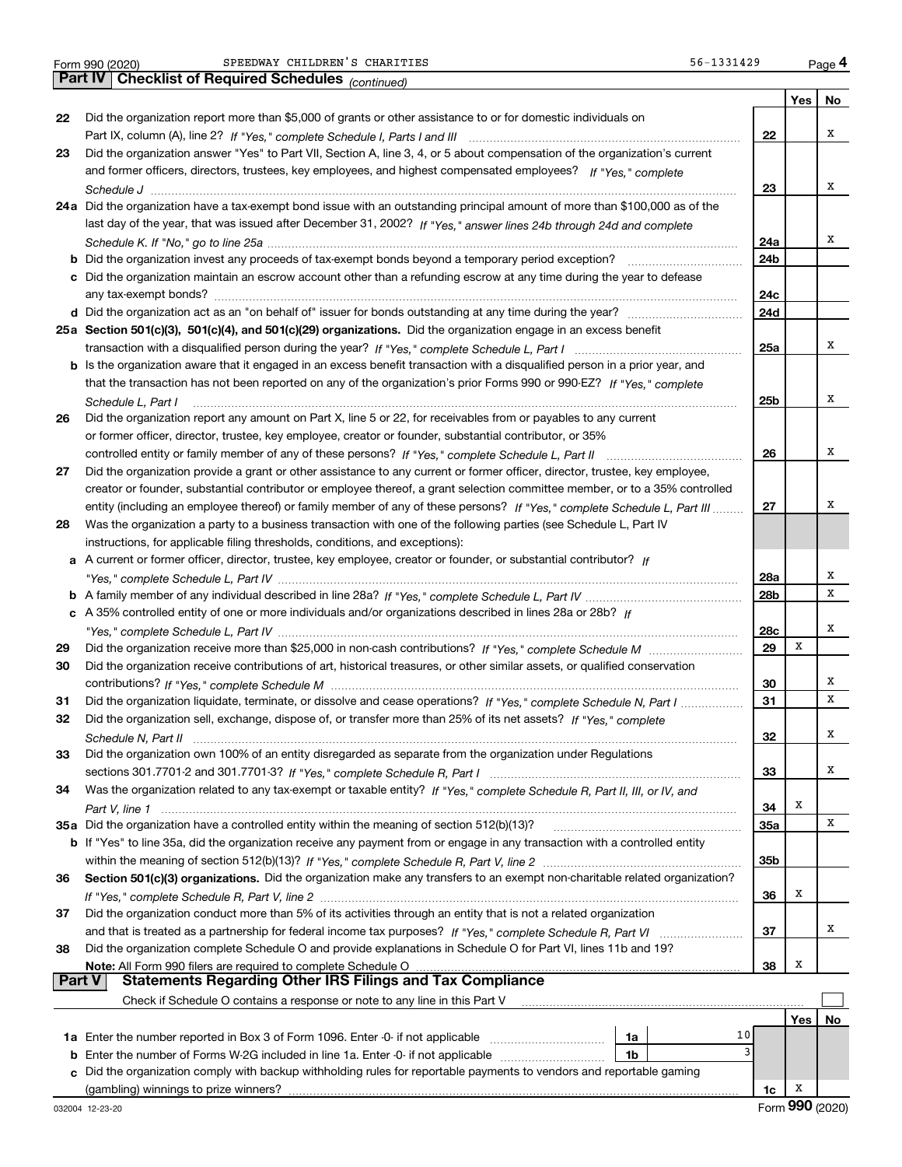|        | 56-1331429<br>SPEEDWAY CHILDREN'S CHARITIES<br>Form 990 (2020)                                                                         |                 |     | Page 4 |
|--------|----------------------------------------------------------------------------------------------------------------------------------------|-----------------|-----|--------|
|        | Part IV<br><b>Checklist of Required Schedules</b> (continued)                                                                          |                 |     |        |
|        |                                                                                                                                        |                 | Yes | No     |
| 22     | Did the organization report more than \$5,000 of grants or other assistance to or for domestic individuals on                          |                 |     |        |
|        |                                                                                                                                        | 22              |     | х      |
| 23     | Did the organization answer "Yes" to Part VII, Section A, line 3, 4, or 5 about compensation of the organization's current             |                 |     |        |
|        | and former officers, directors, trustees, key employees, and highest compensated employees? If "Yes," complete                         |                 |     |        |
|        |                                                                                                                                        | 23              |     | х      |
|        | 24a Did the organization have a tax-exempt bond issue with an outstanding principal amount of more than \$100,000 as of the            |                 |     |        |
|        | last day of the year, that was issued after December 31, 2002? If "Yes," answer lines 24b through 24d and complete                     |                 |     |        |
|        |                                                                                                                                        | 24a             |     | х      |
|        |                                                                                                                                        | 24b             |     |        |
|        | c Did the organization maintain an escrow account other than a refunding escrow at any time during the year to defease                 |                 |     |        |
|        |                                                                                                                                        |                 |     |        |
|        |                                                                                                                                        | 24c             |     |        |
|        |                                                                                                                                        | 24d             |     |        |
|        | 25a Section 501(c)(3), 501(c)(4), and 501(c)(29) organizations. Did the organization engage in an excess benefit                       |                 |     |        |
|        | transaction with a disqualified person during the year? If "Yes," complete Schedule L, Part I manual manual manual manual manual metal | 25a             |     | х      |
|        | b Is the organization aware that it engaged in an excess benefit transaction with a disqualified person in a prior year, and           |                 |     |        |
|        | that the transaction has not been reported on any of the organization's prior Forms 990 or 990-EZ? If "Yes," complete                  |                 |     |        |
|        | Schedule L, Part I                                                                                                                     | 25 <sub>b</sub> |     | Χ      |
| 26     | Did the organization report any amount on Part X, line 5 or 22, for receivables from or payables to any current                        |                 |     |        |
|        | or former officer, director, trustee, key employee, creator or founder, substantial contributor, or 35%                                |                 |     |        |
|        |                                                                                                                                        | 26              |     | х      |
| 27     | Did the organization provide a grant or other assistance to any current or former officer, director, trustee, key employee,            |                 |     |        |
|        | creator or founder, substantial contributor or employee thereof, a grant selection committee member, or to a 35% controlled            |                 |     |        |
|        | entity (including an employee thereof) or family member of any of these persons? If "Yes," complete Schedule L, Part III               | 27              |     | х      |
| 28     | Was the organization a party to a business transaction with one of the following parties (see Schedule L, Part IV                      |                 |     |        |
|        | instructions, for applicable filing thresholds, conditions, and exceptions):                                                           |                 |     |        |
|        | A current or former officer, director, trustee, key employee, creator or founder, or substantial contributor? If                       |                 |     |        |
| а      |                                                                                                                                        |                 |     | х      |
|        |                                                                                                                                        | 28a             |     | х      |
|        |                                                                                                                                        | 28b             |     |        |
|        | c A 35% controlled entity of one or more individuals and/or organizations described in lines 28a or 28b? If                            |                 |     |        |
|        |                                                                                                                                        | 28c             |     | х      |
| 29     |                                                                                                                                        | 29              | х   |        |
| 30     | Did the organization receive contributions of art, historical treasures, or other similar assets, or qualified conservation            |                 |     |        |
|        |                                                                                                                                        | 30              |     | х      |
| 31     | Did the organization liquidate, terminate, or dissolve and cease operations? If "Yes," complete Schedule N, Part I                     | 31              |     | X      |
| 32     | Did the organization sell, exchange, dispose of, or transfer more than 25% of its net assets? If "Yes," complete                       |                 |     |        |
|        |                                                                                                                                        | 32              |     | х      |
| 33     | Did the organization own 100% of an entity disregarded as separate from the organization under Regulations                             |                 |     |        |
|        |                                                                                                                                        | 33              |     | х      |
| 34     | Was the organization related to any tax-exempt or taxable entity? If "Yes," complete Schedule R, Part II, III, or IV, and              |                 |     |        |
|        | Part V, line 1                                                                                                                         | 34              | х   |        |
|        | 35a Did the organization have a controlled entity within the meaning of section 512(b)(13)?                                            | 35a             |     | х      |
|        | b If "Yes" to line 35a, did the organization receive any payment from or engage in any transaction with a controlled entity            |                 |     |        |
|        |                                                                                                                                        | 35b             |     |        |
| 36     | Section 501(c)(3) organizations. Did the organization make any transfers to an exempt non-charitable related organization?             |                 |     |        |
|        |                                                                                                                                        | 36              | х   |        |
| 37     | Did the organization conduct more than 5% of its activities through an entity that is not a related organization                       |                 |     |        |
|        |                                                                                                                                        | 37              |     | х      |
|        |                                                                                                                                        |                 |     |        |
| 38     | Did the organization complete Schedule O and provide explanations in Schedule O for Part VI, lines 11b and 19?                         |                 |     |        |
| Part V | Note: All Form 990 filers are required to complete Schedule O<br><b>Statements Regarding Other IRS Filings and Tax Compliance</b>      | 38              | x   |        |
|        | Check if Schedule O contains a response or note to any line in this Part V                                                             |                 |     |        |
|        |                                                                                                                                        |                 |     |        |
|        | 10                                                                                                                                     |                 | Yes | No     |
|        | 1a Enter the number reported in Box 3 of Form 1096. Enter -0- if not applicable<br>1a<br>3                                             |                 |     |        |
| b      | Enter the number of Forms W-2G included in line 1a. Enter -0- if not applicable<br>1b                                                  |                 |     |        |
| C      | Did the organization comply with backup withholding rules for reportable payments to vendors and reportable gaming                     |                 |     |        |
|        | (gambling) winnings to prize winners?                                                                                                  | 1c              | x   |        |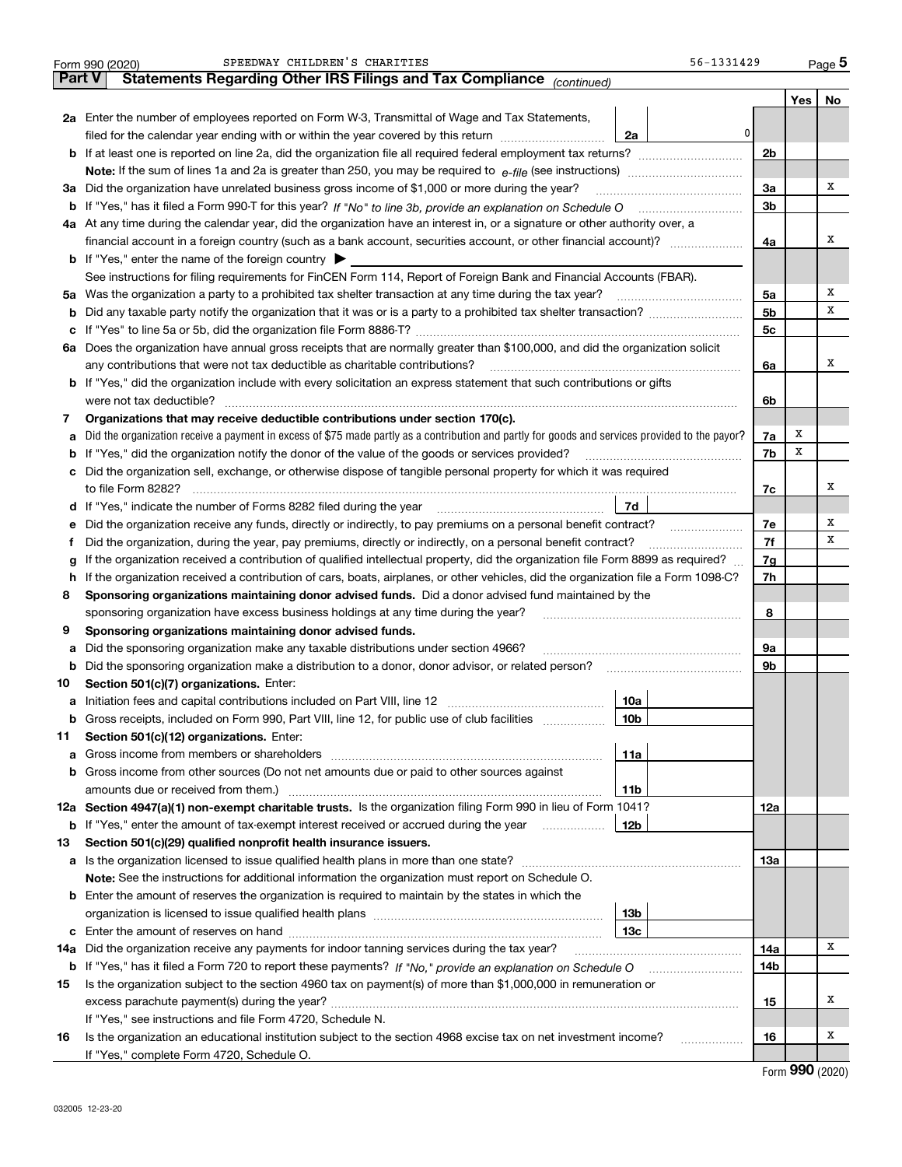|               | SPEEDWAY CHILDREN'S CHARITIES<br>56-1331429<br>Form 990 (2020)                                                                                  |                |     | Page 5 |
|---------------|-------------------------------------------------------------------------------------------------------------------------------------------------|----------------|-----|--------|
| <b>Part V</b> | Statements Regarding Other IRS Filings and Tax Compliance (continued)                                                                           |                |     |        |
|               |                                                                                                                                                 |                | Yes | No     |
|               | 2a Enter the number of employees reported on Form W-3, Transmittal of Wage and Tax Statements,                                                  |                |     |        |
|               | 0<br>filed for the calendar year ending with or within the year covered by this return<br>2a                                                    |                |     |        |
|               |                                                                                                                                                 | 2 <sub>b</sub> |     |        |
|               |                                                                                                                                                 |                |     |        |
| За            | Did the organization have unrelated business gross income of \$1,000 or more during the year?                                                   | 3a             |     | х      |
| b             |                                                                                                                                                 | 3b             |     |        |
|               | 4a At any time during the calendar year, did the organization have an interest in, or a signature or other authority over, a                    |                |     |        |
|               | financial account in a foreign country (such as a bank account, securities account, or other financial account)?                                | 4a             |     | х      |
|               | <b>b</b> If "Yes," enter the name of the foreign country $\triangleright$                                                                       |                |     |        |
|               | See instructions for filing requirements for FinCEN Form 114, Report of Foreign Bank and Financial Accounts (FBAR).                             |                |     |        |
| 5a            | Was the organization a party to a prohibited tax shelter transaction at any time during the tax year?                                           | 5a             |     | Χ      |
| b             |                                                                                                                                                 | 5b             |     | х      |
| с             |                                                                                                                                                 | 5c             |     |        |
|               | 6a Does the organization have annual gross receipts that are normally greater than \$100,000, and did the organization solicit                  |                |     |        |
|               |                                                                                                                                                 | 6a             |     | х      |
|               | <b>b</b> If "Yes," did the organization include with every solicitation an express statement that such contributions or gifts                   |                |     |        |
|               |                                                                                                                                                 | 6b             |     |        |
| 7             | Organizations that may receive deductible contributions under section 170(c).                                                                   |                |     |        |
| a             | Did the organization receive a payment in excess of \$75 made partly as a contribution and partly for goods and services provided to the payor? | 7a             | x   |        |
| b             | If "Yes," did the organization notify the donor of the value of the goods or services provided?                                                 | 7b             | х   |        |
| c             | Did the organization sell, exchange, or otherwise dispose of tangible personal property for which it was required                               |                |     |        |
|               |                                                                                                                                                 | 7c             |     | x      |
| d             | 7d                                                                                                                                              |                |     |        |
| е             | Did the organization receive any funds, directly or indirectly, to pay premiums on a personal benefit contract?                                 | 7e             |     | Х      |
| f             | Did the organization, during the year, pay premiums, directly or indirectly, on a personal benefit contract?                                    | 7f             |     | х      |
| g             | If the organization received a contribution of qualified intellectual property, did the organization file Form 8899 as required?                | 7g             |     |        |
| h             | If the organization received a contribution of cars, boats, airplanes, or other vehicles, did the organization file a Form 1098-C?              | 7h             |     |        |
| 8             | Sponsoring organizations maintaining donor advised funds. Did a donor advised fund maintained by the                                            |                |     |        |
|               | sponsoring organization have excess business holdings at any time during the year?                                                              | 8              |     |        |
| 9             | Sponsoring organizations maintaining donor advised funds.                                                                                       |                |     |        |
| a             | Did the sponsoring organization make any taxable distributions under section 4966?                                                              | 9а             |     |        |
| b             | Did the sponsoring organization make a distribution to a donor, donor advisor, or related person?                                               | 9b             |     |        |
| 10            | Section 501(c)(7) organizations. Enter:                                                                                                         |                |     |        |
|               | 10a<br>Initiation fees and capital contributions included on Part VIII, line 12 [100] [100] [100] [100] [100] [100] [                           |                |     |        |
|               | 10 <sub>b</sub><br>Gross receipts, included on Form 990, Part VIII, line 12, for public use of club facilities                                  |                |     |        |
| 11            | Section 501(c)(12) organizations. Enter:                                                                                                        |                |     |        |
| a             | Gross income from members or shareholders<br>11a                                                                                                |                |     |        |
| b             | Gross income from other sources (Do not net amounts due or paid to other sources against                                                        |                |     |        |
|               | 11b                                                                                                                                             |                |     |        |
|               | 12a Section 4947(a)(1) non-exempt charitable trusts. Is the organization filing Form 990 in lieu of Form 1041?                                  | 12a            |     |        |
|               | <b>b</b> If "Yes," enter the amount of tax-exempt interest received or accrued during the year<br>12b                                           |                |     |        |
| 13            | Section 501(c)(29) qualified nonprofit health insurance issuers.                                                                                |                |     |        |
| a             | Is the organization licensed to issue qualified health plans in more than one state?                                                            | 13а            |     |        |
|               | Note: See the instructions for additional information the organization must report on Schedule O.                                               |                |     |        |
| b             | Enter the amount of reserves the organization is required to maintain by the states in which the                                                |                |     |        |
|               | 13 <sub>b</sub>                                                                                                                                 |                |     |        |
| с             | 13c                                                                                                                                             |                |     |        |
| 14a           | Did the organization receive any payments for indoor tanning services during the tax year?                                                      | 14a            |     | x      |
|               | <b>b</b> If "Yes," has it filed a Form 720 to report these payments? If "No," provide an explanation on Schedule O                              | 14b            |     |        |
| 15            | Is the organization subject to the section 4960 tax on payment(s) of more than \$1,000,000 in remuneration or                                   |                |     |        |
|               |                                                                                                                                                 | 15             |     | x      |
|               | If "Yes," see instructions and file Form 4720, Schedule N.                                                                                      |                |     |        |
| 16            | Is the organization an educational institution subject to the section 4968 excise tax on net investment income?                                 | 16             |     | х      |
|               | If "Yes," complete Form 4720, Schedule O.                                                                                                       |                |     |        |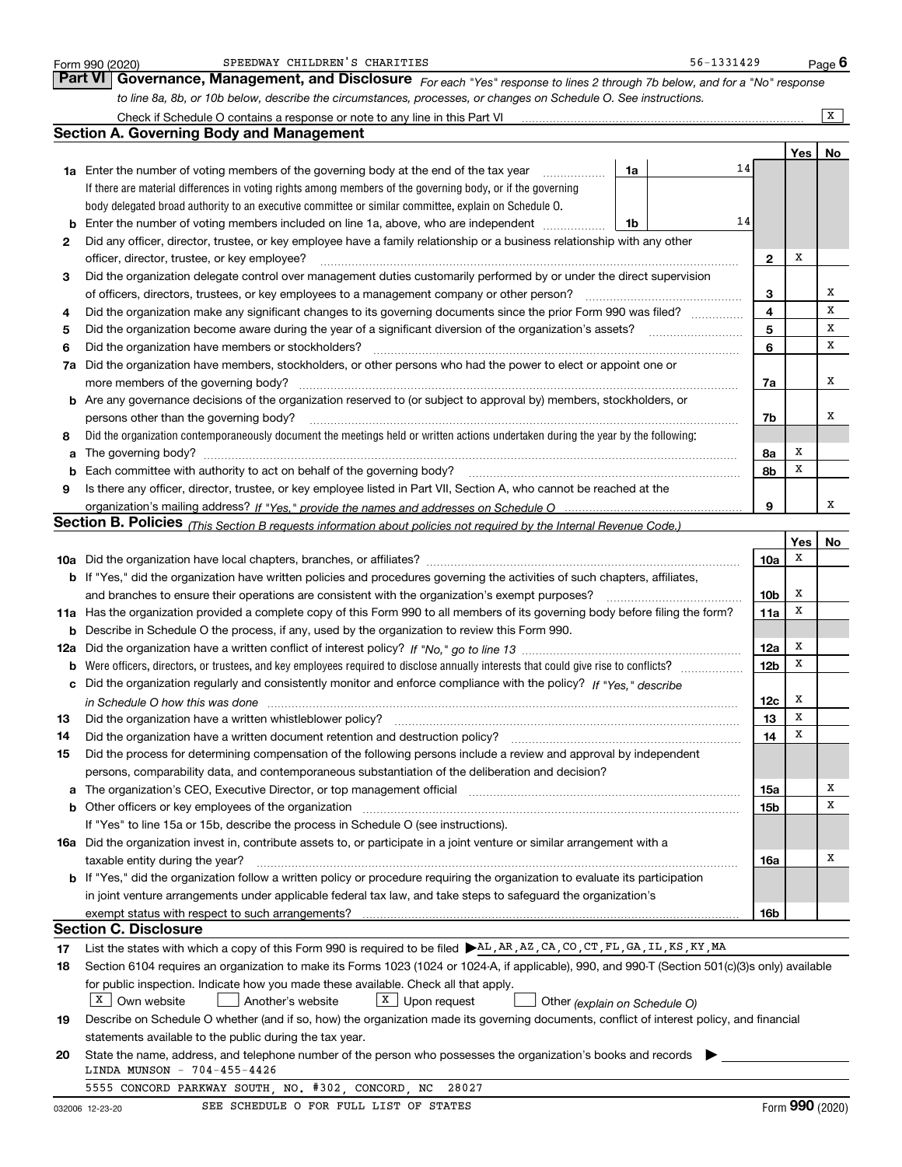|    | SPEEDWAY CHILDREN'S CHARITIES<br>Form 990 (2020)                                                                                                                                                                              |    | 56-1331429 |                 |             | Page $6$         |
|----|-------------------------------------------------------------------------------------------------------------------------------------------------------------------------------------------------------------------------------|----|------------|-----------------|-------------|------------------|
|    | <b>Part VI</b><br>Governance, Management, and Disclosure For each "Yes" response to lines 2 through 7b below, and for a "No" response                                                                                         |    |            |                 |             |                  |
|    | to line 8a, 8b, or 10b below, describe the circumstances, processes, or changes on Schedule O. See instructions.                                                                                                              |    |            |                 |             |                  |
|    |                                                                                                                                                                                                                               |    |            |                 |             | X                |
|    | <b>Section A. Governing Body and Management</b>                                                                                                                                                                               |    |            |                 |             |                  |
|    |                                                                                                                                                                                                                               |    |            |                 | Yes         | No               |
|    | <b>1a</b> Enter the number of voting members of the governing body at the end of the tax year                                                                                                                                 | 1a |            | 14              |             |                  |
|    | If there are material differences in voting rights among members of the governing body, or if the governing                                                                                                                   |    |            |                 |             |                  |
|    | body delegated broad authority to an executive committee or similar committee, explain on Schedule O.                                                                                                                         |    |            |                 |             |                  |
|    | Enter the number of voting members included on line 1a, above, who are independent                                                                                                                                            | 1b |            | 14              |             |                  |
| 2  | Did any officer, director, trustee, or key employee have a family relationship or a business relationship with any other                                                                                                      |    |            |                 |             |                  |
|    | officer, director, trustee, or key employee?                                                                                                                                                                                  |    |            | $\mathbf{2}$    | X           |                  |
| 3  | Did the organization delegate control over management duties customarily performed by or under the direct supervision                                                                                                         |    |            |                 |             |                  |
|    | of officers, directors, trustees, or key employees to a management company or other person?                                                                                                                                   |    |            | 3               |             | х                |
| 4  | Did the organization make any significant changes to its governing documents since the prior Form 990 was filed?                                                                                                              |    |            | 4               |             | X                |
| 5  |                                                                                                                                                                                                                               |    |            | 5               |             | x                |
| 6  | Did the organization have members or stockholders?                                                                                                                                                                            |    |            | 6               |             | x                |
| 7a | Did the organization have members, stockholders, or other persons who had the power to elect or appoint one or                                                                                                                |    |            |                 |             |                  |
|    |                                                                                                                                                                                                                               |    |            | 7a              |             | х                |
|    | <b>b</b> Are any governance decisions of the organization reserved to (or subject to approval by) members, stockholders, or                                                                                                   |    |            |                 |             |                  |
|    | persons other than the governing body?                                                                                                                                                                                        |    |            | 7b              |             | х                |
| 8  | Did the organization contemporaneously document the meetings held or written actions undertaken during the year by the following:                                                                                             |    |            |                 |             |                  |
| а  |                                                                                                                                                                                                                               |    |            | 8а              | X           |                  |
|    |                                                                                                                                                                                                                               |    |            | 8b              | x           |                  |
| 9  | Is there any officer, director, trustee, or key employee listed in Part VII, Section A, who cannot be reached at the                                                                                                          |    |            |                 |             |                  |
|    |                                                                                                                                                                                                                               |    |            | 9               |             | х                |
|    | Section B. Policies (This Section B requests information about policies not required by the Internal Revenue Code.)                                                                                                           |    |            |                 |             |                  |
|    |                                                                                                                                                                                                                               |    |            |                 | Yes         | No               |
|    |                                                                                                                                                                                                                               |    |            | 10a             | X           |                  |
|    | b If "Yes," did the organization have written policies and procedures governing the activities of such chapters, affiliates,                                                                                                  |    |            |                 |             |                  |
|    | and branches to ensure their operations are consistent with the organization's exempt purposes?                                                                                                                               |    |            | 10 <sub>b</sub> | X           |                  |
|    | 11a Has the organization provided a complete copy of this Form 990 to all members of its governing body before filing the form?                                                                                               |    |            | 11a             | X           |                  |
| b  | Describe in Schedule O the process, if any, used by the organization to review this Form 990.                                                                                                                                 |    |            |                 |             |                  |
|    |                                                                                                                                                                                                                               |    |            | 12a             | X           |                  |
| b  |                                                                                                                                                                                                                               |    |            | 12 <sub>b</sub> | X           |                  |
| с  | Did the organization regularly and consistently monitor and enforce compliance with the policy? If "Yes," describe                                                                                                            |    |            |                 |             |                  |
|    |                                                                                                                                                                                                                               |    |            | 12c             | X           |                  |
| 13 | Did the organization have a written whistleblower policy?                                                                                                                                                                     |    |            | 13              | $\mathbf X$ |                  |
| 14 | Did the organization have a written document retention and destruction policy?                                                                                                                                                |    |            | 14              | X           |                  |
| 15 | Did the process for determining compensation of the following persons include a review and approval by independent                                                                                                            |    |            |                 |             |                  |
|    | persons, comparability data, and contemporaneous substantiation of the deliberation and decision?                                                                                                                             |    |            |                 |             |                  |
| a  | The organization's CEO, Executive Director, or top management official manufactured content content of the organization's CEO, Executive Director, or top management official manufactured content of the organization's CEO, |    |            | 15a             |             | х<br>X           |
| b  | Other officers or key employees of the organization                                                                                                                                                                           |    |            | 15b             |             |                  |
|    | If "Yes" to line 15a or 15b, describe the process in Schedule O (see instructions).                                                                                                                                           |    |            |                 |             |                  |
|    | 16a Did the organization invest in, contribute assets to, or participate in a joint venture or similar arrangement with a                                                                                                     |    |            |                 |             | х                |
|    | taxable entity during the year?                                                                                                                                                                                               |    |            | 16a             |             |                  |
|    | b If "Yes," did the organization follow a written policy or procedure requiring the organization to evaluate its participation                                                                                                |    |            |                 |             |                  |
|    | in joint venture arrangements under applicable federal tax law, and take steps to safeguard the organization's                                                                                                                |    |            |                 |             |                  |
|    | <b>Section C. Disclosure</b>                                                                                                                                                                                                  |    |            | 16b             |             |                  |
|    |                                                                                                                                                                                                                               |    |            |                 |             |                  |
| 17 | List the states with which a copy of this Form 990 is required to be filed AL, AR, AZ, CA, CO, CT, FL, GA, IL, KS, KY, MA                                                                                                     |    |            |                 |             |                  |
| 18 | Section 6104 requires an organization to make its Forms 1023 (1024 or 1024-A, if applicable), 990, and 990-T (Section 501(c)(3)s only) available                                                                              |    |            |                 |             |                  |
|    | for public inspection. Indicate how you made these available. Check all that apply.<br>$X$ Own website<br>$X$ Upon request                                                                                                    |    |            |                 |             |                  |
|    | Another's website<br>Other (explain on Schedule O)<br>Describe on Schedule O whether (and if so, how) the organization made its governing documents, conflict of interest policy, and financial                               |    |            |                 |             |                  |
| 19 | statements available to the public during the tax year.                                                                                                                                                                       |    |            |                 |             |                  |
| 20 | State the name, address, and telephone number of the person who possesses the organization's books and records                                                                                                                |    |            |                 |             |                  |
|    | LINDA MUNSON - 704-455-4426                                                                                                                                                                                                   |    |            |                 |             |                  |
|    | 5555 CONCORD PARKWAY SOUTH, NO. #302, CONCORD, NC<br>28027                                                                                                                                                                    |    |            |                 |             |                  |
|    | SEE SCHEDULE O FOR FULL LIST OF STATES<br>000000 10.00.00                                                                                                                                                                     |    |            |                 |             | Eqrm $990(2020)$ |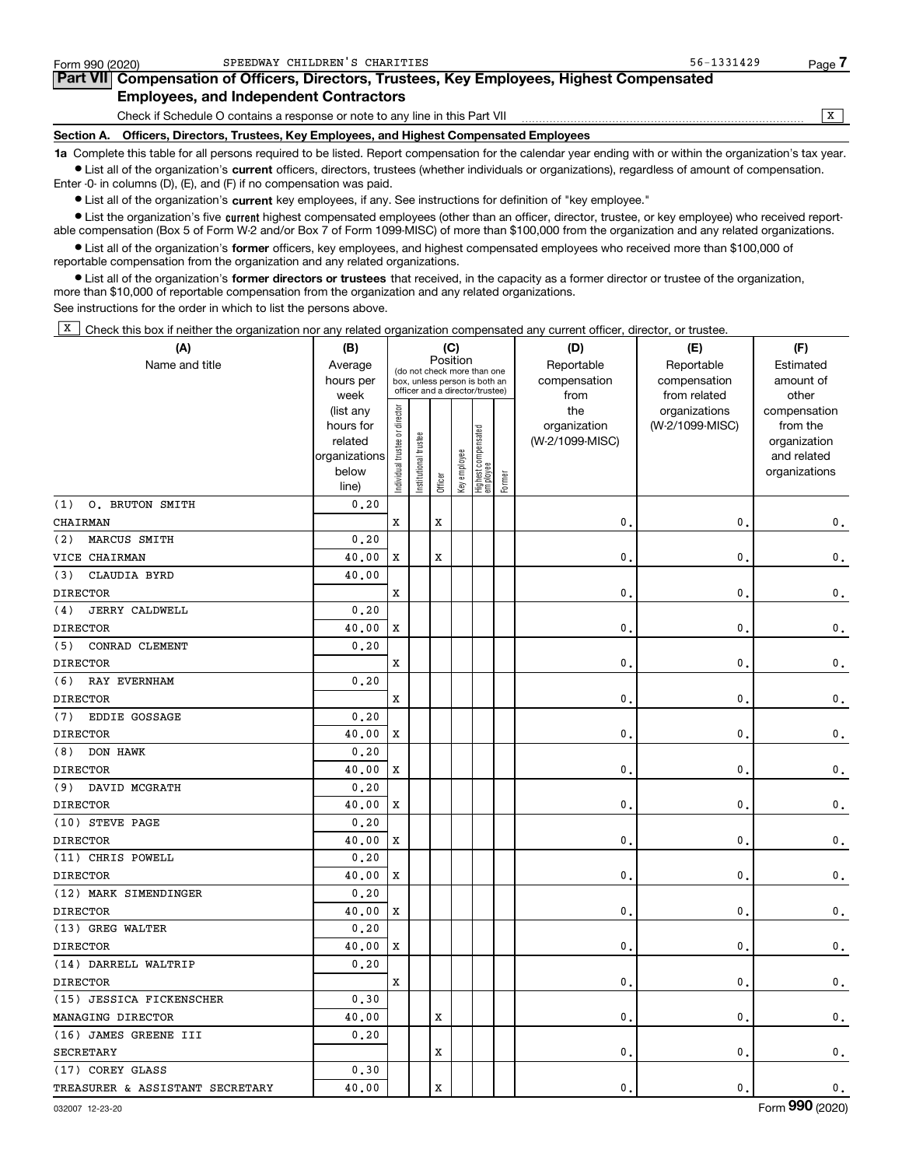| Form 990 (2020) | SPEEDWAY CHILDREN'S CHARITIES                                                                                                                              | 56-1331429 | Page <i>I</i> |  |  |  |  |
|-----------------|------------------------------------------------------------------------------------------------------------------------------------------------------------|------------|---------------|--|--|--|--|
|                 | Part VII Compensation of Officers, Directors, Trustees, Key Employees, Highest Compensated                                                                 |            |               |  |  |  |  |
|                 |                                                                                                                                                            |            |               |  |  |  |  |
|                 | Check if Schedule O contains a response or note to any line in this Part VII                                                                               |            |               |  |  |  |  |
|                 | Section A. Officers, Directors, Trustees, Key Employees, and Highest Compensated Employees                                                                 |            |               |  |  |  |  |
|                 | 1a Complete this table for all persons required to be listed. Report compensation for the calendar year ending with or within the organization's tax year. |            |               |  |  |  |  |

**•** List all of the organization's current officers, directors, trustees (whether individuals or organizations), regardless of amount of compensation. Enter -0- in columns (D), (E), and (F) if no compensation was paid.

 $\bullet$  List all of the organization's  $\,$ current key employees, if any. See instructions for definition of "key employee."

**•** List the organization's five current highest compensated employees (other than an officer, director, trustee, or key employee) who received reportable compensation (Box 5 of Form W-2 and/or Box 7 of Form 1099-MISC) of more than \$100,000 from the organization and any related organizations.

**•** List all of the organization's former officers, key employees, and highest compensated employees who received more than \$100,000 of reportable compensation from the organization and any related organizations.

**former directors or trustees**  ¥ List all of the organization's that received, in the capacity as a former director or trustee of the organization, more than \$10,000 of reportable compensation from the organization and any related organizations.

See instructions for the order in which to list the persons above.

 $\overline{X}$  Check this box if neither the organization nor any related organization compensated any current officer, director, or trustee.

| (A)                             | (B)           | (C)                           |                                 |          |              |                                 |        | (D)             | (E)             | (F)             |
|---------------------------------|---------------|-------------------------------|---------------------------------|----------|--------------|---------------------------------|--------|-----------------|-----------------|-----------------|
| Name and title                  | Average       |                               | (do not check more than one     | Position |              |                                 |        | Reportable      | Reportable      | Estimated       |
|                                 | hours per     |                               | box, unless person is both an   |          |              |                                 |        | compensation    | compensation    | amount of       |
|                                 | week          |                               | officer and a director/trustee) |          |              |                                 |        | from            | from related    | other           |
|                                 | (list any     |                               |                                 |          |              |                                 |        | the             | organizations   | compensation    |
|                                 | hours for     |                               |                                 |          |              |                                 |        | organization    | (W-2/1099-MISC) | from the        |
|                                 | related       |                               | trustee                         |          |              |                                 |        | (W-2/1099-MISC) |                 | organization    |
|                                 | organizations |                               |                                 |          |              |                                 |        |                 |                 | and related     |
|                                 | below         | ndividual trustee or director | Institutional t                 | Officer  | Key employee | Highest compensated<br>employee | Former |                 |                 | organizations   |
| O. BRUTON SMITH<br>(1)          | line)<br>0.20 |                               |                                 |          |              |                                 |        |                 |                 |                 |
| CHAIRMAN                        |               | X                             |                                 | X        |              |                                 |        | 0               | $\mathbf{0}$    |                 |
|                                 |               |                               |                                 |          |              |                                 |        |                 |                 | 0.              |
| MARCUS SMITH<br>(2)             | 0.20          |                               |                                 |          |              |                                 |        |                 |                 |                 |
| VICE CHAIRMAN                   | 40.00         | X                             |                                 | X        |              |                                 |        | $\mathbf{0}$    | $\mathbf{0}$    | 0.              |
| CLAUDIA BYRD<br>(3)             | 40.00         |                               |                                 |          |              |                                 |        |                 |                 |                 |
| DIRECTOR                        |               | X                             |                                 |          |              |                                 |        | $\mathbf{0}$    | 0               | 0.              |
| <b>JERRY CALDWELL</b><br>(4)    | 0.20          |                               |                                 |          |              |                                 |        |                 |                 |                 |
| <b>DIRECTOR</b>                 | 40.00         | X                             |                                 |          |              |                                 |        | $\mathbf{0}$    | $\mathbf{0}$    | $\mathbf 0$ .   |
| CONRAD CLEMENT<br>(5)           | 0.20          |                               |                                 |          |              |                                 |        |                 |                 |                 |
| <b>DIRECTOR</b>                 |               | X                             |                                 |          |              |                                 |        | $\mathbf{0}$ .  | $\mathbf{0}$    | 0.              |
| (6)<br>RAY EVERNHAM             | 0, 20         |                               |                                 |          |              |                                 |        |                 |                 |                 |
| <b>DIRECTOR</b>                 |               | X                             |                                 |          |              |                                 |        | $\mathbf{0}$    | $\mathbf{0}$ .  | 0.              |
| (7)<br>EDDIE GOSSAGE            | 0, 20         |                               |                                 |          |              |                                 |        |                 |                 |                 |
| <b>DIRECTOR</b>                 | 40.00         | X                             |                                 |          |              |                                 |        | $\mathbf{0}$    | $\mathbf{0}$    | 0.              |
| DON HAWK<br>(8)                 | 0, 20         |                               |                                 |          |              |                                 |        |                 |                 |                 |
| <b>DIRECTOR</b>                 | 40.00         | x                             |                                 |          |              |                                 |        | 0               | $\mathbf 0$     | 0.              |
| (9)<br>DAVID MCGRATH            | 0.20          |                               |                                 |          |              |                                 |        |                 |                 |                 |
| <b>DIRECTOR</b>                 | 40.00         | X                             |                                 |          |              |                                 |        | $\mathbf 0$     | $\mathbf{0}$ .  | $\mathbf 0$ .   |
| (10) STEVE PAGE                 | 0, 20         |                               |                                 |          |              |                                 |        |                 |                 |                 |
| <b>DIRECTOR</b>                 | 40.00         | х                             |                                 |          |              |                                 |        | 0               | 0.              | 0.              |
| (11) CHRIS POWELL               | 0.20          |                               |                                 |          |              |                                 |        |                 |                 |                 |
| <b>DIRECTOR</b>                 | 40.00         | X                             |                                 |          |              |                                 |        | 0               | $\mathbf{0}$ .  | $\mathbf 0$ .   |
| (12) MARK SIMENDINGER           | 0.20          |                               |                                 |          |              |                                 |        |                 |                 |                 |
| <b>DIRECTOR</b>                 | 40.00         | x                             |                                 |          |              |                                 |        | 0               | $\mathbf{0}$ .  | $\mathbf 0$ .   |
| (13) GREG WALTER                | 0.20          |                               |                                 |          |              |                                 |        |                 |                 |                 |
| <b>DIRECTOR</b>                 | 40.00         | X                             |                                 |          |              |                                 |        | 0               | $\mathbf{0}$ .  | 0.              |
| (14) DARRELL WALTRIP            | 0, 20         |                               |                                 |          |              |                                 |        |                 |                 |                 |
| <b>DIRECTOR</b>                 |               | X                             |                                 |          |              |                                 |        | 0               | 0.              | 0.              |
| (15) JESSICA FICKENSCHER        | 0.30          |                               |                                 |          |              |                                 |        |                 |                 |                 |
| MANAGING DIRECTOR               | 40.00         |                               |                                 | X        |              |                                 |        | $\mathbf{0}$ .  | $\mathbf{0}$ .  | $\mathbf 0$ .   |
| (16) JAMES GREENE III           | 0.20          |                               |                                 |          |              |                                 |        |                 |                 |                 |
| <b>SECRETARY</b>                |               |                               |                                 | X        |              |                                 |        | $\mathbf{0}$    | 0.              | $\mathfrak o$ . |
| (17) COREY GLASS                | 0.30          |                               |                                 |          |              |                                 |        |                 |                 |                 |
| TREASURER & ASSISTANT SECRETARY | 40.00         |                               |                                 | X        |              |                                 |        | $\mathbf{0}$ .  | $\mathbf{0}$ .  | $\mathbf 0$ .   |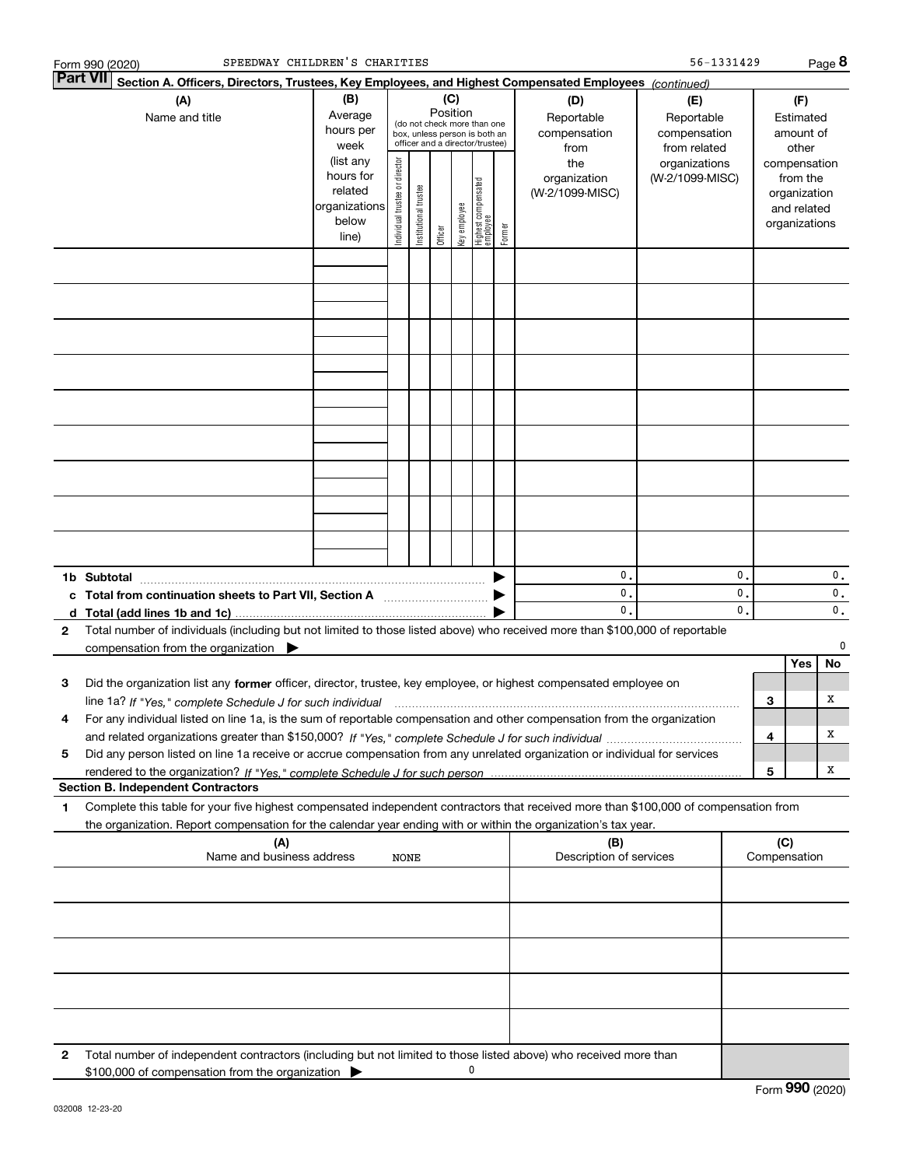|                 | SPEEDWAY CHILDREN'S CHARITIES<br>Form 990 (2020)                                                                                                                                                                                                       |                                                                                                                                                                                                        |                               |                            |         |              |                                 |        |                                        | 56-1331429                                        |                      |   |                                                                          | Page 8   |  |
|-----------------|--------------------------------------------------------------------------------------------------------------------------------------------------------------------------------------------------------------------------------------------------------|--------------------------------------------------------------------------------------------------------------------------------------------------------------------------------------------------------|-------------------------------|----------------------------|---------|--------------|---------------------------------|--------|----------------------------------------|---------------------------------------------------|----------------------|---|--------------------------------------------------------------------------|----------|--|
| <b>Part VII</b> | Section A. Officers, Directors, Trustees, Key Employees, and Highest Compensated Employees (continued)                                                                                                                                                 |                                                                                                                                                                                                        |                               |                            |         |              |                                 |        |                                        |                                                   |                      |   |                                                                          |          |  |
|                 | (A)<br>Name and title                                                                                                                                                                                                                                  | (B)<br>(C)<br>(D)<br>Position<br>Average<br>Reportable<br>(do not check more than one<br>hours per<br>compensation<br>box, unless person is both an<br>officer and a director/trustee)<br>week<br>from |                               |                            |         |              |                                 |        |                                        | (E)<br>Reportable<br>compensation<br>from related |                      |   | (F)<br>Estimated<br>amount of<br>other                                   |          |  |
|                 |                                                                                                                                                                                                                                                        | (list any<br>hours for<br>related<br>organizations<br>below<br>line)                                                                                                                                   | ndividual trustee or director | trustee<br>Institutional t | Officer | key employee | Highest compensated<br>employee | Former | the<br>organization<br>(W-2/1099-MISC) | organizations<br>(W-2/1099-MISC)                  |                      |   | compensation<br>from the<br>organization<br>and related<br>organizations |          |  |
|                 |                                                                                                                                                                                                                                                        |                                                                                                                                                                                                        |                               |                            |         |              |                                 |        |                                        |                                                   |                      |   |                                                                          |          |  |
|                 |                                                                                                                                                                                                                                                        |                                                                                                                                                                                                        |                               |                            |         |              |                                 |        |                                        |                                                   |                      |   |                                                                          |          |  |
|                 |                                                                                                                                                                                                                                                        |                                                                                                                                                                                                        |                               |                            |         |              |                                 |        |                                        |                                                   |                      |   |                                                                          |          |  |
|                 |                                                                                                                                                                                                                                                        |                                                                                                                                                                                                        |                               |                            |         |              |                                 |        |                                        |                                                   |                      |   |                                                                          |          |  |
|                 |                                                                                                                                                                                                                                                        |                                                                                                                                                                                                        |                               |                            |         |              |                                 |        |                                        |                                                   |                      |   |                                                                          |          |  |
|                 |                                                                                                                                                                                                                                                        |                                                                                                                                                                                                        |                               |                            |         |              |                                 |        |                                        |                                                   |                      |   |                                                                          |          |  |
|                 |                                                                                                                                                                                                                                                        |                                                                                                                                                                                                        |                               |                            |         |              |                                 |        |                                        |                                                   |                      |   |                                                                          |          |  |
|                 |                                                                                                                                                                                                                                                        |                                                                                                                                                                                                        |                               |                            |         |              |                                 |        |                                        |                                                   |                      |   |                                                                          |          |  |
|                 | 1b Subtotal                                                                                                                                                                                                                                            |                                                                                                                                                                                                        |                               |                            |         |              |                                 |        | 0.                                     |                                                   | 0.                   |   |                                                                          | 0.       |  |
| c<br>d          | Total from continuation sheets to Part VII, Section A manufactured:                                                                                                                                                                                    |                                                                                                                                                                                                        |                               |                            |         |              |                                 |        | 0.<br>0.                               |                                                   | 0.<br>$\mathbf{0}$ . |   |                                                                          | 0.<br>0. |  |
| 2               | Total number of individuals (including but not limited to those listed above) who received more than \$100,000 of reportable<br>compensation from the organization $\blacktriangleright$                                                               |                                                                                                                                                                                                        |                               |                            |         |              |                                 |        |                                        |                                                   |                      |   |                                                                          | 0        |  |
|                 | Did the organization list any former officer, director, trustee, key employee, or highest compensated employee on                                                                                                                                      |                                                                                                                                                                                                        |                               |                            |         |              |                                 |        |                                        |                                                   |                      |   | Yes                                                                      | No       |  |
| з               | line 1a? If "Yes," complete Schedule J for such individual material content content to the content of the complete Schedule J for such individual                                                                                                      |                                                                                                                                                                                                        |                               |                            |         |              |                                 |        |                                        |                                                   |                      | 3 |                                                                          | x        |  |
| 4               | For any individual listed on line 1a, is the sum of reportable compensation and other compensation from the organization                                                                                                                               |                                                                                                                                                                                                        |                               |                            |         |              |                                 |        |                                        |                                                   |                      | 4 |                                                                          | х        |  |
| 5               | Did any person listed on line 1a receive or accrue compensation from any unrelated organization or individual for services                                                                                                                             |                                                                                                                                                                                                        |                               |                            |         |              |                                 |        |                                        |                                                   |                      | 5 |                                                                          | х        |  |
|                 | <b>Section B. Independent Contractors</b>                                                                                                                                                                                                              |                                                                                                                                                                                                        |                               |                            |         |              |                                 |        |                                        |                                                   |                      |   |                                                                          |          |  |
| 1               | Complete this table for your five highest compensated independent contractors that received more than \$100,000 of compensation from<br>the organization. Report compensation for the calendar year ending with or within the organization's tax year. |                                                                                                                                                                                                        |                               |                            |         |              |                                 |        |                                        |                                                   |                      |   |                                                                          |          |  |
|                 | (A)<br>Name and business address                                                                                                                                                                                                                       |                                                                                                                                                                                                        | <b>NONE</b>                   |                            |         |              |                                 |        | (B)<br>Description of services         |                                                   |                      |   | (C)<br>Compensation                                                      |          |  |
|                 |                                                                                                                                                                                                                                                        |                                                                                                                                                                                                        |                               |                            |         |              |                                 |        |                                        |                                                   |                      |   |                                                                          |          |  |
|                 |                                                                                                                                                                                                                                                        |                                                                                                                                                                                                        |                               |                            |         |              |                                 |        |                                        |                                                   |                      |   |                                                                          |          |  |
|                 |                                                                                                                                                                                                                                                        |                                                                                                                                                                                                        |                               |                            |         |              |                                 |        |                                        |                                                   |                      |   |                                                                          |          |  |
|                 |                                                                                                                                                                                                                                                        |                                                                                                                                                                                                        |                               |                            |         |              |                                 |        |                                        |                                                   |                      |   |                                                                          |          |  |
| 2               | Total number of independent contractors (including but not limited to those listed above) who received more than                                                                                                                                       |                                                                                                                                                                                                        |                               |                            |         |              |                                 |        |                                        |                                                   |                      |   |                                                                          |          |  |
|                 | \$100,000 of compensation from the organization                                                                                                                                                                                                        |                                                                                                                                                                                                        |                               |                            |         | 0            |                                 |        |                                        |                                                   |                      |   |                                                                          |          |  |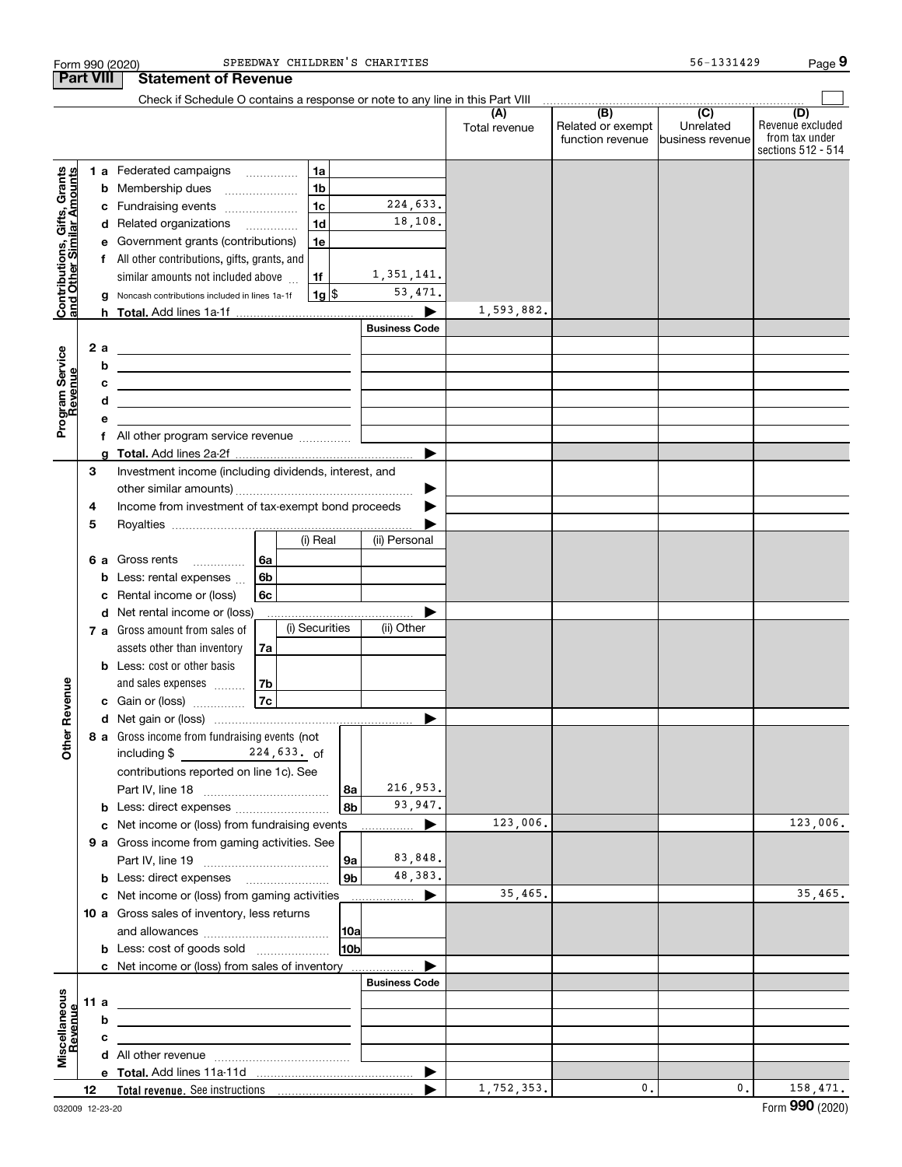|                                                           |                  |        | Form 990 (2020)                                                                                                       |    |                       | SPEEDWAY CHILDREN'S CHARITIES |                      |                                                                                                                                                                                                                                                                                                                                                                                                                                                                       | 56-1331429                    | Page 9                                                          |
|-----------------------------------------------------------|------------------|--------|-----------------------------------------------------------------------------------------------------------------------|----|-----------------------|-------------------------------|----------------------|-----------------------------------------------------------------------------------------------------------------------------------------------------------------------------------------------------------------------------------------------------------------------------------------------------------------------------------------------------------------------------------------------------------------------------------------------------------------------|-------------------------------|-----------------------------------------------------------------|
|                                                           | <b>Part VIII</b> |        | <b>Statement of Revenue</b>                                                                                           |    |                       |                               |                      |                                                                                                                                                                                                                                                                                                                                                                                                                                                                       |                               |                                                                 |
|                                                           |                  |        | Check if Schedule O contains a response or note to any line in this Part VIII                                         |    |                       |                               |                      |                                                                                                                                                                                                                                                                                                                                                                                                                                                                       |                               |                                                                 |
|                                                           |                  |        |                                                                                                                       |    |                       |                               | (A)<br>Total revenue | $\begin{array}{c c c c c c} \hline \textbf{(B)} & \textbf{(C)} & \textbf{1} & \textbf{1} & \textbf{1} & \textbf{1} & \textbf{1} & \textbf{1} & \textbf{1} & \textbf{1} & \textbf{1} & \textbf{1} & \textbf{1} & \textbf{1} & \textbf{1} & \textbf{1} & \textbf{1} & \textbf{1} & \textbf{1} & \textbf{1} & \textbf{1} & \textbf{1} & \textbf{1} & \textbf{1} & \textbf{1} & \textbf{1} & \textbf{1} & \textbf{1} & \textbf{$<br>Related or exempt<br>function revenue | Unrelated<br>business revenue | (D)<br>Revenue excluded<br>from tax under<br>sections 512 - 514 |
|                                                           |                  |        | 1 a Federated campaigns                                                                                               |    | 1a                    |                               |                      |                                                                                                                                                                                                                                                                                                                                                                                                                                                                       |                               |                                                                 |
| Contributions, Gifts, Grants<br>and Other Similar Amounts |                  | b      | Membership dues                                                                                                       |    | 1 <sub>b</sub>        |                               |                      |                                                                                                                                                                                                                                                                                                                                                                                                                                                                       |                               |                                                                 |
|                                                           |                  | с      | Fundraising events                                                                                                    |    | 1 <sub>c</sub>        | 224,633.                      |                      |                                                                                                                                                                                                                                                                                                                                                                                                                                                                       |                               |                                                                 |
|                                                           |                  |        | d Related organizations                                                                                               |    | 1 <sub>d</sub>        | 18,108.                       |                      |                                                                                                                                                                                                                                                                                                                                                                                                                                                                       |                               |                                                                 |
|                                                           |                  | е      | Government grants (contributions)                                                                                     |    | 1e                    |                               |                      |                                                                                                                                                                                                                                                                                                                                                                                                                                                                       |                               |                                                                 |
|                                                           |                  |        | f All other contributions, gifts, grants, and                                                                         |    |                       |                               |                      |                                                                                                                                                                                                                                                                                                                                                                                                                                                                       |                               |                                                                 |
|                                                           |                  |        | similar amounts not included above                                                                                    |    | 1f                    | 1,351,141.                    |                      |                                                                                                                                                                                                                                                                                                                                                                                                                                                                       |                               |                                                                 |
|                                                           |                  | g      | Noncash contributions included in lines 1a-1f                                                                         |    | 1g                    | 53,471.                       |                      |                                                                                                                                                                                                                                                                                                                                                                                                                                                                       |                               |                                                                 |
|                                                           |                  |        |                                                                                                                       |    |                       |                               | 1,593,882.           |                                                                                                                                                                                                                                                                                                                                                                                                                                                                       |                               |                                                                 |
|                                                           |                  |        |                                                                                                                       |    |                       | <b>Business Code</b>          |                      |                                                                                                                                                                                                                                                                                                                                                                                                                                                                       |                               |                                                                 |
|                                                           | 2 a              |        | <u> 1980 - Johann Barn, fransk politik formuler (d. 1980)</u>                                                         |    |                       |                               |                      |                                                                                                                                                                                                                                                                                                                                                                                                                                                                       |                               |                                                                 |
|                                                           |                  | b      | <u> 1989 - Johann Barn, fransk politik amerikansk politik (</u>                                                       |    |                       |                               |                      |                                                                                                                                                                                                                                                                                                                                                                                                                                                                       |                               |                                                                 |
| Program Service<br>Revenue                                |                  | c      | <u> 1989 - Johann Barn, mars and de Branch Barn, mars and de Branch Barn, mars and de Branch Barn, mars and de Br</u> |    |                       |                               |                      |                                                                                                                                                                                                                                                                                                                                                                                                                                                                       |                               |                                                                 |
|                                                           |                  | d<br>е | <u> 1989 - Johann Stein, mars an deus an deus Amerikaanse komme</u>                                                   |    |                       |                               |                      |                                                                                                                                                                                                                                                                                                                                                                                                                                                                       |                               |                                                                 |
|                                                           |                  | f      | All other program service revenue                                                                                     |    |                       |                               |                      |                                                                                                                                                                                                                                                                                                                                                                                                                                                                       |                               |                                                                 |
|                                                           |                  | a      |                                                                                                                       |    |                       |                               |                      |                                                                                                                                                                                                                                                                                                                                                                                                                                                                       |                               |                                                                 |
|                                                           | 3                |        | Investment income (including dividends, interest, and                                                                 |    |                       |                               |                      |                                                                                                                                                                                                                                                                                                                                                                                                                                                                       |                               |                                                                 |
|                                                           |                  |        |                                                                                                                       |    |                       |                               |                      |                                                                                                                                                                                                                                                                                                                                                                                                                                                                       |                               |                                                                 |
|                                                           | 4                |        | Income from investment of tax-exempt bond proceeds                                                                    |    |                       |                               |                      |                                                                                                                                                                                                                                                                                                                                                                                                                                                                       |                               |                                                                 |
|                                                           | 5                |        |                                                                                                                       |    |                       |                               |                      |                                                                                                                                                                                                                                                                                                                                                                                                                                                                       |                               |                                                                 |
|                                                           |                  |        |                                                                                                                       |    | (i) Real              | (ii) Personal                 |                      |                                                                                                                                                                                                                                                                                                                                                                                                                                                                       |                               |                                                                 |
|                                                           | 6а               |        | Gross rents<br>.                                                                                                      | 6а |                       |                               |                      |                                                                                                                                                                                                                                                                                                                                                                                                                                                                       |                               |                                                                 |
|                                                           |                  | b      | Less: rental expenses                                                                                                 | 6b |                       |                               |                      |                                                                                                                                                                                                                                                                                                                                                                                                                                                                       |                               |                                                                 |
|                                                           |                  | c      | Rental income or (loss)                                                                                               | 6с |                       |                               |                      |                                                                                                                                                                                                                                                                                                                                                                                                                                                                       |                               |                                                                 |
|                                                           |                  |        | d Net rental income or (loss)                                                                                         |    |                       |                               |                      |                                                                                                                                                                                                                                                                                                                                                                                                                                                                       |                               |                                                                 |
|                                                           |                  |        | 7 a Gross amount from sales of                                                                                        |    | (i) Securities        | (ii) Other                    |                      |                                                                                                                                                                                                                                                                                                                                                                                                                                                                       |                               |                                                                 |
|                                                           |                  |        | assets other than inventory                                                                                           | 7a |                       |                               |                      |                                                                                                                                                                                                                                                                                                                                                                                                                                                                       |                               |                                                                 |
|                                                           |                  |        | <b>b</b> Less: cost or other basis                                                                                    |    |                       |                               |                      |                                                                                                                                                                                                                                                                                                                                                                                                                                                                       |                               |                                                                 |
|                                                           |                  |        | and sales expenses                                                                                                    | 7b |                       |                               |                      |                                                                                                                                                                                                                                                                                                                                                                                                                                                                       |                               |                                                                 |
|                                                           |                  |        | c Gain or (loss)                                                                                                      | 7c |                       |                               |                      |                                                                                                                                                                                                                                                                                                                                                                                                                                                                       |                               |                                                                 |
|                                                           |                  |        |                                                                                                                       |    |                       |                               |                      |                                                                                                                                                                                                                                                                                                                                                                                                                                                                       |                               |                                                                 |
|                                                           |                  |        | 8 a Gross income from fundraising events (not                                                                         |    |                       |                               |                      |                                                                                                                                                                                                                                                                                                                                                                                                                                                                       |                               |                                                                 |
|                                                           |                  |        | including $\frac{224}{10}$ , 633. of                                                                                  |    |                       |                               |                      |                                                                                                                                                                                                                                                                                                                                                                                                                                                                       |                               |                                                                 |
|                                                           |                  |        | contributions reported on line 1c). See                                                                               |    |                       | 216,953.                      |                      |                                                                                                                                                                                                                                                                                                                                                                                                                                                                       |                               |                                                                 |
|                                                           |                  |        | <b>b</b> Less: direct expenses <b>constants b</b>                                                                     |    | 8a<br> 8 <sub>b</sub> | 93,947.                       |                      |                                                                                                                                                                                                                                                                                                                                                                                                                                                                       |                               |                                                                 |
|                                                           |                  |        | c Net income or (loss) from fundraising events                                                                        |    |                       | ▶<br>.                        | 123,006.             |                                                                                                                                                                                                                                                                                                                                                                                                                                                                       |                               | 123,006.                                                        |
|                                                           |                  |        | 9 a Gross income from gaming activities. See                                                                          |    |                       |                               |                      |                                                                                                                                                                                                                                                                                                                                                                                                                                                                       |                               |                                                                 |
|                                                           |                  |        |                                                                                                                       |    | 9a                    | 83,848.                       |                      |                                                                                                                                                                                                                                                                                                                                                                                                                                                                       |                               |                                                                 |
|                                                           |                  |        |                                                                                                                       |    | 9 <sub>b</sub>        | 48,383.                       |                      |                                                                                                                                                                                                                                                                                                                                                                                                                                                                       |                               |                                                                 |
|                                                           |                  |        | c Net income or (loss) from gaming activities                                                                         |    |                       | ▶<br>.                        | 35,465.              |                                                                                                                                                                                                                                                                                                                                                                                                                                                                       |                               | 35,465.                                                         |
|                                                           |                  |        | 10 a Gross sales of inventory, less returns                                                                           |    |                       |                               |                      |                                                                                                                                                                                                                                                                                                                                                                                                                                                                       |                               |                                                                 |
|                                                           |                  |        |                                                                                                                       |    | 10a                   |                               |                      |                                                                                                                                                                                                                                                                                                                                                                                                                                                                       |                               |                                                                 |
|                                                           |                  |        | <b>b</b> Less: cost of goods sold                                                                                     |    | 10 <sub>b</sub>       |                               |                      |                                                                                                                                                                                                                                                                                                                                                                                                                                                                       |                               |                                                                 |
|                                                           |                  |        | c Net income or (loss) from sales of inventory                                                                        |    |                       |                               |                      |                                                                                                                                                                                                                                                                                                                                                                                                                                                                       |                               |                                                                 |
|                                                           |                  |        |                                                                                                                       |    |                       | <b>Business Code</b>          |                      |                                                                                                                                                                                                                                                                                                                                                                                                                                                                       |                               |                                                                 |
|                                                           | 11a              |        | <u> 1989 - Johann Barbara, martin amerikan basar dan berasal dalam basar dalam basar dalam basar dalam basar dala</u> |    |                       |                               |                      |                                                                                                                                                                                                                                                                                                                                                                                                                                                                       |                               |                                                                 |
|                                                           |                  | b      |                                                                                                                       |    |                       |                               |                      |                                                                                                                                                                                                                                                                                                                                                                                                                                                                       |                               |                                                                 |
| Revenue                                                   |                  | с      | the contract of the contract of the contract of the contract of the contract of                                       |    |                       |                               |                      |                                                                                                                                                                                                                                                                                                                                                                                                                                                                       |                               |                                                                 |
|                                                           |                  |        |                                                                                                                       |    |                       |                               |                      |                                                                                                                                                                                                                                                                                                                                                                                                                                                                       |                               |                                                                 |
|                                                           |                  |        |                                                                                                                       |    |                       | ▶                             |                      |                                                                                                                                                                                                                                                                                                                                                                                                                                                                       |                               |                                                                 |
|                                                           | 12               |        |                                                                                                                       |    |                       |                               | 1,752,353.           | $\mathsf{0}$ .                                                                                                                                                                                                                                                                                                                                                                                                                                                        | 0.                            | 158,471.                                                        |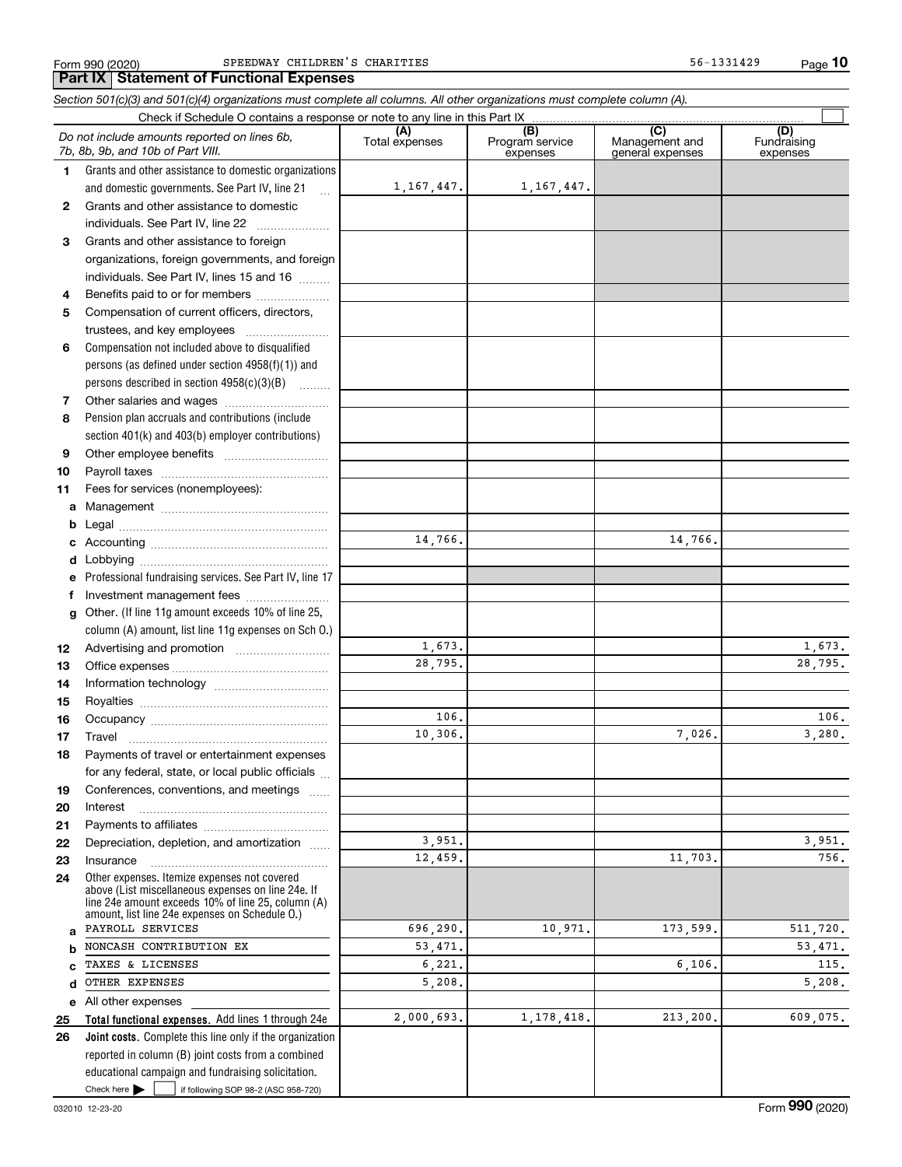Form 990 (2020) Page **Part IX Statement of Functional Expenses** SPEEDWAY CHILDREN'S CHARITIES 56-1331429

**10**

|              | Section 501(c)(3) and 501(c)(4) organizations must complete all columns. All other organizations must complete column (A).                                                                                 |                |                             |                                    |                    |
|--------------|------------------------------------------------------------------------------------------------------------------------------------------------------------------------------------------------------------|----------------|-----------------------------|------------------------------------|--------------------|
|              | Do not include amounts reported on lines 6b,                                                                                                                                                               | (A)            | (B)                         | (C)                                | (D)<br>Fundraising |
|              | 7b, 8b, 9b, and 10b of Part VIII.                                                                                                                                                                          | Total expenses | Program service<br>expenses | Management and<br>general expenses | expenses           |
| 1.           | Grants and other assistance to domestic organizations                                                                                                                                                      |                |                             |                                    |                    |
|              | and domestic governments. See Part IV, line 21<br>$\ddotsc$                                                                                                                                                | 1, 167, 447.   | 1,167,447.                  |                                    |                    |
| $\mathbf{2}$ | Grants and other assistance to domestic                                                                                                                                                                    |                |                             |                                    |                    |
|              | individuals. See Part IV, line 22<br>$\overline{\phantom{a}}$                                                                                                                                              |                |                             |                                    |                    |
| 3            | Grants and other assistance to foreign                                                                                                                                                                     |                |                             |                                    |                    |
|              | organizations, foreign governments, and foreign                                                                                                                                                            |                |                             |                                    |                    |
|              | individuals. See Part IV, lines 15 and 16                                                                                                                                                                  |                |                             |                                    |                    |
| 4            | Benefits paid to or for members                                                                                                                                                                            |                |                             |                                    |                    |
| 5            | Compensation of current officers, directors,                                                                                                                                                               |                |                             |                                    |                    |
|              |                                                                                                                                                                                                            |                |                             |                                    |                    |
| 6            | Compensation not included above to disqualified                                                                                                                                                            |                |                             |                                    |                    |
|              | persons (as defined under section 4958(f)(1)) and                                                                                                                                                          |                |                             |                                    |                    |
|              | persons described in section 4958(c)(3)(B)                                                                                                                                                                 |                |                             |                                    |                    |
| 7            |                                                                                                                                                                                                            |                |                             |                                    |                    |
| 8            | Pension plan accruals and contributions (include                                                                                                                                                           |                |                             |                                    |                    |
|              | section 401(k) and 403(b) employer contributions)                                                                                                                                                          |                |                             |                                    |                    |
| 9            |                                                                                                                                                                                                            |                |                             |                                    |                    |
| 10           |                                                                                                                                                                                                            |                |                             |                                    |                    |
| 11           | Fees for services (nonemployees):                                                                                                                                                                          |                |                             |                                    |                    |
| a            |                                                                                                                                                                                                            |                |                             |                                    |                    |
| b            |                                                                                                                                                                                                            |                |                             |                                    |                    |
| c            |                                                                                                                                                                                                            | 14,766.        |                             | 14,766.                            |                    |
| d            |                                                                                                                                                                                                            |                |                             |                                    |                    |
| е            | Professional fundraising services. See Part IV, line 17                                                                                                                                                    |                |                             |                                    |                    |
| f            | Investment management fees                                                                                                                                                                                 |                |                             |                                    |                    |
| g            | Other. (If line 11g amount exceeds 10% of line 25,                                                                                                                                                         |                |                             |                                    |                    |
|              | column (A) amount, list line 11g expenses on Sch 0.)                                                                                                                                                       |                |                             |                                    |                    |
| 12           |                                                                                                                                                                                                            | 1,673.         |                             |                                    | 1,673.             |
| 13           |                                                                                                                                                                                                            | 28,795.        |                             |                                    | 28,795.            |
| 14           |                                                                                                                                                                                                            |                |                             |                                    |                    |
| 15           |                                                                                                                                                                                                            |                |                             |                                    |                    |
| 16           |                                                                                                                                                                                                            | 106.           |                             |                                    | 106.               |
| 17           |                                                                                                                                                                                                            | 10,306.        |                             | 7,026.                             | 3,280.             |
| 18           | Payments of travel or entertainment expenses                                                                                                                                                               |                |                             |                                    |                    |
|              | for any federal, state, or local public officials                                                                                                                                                          |                |                             |                                    |                    |
| 19           | Conferences, conventions, and meetings                                                                                                                                                                     |                |                             |                                    |                    |
| 20           | Interest                                                                                                                                                                                                   |                |                             |                                    |                    |
| 21           |                                                                                                                                                                                                            |                |                             |                                    |                    |
| 22           | Depreciation, depletion, and amortization                                                                                                                                                                  | 3,951.         |                             |                                    | 3,951.             |
| 23           | Insurance                                                                                                                                                                                                  | 12,459.        |                             | 11,703.                            | 756.               |
| 24           | Other expenses. Itemize expenses not covered<br>above (List miscellaneous expenses on line 24e. If<br>line 24e amount exceeds 10% of line 25, column (A)<br>amount, list line 24e expenses on Schedule O.) |                |                             |                                    |                    |
| a            | PAYROLL SERVICES                                                                                                                                                                                           | 696,290.       | 10,971.                     | 173,599.                           | 511,720.           |
| b            | NONCASH CONTRIBUTION EX                                                                                                                                                                                    | 53,471.        |                             |                                    | 53,471.            |
| c            | TAXES & LICENSES                                                                                                                                                                                           | 6,221.         |                             | 6,106.                             | 115.               |
| d            | OTHER EXPENSES                                                                                                                                                                                             | 5,208.         |                             |                                    | 5,208.             |
| е            | All other expenses                                                                                                                                                                                         |                |                             |                                    |                    |
| 25           | Total functional expenses. Add lines 1 through 24e                                                                                                                                                         | 2,000,693.     | 1, 178, 418.                | 213,200.                           | 609,075.           |
| 26           | Joint costs. Complete this line only if the organization                                                                                                                                                   |                |                             |                                    |                    |
|              | reported in column (B) joint costs from a combined                                                                                                                                                         |                |                             |                                    |                    |
|              | educational campaign and fundraising solicitation.                                                                                                                                                         |                |                             |                                    |                    |

Check here  $\blacktriangleright$ 

Check here  $\bullet$  if following SOP 98-2 (ASC 958-720)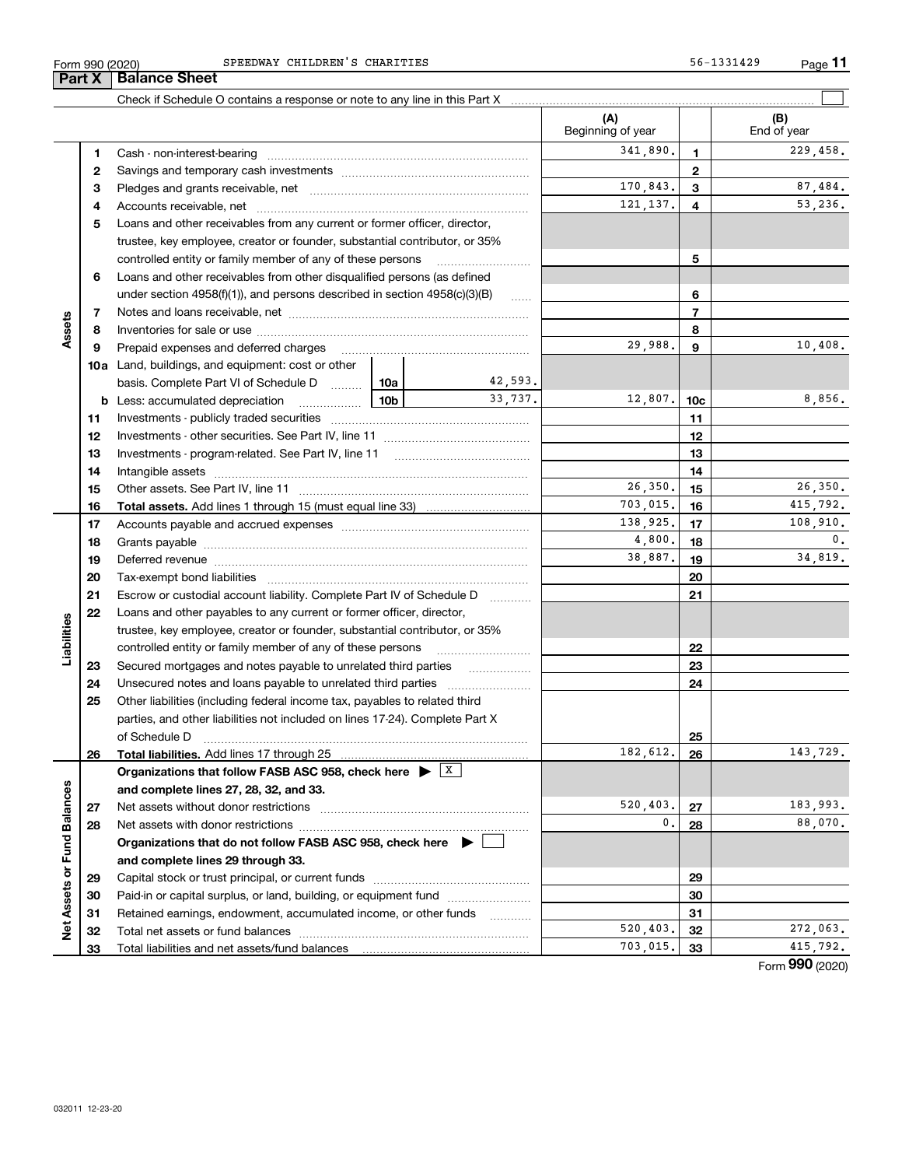| Form 990 (2020) | SPEEDWAY<br>CHILDREN S CHARITIES                                           | 56-1331429 | Page |
|-----------------|----------------------------------------------------------------------------|------------|------|
| <b>Part X</b>   | <b>Balance Sheet</b>                                                       |            |      |
|                 | Check if Schedule O contains a response or note to any line in this Part X |            |      |

|                             |    |                                                                                                                                                                                                                                |                   | (A)<br>Beginning of year |                 | (B)<br>End of year |
|-----------------------------|----|--------------------------------------------------------------------------------------------------------------------------------------------------------------------------------------------------------------------------------|-------------------|--------------------------|-----------------|--------------------|
|                             |    |                                                                                                                                                                                                                                |                   | 341,890.                 |                 | 229,458.           |
|                             | 1. |                                                                                                                                                                                                                                |                   |                          | 1               |                    |
|                             | 2  |                                                                                                                                                                                                                                |                   | 170,843.                 | 2               | 87,484.            |
|                             | з  |                                                                                                                                                                                                                                |                   |                          | 3               | 53,236.            |
|                             | 4  |                                                                                                                                                                                                                                |                   | 121, 137.                | 4               |                    |
|                             | 5  | Loans and other receivables from any current or former officer, director,                                                                                                                                                      |                   |                          |                 |                    |
|                             |    | trustee, key employee, creator or founder, substantial contributor, or 35%                                                                                                                                                     |                   |                          |                 |                    |
|                             |    | controlled entity or family member of any of these persons                                                                                                                                                                     |                   |                          | 5               |                    |
|                             | 6  | Loans and other receivables from other disqualified persons (as defined                                                                                                                                                        |                   |                          |                 |                    |
|                             |    | under section $4958(f)(1)$ , and persons described in section $4958(c)(3)(B)$                                                                                                                                                  |                   |                          | 6               |                    |
|                             | 7  |                                                                                                                                                                                                                                |                   |                          | $\overline{7}$  |                    |
| Assets                      | 8  |                                                                                                                                                                                                                                |                   |                          | 8               |                    |
|                             | 9  | Prepaid expenses and deferred charges                                                                                                                                                                                          |                   | 29,988.                  | 9               | 10,408.            |
|                             |    | <b>10a</b> Land, buildings, and equipment: cost or other                                                                                                                                                                       |                   |                          |                 |                    |
|                             |    | basis. Complete Part VI of Schedule D  [10a]                                                                                                                                                                                   | 42,593.           |                          |                 |                    |
|                             |    | 10b<br><b>b</b> Less: accumulated depreciation                                                                                                                                                                                 | 33,737.           | 12,807.                  | 10 <sub>c</sub> | 8,856.             |
|                             | 11 |                                                                                                                                                                                                                                |                   |                          | 11              |                    |
|                             | 12 |                                                                                                                                                                                                                                |                   |                          | 12              |                    |
|                             | 13 |                                                                                                                                                                                                                                |                   |                          | 13              |                    |
|                             | 14 |                                                                                                                                                                                                                                |                   |                          | 14              |                    |
|                             | 15 |                                                                                                                                                                                                                                |                   | 26,350.                  | 15              | 26, 350.           |
|                             | 16 | <b>Total assets.</b> Add lines 1 through 15 (must equal line 33) <i></i>                                                                                                                                                       | 703,015.          | 16                       | 415,792.        |                    |
|                             | 17 |                                                                                                                                                                                                                                | 138,925.          | 17                       | 108,910.        |                    |
|                             | 18 |                                                                                                                                                                                                                                | 4,800.            | 18                       | $\mathbf{0}$ .  |                    |
|                             | 19 | Deferred revenue manual contracts and contracts are all the contracts and contracts are contracted and contracts are contracted and contract are contracted and contract are contracted and contract are contracted and contra | 38,887.           | 19                       | 34,819.         |                    |
|                             | 20 |                                                                                                                                                                                                                                |                   |                          | 20              |                    |
|                             | 21 | Escrow or custodial account liability. Complete Part IV of Schedule D                                                                                                                                                          | 1.1.1.1.1.1.1.1.1 |                          | 21              |                    |
|                             | 22 | Loans and other payables to any current or former officer, director,                                                                                                                                                           |                   |                          |                 |                    |
| Liabilities                 |    | trustee, key employee, creator or founder, substantial contributor, or 35%                                                                                                                                                     |                   |                          |                 |                    |
|                             |    | controlled entity or family member of any of these persons                                                                                                                                                                     |                   |                          | 22              |                    |
|                             | 23 |                                                                                                                                                                                                                                |                   |                          | 23              |                    |
|                             | 24 |                                                                                                                                                                                                                                |                   |                          | 24              |                    |
|                             | 25 | Other liabilities (including federal income tax, payables to related third                                                                                                                                                     |                   |                          |                 |                    |
|                             |    | parties, and other liabilities not included on lines 17-24). Complete Part X                                                                                                                                                   |                   |                          |                 |                    |
|                             |    | of Schedule D                                                                                                                                                                                                                  |                   |                          | 25              |                    |
|                             | 26 |                                                                                                                                                                                                                                |                   | 182,612.                 | 26              | 143,729.           |
|                             |    | Organizations that follow FASB ASC 958, check here $\blacktriangleright$ $\boxed{\boxed{\text{X}}}$                                                                                                                            |                   |                          |                 |                    |
|                             |    | and complete lines 27, 28, 32, and 33.                                                                                                                                                                                         |                   |                          |                 |                    |
|                             | 27 | Net assets without donor restrictions                                                                                                                                                                                          |                   | 520,403.                 | 27              | 183,993.           |
|                             | 28 |                                                                                                                                                                                                                                |                   | 0.                       | 28              | 88,070.            |
|                             |    | Organizations that do not follow FASB ASC 958, check here $\blacktriangleright$                                                                                                                                                |                   |                          |                 |                    |
|                             |    | and complete lines 29 through 33.                                                                                                                                                                                              |                   |                          |                 |                    |
|                             | 29 |                                                                                                                                                                                                                                |                   |                          | 29              |                    |
|                             | 30 | Paid-in or capital surplus, or land, building, or equipment fund                                                                                                                                                               |                   |                          | 30              |                    |
| Net Assets or Fund Balances | 31 | Retained earnings, endowment, accumulated income, or other funds                                                                                                                                                               |                   |                          | 31              |                    |
|                             | 32 | Total net assets or fund balances                                                                                                                                                                                              |                   | 520,403.                 | 32              | 272,063.           |
|                             | 33 | Total liabilities and net assets/fund balances                                                                                                                                                                                 |                   | 703,015.                 | 33              | 415,792.           |
|                             |    |                                                                                                                                                                                                                                |                   |                          |                 | Form $990(2020)$   |

 $\mathcal{L}^{\text{max}}$ 

Formym **990** (2020)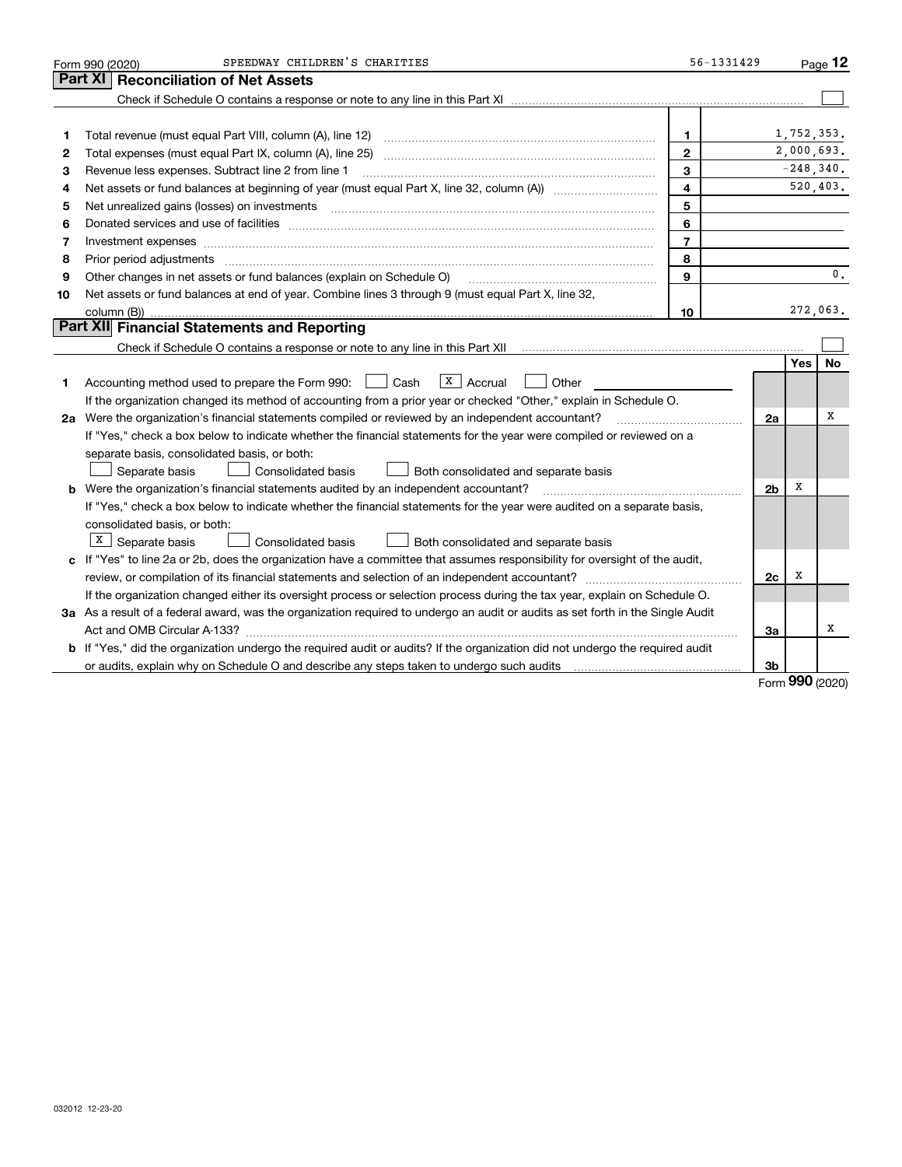|    | SPEEDWAY CHILDREN'S CHARITIES<br>Form 990 (2020)                                                                                                                                                                               | 56-1331429               |                |            | Page 12       |
|----|--------------------------------------------------------------------------------------------------------------------------------------------------------------------------------------------------------------------------------|--------------------------|----------------|------------|---------------|
|    | Part XI<br><b>Reconciliation of Net Assets</b>                                                                                                                                                                                 |                          |                |            |               |
|    |                                                                                                                                                                                                                                |                          |                |            |               |
|    |                                                                                                                                                                                                                                |                          |                |            |               |
| 1  | Total revenue (must equal Part VIII, column (A), line 12)                                                                                                                                                                      | 1                        |                | 1,752,353. |               |
| 2  |                                                                                                                                                                                                                                | $\mathbf{2}$             |                | 2,000,693. |               |
| з  | Revenue less expenses. Subtract line 2 from line 1                                                                                                                                                                             | 3                        |                |            | $-248,340.$   |
| 4  |                                                                                                                                                                                                                                | $\overline{\mathbf{4}}$  |                |            | 520,403.      |
| 5  |                                                                                                                                                                                                                                | 5                        |                |            |               |
| 6  | Donated services and use of facilities [111] processes and the service of facilities [11] processes and use of facilities [11] processes and the service of facilities [11] processes and the service of the service of the se | 6                        |                |            |               |
| 7  | Investment expenses www.communication.communication.com/www.communication.com/www.communication.com                                                                                                                            | $\overline{\phantom{a}}$ |                |            |               |
| 8  | Prior period adjustments                                                                                                                                                                                                       | 8                        |                |            |               |
| 9  | Other changes in net assets or fund balances (explain on Schedule O)                                                                                                                                                           | 9                        |                |            | $\mathbf 0$ . |
| 10 | Net assets or fund balances at end of year. Combine lines 3 through 9 (must equal Part X, line 32,                                                                                                                             |                          |                |            |               |
|    |                                                                                                                                                                                                                                | 10                       |                |            | 272,063.      |
|    | Part XII Financial Statements and Reporting                                                                                                                                                                                    |                          |                |            |               |
|    |                                                                                                                                                                                                                                |                          |                |            |               |
|    |                                                                                                                                                                                                                                |                          |                | <b>Yes</b> | <b>No</b>     |
| 1. | $ X $ Accrual<br>Accounting method used to prepare the Form 990: <u>I</u> Cash<br>Other                                                                                                                                        |                          |                |            |               |
|    | If the organization changed its method of accounting from a prior year or checked "Other," explain in Schedule O.                                                                                                              |                          |                |            |               |
|    | 2a Were the organization's financial statements compiled or reviewed by an independent accountant?                                                                                                                             |                          | 2a             |            | x             |
|    | If "Yes," check a box below to indicate whether the financial statements for the year were compiled or reviewed on a                                                                                                           |                          |                |            |               |
|    | separate basis, consolidated basis, or both:                                                                                                                                                                                   |                          |                |            |               |
|    | Separate basis<br>Consolidated basis<br>Both consolidated and separate basis                                                                                                                                                   |                          |                |            |               |
|    | <b>b</b> Were the organization's financial statements audited by an independent accountant?                                                                                                                                    |                          | 2 <sub>b</sub> | х          |               |
|    | If "Yes," check a box below to indicate whether the financial statements for the year were audited on a separate basis,                                                                                                        |                          |                |            |               |
|    | consolidated basis, or both:                                                                                                                                                                                                   |                          |                |            |               |
|    | $X \mid$ Separate basis<br>Consolidated basis<br>Both consolidated and separate basis                                                                                                                                          |                          |                |            |               |
|    | c If "Yes" to line 2a or 2b, does the organization have a committee that assumes responsibility for oversight of the audit,                                                                                                    |                          |                |            |               |
|    | review, or compilation of its financial statements and selection of an independent accountant?                                                                                                                                 |                          | 2c             | x          |               |
|    | If the organization changed either its oversight process or selection process during the tax year, explain on Schedule O.                                                                                                      |                          |                |            |               |
|    | 3a As a result of a federal award, was the organization required to undergo an audit or audits as set forth in the Single Audit                                                                                                |                          |                |            |               |
|    |                                                                                                                                                                                                                                |                          | 3a             |            | x             |
|    | <b>b</b> If "Yes," did the organization undergo the required audit or audits? If the organization did not undergo the required audit                                                                                           |                          |                |            |               |
|    |                                                                                                                                                                                                                                |                          | 3b             |            |               |

Form (2020) **990**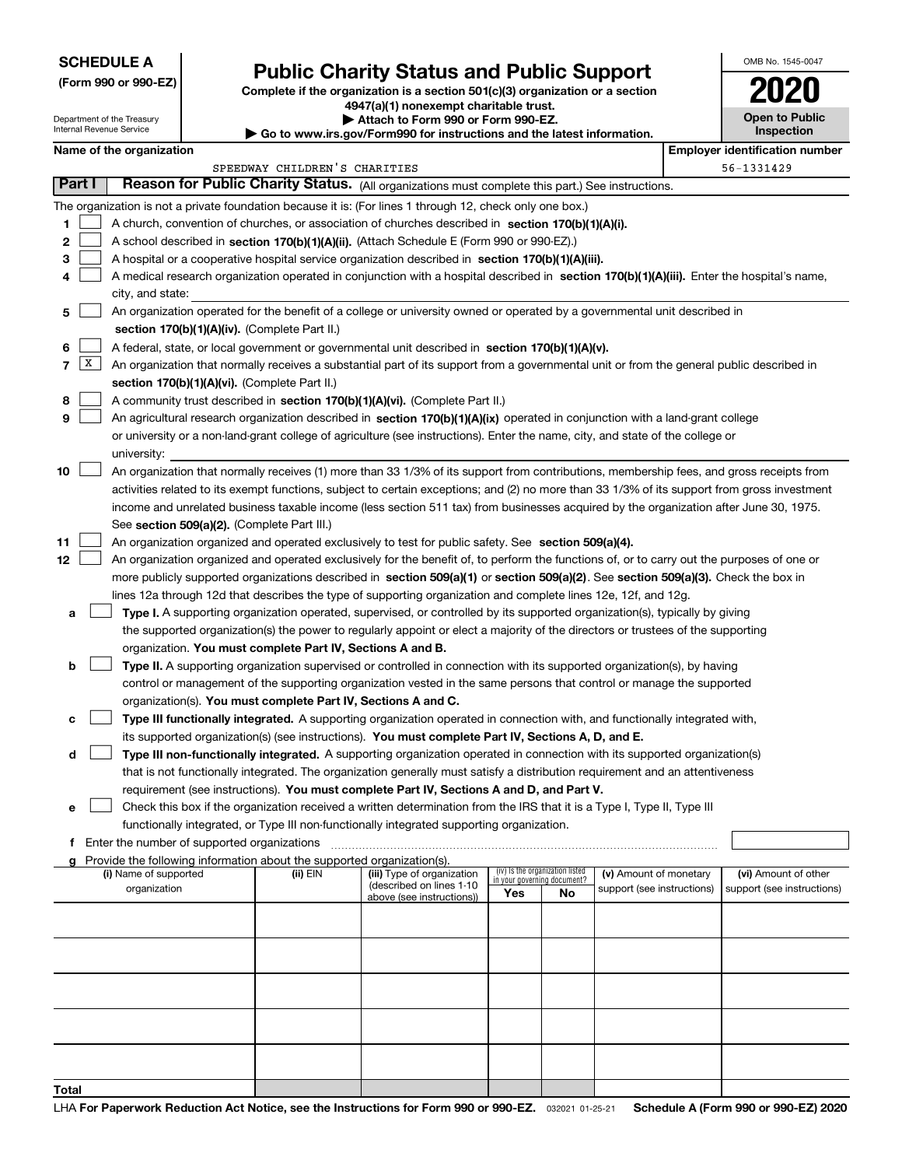## **SCHEDULE A**

Department of the Treasury Internal Revenue Service

**(Form 990 or 990-EZ)**

## **Public Charity Status and Public Support**

**Complete if the organization is a section 501(c)(3) organization or a section 4947(a)(1) nonexempt charitable trust.**

**| Attach to Form 990 or Form 990-EZ.** 

**| Go to www.irs.gov/Form990 for instructions and the latest information.**

| OMB No 1545-0047                    |
|-------------------------------------|
|                                     |
| <b>Open to Public</b><br>Inspection |

## **Name of the organization Employer identification number Employer identification number**

|                |        |                                                                                                                                                                                       | SPEEDWAY CHILDREN'S CHARITIES |                                                        |                                                                |    |                            | 56-1331429                 |
|----------------|--------|---------------------------------------------------------------------------------------------------------------------------------------------------------------------------------------|-------------------------------|--------------------------------------------------------|----------------------------------------------------------------|----|----------------------------|----------------------------|
|                | Part I | Reason for Public Charity Status. (All organizations must complete this part.) See instructions.                                                                                      |                               |                                                        |                                                                |    |                            |                            |
|                |        | The organization is not a private foundation because it is: (For lines 1 through 12, check only one box.)                                                                             |                               |                                                        |                                                                |    |                            |                            |
| 1.             |        | A church, convention of churches, or association of churches described in section 170(b)(1)(A)(i).                                                                                    |                               |                                                        |                                                                |    |                            |                            |
| 2              |        | A school described in section 170(b)(1)(A)(ii). (Attach Schedule E (Form 990 or 990-EZ).)                                                                                             |                               |                                                        |                                                                |    |                            |                            |
| 3              |        | A hospital or a cooperative hospital service organization described in section 170(b)(1)(A)(iii).                                                                                     |                               |                                                        |                                                                |    |                            |                            |
| 4              |        | A medical research organization operated in conjunction with a hospital described in section 170(b)(1)(A)(iii). Enter the hospital's name,                                            |                               |                                                        |                                                                |    |                            |                            |
|                |        | city, and state:                                                                                                                                                                      |                               |                                                        |                                                                |    |                            |                            |
| 5              |        | An organization operated for the benefit of a college or university owned or operated by a governmental unit described in                                                             |                               |                                                        |                                                                |    |                            |                            |
|                |        | section 170(b)(1)(A)(iv). (Complete Part II.)                                                                                                                                         |                               |                                                        |                                                                |    |                            |                            |
| 6              |        | A federal, state, or local government or governmental unit described in section $170(b)(1)(A)(v)$ .                                                                                   |                               |                                                        |                                                                |    |                            |                            |
| $\overline{7}$ | X      | An organization that normally receives a substantial part of its support from a governmental unit or from the general public described in                                             |                               |                                                        |                                                                |    |                            |                            |
|                |        | section 170(b)(1)(A)(vi). (Complete Part II.)                                                                                                                                         |                               |                                                        |                                                                |    |                            |                            |
| 8              |        | A community trust described in section 170(b)(1)(A)(vi). (Complete Part II.)                                                                                                          |                               |                                                        |                                                                |    |                            |                            |
| 9              |        | An agricultural research organization described in section 170(b)(1)(A)(ix) operated in conjunction with a land-grant college                                                         |                               |                                                        |                                                                |    |                            |                            |
|                |        | or university or a non-land-grant college of agriculture (see instructions). Enter the name, city, and state of the college or                                                        |                               |                                                        |                                                                |    |                            |                            |
|                |        | university:                                                                                                                                                                           |                               |                                                        |                                                                |    |                            |                            |
| 10             |        | An organization that normally receives (1) more than 33 1/3% of its support from contributions, membership fees, and gross receipts from                                              |                               |                                                        |                                                                |    |                            |                            |
|                |        | activities related to its exempt functions, subject to certain exceptions; and (2) no more than 33 1/3% of its support from gross investment                                          |                               |                                                        |                                                                |    |                            |                            |
|                |        | income and unrelated business taxable income (less section 511 tax) from businesses acquired by the organization after June 30, 1975.                                                 |                               |                                                        |                                                                |    |                            |                            |
|                |        | See section 509(a)(2). (Complete Part III.)                                                                                                                                           |                               |                                                        |                                                                |    |                            |                            |
| 11             |        | An organization organized and operated exclusively to test for public safety. See section 509(a)(4).                                                                                  |                               |                                                        |                                                                |    |                            |                            |
| 12             |        | An organization organized and operated exclusively for the benefit of, to perform the functions of, or to carry out the purposes of one or                                            |                               |                                                        |                                                                |    |                            |                            |
|                |        | more publicly supported organizations described in section 509(a)(1) or section 509(a)(2). See section 509(a)(3). Check the box in                                                    |                               |                                                        |                                                                |    |                            |                            |
|                |        | lines 12a through 12d that describes the type of supporting organization and complete lines 12e, 12f, and 12g.                                                                        |                               |                                                        |                                                                |    |                            |                            |
| а              |        | Type I. A supporting organization operated, supervised, or controlled by its supported organization(s), typically by giving                                                           |                               |                                                        |                                                                |    |                            |                            |
|                |        | the supported organization(s) the power to regularly appoint or elect a majority of the directors or trustees of the supporting                                                       |                               |                                                        |                                                                |    |                            |                            |
|                |        | organization. You must complete Part IV, Sections A and B.                                                                                                                            |                               |                                                        |                                                                |    |                            |                            |
| b              |        | Type II. A supporting organization supervised or controlled in connection with its supported organization(s), by having                                                               |                               |                                                        |                                                                |    |                            |                            |
|                |        | control or management of the supporting organization vested in the same persons that control or manage the supported<br>organization(s). You must complete Part IV, Sections A and C. |                               |                                                        |                                                                |    |                            |                            |
| с              |        | Type III functionally integrated. A supporting organization operated in connection with, and functionally integrated with,                                                            |                               |                                                        |                                                                |    |                            |                            |
|                |        | its supported organization(s) (see instructions). You must complete Part IV, Sections A, D, and E.                                                                                    |                               |                                                        |                                                                |    |                            |                            |
| d              |        | Type III non-functionally integrated. A supporting organization operated in connection with its supported organization(s)                                                             |                               |                                                        |                                                                |    |                            |                            |
|                |        | that is not functionally integrated. The organization generally must satisfy a distribution requirement and an attentiveness                                                          |                               |                                                        |                                                                |    |                            |                            |
|                |        | requirement (see instructions). You must complete Part IV, Sections A and D, and Part V.                                                                                              |                               |                                                        |                                                                |    |                            |                            |
| е              |        | Check this box if the organization received a written determination from the IRS that it is a Type I, Type II, Type III                                                               |                               |                                                        |                                                                |    |                            |                            |
|                |        | functionally integrated, or Type III non-functionally integrated supporting organization.                                                                                             |                               |                                                        |                                                                |    |                            |                            |
| f              |        | Enter the number of supported organizations                                                                                                                                           |                               |                                                        |                                                                |    |                            |                            |
| a              |        | Provide the following information about the supported organization(s).                                                                                                                |                               |                                                        |                                                                |    |                            |                            |
|                |        | (i) Name of supported                                                                                                                                                                 | (ii) EIN                      | (iii) Type of organization<br>(described on lines 1-10 | (iv) Is the organization listed<br>in your governing document? |    | (v) Amount of monetary     | (vi) Amount of other       |
|                |        | organization                                                                                                                                                                          |                               | above (see instructions))                              | Yes                                                            | No | support (see instructions) | support (see instructions) |
|                |        |                                                                                                                                                                                       |                               |                                                        |                                                                |    |                            |                            |
|                |        |                                                                                                                                                                                       |                               |                                                        |                                                                |    |                            |                            |
|                |        |                                                                                                                                                                                       |                               |                                                        |                                                                |    |                            |                            |
|                |        |                                                                                                                                                                                       |                               |                                                        |                                                                |    |                            |                            |
|                |        |                                                                                                                                                                                       |                               |                                                        |                                                                |    |                            |                            |
|                |        |                                                                                                                                                                                       |                               |                                                        |                                                                |    |                            |                            |
|                |        |                                                                                                                                                                                       |                               |                                                        |                                                                |    |                            |                            |
|                |        |                                                                                                                                                                                       |                               |                                                        |                                                                |    |                            |                            |
|                |        |                                                                                                                                                                                       |                               |                                                        |                                                                |    |                            |                            |
|                |        |                                                                                                                                                                                       |                               |                                                        |                                                                |    |                            |                            |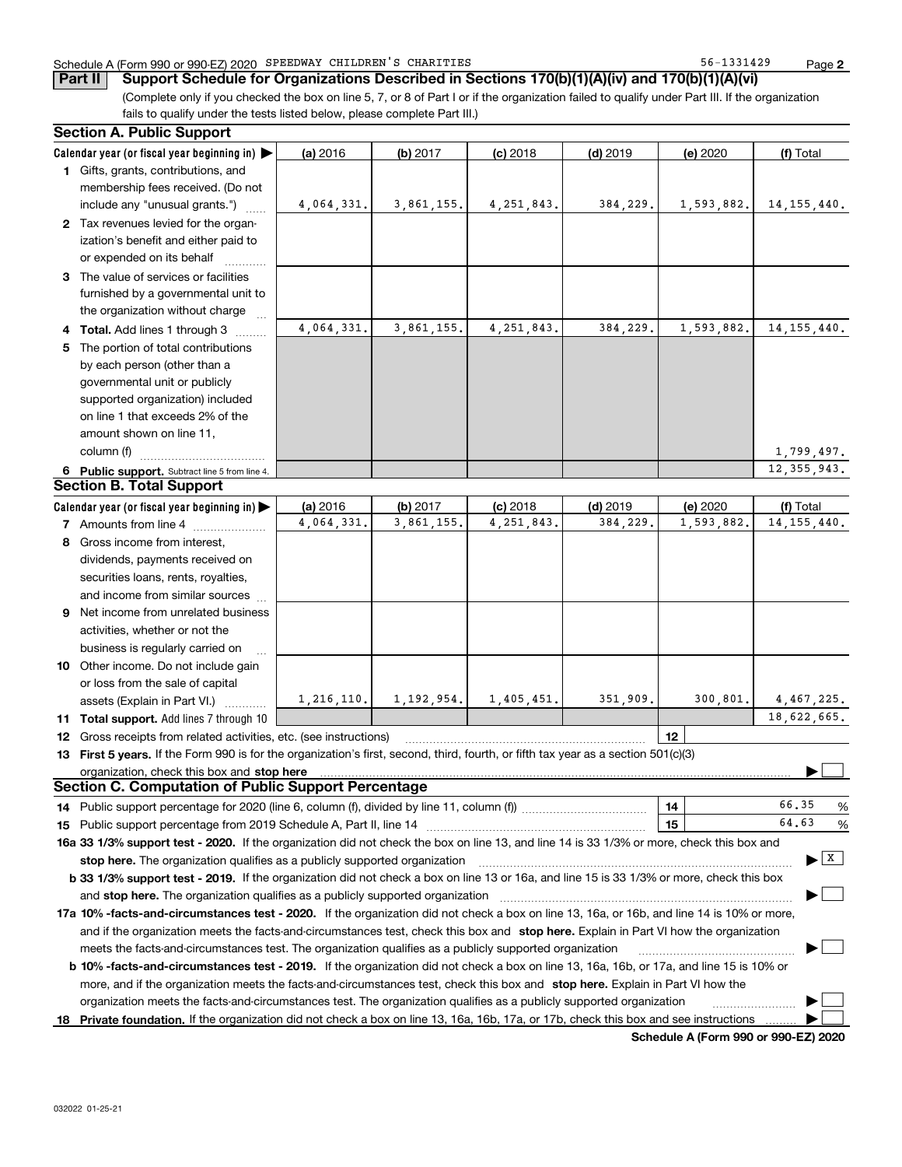### Schedule A (Form 990 or 990-EZ) 2020 Page SPEEDWAY CHILDREN'S CHARITIES 56-1331429

**Part II Support Schedule for Organizations Described in Sections 170(b)(1)(A)(iv) and 170(b)(1)(A)(vi)**

(Complete only if you checked the box on line 5, 7, or 8 of Part I or if the organization failed to qualify under Part III. If the organization fails to qualify under the tests listed below, please complete Part III.)

|    | <b>Section A. Public Support</b>                                                                                                               |              |              |              |            |            |                                       |
|----|------------------------------------------------------------------------------------------------------------------------------------------------|--------------|--------------|--------------|------------|------------|---------------------------------------|
|    | Calendar year (or fiscal year beginning in)                                                                                                    | (a) 2016     | (b) 2017     | $(c)$ 2018   | $(d)$ 2019 | (e) 2020   | (f) Total                             |
|    | 1 Gifts, grants, contributions, and                                                                                                            |              |              |              |            |            |                                       |
|    | membership fees received. (Do not                                                                                                              |              |              |              |            |            |                                       |
|    | include any "unusual grants.")                                                                                                                 | 4,064,331.   | 3,861,155.   | 4, 251, 843. | 384,229.   | 1,593,882. | 14, 155, 440.                         |
|    | 2 Tax revenues levied for the organ-                                                                                                           |              |              |              |            |            |                                       |
|    | ization's benefit and either paid to                                                                                                           |              |              |              |            |            |                                       |
|    | or expended on its behalf                                                                                                                      |              |              |              |            |            |                                       |
|    | 3 The value of services or facilities                                                                                                          |              |              |              |            |            |                                       |
|    | furnished by a governmental unit to                                                                                                            |              |              |              |            |            |                                       |
|    | the organization without charge                                                                                                                |              |              |              |            |            |                                       |
|    | 4 Total. Add lines 1 through 3                                                                                                                 | 4,064,331.   | 3,861,155.   | 4, 251, 843. | 384,229.   | 1,593,882. | 14, 155, 440.                         |
|    | 5 The portion of total contributions                                                                                                           |              |              |              |            |            |                                       |
|    | by each person (other than a                                                                                                                   |              |              |              |            |            |                                       |
|    | governmental unit or publicly                                                                                                                  |              |              |              |            |            |                                       |
|    | supported organization) included                                                                                                               |              |              |              |            |            |                                       |
|    | on line 1 that exceeds 2% of the                                                                                                               |              |              |              |            |            |                                       |
|    | amount shown on line 11,                                                                                                                       |              |              |              |            |            |                                       |
|    | column (f)                                                                                                                                     |              |              |              |            |            | 1,799,497.                            |
|    | 6 Public support. Subtract line 5 from line 4.                                                                                                 |              |              |              |            |            | 12, 355, 943.                         |
|    | <b>Section B. Total Support</b>                                                                                                                |              |              |              |            |            |                                       |
|    | Calendar year (or fiscal year beginning in)                                                                                                    | (a) 2016     | (b) 2017     | $(c)$ 2018   | $(d)$ 2019 | (e) 2020   | (f) Total                             |
|    | <b>7</b> Amounts from line 4                                                                                                                   | 4,064,331.   | 3,861,155.   | 4, 251, 843. | 384,229.   | 1,593,882. | 14, 155, 440.                         |
|    | 8 Gross income from interest,                                                                                                                  |              |              |              |            |            |                                       |
|    | dividends, payments received on                                                                                                                |              |              |              |            |            |                                       |
|    | securities loans, rents, royalties,                                                                                                            |              |              |              |            |            |                                       |
|    | and income from similar sources                                                                                                                |              |              |              |            |            |                                       |
|    | 9 Net income from unrelated business                                                                                                           |              |              |              |            |            |                                       |
|    | activities, whether or not the                                                                                                                 |              |              |              |            |            |                                       |
|    | business is regularly carried on                                                                                                               |              |              |              |            |            |                                       |
|    | 10 Other income. Do not include gain                                                                                                           |              |              |              |            |            |                                       |
|    | or loss from the sale of capital                                                                                                               |              |              |              |            |            |                                       |
|    | assets (Explain in Part VI.)                                                                                                                   | 1, 216, 110. | 1, 192, 954. | 1,405,451.   | 351,909.   | 300, 801.  | 4,467,225.                            |
|    | 11 Total support. Add lines 7 through 10                                                                                                       |              |              |              |            |            | 18,622,665.                           |
|    | 12 Gross receipts from related activities, etc. (see instructions)                                                                             |              |              |              |            | 12         |                                       |
|    | 13 First 5 years. If the Form 990 is for the organization's first, second, third, fourth, or fifth tax year as a section 501(c)(3)             |              |              |              |            |            |                                       |
|    | organization, check this box and stop here                                                                                                     |              |              |              |            |            |                                       |
|    | <b>Section C. Computation of Public Support Percentage</b>                                                                                     |              |              |              |            |            |                                       |
|    | 14 Public support percentage for 2020 (line 6, column (f), divided by line 11, column (f) <i>mummumumum</i>                                    |              |              |              |            | 14         | 66.35<br>%                            |
|    |                                                                                                                                                |              |              |              |            | 15         | 64.63<br>%                            |
|    | 16a 33 1/3% support test - 2020. If the organization did not check the box on line 13, and line 14 is 33 1/3% or more, check this box and      |              |              |              |            |            |                                       |
|    | stop here. The organization qualifies as a publicly supported organization                                                                     |              |              |              |            |            | $\blacktriangleright$ $\mid$ X $\mid$ |
|    | b 33 1/3% support test - 2019. If the organization did not check a box on line 13 or 16a, and line 15 is 33 1/3% or more, check this box       |              |              |              |            |            |                                       |
|    | and stop here. The organization qualifies as a publicly supported organization                                                                 |              |              |              |            |            |                                       |
|    | 17a 10% -facts-and-circumstances test - 2020. If the organization did not check a box on line 13, 16a, or 16b, and line 14 is 10% or more,     |              |              |              |            |            |                                       |
|    | and if the organization meets the facts-and-circumstances test, check this box and stop here. Explain in Part VI how the organization          |              |              |              |            |            |                                       |
|    | meets the facts-and-circumstances test. The organization qualifies as a publicly supported organization                                        |              |              |              |            |            |                                       |
|    | <b>b 10% -facts-and-circumstances test - 2019.</b> If the organization did not check a box on line 13, 16a, 16b, or 17a, and line 15 is 10% or |              |              |              |            |            |                                       |
|    | more, and if the organization meets the facts-and-circumstances test, check this box and stop here. Explain in Part VI how the                 |              |              |              |            |            |                                       |
|    | organization meets the facts-and-circumstances test. The organization qualifies as a publicly supported organization                           |              |              |              |            |            |                                       |
| 18 | Private foundation. If the organization did not check a box on line 13, 16a, 16b, 17a, or 17b, check this box and see instructions             |              |              |              |            |            |                                       |

**Schedule A (Form 990 or 990-EZ) 2020**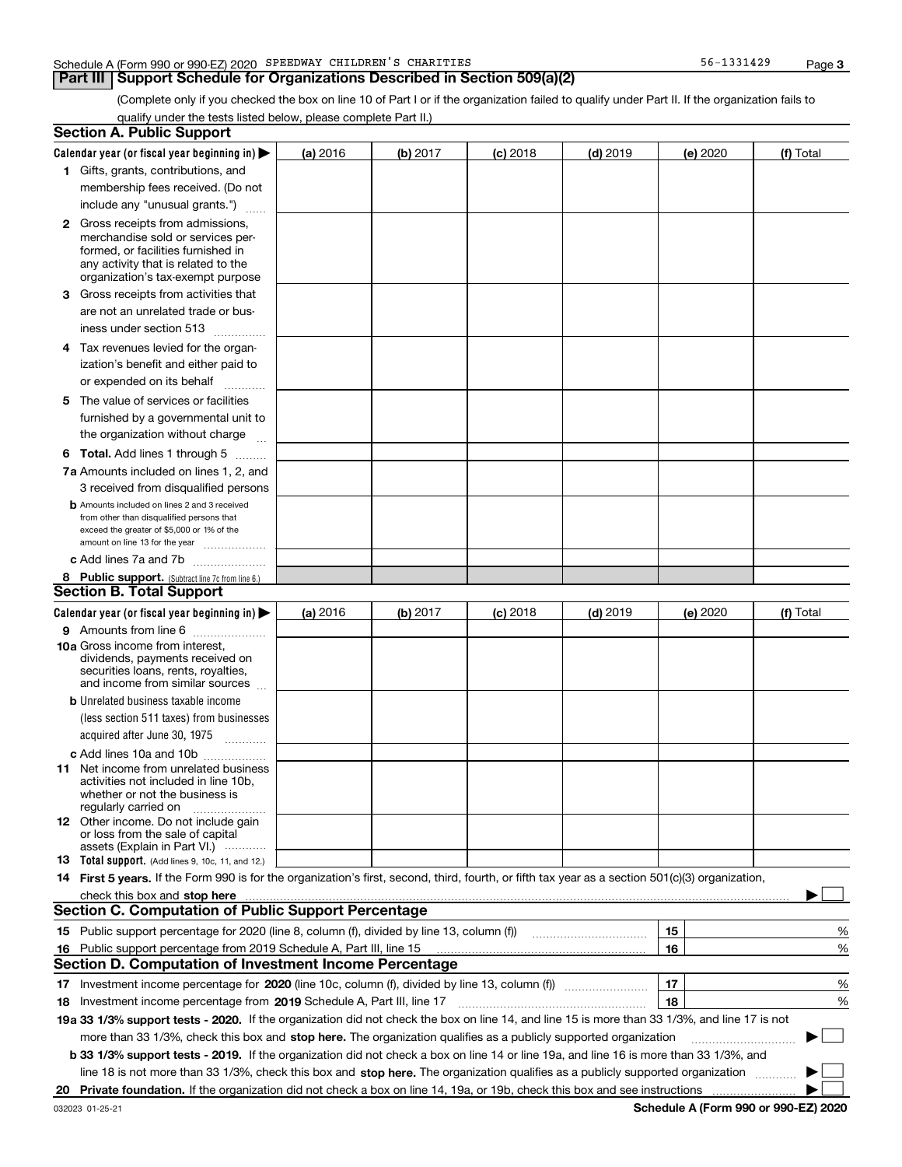#### Schedule A (Form 990 or 990-EZ) 2020 Page SPEEDWAY CHILDREN'S CHARITIES 56-1331429

## **Part III Support Schedule for Organizations Described in Section 509(a)(2)**

(Complete only if you checked the box on line 10 of Part I or if the organization failed to qualify under Part II. If the organization fails to qualify under the tests listed below, please complete Part II.)

|    | <b>Section A. Public Support</b>                                                                                                                 |          |          |                 |                                                      |          |           |
|----|--------------------------------------------------------------------------------------------------------------------------------------------------|----------|----------|-----------------|------------------------------------------------------|----------|-----------|
|    | Calendar year (or fiscal year beginning in) $\blacktriangleright$                                                                                | (a) 2016 | (b) 2017 | <b>(c)</b> 2018 | $(d)$ 2019                                           | (e) 2020 | (f) Total |
|    | 1 Gifts, grants, contributions, and                                                                                                              |          |          |                 |                                                      |          |           |
|    | membership fees received. (Do not                                                                                                                |          |          |                 |                                                      |          |           |
|    | include any "unusual grants.")                                                                                                                   |          |          |                 |                                                      |          |           |
|    | <b>2</b> Gross receipts from admissions,                                                                                                         |          |          |                 |                                                      |          |           |
|    | merchandise sold or services per-                                                                                                                |          |          |                 |                                                      |          |           |
|    | formed, or facilities furnished in                                                                                                               |          |          |                 |                                                      |          |           |
|    | any activity that is related to the                                                                                                              |          |          |                 |                                                      |          |           |
|    | organization's tax-exempt purpose                                                                                                                |          |          |                 |                                                      |          |           |
|    | 3 Gross receipts from activities that                                                                                                            |          |          |                 |                                                      |          |           |
|    | are not an unrelated trade or bus-                                                                                                               |          |          |                 |                                                      |          |           |
|    | iness under section 513                                                                                                                          |          |          |                 |                                                      |          |           |
|    | 4 Tax revenues levied for the organ-                                                                                                             |          |          |                 |                                                      |          |           |
|    | ization's benefit and either paid to                                                                                                             |          |          |                 |                                                      |          |           |
|    | or expended on its behalf<br>.                                                                                                                   |          |          |                 |                                                      |          |           |
|    | 5 The value of services or facilities                                                                                                            |          |          |                 |                                                      |          |           |
|    | furnished by a governmental unit to                                                                                                              |          |          |                 |                                                      |          |           |
|    | the organization without charge                                                                                                                  |          |          |                 |                                                      |          |           |
|    |                                                                                                                                                  |          |          |                 |                                                      |          |           |
|    | <b>6 Total.</b> Add lines 1 through 5                                                                                                            |          |          |                 |                                                      |          |           |
|    | 7a Amounts included on lines 1, 2, and                                                                                                           |          |          |                 |                                                      |          |           |
|    | 3 received from disqualified persons                                                                                                             |          |          |                 |                                                      |          |           |
|    | <b>b</b> Amounts included on lines 2 and 3 received                                                                                              |          |          |                 |                                                      |          |           |
|    | from other than disqualified persons that<br>exceed the greater of \$5,000 or 1% of the                                                          |          |          |                 |                                                      |          |           |
|    | amount on line 13 for the year                                                                                                                   |          |          |                 |                                                      |          |           |
|    | c Add lines 7a and 7b                                                                                                                            |          |          |                 |                                                      |          |           |
|    | 8 Public support. (Subtract line 7c from line 6.)                                                                                                |          |          |                 |                                                      |          |           |
|    | <b>Section B. Total Support</b>                                                                                                                  |          |          |                 |                                                      |          |           |
|    | Calendar year (or fiscal year beginning in) $\blacktriangleright$                                                                                | (a) 2016 | (b) 2017 | $(c)$ 2018      | $(d)$ 2019                                           | (e) 2020 | (f) Total |
|    | 9 Amounts from line 6                                                                                                                            |          |          |                 |                                                      |          |           |
|    | 10a Gross income from interest,                                                                                                                  |          |          |                 |                                                      |          |           |
|    | dividends, payments received on                                                                                                                  |          |          |                 |                                                      |          |           |
|    | securities loans, rents, royalties,                                                                                                              |          |          |                 |                                                      |          |           |
|    | and income from similar sources                                                                                                                  |          |          |                 |                                                      |          |           |
|    | <b>b</b> Unrelated business taxable income                                                                                                       |          |          |                 |                                                      |          |           |
|    | (less section 511 taxes) from businesses                                                                                                         |          |          |                 |                                                      |          |           |
|    | acquired after June 30, 1975                                                                                                                     |          |          |                 |                                                      |          |           |
|    | c Add lines 10a and 10b                                                                                                                          |          |          |                 |                                                      |          |           |
|    | 11 Net income from unrelated business                                                                                                            |          |          |                 |                                                      |          |           |
|    | activities not included in line 10b.                                                                                                             |          |          |                 |                                                      |          |           |
|    | whether or not the business is<br>regularly carried on                                                                                           |          |          |                 |                                                      |          |           |
|    | 12 Other income. Do not include gain                                                                                                             |          |          |                 |                                                      |          |           |
|    | or loss from the sale of capital                                                                                                                 |          |          |                 |                                                      |          |           |
|    | assets (Explain in Part VI.)                                                                                                                     |          |          |                 |                                                      |          |           |
|    | <b>13</b> Total support. (Add lines 9, 10c, 11, and 12.)                                                                                         |          |          |                 |                                                      |          |           |
|    | 14 First 5 years. If the Form 990 is for the organization's first, second, third, fourth, or fifth tax year as a section 501(c)(3) organization, |          |          |                 |                                                      |          |           |
|    | check this box and stop here measurements are constructed as the state of the state of the state of the state o                                  |          |          |                 |                                                      |          |           |
|    | <b>Section C. Computation of Public Support Percentage</b>                                                                                       |          |          |                 |                                                      |          |           |
|    | 15 Public support percentage for 2020 (line 8, column (f), divided by line 13, column (f))                                                       |          |          |                 | <u> 1986 - Johann Stoff, Amerikaansk politiker (</u> | 15       | %         |
|    | 16 Public support percentage from 2019 Schedule A, Part III, line 15                                                                             |          |          |                 |                                                      | 16       | %         |
|    | <b>Section D. Computation of Investment Income Percentage</b>                                                                                    |          |          |                 |                                                      |          |           |
|    |                                                                                                                                                  |          |          |                 |                                                      | 17       | %         |
|    | <b>18</b> Investment income percentage from <b>2019</b> Schedule A, Part III, line 17                                                            |          |          |                 |                                                      | 18       | %         |
|    | 19a 33 1/3% support tests - 2020. If the organization did not check the box on line 14, and line 15 is more than 33 1/3%, and line 17 is not     |          |          |                 |                                                      |          |           |
|    | more than 33 1/3%, check this box and stop here. The organization qualifies as a publicly supported organization                                 |          |          |                 |                                                      |          | ▶         |
|    | b 33 1/3% support tests - 2019. If the organization did not check a box on line 14 or line 19a, and line 16 is more than 33 1/3%, and            |          |          |                 |                                                      |          |           |
|    | line 18 is not more than 33 1/3%, check this box and stop here. The organization qualifies as a publicly supported organization                  |          |          |                 |                                                      |          |           |
| 20 |                                                                                                                                                  |          |          |                 |                                                      |          |           |
|    |                                                                                                                                                  |          |          |                 |                                                      |          |           |

**Schedule A (Form 990 or 990-EZ) 2020**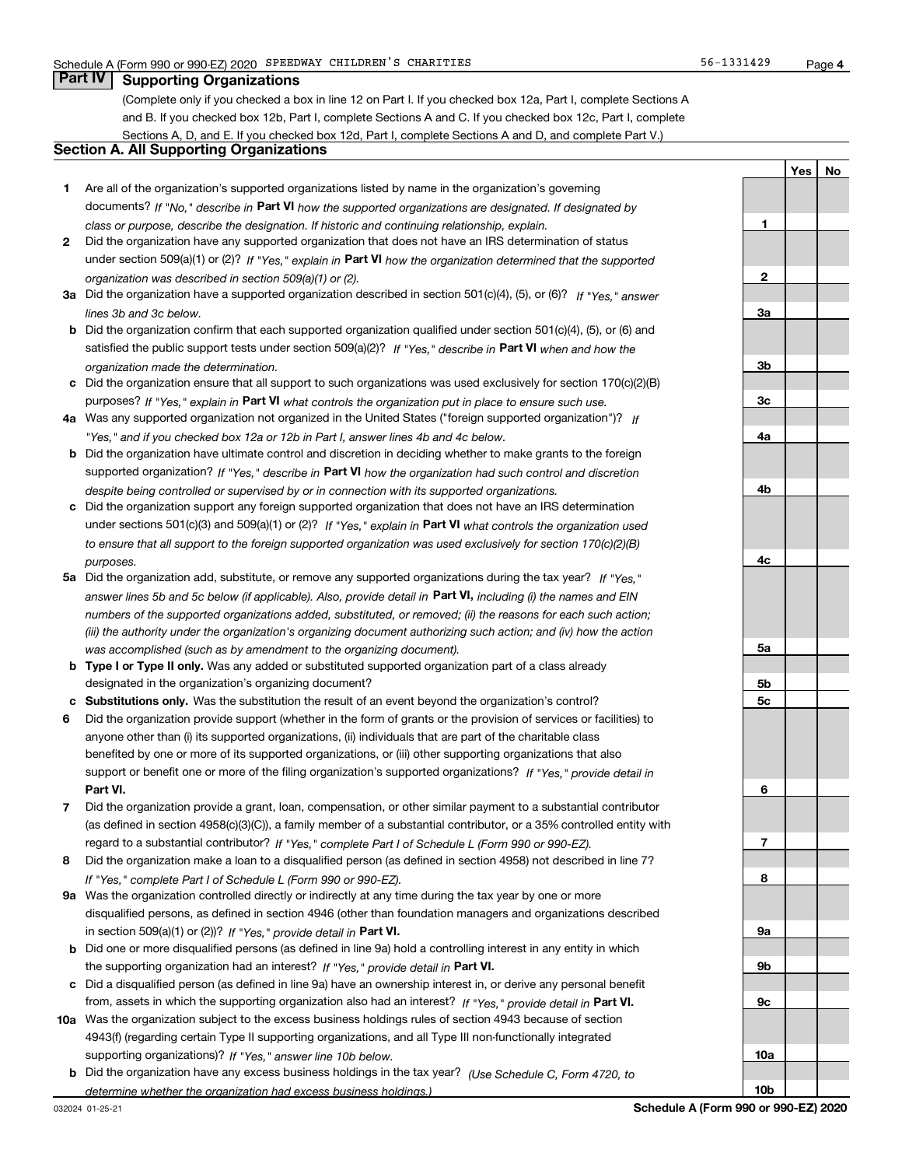**1**

**YesNo**

## **Part IV Supporting Organizations**

(Complete only if you checked a box in line 12 on Part I. If you checked box 12a, Part I, complete Sections A and B. If you checked box 12b, Part I, complete Sections A and C. If you checked box 12c, Part I, complete Sections A, D, and E. If you checked box 12d, Part I, complete Sections A and D, and complete Part V.)

## **Section A. All Supporting Organizations**

- **1** Are all of the organization's supported organizations listed by name in the organization's governing documents? If "No," describe in **Part VI** how the supported organizations are designated. If designated by *class or purpose, describe the designation. If historic and continuing relationship, explain.*
- **2** Did the organization have any supported organization that does not have an IRS determination of status under section 509(a)(1) or (2)? If "Yes," explain in Part VI how the organization determined that the supported *organization was described in section 509(a)(1) or (2).*
- **3a** Did the organization have a supported organization described in section 501(c)(4), (5), or (6)? If "Yes," answer *lines 3b and 3c below.*
- **b** Did the organization confirm that each supported organization qualified under section 501(c)(4), (5), or (6) and satisfied the public support tests under section 509(a)(2)? If "Yes," describe in **Part VI** when and how the *organization made the determination.*
- **c**Did the organization ensure that all support to such organizations was used exclusively for section 170(c)(2)(B) purposes? If "Yes," explain in **Part VI** what controls the organization put in place to ensure such use.
- **4a***If* Was any supported organization not organized in the United States ("foreign supported organization")? *"Yes," and if you checked box 12a or 12b in Part I, answer lines 4b and 4c below.*
- **b** Did the organization have ultimate control and discretion in deciding whether to make grants to the foreign supported organization? If "Yes," describe in **Part VI** how the organization had such control and discretion *despite being controlled or supervised by or in connection with its supported organizations.*
- **c** Did the organization support any foreign supported organization that does not have an IRS determination under sections 501(c)(3) and 509(a)(1) or (2)? If "Yes," explain in **Part VI** what controls the organization used *to ensure that all support to the foreign supported organization was used exclusively for section 170(c)(2)(B) purposes.*
- **5a***If "Yes,"* Did the organization add, substitute, or remove any supported organizations during the tax year? answer lines 5b and 5c below (if applicable). Also, provide detail in **Part VI,** including (i) the names and EIN *numbers of the supported organizations added, substituted, or removed; (ii) the reasons for each such action; (iii) the authority under the organization's organizing document authorizing such action; and (iv) how the action was accomplished (such as by amendment to the organizing document).*
- **b** Type I or Type II only. Was any added or substituted supported organization part of a class already designated in the organization's organizing document?
- **cSubstitutions only.**  Was the substitution the result of an event beyond the organization's control?
- **6** Did the organization provide support (whether in the form of grants or the provision of services or facilities) to **Part VI.** *If "Yes," provide detail in* support or benefit one or more of the filing organization's supported organizations? anyone other than (i) its supported organizations, (ii) individuals that are part of the charitable class benefited by one or more of its supported organizations, or (iii) other supporting organizations that also
- **7**Did the organization provide a grant, loan, compensation, or other similar payment to a substantial contributor *If "Yes," complete Part I of Schedule L (Form 990 or 990-EZ).* regard to a substantial contributor? (as defined in section 4958(c)(3)(C)), a family member of a substantial contributor, or a 35% controlled entity with
- **8** Did the organization make a loan to a disqualified person (as defined in section 4958) not described in line 7? *If "Yes," complete Part I of Schedule L (Form 990 or 990-EZ).*
- **9a** Was the organization controlled directly or indirectly at any time during the tax year by one or more in section 509(a)(1) or (2))? If "Yes," *provide detail in* <code>Part VI.</code> disqualified persons, as defined in section 4946 (other than foundation managers and organizations described
- **b** Did one or more disqualified persons (as defined in line 9a) hold a controlling interest in any entity in which the supporting organization had an interest? If "Yes," provide detail in P**art VI**.
- **c**Did a disqualified person (as defined in line 9a) have an ownership interest in, or derive any personal benefit from, assets in which the supporting organization also had an interest? If "Yes," provide detail in P**art VI.**
- **10a** Was the organization subject to the excess business holdings rules of section 4943 because of section supporting organizations)? If "Yes," answer line 10b below. 4943(f) (regarding certain Type II supporting organizations, and all Type III non-functionally integrated
- **b** Did the organization have any excess business holdings in the tax year? (Use Schedule C, Form 4720, to *determine whether the organization had excess business holdings.)*

**23a3b3c4a4b4c5a5b5c6789a 9b9c**

**10a**

**10b**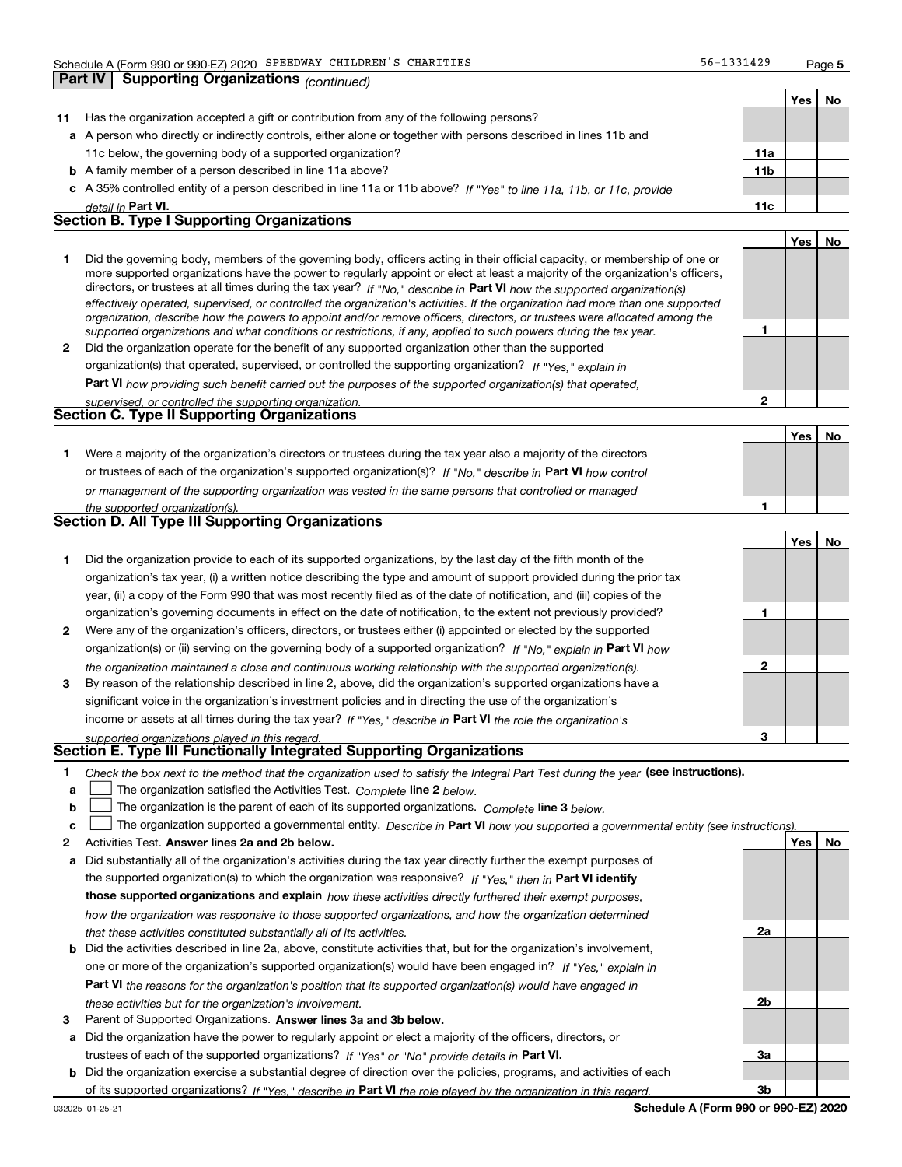**Part IV Supporting Organizations** *(continued)*

**1**

**2**

|                                                   |                                                                                                                      |                 | Yes | No |  |  |  |  |
|---------------------------------------------------|----------------------------------------------------------------------------------------------------------------------|-----------------|-----|----|--|--|--|--|
| 11                                                | Has the organization accepted a gift or contribution from any of the following persons?                              |                 |     |    |  |  |  |  |
|                                                   | a A person who directly or indirectly controls, either alone or together with persons described in lines 11b and     |                 |     |    |  |  |  |  |
|                                                   | 11c below, the governing body of a supported organization?                                                           | 11a             |     |    |  |  |  |  |
|                                                   | <b>b</b> A family member of a person described in line 11a above?                                                    | 11 <sub>b</sub> |     |    |  |  |  |  |
|                                                   | c A 35% controlled entity of a person described in line 11a or 11b above? If "Yes" to line 11a, 11b, or 11c, provide |                 |     |    |  |  |  |  |
|                                                   | detail in Part VI.                                                                                                   | 11c             |     |    |  |  |  |  |
| <b>Section B. Type I Supporting Organizations</b> |                                                                                                                      |                 |     |    |  |  |  |  |
|                                                   |                                                                                                                      |                 | Yes | No |  |  |  |  |
|                                                   |                                                                                                                      |                 |     |    |  |  |  |  |

|              | Did the governing body, members of the governing body, officers acting in their official capacity, or membership of one or     |
|--------------|--------------------------------------------------------------------------------------------------------------------------------|
|              | more supported organizations have the power to regularly appoint or elect at least a majority of the organization's officers,  |
|              | directors, or trustees at all times during the tax year? If "No," describe in Part VI how the supported organization(s)        |
|              | effectively operated, supervised, or controlled the organization's activities. If the organization had more than one supported |
|              | organization, describe how the powers to appoint and/or remove officers, directors, or trustees were allocated among the       |
|              | supported organizations and what conditions or restrictions, if any, applied to such powers during the tax year.               |
| $\mathbf{2}$ | Did the organization operate for the benefit of any supported organization other than the supported                            |

*If "Yes," explain in* organization(s) that operated, supervised, or controlled the supporting organization?

**Part VI**  *how providing such benefit carried out the purposes of the supported organization(s) that operated,*

| supervised, or controlled the supporting organization. |  |
|--------------------------------------------------------|--|
| <b>Section C. Type II Supporting Organizations</b>     |  |

|                                                                                                                  | Yes | No |
|------------------------------------------------------------------------------------------------------------------|-----|----|
| Were a majority of the organization's directors or trustees during the tax year also a majority of the directors |     |    |
| or trustees of each of the organization's supported organization(s)? If "No," describe in Part VI how control    |     |    |
| or management of the supporting organization was vested in the same persons that controlled or managed           |     |    |
| the supported organization(s)                                                                                    |     |    |

| <b>Section D. All Type III Supporting Organizations</b> |  |  |  |  |
|---------------------------------------------------------|--|--|--|--|

|              |                                                                                                                        |   | Yes | No |
|--------------|------------------------------------------------------------------------------------------------------------------------|---|-----|----|
|              | Did the organization provide to each of its supported organizations, by the last day of the fifth month of the         |   |     |    |
|              | organization's tax year, (i) a written notice describing the type and amount of support provided during the prior tax  |   |     |    |
|              | year, (ii) a copy of the Form 990 that was most recently filed as of the date of notification, and (iii) copies of the |   |     |    |
|              | organization's governing documents in effect on the date of notification, to the extent not previously provided?       |   |     |    |
| $\mathbf{2}$ | Were any of the organization's officers, directors, or trustees either (i) appointed or elected by the supported       |   |     |    |
|              | organization(s) or (ii) serving on the governing body of a supported organization? If "No," explain in Part VI how     |   |     |    |
|              | the organization maintained a close and continuous working relationship with the supported organization(s).            | 2 |     |    |
| 3            | By reason of the relationship described in line 2, above, did the organization's supported organizations have a        |   |     |    |
|              | significant voice in the organization's investment policies and in directing the use of the organization's             |   |     |    |
|              | income or assets at all times during the tax year? If "Yes," describe in Part VI the role the organization's           |   |     |    |
|              | supported organizations played in this regard.                                                                         | з |     |    |

# *supported organizations played in this regard.* **Section E. Type III Functionally Integrated Supporting Organizations**

- **1**Check the box next to the method that the organization used to satisfy the Integral Part Test during the year (see instructions).
- **alinupy** The organization satisfied the Activities Test. Complete line 2 below.
- **b**The organization is the parent of each of its supported organizations. *Complete* line 3 *below.*  $\mathcal{L}^{\text{max}}$

|  |  | $\mathbf{c}$ $\Box$ The organization supported a governmental entity. Describe in Part VI how you supported a governmental entity (see instructions). |  |  |  |  |  |  |
|--|--|-------------------------------------------------------------------------------------------------------------------------------------------------------|--|--|--|--|--|--|
|--|--|-------------------------------------------------------------------------------------------------------------------------------------------------------|--|--|--|--|--|--|

- **2Answer lines 2a and 2b below. Yes No** Activities Test.
- **a** Did substantially all of the organization's activities during the tax year directly further the exempt purposes of the supported organization(s) to which the organization was responsive? If "Yes," then in **Part VI identify those supported organizations and explain**  *how these activities directly furthered their exempt purposes, how the organization was responsive to those supported organizations, and how the organization determined that these activities constituted substantially all of its activities.*
- **b** Did the activities described in line 2a, above, constitute activities that, but for the organization's involvement, **Part VI**  *the reasons for the organization's position that its supported organization(s) would have engaged in* one or more of the organization's supported organization(s) would have been engaged in? If "Yes," e*xplain in these activities but for the organization's involvement.*
- **3** Parent of Supported Organizations. Answer lines 3a and 3b below.
- **a** Did the organization have the power to regularly appoint or elect a majority of the officers, directors, or trustees of each of the supported organizations? If "Yes" or "No" provide details in **Part VI.**
- **b** Did the organization exercise a substantial degree of direction over the policies, programs, and activities of each of its supported organizations? If "Yes," describe in Part VI the role played by the organization in this regard.

**2a**

**2b**

**3a**

**3b**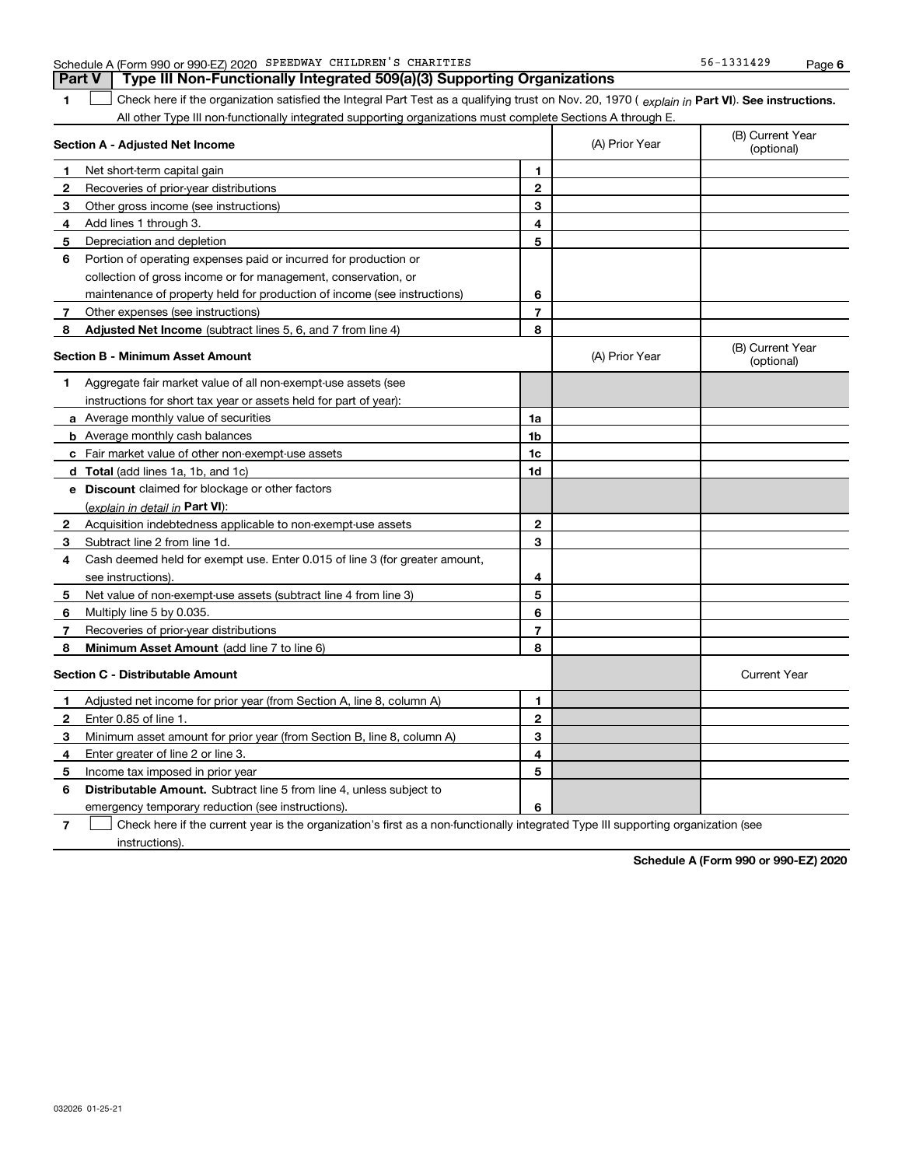| 1            | Check here if the organization satisfied the Integral Part Test as a qualifying trust on Nov. 20, 1970 (explain in Part VI). See instructions.<br>All other Type III non-functionally integrated supporting organizations must complete Sections A through E. |                         |                |                                |
|--------------|---------------------------------------------------------------------------------------------------------------------------------------------------------------------------------------------------------------------------------------------------------------|-------------------------|----------------|--------------------------------|
|              | Section A - Adjusted Net Income                                                                                                                                                                                                                               |                         | (A) Prior Year | (B) Current Year<br>(optional) |
| 1            | Net short-term capital gain                                                                                                                                                                                                                                   | 1                       |                |                                |
| 2            | Recoveries of prior-year distributions                                                                                                                                                                                                                        | $\mathbf{2}$            |                |                                |
| 3            | Other gross income (see instructions)                                                                                                                                                                                                                         | 3                       |                |                                |
| 4            | Add lines 1 through 3.                                                                                                                                                                                                                                        | 4                       |                |                                |
| 5            | Depreciation and depletion                                                                                                                                                                                                                                    | 5                       |                |                                |
| 6            | Portion of operating expenses paid or incurred for production or                                                                                                                                                                                              |                         |                |                                |
|              | collection of gross income or for management, conservation, or                                                                                                                                                                                                |                         |                |                                |
|              | maintenance of property held for production of income (see instructions)                                                                                                                                                                                      | 6                       |                |                                |
| 7            | Other expenses (see instructions)                                                                                                                                                                                                                             | $\overline{7}$          |                |                                |
| 8            | Adjusted Net Income (subtract lines 5, 6, and 7 from line 4)                                                                                                                                                                                                  | 8                       |                |                                |
|              | Section B - Minimum Asset Amount                                                                                                                                                                                                                              |                         | (A) Prior Year | (B) Current Year<br>(optional) |
| 1            | Aggregate fair market value of all non-exempt-use assets (see                                                                                                                                                                                                 |                         |                |                                |
|              | instructions for short tax year or assets held for part of year):                                                                                                                                                                                             |                         |                |                                |
|              | <b>a</b> Average monthly value of securities                                                                                                                                                                                                                  | 1a                      |                |                                |
|              | <b>b</b> Average monthly cash balances                                                                                                                                                                                                                        | 1 <sub>b</sub>          |                |                                |
|              | c Fair market value of other non-exempt-use assets                                                                                                                                                                                                            | 1c                      |                |                                |
|              | <b>d</b> Total (add lines 1a, 1b, and 1c)                                                                                                                                                                                                                     | 1d                      |                |                                |
|              | e Discount claimed for blockage or other factors                                                                                                                                                                                                              |                         |                |                                |
|              | (explain in detail in Part VI):                                                                                                                                                                                                                               |                         |                |                                |
| 2            | Acquisition indebtedness applicable to non-exempt-use assets                                                                                                                                                                                                  | $\mathbf{2}$            |                |                                |
| 3            | Subtract line 2 from line 1d.                                                                                                                                                                                                                                 | 3                       |                |                                |
| 4            | Cash deemed held for exempt use. Enter 0.015 of line 3 (for greater amount,                                                                                                                                                                                   |                         |                |                                |
|              | see instructions).                                                                                                                                                                                                                                            | 4                       |                |                                |
| 5            | Net value of non-exempt-use assets (subtract line 4 from line 3)                                                                                                                                                                                              | 5                       |                |                                |
| 6            | Multiply line 5 by 0.035.                                                                                                                                                                                                                                     | 6                       |                |                                |
| 7            | Recoveries of prior-year distributions                                                                                                                                                                                                                        | $\overline{\mathbf{r}}$ |                |                                |
| 8            | Minimum Asset Amount (add line 7 to line 6)                                                                                                                                                                                                                   | 8                       |                |                                |
|              | <b>Section C - Distributable Amount</b>                                                                                                                                                                                                                       |                         |                | <b>Current Year</b>            |
| 1            | Adjusted net income for prior year (from Section A, line 8, column A)                                                                                                                                                                                         | 1                       |                |                                |
| $\mathbf{2}$ | Enter 0.85 of line 1.                                                                                                                                                                                                                                         | $\mathbf{2}$            |                |                                |
| 3            | Minimum asset amount for prior year (from Section B, line 8, column A)                                                                                                                                                                                        | 3                       |                |                                |
| 4            | Enter greater of line 2 or line 3.                                                                                                                                                                                                                            | 4                       |                |                                |
| 5            | Income tax imposed in prior year                                                                                                                                                                                                                              | 5                       |                |                                |
| 6            | <b>Distributable Amount.</b> Subtract line 5 from line 4, unless subject to                                                                                                                                                                                   |                         |                |                                |
|              | emergency temporary reduction (see instructions).                                                                                                                                                                                                             | 6                       |                |                                |

Check here if the current year is the organization's first as a non-functionally integrated Type III supporting organization (see

032026 01-25-21

instructions).

**7**

**Schedule A (Form 990 or 990-EZ) 2020**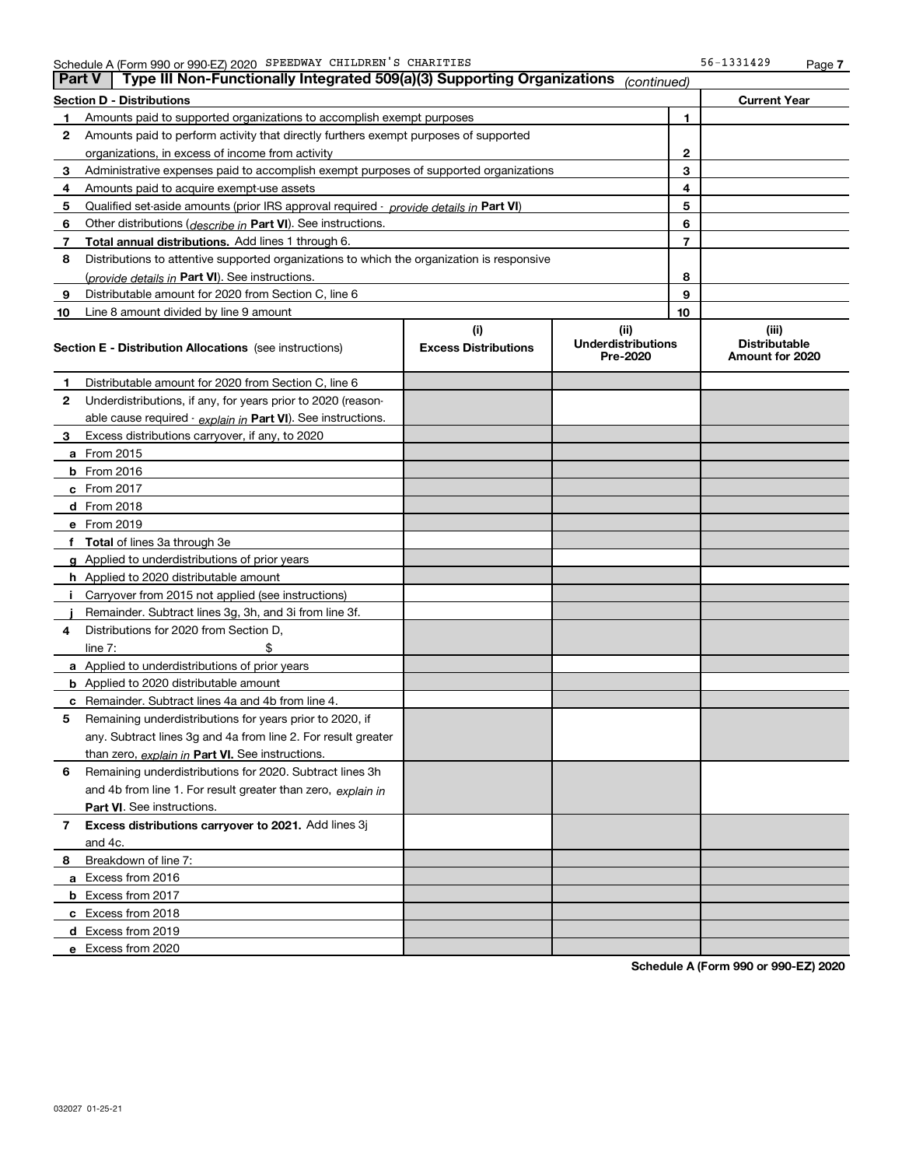| ∣ Part V ∣ | Type III Non-Functionally Integrated 509(a)(3) Supporting Organizations                    |                             | (continued)                           |    |                                         |
|------------|--------------------------------------------------------------------------------------------|-----------------------------|---------------------------------------|----|-----------------------------------------|
|            | Section D - Distributions                                                                  |                             |                                       |    | <b>Current Year</b>                     |
| 1          | Amounts paid to supported organizations to accomplish exempt purposes                      |                             | 1                                     |    |                                         |
| 2          | Amounts paid to perform activity that directly furthers exempt purposes of supported       |                             |                                       |    |                                         |
|            | organizations, in excess of income from activity                                           |                             |                                       | 2  |                                         |
| 3          | Administrative expenses paid to accomplish exempt purposes of supported organizations      |                             |                                       | 3  |                                         |
| 4          | Amounts paid to acquire exempt-use assets                                                  |                             |                                       | 4  |                                         |
| 5          | Qualified set aside amounts (prior IRS approval required - provide details in Part VI)     |                             |                                       | 5  |                                         |
| 6          | Other distributions ( <i>describe in</i> Part VI). See instructions.                       |                             |                                       | 6  |                                         |
| 7          | Total annual distributions. Add lines 1 through 6.                                         |                             |                                       | 7  |                                         |
| 8          | Distributions to attentive supported organizations to which the organization is responsive |                             |                                       |    |                                         |
|            | (provide details in Part VI). See instructions.                                            |                             |                                       | 8  |                                         |
| 9          | Distributable amount for 2020 from Section C, line 6                                       |                             |                                       | 9  |                                         |
| 10         | Line 8 amount divided by line 9 amount                                                     |                             |                                       | 10 |                                         |
|            |                                                                                            | (i)                         | (ii)                                  |    | (iii)                                   |
|            | <b>Section E - Distribution Allocations</b> (see instructions)                             | <b>Excess Distributions</b> | <b>Underdistributions</b><br>Pre-2020 |    | <b>Distributable</b><br>Amount for 2020 |
| 1          | Distributable amount for 2020 from Section C, line 6                                       |                             |                                       |    |                                         |
| 2          | Underdistributions, if any, for years prior to 2020 (reason-                               |                             |                                       |    |                                         |
|            | able cause required - explain in Part VI). See instructions.                               |                             |                                       |    |                                         |
| 3          | Excess distributions carryover, if any, to 2020                                            |                             |                                       |    |                                         |
|            | <b>a</b> From 2015                                                                         |                             |                                       |    |                                         |
|            | <b>b</b> From 2016                                                                         |                             |                                       |    |                                         |
|            | <b>c</b> From 2017                                                                         |                             |                                       |    |                                         |
|            | <b>d</b> From 2018                                                                         |                             |                                       |    |                                         |
|            | e From 2019                                                                                |                             |                                       |    |                                         |
|            | f Total of lines 3a through 3e                                                             |                             |                                       |    |                                         |
|            | g Applied to underdistributions of prior years                                             |                             |                                       |    |                                         |
|            | <b>h</b> Applied to 2020 distributable amount                                              |                             |                                       |    |                                         |
|            | Carryover from 2015 not applied (see instructions)                                         |                             |                                       |    |                                         |
|            | Remainder. Subtract lines 3g, 3h, and 3i from line 3f.                                     |                             |                                       |    |                                         |
| 4          | Distributions for 2020 from Section D,                                                     |                             |                                       |    |                                         |
|            | line $7:$                                                                                  |                             |                                       |    |                                         |
|            | a Applied to underdistributions of prior years                                             |                             |                                       |    |                                         |
|            | <b>b</b> Applied to 2020 distributable amount                                              |                             |                                       |    |                                         |
|            | c Remainder. Subtract lines 4a and 4b from line 4.                                         |                             |                                       |    |                                         |
| 5.         | Remaining underdistributions for years prior to 2020, if                                   |                             |                                       |    |                                         |
|            | any. Subtract lines 3g and 4a from line 2. For result greater                              |                             |                                       |    |                                         |
|            | than zero, explain in Part VI. See instructions.                                           |                             |                                       |    |                                         |
| 6          | Remaining underdistributions for 2020. Subtract lines 3h                                   |                             |                                       |    |                                         |
|            | and 4b from line 1. For result greater than zero, explain in                               |                             |                                       |    |                                         |
|            | Part VI. See instructions.                                                                 |                             |                                       |    |                                         |
| 7          | Excess distributions carryover to 2021. Add lines 3j                                       |                             |                                       |    |                                         |
|            | and 4c.                                                                                    |                             |                                       |    |                                         |
| 8          | Breakdown of line 7:                                                                       |                             |                                       |    |                                         |
|            | a Excess from 2016                                                                         |                             |                                       |    |                                         |
|            | <b>b</b> Excess from 2017                                                                  |                             |                                       |    |                                         |
|            | c Excess from 2018                                                                         |                             |                                       |    |                                         |
|            | d Excess from 2019                                                                         |                             |                                       |    |                                         |
|            | e Excess from 2020                                                                         |                             |                                       |    |                                         |

**Schedule A (Form 990 or 990-EZ) 2020**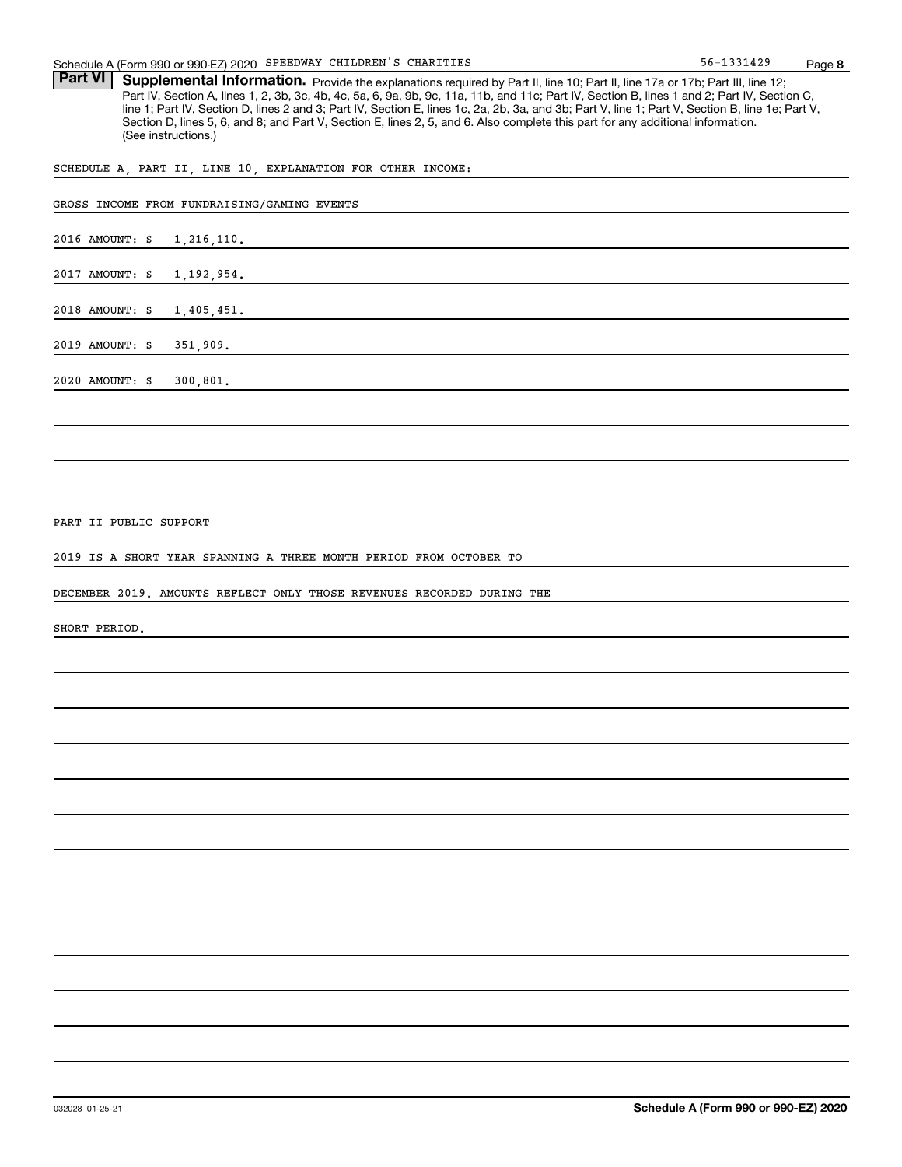Part VI | Supplemental Information. Provide the explanations required by Part II, line 10; Part II, line 17a or 17b; Part III, line 12; Part IV, Section A, lines 1, 2, 3b, 3c, 4b, 4c, 5a, 6, 9a, 9b, 9c, 11a, 11b, and 11c; Part IV, Section B, lines 1 and 2; Part IV, Section C, line 1; Part IV, Section D, lines 2 and 3; Part IV, Section E, lines 1c, 2a, 2b, 3a, and 3b; Part V, line 1; Part V, Section B, line 1e; Part V, Section D, lines 5, 6, and 8; and Part V, Section E, lines 2, 5, and 6. Also complete this part for any additional information. (See instructions.)

SCHEDULE A, PART II, LINE 10, EXPLANATION FOR OTHER INCOME:

|                              | GROSS INCOME FROM FUNDRAISING/GAMING EVENTS |  |
|------------------------------|---------------------------------------------|--|
|                              |                                             |  |
|                              | 2016 AMOUNT: \$ 1,216,110.                  |  |
|                              |                                             |  |
|                              | 2017 AMOUNT: \$ 1,192,954.                  |  |
|                              |                                             |  |
|                              | 2018 AMOUNT: \$ 1,405,451.                  |  |
|                              |                                             |  |
| 2019 AMOUNT: \$              | 351,909.                                    |  |
|                              |                                             |  |
| $2020$ AMOUNT: $\frac{1}{2}$ | 300, 801.                                   |  |
|                              |                                             |  |

PART II PUBLIC SUPPORT

2019 IS A SHORT YEAR SPANNING A THREE MONTH PERIOD FROM OCTOBER TO

DECEMBER 2019. AMOUNTS REFLECT ONLY THOSE REVENUES RECORDED DURING THE

SHORT PERIOD.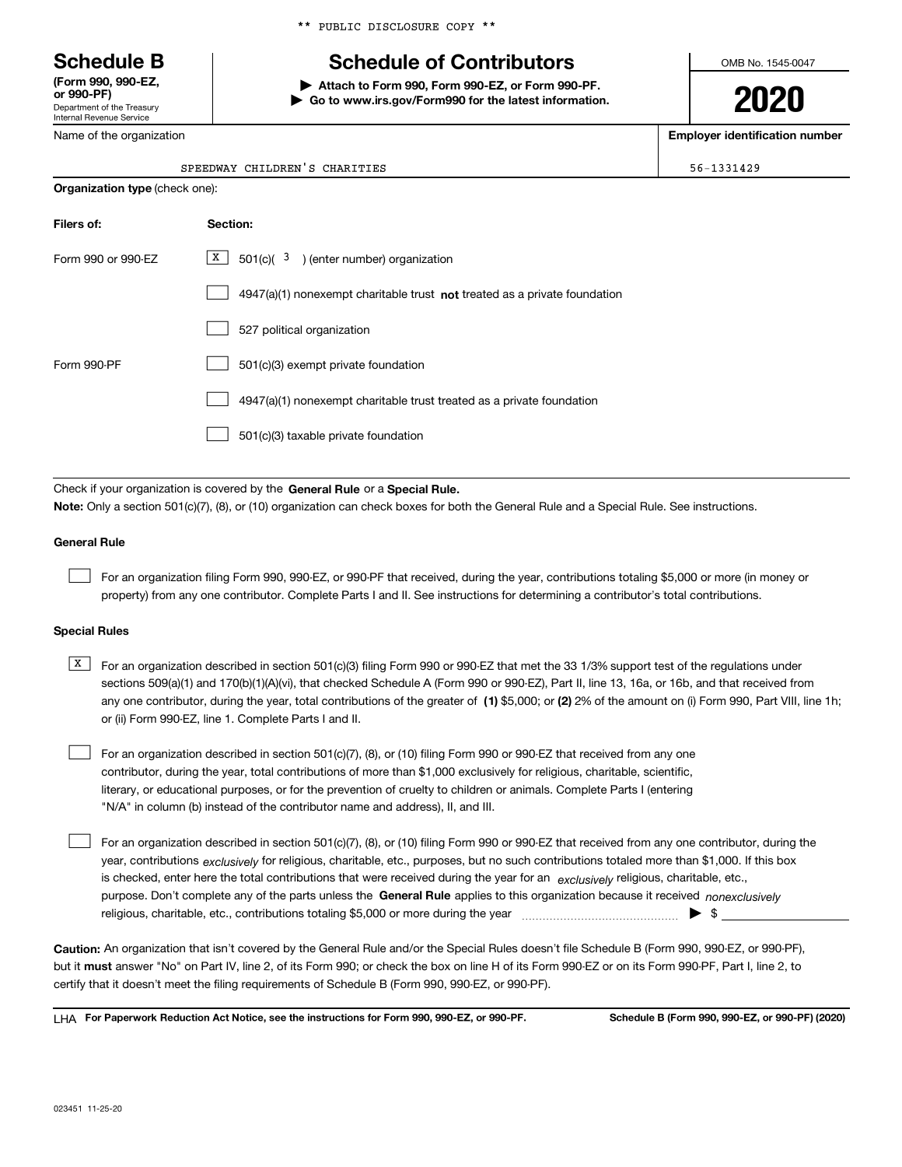Department of the Treasury Internal Revenue Service **(Form 990, 990-EZ, or 990-PF)**

Name of the organization

# **Schedule B Schedule of Contributors**

**| Attach to Form 990, Form 990-EZ, or Form 990-PF.**

**| Go to www.irs.gov/Form990 for the latest information.**

OMB No. 1545-0047

**2020**

**Employer identification number**

56-1331429

| SPEEDWAY CHILDREN'S CHARITIES |  |
|-------------------------------|--|
|                               |  |

|                    | <b>Organization type (check one):</b>                                       |  |  |  |  |
|--------------------|-----------------------------------------------------------------------------|--|--|--|--|
| Filers of:         | Section:                                                                    |  |  |  |  |
| Form 990 or 990-EZ | X  <br>$501(c)$ ( $3$ ) (enter number) organization                         |  |  |  |  |
|                    | $4947(a)(1)$ nonexempt charitable trust not treated as a private foundation |  |  |  |  |
|                    | 527 political organization                                                  |  |  |  |  |
| Form 990-PF        | 501(c)(3) exempt private foundation                                         |  |  |  |  |
|                    | 4947(a)(1) nonexempt charitable trust treated as a private foundation       |  |  |  |  |
|                    | 501(c)(3) taxable private foundation                                        |  |  |  |  |
|                    |                                                                             |  |  |  |  |

Check if your organization is covered by the **General Rule** or a **Special Rule. Note:**  Only a section 501(c)(7), (8), or (10) organization can check boxes for both the General Rule and a Special Rule. See instructions.

### **General Rule**

 $\mathcal{L}^{\text{max}}$ 

For an organization filing Form 990, 990-EZ, or 990-PF that received, during the year, contributions totaling \$5,000 or more (in money or property) from any one contributor. Complete Parts I and II. See instructions for determining a contributor's total contributions.

#### **Special Rules**

- any one contributor, during the year, total contributions of the greater of  $\,$  (1) \$5,000; or **(2)** 2% of the amount on (i) Form 990, Part VIII, line 1h;  $\overline{X}$  For an organization described in section 501(c)(3) filing Form 990 or 990-EZ that met the 33 1/3% support test of the regulations under sections 509(a)(1) and 170(b)(1)(A)(vi), that checked Schedule A (Form 990 or 990-EZ), Part II, line 13, 16a, or 16b, and that received from or (ii) Form 990-EZ, line 1. Complete Parts I and II.
- For an organization described in section 501(c)(7), (8), or (10) filing Form 990 or 990-EZ that received from any one contributor, during the year, total contributions of more than \$1,000 exclusively for religious, charitable, scientific, literary, or educational purposes, or for the prevention of cruelty to children or animals. Complete Parts I (entering "N/A" in column (b) instead of the contributor name and address), II, and III.  $\mathcal{L}^{\text{max}}$

purpose. Don't complete any of the parts unless the **General Rule** applies to this organization because it received *nonexclusively* year, contributions <sub>exclusively</sub> for religious, charitable, etc., purposes, but no such contributions totaled more than \$1,000. If this box is checked, enter here the total contributions that were received during the year for an  $\;$ exclusively religious, charitable, etc., For an organization described in section 501(c)(7), (8), or (10) filing Form 990 or 990-EZ that received from any one contributor, during the religious, charitable, etc., contributions totaling \$5,000 or more during the year  $\Box$ — $\Box$   $\Box$  $\mathcal{L}^{\text{max}}$ 

**Caution:**  An organization that isn't covered by the General Rule and/or the Special Rules doesn't file Schedule B (Form 990, 990-EZ, or 990-PF),  **must** but it answer "No" on Part IV, line 2, of its Form 990; or check the box on line H of its Form 990-EZ or on its Form 990-PF, Part I, line 2, to certify that it doesn't meet the filing requirements of Schedule B (Form 990, 990-EZ, or 990-PF).

**For Paperwork Reduction Act Notice, see the instructions for Form 990, 990-EZ, or 990-PF. Schedule B (Form 990, 990-EZ, or 990-PF) (2020)** LHA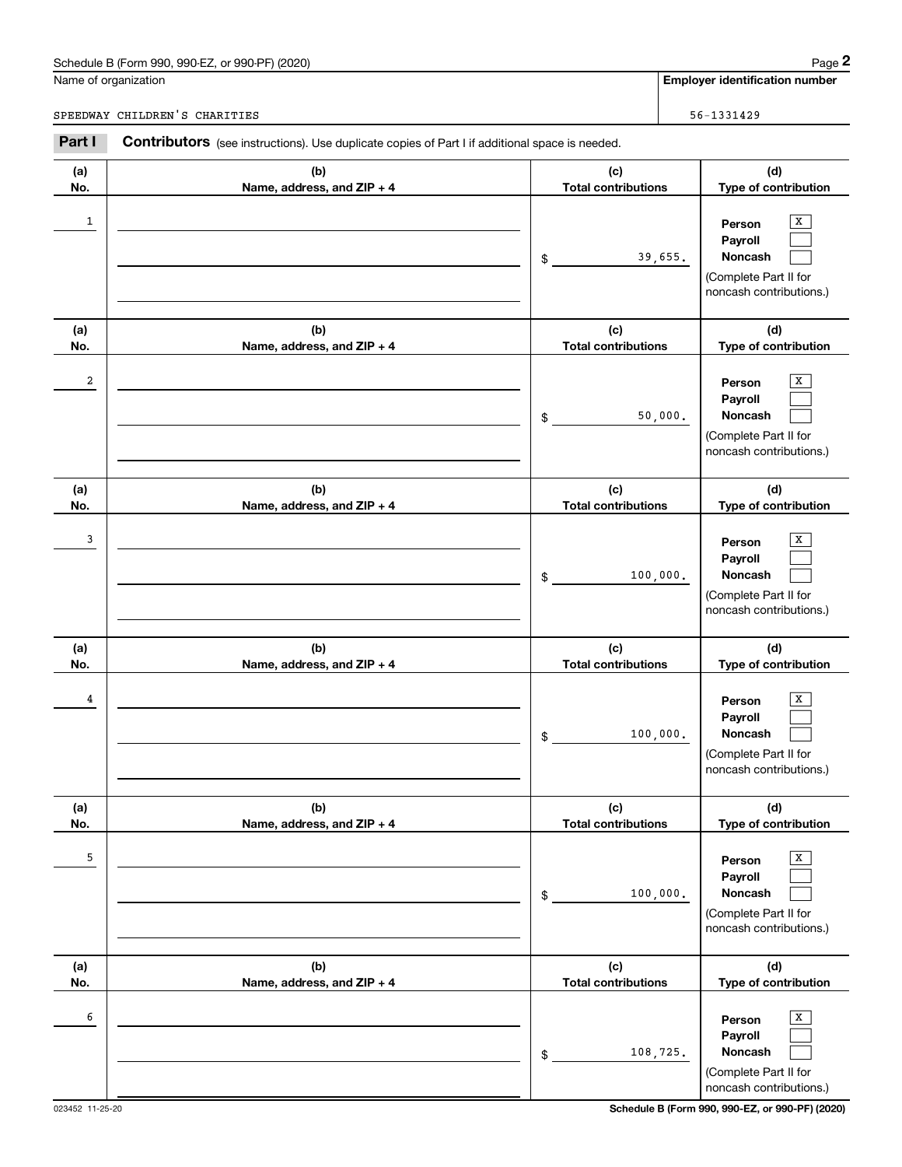## Schedule B (Form 990, 990-EZ, or 990-PF) (2020) Page 2

|                | Schedule B (Form 990, 990-EZ, or 990-PF) (2020)                                                       |                                   | Page 2                                                                                            |
|----------------|-------------------------------------------------------------------------------------------------------|-----------------------------------|---------------------------------------------------------------------------------------------------|
|                | Name of organization                                                                                  |                                   | <b>Employer identification number</b>                                                             |
|                | SPEEDWAY CHILDREN'S CHARITIES                                                                         |                                   | 56-1331429                                                                                        |
| Part I         | <b>Contributors</b> (see instructions). Use duplicate copies of Part I if additional space is needed. |                                   |                                                                                                   |
| (a)<br>No.     | (b)<br>Name, address, and ZIP + 4                                                                     | (c)<br><b>Total contributions</b> | (d)<br>Type of contribution                                                                       |
| $\mathbf{1}$   |                                                                                                       | \$                                | X<br>Person<br>Payroll<br>Noncash<br>39,655.<br>(Complete Part II for<br>noncash contributions.)  |
| (a)<br>No.     | (b)<br>Name, address, and ZIP + 4                                                                     | (c)<br><b>Total contributions</b> | (d)<br>Type of contribution                                                                       |
| $\overline{a}$ |                                                                                                       | \$                                | X<br>Person<br>Payroll<br>Noncash<br>50,000.<br>(Complete Part II for<br>noncash contributions.)  |
| (a)<br>No.     | (b)<br>Name, address, and ZIP + 4                                                                     | (c)<br><b>Total contributions</b> | (d)<br>Type of contribution                                                                       |
| 3              |                                                                                                       | \$                                | X<br>Person<br>Payroll<br>100,000.<br>Noncash<br>(Complete Part II for<br>noncash contributions.) |
| (a)<br>No.     | (b)<br>Name, address, and ZIP + 4                                                                     | (c)<br><b>Total contributions</b> | (d)<br>Type of contribution                                                                       |
| 4              |                                                                                                       | \$                                | х<br>Person<br>Payroll<br>100,000.<br>Noncash<br>(Complete Part II for<br>noncash contributions.) |
| (a)<br>No.     | (b)<br>Name, address, and ZIP + 4                                                                     | (c)<br><b>Total contributions</b> | (d)<br>Type of contribution                                                                       |
| 5              |                                                                                                       | \$                                | Х<br>Person<br>Payroll<br>Noncash<br>100,000.<br>(Complete Part II for<br>noncash contributions.) |
| (a)<br>No.     | (b)<br>Name, address, and ZIP + 4                                                                     | (c)<br><b>Total contributions</b> | (d)<br>Type of contribution                                                                       |
| 6              |                                                                                                       | \$                                | X<br>Person<br>Payroll<br>Noncash<br>108,725.<br>(Complete Part II for<br>noncash contributions.) |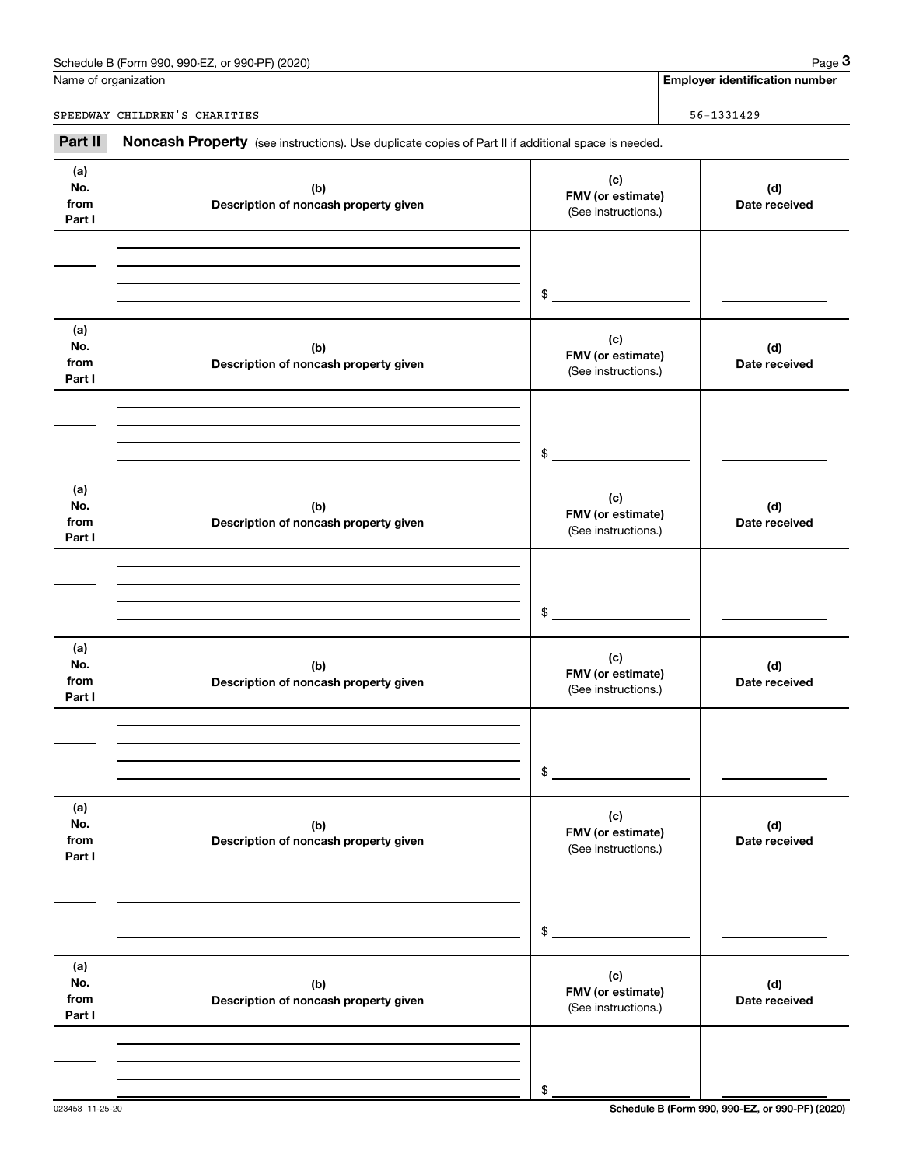# Schedule B (Form 990, 990-EZ, or 990-PF) (2020) Page 3

|                              | Schedule B (Form 990, 990-EZ, or 990-PF) (2020)                                                     |                                                 | Page 3                                |
|------------------------------|-----------------------------------------------------------------------------------------------------|-------------------------------------------------|---------------------------------------|
|                              | Name of organization                                                                                |                                                 | <b>Employer identification number</b> |
|                              | SPEEDWAY CHILDREN'S CHARITIES                                                                       |                                                 | 56-1331429                            |
| Part II                      | Noncash Property (see instructions). Use duplicate copies of Part II if additional space is needed. |                                                 |                                       |
| (a)<br>No.<br>from<br>Part I | (b)<br>Description of noncash property given                                                        | (c)<br>FMV (or estimate)<br>(See instructions.) | (d)<br>Date received                  |
|                              |                                                                                                     | \$                                              |                                       |
| (a)<br>No.<br>from<br>Part I | (b)<br>Description of noncash property given                                                        | (c)<br>FMV (or estimate)<br>(See instructions.) | (d)<br>Date received                  |
|                              |                                                                                                     | \$                                              |                                       |
| (a)<br>No.<br>from<br>Part I | (b)<br>Description of noncash property given                                                        | (c)<br>FMV (or estimate)<br>(See instructions.) | (d)<br>Date received                  |
|                              |                                                                                                     | \$                                              |                                       |
| (a)<br>No.<br>from<br>Part I | (b)<br>Description of noncash property given                                                        | (c)<br>FMV (or estimate)<br>(See instructions.) | (d)<br>Date received                  |
|                              |                                                                                                     | \$                                              |                                       |
| (a)<br>No.<br>from<br>Part I | (b)<br>Description of noncash property given                                                        | (c)<br>FMV (or estimate)<br>(See instructions.) | (d)<br>Date received                  |
|                              |                                                                                                     | \$                                              |                                       |
| (a)<br>No.<br>from<br>Part I | (b)<br>Description of noncash property given                                                        | (c)<br>FMV (or estimate)<br>(See instructions.) | (d)<br>Date received                  |

\$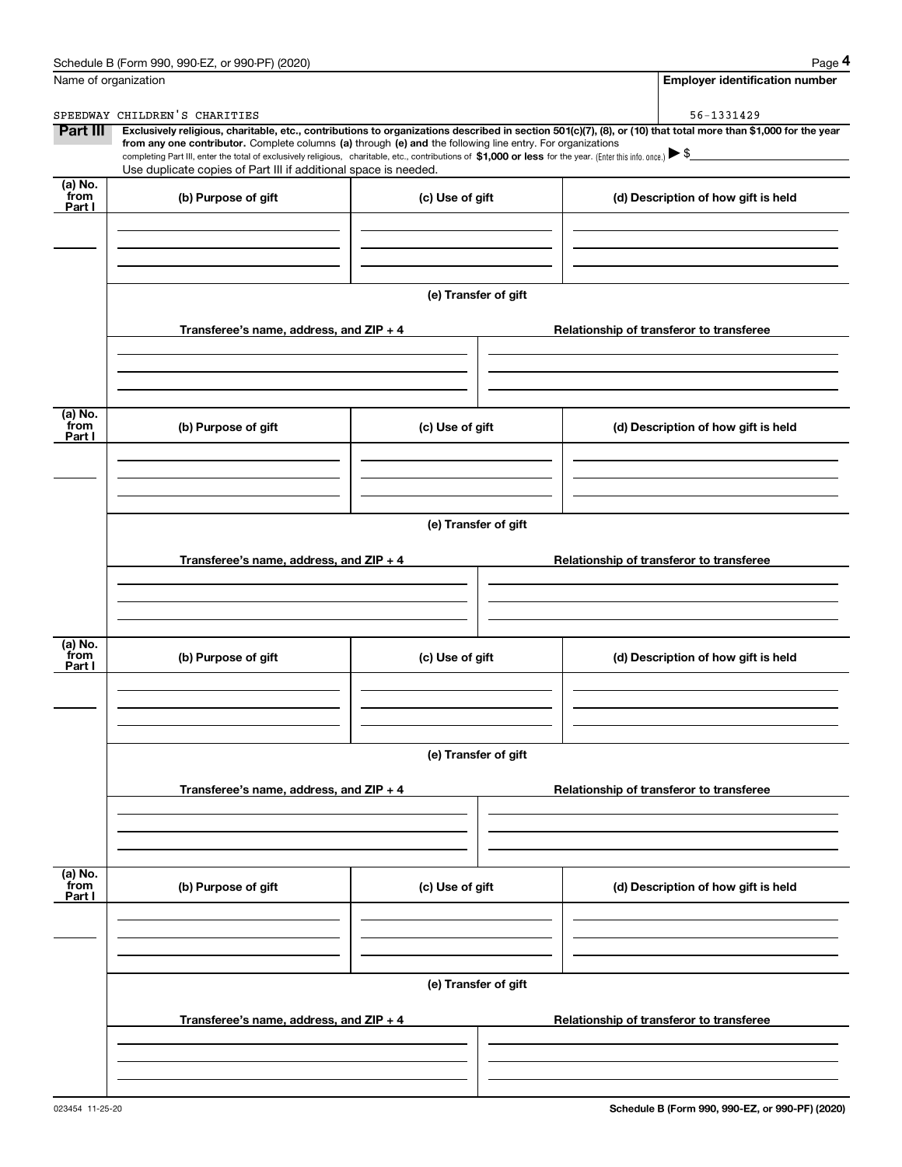|                           | Schedule B (Form 990, 990-EZ, or 990-PF) (2020)                                                                                                                                                                                                      |                      | Page 4                                                                                                                                                         |
|---------------------------|------------------------------------------------------------------------------------------------------------------------------------------------------------------------------------------------------------------------------------------------------|----------------------|----------------------------------------------------------------------------------------------------------------------------------------------------------------|
|                           | Name of organization                                                                                                                                                                                                                                 |                      | <b>Employer identification number</b>                                                                                                                          |
|                           | SPEEDWAY CHILDREN'S CHARITIES                                                                                                                                                                                                                        |                      | 56-1331429                                                                                                                                                     |
| Part III                  | from any one contributor. Complete columns (a) through (e) and the following line entry. For organizations                                                                                                                                           |                      | Exclusively religious, charitable, etc., contributions to organizations described in section 501(c)(7), (8), or (10) that total more than \$1,000 for the year |
|                           | completing Part III, enter the total of exclusively religious, charitable, etc., contributions of \$1,000 or less for the year. (Enter this info. once.) $\blacktriangleright$ \$<br>Use duplicate copies of Part III if additional space is needed. |                      |                                                                                                                                                                |
| (a) No.<br>from<br>Part I | (b) Purpose of gift                                                                                                                                                                                                                                  | (c) Use of gift      | (d) Description of how gift is held                                                                                                                            |
|                           |                                                                                                                                                                                                                                                      |                      |                                                                                                                                                                |
|                           |                                                                                                                                                                                                                                                      |                      |                                                                                                                                                                |
|                           |                                                                                                                                                                                                                                                      | (e) Transfer of gift |                                                                                                                                                                |
|                           | Transferee's name, address, and ZIP + 4                                                                                                                                                                                                              |                      | Relationship of transferor to transferee                                                                                                                       |
|                           |                                                                                                                                                                                                                                                      |                      |                                                                                                                                                                |
| (a) No.                   |                                                                                                                                                                                                                                                      |                      |                                                                                                                                                                |
| from<br>Part I            | (b) Purpose of gift                                                                                                                                                                                                                                  | (c) Use of gift      | (d) Description of how gift is held                                                                                                                            |
|                           |                                                                                                                                                                                                                                                      |                      |                                                                                                                                                                |
|                           |                                                                                                                                                                                                                                                      |                      |                                                                                                                                                                |
|                           |                                                                                                                                                                                                                                                      | (e) Transfer of gift |                                                                                                                                                                |
|                           | Transferee's name, address, and ZIP + 4                                                                                                                                                                                                              |                      | Relationship of transferor to transferee                                                                                                                       |
|                           |                                                                                                                                                                                                                                                      |                      |                                                                                                                                                                |
|                           |                                                                                                                                                                                                                                                      |                      |                                                                                                                                                                |
| (a) No.<br>from<br>Part I | (b) Purpose of gift                                                                                                                                                                                                                                  | (c) Use of gift      | (d) Description of how gift is held                                                                                                                            |
|                           |                                                                                                                                                                                                                                                      |                      |                                                                                                                                                                |
|                           |                                                                                                                                                                                                                                                      |                      |                                                                                                                                                                |
|                           |                                                                                                                                                                                                                                                      | (e) Transfer of gift |                                                                                                                                                                |
|                           | Transferee's name, address, and $ZIP + 4$                                                                                                                                                                                                            |                      | Relationship of transferor to transferee                                                                                                                       |
|                           |                                                                                                                                                                                                                                                      |                      |                                                                                                                                                                |
|                           |                                                                                                                                                                                                                                                      |                      |                                                                                                                                                                |
| (a) No.<br>from<br>Part I | (b) Purpose of gift                                                                                                                                                                                                                                  | (c) Use of gift      | (d) Description of how gift is held                                                                                                                            |
|                           |                                                                                                                                                                                                                                                      |                      |                                                                                                                                                                |
|                           |                                                                                                                                                                                                                                                      |                      |                                                                                                                                                                |
|                           |                                                                                                                                                                                                                                                      | (e) Transfer of gift |                                                                                                                                                                |
|                           | Transferee's name, address, and ZIP + 4                                                                                                                                                                                                              |                      | Relationship of transferor to transferee                                                                                                                       |
|                           |                                                                                                                                                                                                                                                      |                      |                                                                                                                                                                |
|                           |                                                                                                                                                                                                                                                      |                      |                                                                                                                                                                |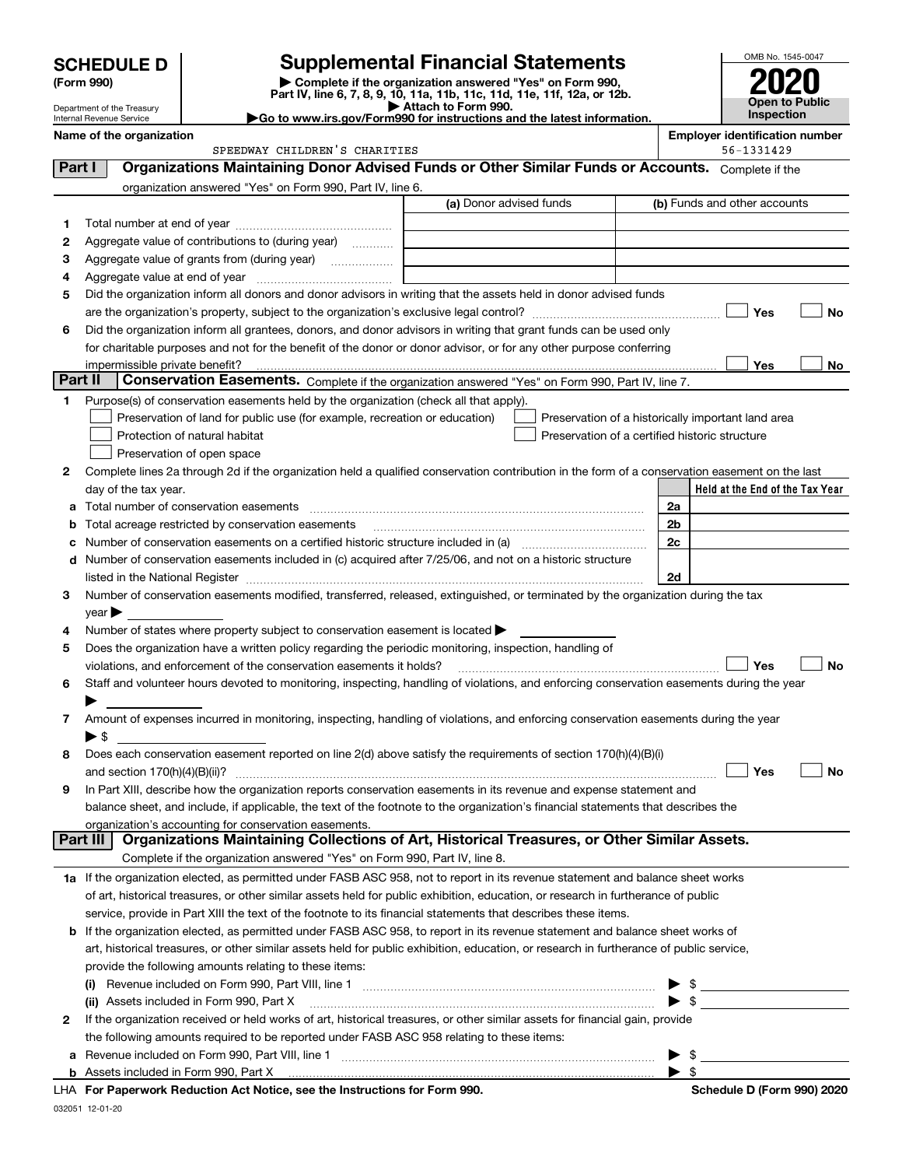|         | <b>SCHEDULE D</b>                                      |                                                                                                                                                                               | <b>Supplemental Financial Statements</b>                                                                                                                                                                                      | OMB No. 1545-0047                                  |
|---------|--------------------------------------------------------|-------------------------------------------------------------------------------------------------------------------------------------------------------------------------------|-------------------------------------------------------------------------------------------------------------------------------------------------------------------------------------------------------------------------------|----------------------------------------------------|
|         | (Form 990)                                             |                                                                                                                                                                               | Complete if the organization answered "Yes" on Form 990,                                                                                                                                                                      |                                                    |
|         |                                                        |                                                                                                                                                                               | Part IV, line 6, 7, 8, 9, 10, 11a, 11b, 11c, 11d, 11e, 11f, 12a, or 12b.<br>Attach to Form 990.                                                                                                                               | <b>Open to Public</b>                              |
|         | Department of the Treasury<br>Internal Revenue Service |                                                                                                                                                                               | Go to www.irs.gov/Form990 for instructions and the latest information.                                                                                                                                                        | Inspection                                         |
|         | Name of the organization                               |                                                                                                                                                                               |                                                                                                                                                                                                                               | <b>Employer identification number</b>              |
|         |                                                        | SPEEDWAY CHILDREN'S CHARITIES                                                                                                                                                 |                                                                                                                                                                                                                               | 56-1331429                                         |
| Part I  |                                                        |                                                                                                                                                                               | Organizations Maintaining Donor Advised Funds or Other Similar Funds or Accounts. Complete if the                                                                                                                             |                                                    |
|         |                                                        | organization answered "Yes" on Form 990, Part IV, line 6.                                                                                                                     |                                                                                                                                                                                                                               |                                                    |
|         |                                                        |                                                                                                                                                                               | (a) Donor advised funds                                                                                                                                                                                                       | (b) Funds and other accounts                       |
| 1       |                                                        |                                                                                                                                                                               |                                                                                                                                                                                                                               |                                                    |
| 2       |                                                        | Aggregate value of contributions to (during year)                                                                                                                             |                                                                                                                                                                                                                               |                                                    |
| 3       |                                                        | Aggregate value of grants from (during year)                                                                                                                                  |                                                                                                                                                                                                                               |                                                    |
| 4       |                                                        |                                                                                                                                                                               |                                                                                                                                                                                                                               |                                                    |
| 5       |                                                        |                                                                                                                                                                               | Did the organization inform all donors and donor advisors in writing that the assets held in donor advised funds                                                                                                              |                                                    |
|         |                                                        |                                                                                                                                                                               |                                                                                                                                                                                                                               | No<br>Yes                                          |
| 6       |                                                        |                                                                                                                                                                               | Did the organization inform all grantees, donors, and donor advisors in writing that grant funds can be used only                                                                                                             |                                                    |
|         |                                                        |                                                                                                                                                                               | for charitable purposes and not for the benefit of the donor or donor advisor, or for any other purpose conferring                                                                                                            |                                                    |
| Part II | impermissible private benefit?                         |                                                                                                                                                                               |                                                                                                                                                                                                                               | Yes<br>No                                          |
|         |                                                        |                                                                                                                                                                               | Conservation Easements. Complete if the organization answered "Yes" on Form 990, Part IV, line 7.                                                                                                                             |                                                    |
| 1.      |                                                        | Purpose(s) of conservation easements held by the organization (check all that apply).                                                                                         |                                                                                                                                                                                                                               |                                                    |
|         |                                                        | Preservation of land for public use (for example, recreation or education)                                                                                                    |                                                                                                                                                                                                                               | Preservation of a historically important land area |
|         |                                                        | Protection of natural habitat                                                                                                                                                 | Preservation of a certified historic structure                                                                                                                                                                                |                                                    |
|         |                                                        | Preservation of open space                                                                                                                                                    |                                                                                                                                                                                                                               |                                                    |
| 2       |                                                        |                                                                                                                                                                               | Complete lines 2a through 2d if the organization held a qualified conservation contribution in the form of a conservation easement on the last                                                                                |                                                    |
|         | day of the tax year.                                   |                                                                                                                                                                               |                                                                                                                                                                                                                               | Held at the End of the Tax Year                    |
| a       |                                                        | Total number of conservation easements                                                                                                                                        |                                                                                                                                                                                                                               | 2a                                                 |
| b       |                                                        | Total acreage restricted by conservation easements                                                                                                                            |                                                                                                                                                                                                                               | 2b                                                 |
| c       |                                                        |                                                                                                                                                                               |                                                                                                                                                                                                                               | 2c                                                 |
| d       |                                                        |                                                                                                                                                                               | Number of conservation easements included in (c) acquired after 7/25/06, and not on a historic structure                                                                                                                      |                                                    |
|         |                                                        |                                                                                                                                                                               | listed in the National Register [111] Marshall Register [11] Marshall Register [11] Marshall Register [11] Marshall Register [11] Marshall Register [11] Marshall Register [11] Marshall Register [11] Marshall Register [11] | 2d                                                 |
| 3       |                                                        |                                                                                                                                                                               | Number of conservation easements modified, transferred, released, extinguished, or terminated by the organization during the tax                                                                                              |                                                    |
|         | $year \blacktriangleright$                             | Number of states where property subject to conservation easement is located >                                                                                                 |                                                                                                                                                                                                                               |                                                    |
| 4       |                                                        |                                                                                                                                                                               |                                                                                                                                                                                                                               |                                                    |
| 5       |                                                        | Does the organization have a written policy regarding the periodic monitoring, inspection, handling of<br>violations, and enforcement of the conservation easements it holds? |                                                                                                                                                                                                                               | Yes<br>No                                          |
|         |                                                        |                                                                                                                                                                               | Staff and volunteer hours devoted to monitoring, inspecting, handling of violations, and enforcing conservation easements during the year                                                                                     |                                                    |
| 6       |                                                        |                                                                                                                                                                               |                                                                                                                                                                                                                               |                                                    |
| 7       |                                                        |                                                                                                                                                                               | Amount of expenses incurred in monitoring, inspecting, handling of violations, and enforcing conservation easements during the year                                                                                           |                                                    |
|         | $\blacktriangleright$ \$                               |                                                                                                                                                                               |                                                                                                                                                                                                                               |                                                    |
| 8       |                                                        |                                                                                                                                                                               | Does each conservation easement reported on line 2(d) above satisfy the requirements of section 170(h)(4)(B)(i)                                                                                                               |                                                    |
|         |                                                        |                                                                                                                                                                               |                                                                                                                                                                                                                               | Yes<br>No                                          |
| 9       |                                                        |                                                                                                                                                                               | In Part XIII, describe how the organization reports conservation easements in its revenue and expense statement and                                                                                                           |                                                    |
|         |                                                        |                                                                                                                                                                               | balance sheet, and include, if applicable, the text of the footnote to the organization's financial statements that describes the                                                                                             |                                                    |
|         |                                                        | organization's accounting for conservation easements.                                                                                                                         |                                                                                                                                                                                                                               |                                                    |
|         | Part III                                               |                                                                                                                                                                               | Organizations Maintaining Collections of Art, Historical Treasures, or Other Similar Assets.                                                                                                                                  |                                                    |
|         |                                                        | Complete if the organization answered "Yes" on Form 990, Part IV, line 8.                                                                                                     |                                                                                                                                                                                                                               |                                                    |

| 1a If the organization elected, as permitted under FASB ASC 958, not to report in its revenue statement and balance sheet works   |
|-----------------------------------------------------------------------------------------------------------------------------------|
| of art, historical treasures, or other similar assets held for public exhibition, education, or research in furtherance of public |
| service, provide in Part XIII the text of the footnote to its financial statements that describes these items.                    |

**a**Revenue included on Form 990, Part VIII, line 1 ~~~~~~~~~~~~~~~~~~~~~~~~~~~~~~

|   | <b>b</b> If the organization elected, as permitted under FASB ASC 958, to report in its revenue statement and balance sheet works of                                 |  |                         |  |  |  |
|---|----------------------------------------------------------------------------------------------------------------------------------------------------------------------|--|-------------------------|--|--|--|
|   | art, historical treasures, or other similar assets held for public exhibition, education, or research in furtherance of public service,                              |  |                         |  |  |  |
|   | provide the following amounts relating to these items:                                                                                                               |  |                         |  |  |  |
|   | (i) Revenue included on Form 990, Part VIII, line 1 [1] [1] [1] [1] [1] [1] Revenue included on Form 990, Part VIII, line 1                                          |  | $\blacktriangleright$ s |  |  |  |
|   | (ii) Assets included in Form 990, Part X [11] [12] Assets included in Form 990, Part X                                                                               |  | $\blacktriangleright$ s |  |  |  |
| 2 | If the organization received or held works of art, historical treasures, or other similar assets for financial gain, provide                                         |  |                         |  |  |  |
|   | the following amounts required to be reported under FASB ASC 958 relating to these items:                                                                            |  |                         |  |  |  |
|   | <b>a</b> Revenue included on Form 990, Part VIII, line 1 $\ldots$ $\ldots$ $\ldots$ $\ldots$ $\ldots$ $\ldots$ $\ldots$ $\ldots$ $\ldots$ $\ldots$ $\ldots$ $\ldots$ |  |                         |  |  |  |

| LLLA Fer Denemierte Deduction Ast Netice and the Instructions for Form 000. |  |  |  |
|-----------------------------------------------------------------------------|--|--|--|
| <b>b</b> Assets included in Form 990. Part X                                |  |  |  |
|                                                                             |  |  |  |

 $\overline{\phantom{a}}$  $\overline{\phantom{0}}$ 

 $\blacktriangleright$  \$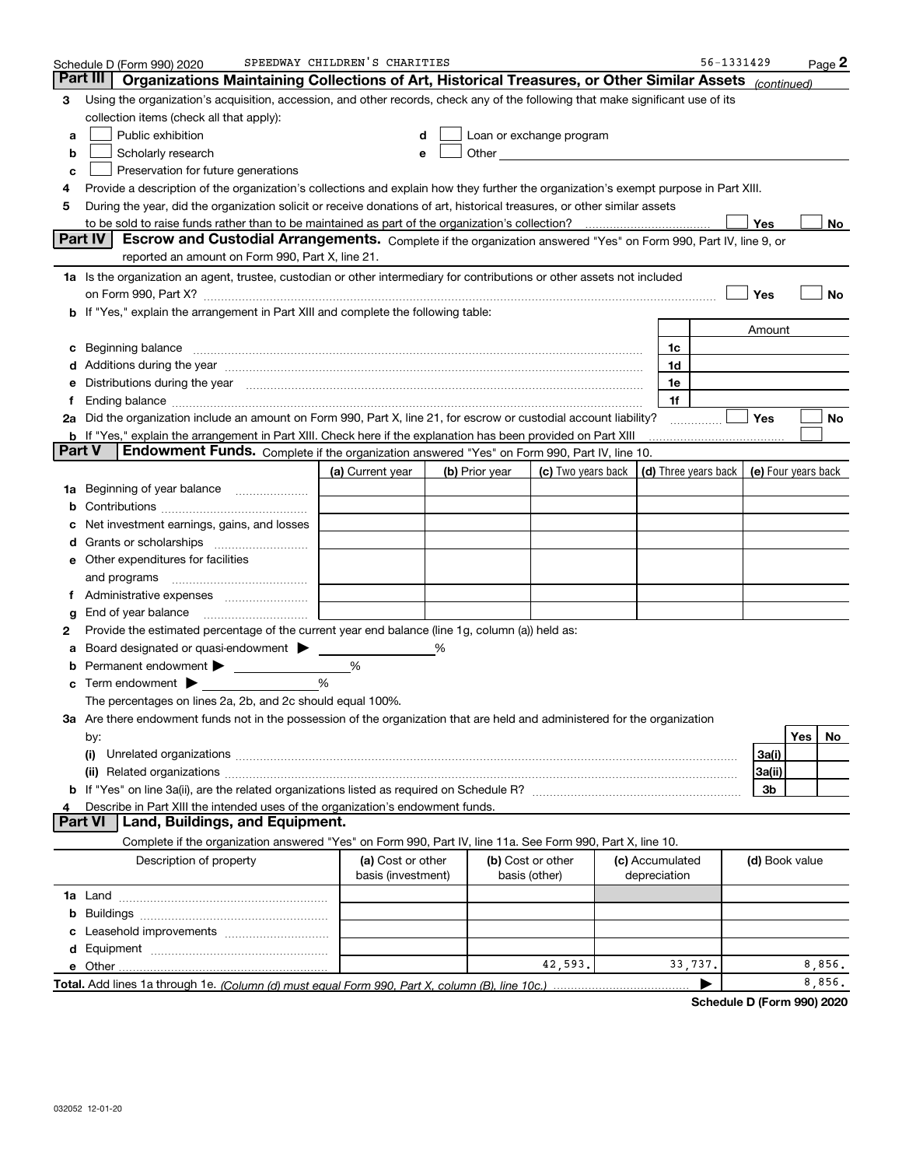|    | Schedule D (Form 990) 2020                                                                                                                                                                                                     | SPEEDWAY CHILDREN'S CHARITIES           |                |                                                                                                                                                                                                                                |                                 | 56-1331429                                 |                |     | $Page$ 2 |
|----|--------------------------------------------------------------------------------------------------------------------------------------------------------------------------------------------------------------------------------|-----------------------------------------|----------------|--------------------------------------------------------------------------------------------------------------------------------------------------------------------------------------------------------------------------------|---------------------------------|--------------------------------------------|----------------|-----|----------|
|    | Part III<br>Organizations Maintaining Collections of Art, Historical Treasures, or Other Similar Assets                                                                                                                        |                                         |                |                                                                                                                                                                                                                                |                                 |                                            | (continued)    |     |          |
| 3  | Using the organization's acquisition, accession, and other records, check any of the following that make significant use of its                                                                                                |                                         |                |                                                                                                                                                                                                                                |                                 |                                            |                |     |          |
|    | collection items (check all that apply):                                                                                                                                                                                       |                                         |                |                                                                                                                                                                                                                                |                                 |                                            |                |     |          |
| a  | Public exhibition                                                                                                                                                                                                              | d                                       |                | Loan or exchange program                                                                                                                                                                                                       |                                 |                                            |                |     |          |
| b  | Scholarly research                                                                                                                                                                                                             | е                                       |                | Other and the control of the control of the control of the control of the control of the control of the control of the control of the control of the control of the control of the control of the control of the control of th |                                 |                                            |                |     |          |
| с  | Preservation for future generations                                                                                                                                                                                            |                                         |                |                                                                                                                                                                                                                                |                                 |                                            |                |     |          |
| 4  | Provide a description of the organization's collections and explain how they further the organization's exempt purpose in Part XIII.                                                                                           |                                         |                |                                                                                                                                                                                                                                |                                 |                                            |                |     |          |
| 5  | During the year, did the organization solicit or receive donations of art, historical treasures, or other similar assets                                                                                                       |                                         |                |                                                                                                                                                                                                                                |                                 |                                            |                |     |          |
|    |                                                                                                                                                                                                                                |                                         |                |                                                                                                                                                                                                                                |                                 |                                            | Yes            |     | No       |
|    | <b>Part IV</b><br>Escrow and Custodial Arrangements. Complete if the organization answered "Yes" on Form 990, Part IV, line 9, or<br>reported an amount on Form 990, Part X, line 21.                                          |                                         |                |                                                                                                                                                                                                                                |                                 |                                            |                |     |          |
|    | 1a Is the organization an agent, trustee, custodian or other intermediary for contributions or other assets not included                                                                                                       |                                         |                |                                                                                                                                                                                                                                |                                 |                                            |                |     |          |
|    | on Form 990, Part X? [11] matter contracts and contracts and contracts are contracted as a function of the set of the set of the set of the set of the set of the set of the set of the set of the set of the set of the set o |                                         |                |                                                                                                                                                                                                                                |                                 |                                            | Yes            |     | No       |
|    | b If "Yes," explain the arrangement in Part XIII and complete the following table:                                                                                                                                             |                                         |                |                                                                                                                                                                                                                                |                                 |                                            |                |     |          |
|    |                                                                                                                                                                                                                                |                                         |                |                                                                                                                                                                                                                                |                                 |                                            | Amount         |     |          |
| c  | Beginning balance <b>contract to the contract of the contract of the contract of the contract of the contract of t</b>                                                                                                         |                                         |                |                                                                                                                                                                                                                                | 1c                              |                                            |                |     |          |
|    | Additions during the year manufactured and an account of the year manufactured and account of the year manufactured and account of the year manufactured and account of the year manufactured and account of the year manufact |                                         |                |                                                                                                                                                                                                                                | 1d                              |                                            |                |     |          |
| е  | Distributions during the year manufactured and continuum and contract the year manufactured and contract the year manufactured and contract the year manufactured and contract the year manufactured and contract the year man |                                         |                |                                                                                                                                                                                                                                | 1e                              |                                            |                |     |          |
| Ť. |                                                                                                                                                                                                                                |                                         |                |                                                                                                                                                                                                                                | 1f                              |                                            |                |     |          |
|    | 2a Did the organization include an amount on Form 990, Part X, line 21, for escrow or custodial account liability?                                                                                                             |                                         |                |                                                                                                                                                                                                                                |                                 |                                            | <b>Yes</b>     |     | No       |
|    | b If "Yes," explain the arrangement in Part XIII. Check here if the explanation has been provided on Part XIII                                                                                                                 |                                         |                |                                                                                                                                                                                                                                |                                 |                                            |                |     |          |
|    | <b>Part V</b><br><b>Endowment Funds.</b> Complete if the organization answered "Yes" on Form 990, Part IV, line 10.                                                                                                            |                                         |                |                                                                                                                                                                                                                                |                                 |                                            |                |     |          |
|    |                                                                                                                                                                                                                                | (a) Current year                        | (b) Prior year | (c) Two years back                                                                                                                                                                                                             |                                 | (d) Three years back   (e) Four years back |                |     |          |
| 1a | Beginning of year balance <i>manumensing</i>                                                                                                                                                                                   |                                         |                |                                                                                                                                                                                                                                |                                 |                                            |                |     |          |
| b  |                                                                                                                                                                                                                                |                                         |                |                                                                                                                                                                                                                                |                                 |                                            |                |     |          |
|    | Net investment earnings, gains, and losses                                                                                                                                                                                     |                                         |                |                                                                                                                                                                                                                                |                                 |                                            |                |     |          |
| d  |                                                                                                                                                                                                                                |                                         |                |                                                                                                                                                                                                                                |                                 |                                            |                |     |          |
| е  | Other expenditures for facilities                                                                                                                                                                                              |                                         |                |                                                                                                                                                                                                                                |                                 |                                            |                |     |          |
|    | and programs                                                                                                                                                                                                                   |                                         |                |                                                                                                                                                                                                                                |                                 |                                            |                |     |          |
| Ť. |                                                                                                                                                                                                                                |                                         |                |                                                                                                                                                                                                                                |                                 |                                            |                |     |          |
| g  | End of year balance                                                                                                                                                                                                            |                                         |                |                                                                                                                                                                                                                                |                                 |                                            |                |     |          |
| 2  | Provide the estimated percentage of the current year end balance (line 1g, column (a)) held as:                                                                                                                                |                                         |                |                                                                                                                                                                                                                                |                                 |                                            |                |     |          |
| а  | Board designated or quasi-endowment >                                                                                                                                                                                          |                                         |                |                                                                                                                                                                                                                                |                                 |                                            |                |     |          |
| b  | Permanent endowment                                                                                                                                                                                                            | %                                       |                |                                                                                                                                                                                                                                |                                 |                                            |                |     |          |
| c  | Term endowment $\blacktriangleright$                                                                                                                                                                                           | %                                       |                |                                                                                                                                                                                                                                |                                 |                                            |                |     |          |
|    | The percentages on lines 2a, 2b, and 2c should equal 100%.                                                                                                                                                                     |                                         |                |                                                                                                                                                                                                                                |                                 |                                            |                |     |          |
|    | 3a Are there endowment funds not in the possession of the organization that are held and administered for the organization                                                                                                     |                                         |                |                                                                                                                                                                                                                                |                                 |                                            |                |     |          |
|    | by:                                                                                                                                                                                                                            |                                         |                |                                                                                                                                                                                                                                |                                 |                                            |                | Yes | No       |
|    | (i)                                                                                                                                                                                                                            |                                         |                |                                                                                                                                                                                                                                |                                 |                                            | 3a(i)          |     |          |
|    |                                                                                                                                                                                                                                |                                         |                |                                                                                                                                                                                                                                |                                 |                                            | 3a(ii)         |     |          |
|    |                                                                                                                                                                                                                                |                                         |                |                                                                                                                                                                                                                                |                                 |                                            | 3b             |     |          |
|    | Describe in Part XIII the intended uses of the organization's endowment funds.                                                                                                                                                 |                                         |                |                                                                                                                                                                                                                                |                                 |                                            |                |     |          |
|    | <b>Part VI</b><br>Land, Buildings, and Equipment.                                                                                                                                                                              |                                         |                |                                                                                                                                                                                                                                |                                 |                                            |                |     |          |
|    | Complete if the organization answered "Yes" on Form 990, Part IV, line 11a. See Form 990, Part X, line 10.                                                                                                                     |                                         |                |                                                                                                                                                                                                                                |                                 |                                            |                |     |          |
|    | Description of property                                                                                                                                                                                                        | (a) Cost or other<br>basis (investment) |                | (b) Cost or other<br>basis (other)                                                                                                                                                                                             | (c) Accumulated<br>depreciation |                                            | (d) Book value |     |          |
|    |                                                                                                                                                                                                                                |                                         |                |                                                                                                                                                                                                                                |                                 |                                            |                |     |          |
| b  |                                                                                                                                                                                                                                |                                         |                |                                                                                                                                                                                                                                |                                 |                                            |                |     |          |
|    |                                                                                                                                                                                                                                |                                         |                |                                                                                                                                                                                                                                |                                 |                                            |                |     |          |
|    |                                                                                                                                                                                                                                |                                         |                |                                                                                                                                                                                                                                |                                 |                                            |                |     |          |
|    |                                                                                                                                                                                                                                |                                         |                | 42,593.                                                                                                                                                                                                                        |                                 | 33,737.                                    |                |     | 8,856.   |
|    |                                                                                                                                                                                                                                |                                         |                |                                                                                                                                                                                                                                |                                 |                                            |                |     | 8,856.   |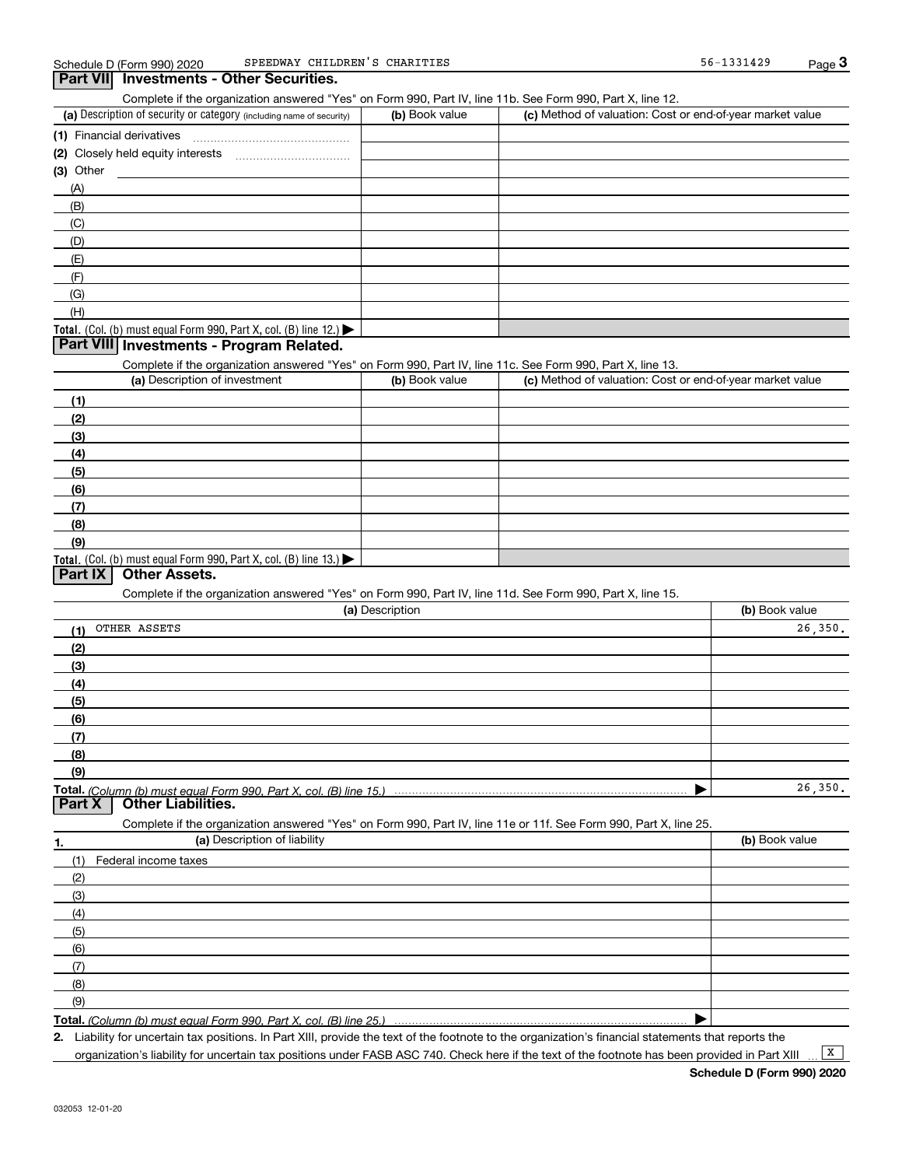## **Part VII Investments - Other Securities.**

Complete if the organization answered "Yes" on Form 990, Part IV, line 11b. See Form 990, Part X, line 12.

| (a) Description of security or category (including name of security)       | (b) Book value | (c) Method of valuation: Cost or end-of-year market value |
|----------------------------------------------------------------------------|----------------|-----------------------------------------------------------|
| (1) Financial derivatives                                                  |                |                                                           |
| (2) Closely held equity interests<br>                                      |                |                                                           |
| $(3)$ Other                                                                |                |                                                           |
| (A)                                                                        |                |                                                           |
| (B)                                                                        |                |                                                           |
| (C)                                                                        |                |                                                           |
| (D)                                                                        |                |                                                           |
| (E)                                                                        |                |                                                           |
| (E)                                                                        |                |                                                           |
| (G)                                                                        |                |                                                           |
| (H)                                                                        |                |                                                           |
| <b>Total.</b> (Col. (b) must equal Form 990, Part X, col. (B) line $12$ .) |                |                                                           |

## **Part VIII Investments - Program Related.**

Complete if the organization answered "Yes" on Form 990, Part IV, line 11c. See Form 990, Part X, line 13.

| (a) Description of investment                                                                 | (b) Book value | (c) Method of valuation: Cost or end-of-year market value |
|-----------------------------------------------------------------------------------------------|----------------|-----------------------------------------------------------|
| (1)                                                                                           |                |                                                           |
| (2)                                                                                           |                |                                                           |
| $\left(3\right)$                                                                              |                |                                                           |
| (4)                                                                                           |                |                                                           |
| $\left(5\right)$                                                                              |                |                                                           |
| (6)                                                                                           |                |                                                           |
| (7)                                                                                           |                |                                                           |
| (8)                                                                                           |                |                                                           |
| (9)                                                                                           |                |                                                           |
| <b>Total.</b> (Col. (b) must equal Form 990, Part X, col. (B) line 13.) $\blacktriangleright$ |                |                                                           |

## **Part IX Other Assets.**

Complete if the organization answered "Yes" on Form 990, Part IV, line 11d. See Form 990, Part X, line 15.

| (a) Description                                                                                                   | (b) Book value |
|-------------------------------------------------------------------------------------------------------------------|----------------|
| OTHER ASSETS<br>(1)                                                                                               | 26, 350.       |
| (2)                                                                                                               |                |
| (3)                                                                                                               |                |
| (4)                                                                                                               |                |
| (5)                                                                                                               |                |
| (6)                                                                                                               |                |
| (7)                                                                                                               |                |
| (8)                                                                                                               |                |
| (9)                                                                                                               |                |
|                                                                                                                   | 26, 350.       |
|                                                                                                                   |                |
| Complete if the organization answered "Yes" on Form 990, Part IV, line 11e or 11f. See Form 990, Part X, line 25. |                |
| (a) Description of liability<br>1.                                                                                | (b) Book value |
| Federal income taxes<br>(1)                                                                                       |                |
| (2)                                                                                                               |                |
| (3)                                                                                                               |                |
| (4)                                                                                                               |                |
| (5)                                                                                                               |                |

**Total.**  *(Column (b) must equal Form 990, Part X, col. (B) line 25.)* 

**2.**Liability for uncertain tax positions. In Part XIII, provide the text of the footnote to the organization's financial statements that reports the organization's liability for uncertain tax positions under FASB ASC 740. Check here if the text of the footnote has been provided in Part XIII

 $\boxed{\mathbf{X}}$ 

 $\blacktriangleright$ 

(6)(7)(8)(9)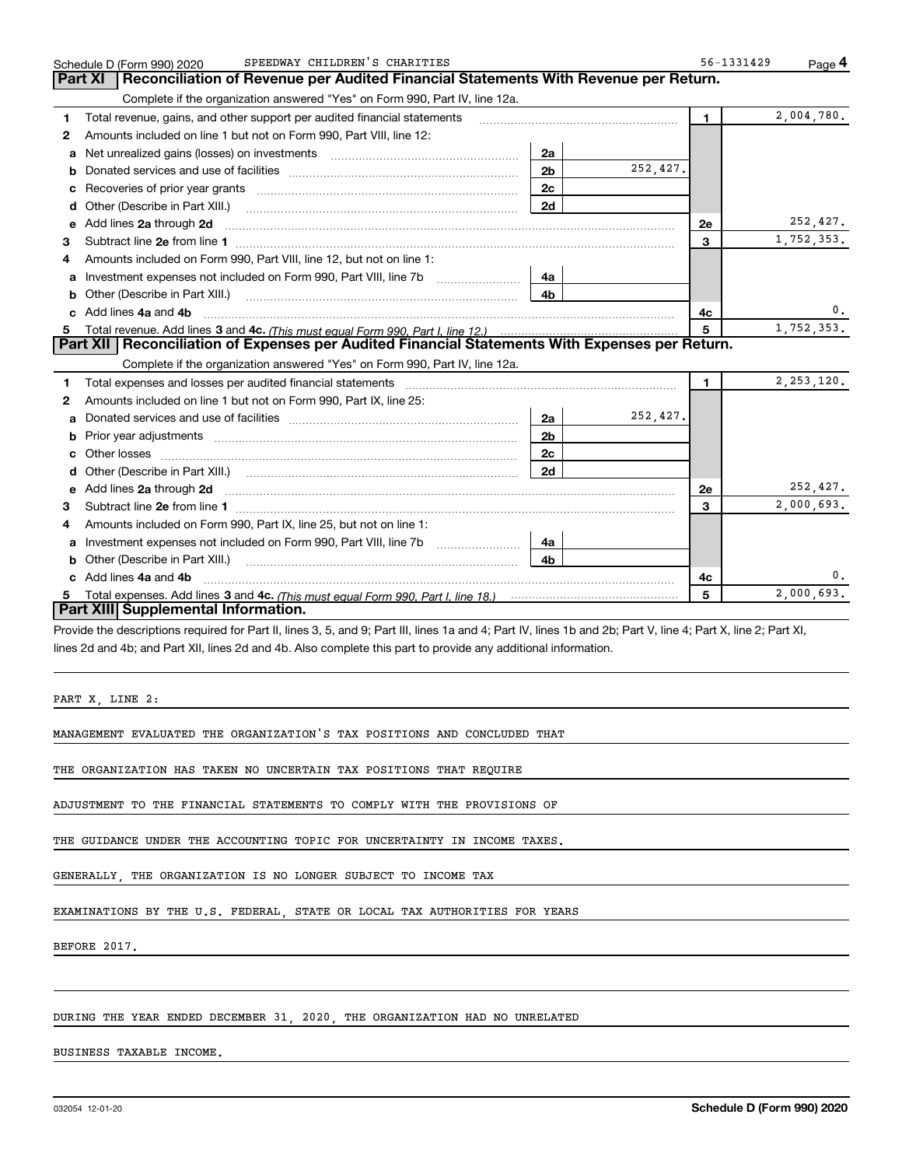|   | SPEEDWAY CHILDREN'S CHARITIES<br>Schedule D (Form 990) 2020                                                                                                                                                                          | 56-1331429     | Page 4       |
|---|--------------------------------------------------------------------------------------------------------------------------------------------------------------------------------------------------------------------------------------|----------------|--------------|
|   | Reconciliation of Revenue per Audited Financial Statements With Revenue per Return.<br>Part XI                                                                                                                                       |                |              |
|   | Complete if the organization answered "Yes" on Form 990, Part IV, line 12a.                                                                                                                                                          |                |              |
| 1 | Total revenue, gains, and other support per audited financial statements                                                                                                                                                             | $\mathbf{1}$   | 2,004,780.   |
| 2 | Amounts included on line 1 but not on Form 990, Part VIII, line 12:                                                                                                                                                                  |                |              |
| a | 2a                                                                                                                                                                                                                                   |                |              |
| b | 252,427.<br>2 <sub>b</sub>                                                                                                                                                                                                           |                |              |
| c | 2c                                                                                                                                                                                                                                   |                |              |
| d | 2d<br>Other (Describe in Part XIII.)                                                                                                                                                                                                 |                |              |
| е | Add lines 2a through 2d <b>continuum continuum contract and all the contract of the contract of the contract of the contract of the contract of the contract of the contract of the contract of the contract of the contract of </b> | 2e             | 252,427.     |
| 3 |                                                                                                                                                                                                                                      | 3              | 1,752,353.   |
| 4 | Amounts included on Form 990, Part VIII, line 12, but not on line 1:                                                                                                                                                                 |                |              |
| a | Investment expenses not included on Form 990, Part VIII, line 7b<br>4a                                                                                                                                                               |                |              |
|   | 4 <sub>b</sub>                                                                                                                                                                                                                       |                |              |
|   | Add lines 4a and 4b                                                                                                                                                                                                                  | 4с             | 0.           |
| 5 |                                                                                                                                                                                                                                      | 5              | 1,752,353.   |
|   | Part XII   Reconciliation of Expenses per Audited Financial Statements With Expenses per Return.                                                                                                                                     |                |              |
|   | Complete if the organization answered "Yes" on Form 990, Part IV, line 12a.                                                                                                                                                          |                |              |
| 1 |                                                                                                                                                                                                                                      | $\blacksquare$ | 2, 253, 120. |
| 2 | Amounts included on line 1 but not on Form 990, Part IX, line 25:                                                                                                                                                                    |                |              |
| a | 252,427.<br>2a                                                                                                                                                                                                                       |                |              |
| b | 2 <sub>b</sub>                                                                                                                                                                                                                       |                |              |
| c | 2c                                                                                                                                                                                                                                   |                |              |
|   | 2d                                                                                                                                                                                                                                   |                |              |
|   |                                                                                                                                                                                                                                      | 2e             | 252,427.     |
| 3 |                                                                                                                                                                                                                                      | 3              | 2,000,693.   |
| 4 | Amounts included on Form 990, Part IX, line 25, but not on line 1:                                                                                                                                                                   |                |              |
| a | 4a                                                                                                                                                                                                                                   |                |              |
|   | 4h.                                                                                                                                                                                                                                  |                |              |
|   | c Add lines 4a and 4b                                                                                                                                                                                                                | 4c             | 0.           |
|   |                                                                                                                                                                                                                                      | 5              | 2,000,693.   |
|   | Part XIII Supplemental Information.                                                                                                                                                                                                  |                |              |

Provide the descriptions required for Part II, lines 3, 5, and 9; Part III, lines 1a and 4; Part IV, lines 1b and 2b; Part V, line 4; Part X, line 2; Part XI, lines 2d and 4b; and Part XII, lines 2d and 4b. Also complete this part to provide any additional information.

PART X, LINE 2:

MANAGEMENT EVALUATED THE ORGANIZATION'S TAX POSITIONS AND CONCLUDED THAT

THE ORGANIZATION HAS TAKEN NO UNCERTAIN TAX POSITIONS THAT REQUIRE

ADJUSTMENT TO THE FINANCIAL STATEMENTS TO COMPLY WITH THE PROVISIONS OF

THE GUIDANCE UNDER THE ACCOUNTING TOPIC FOR UNCERTAINTY IN INCOME TAXES.

GENERALLY, THE ORGANIZATION IS NO LONGER SUBJECT TO INCOME TAX

EXAMINATIONS BY THE U.S. FEDERAL, STATE OR LOCAL TAX AUTHORITIES FOR YEARS

BEFORE 2017.

#### DURING THE YEAR ENDED DECEMBER 31, 2020, THE ORGANIZATION HAD NO UNRELATED

BUSINESS TAXABLE INCOME.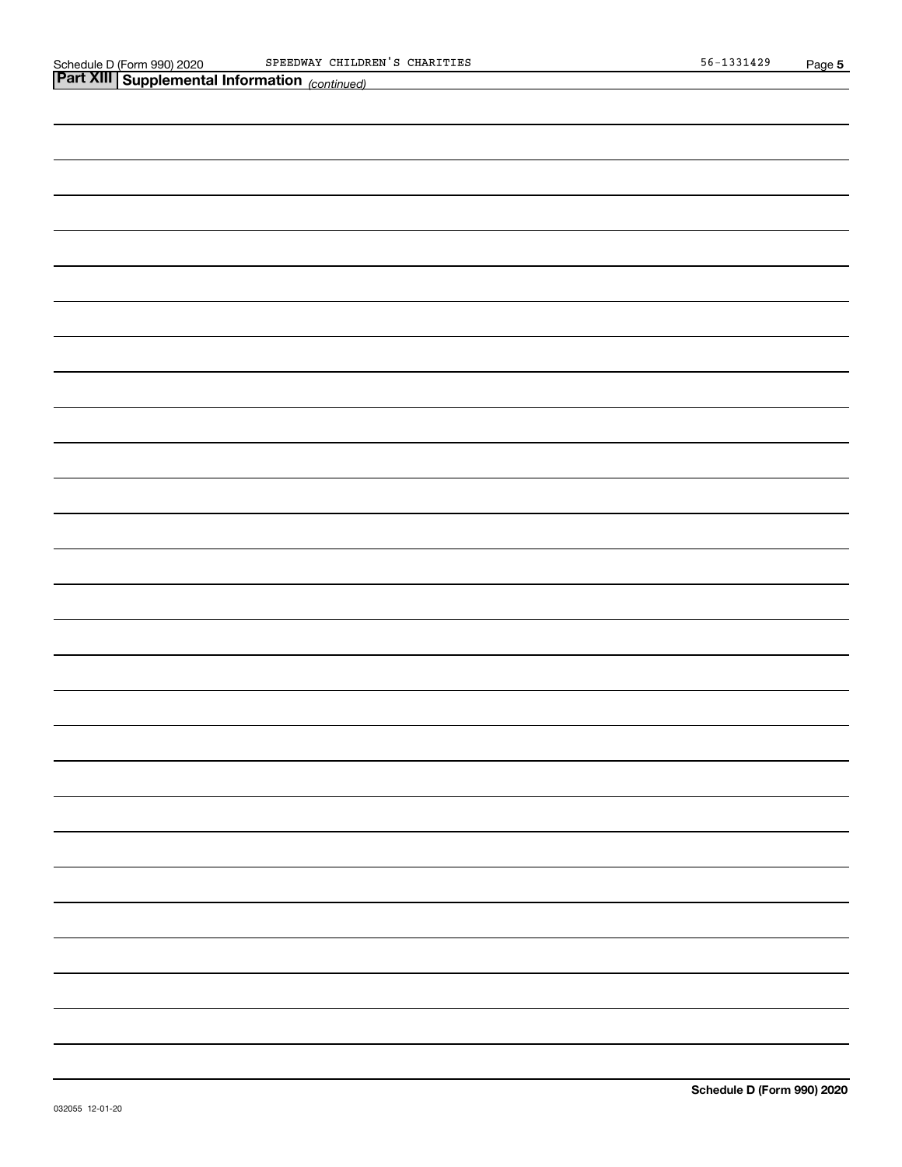| Part XIII Supplemental Information (continued) |  |  |  |  |  |  |  |
|------------------------------------------------|--|--|--|--|--|--|--|
|                                                |  |  |  |  |  |  |  |
|                                                |  |  |  |  |  |  |  |
|                                                |  |  |  |  |  |  |  |
|                                                |  |  |  |  |  |  |  |
|                                                |  |  |  |  |  |  |  |
|                                                |  |  |  |  |  |  |  |
|                                                |  |  |  |  |  |  |  |
|                                                |  |  |  |  |  |  |  |
|                                                |  |  |  |  |  |  |  |
|                                                |  |  |  |  |  |  |  |
|                                                |  |  |  |  |  |  |  |
|                                                |  |  |  |  |  |  |  |
|                                                |  |  |  |  |  |  |  |
|                                                |  |  |  |  |  |  |  |
|                                                |  |  |  |  |  |  |  |
|                                                |  |  |  |  |  |  |  |
|                                                |  |  |  |  |  |  |  |
|                                                |  |  |  |  |  |  |  |
|                                                |  |  |  |  |  |  |  |
|                                                |  |  |  |  |  |  |  |
|                                                |  |  |  |  |  |  |  |
|                                                |  |  |  |  |  |  |  |
|                                                |  |  |  |  |  |  |  |
|                                                |  |  |  |  |  |  |  |
|                                                |  |  |  |  |  |  |  |
|                                                |  |  |  |  |  |  |  |
|                                                |  |  |  |  |  |  |  |
|                                                |  |  |  |  |  |  |  |
|                                                |  |  |  |  |  |  |  |
|                                                |  |  |  |  |  |  |  |
|                                                |  |  |  |  |  |  |  |
|                                                |  |  |  |  |  |  |  |
|                                                |  |  |  |  |  |  |  |
|                                                |  |  |  |  |  |  |  |
|                                                |  |  |  |  |  |  |  |
|                                                |  |  |  |  |  |  |  |
|                                                |  |  |  |  |  |  |  |
|                                                |  |  |  |  |  |  |  |
|                                                |  |  |  |  |  |  |  |
|                                                |  |  |  |  |  |  |  |
|                                                |  |  |  |  |  |  |  |
|                                                |  |  |  |  |  |  |  |
|                                                |  |  |  |  |  |  |  |
|                                                |  |  |  |  |  |  |  |
|                                                |  |  |  |  |  |  |  |
|                                                |  |  |  |  |  |  |  |
|                                                |  |  |  |  |  |  |  |
|                                                |  |  |  |  |  |  |  |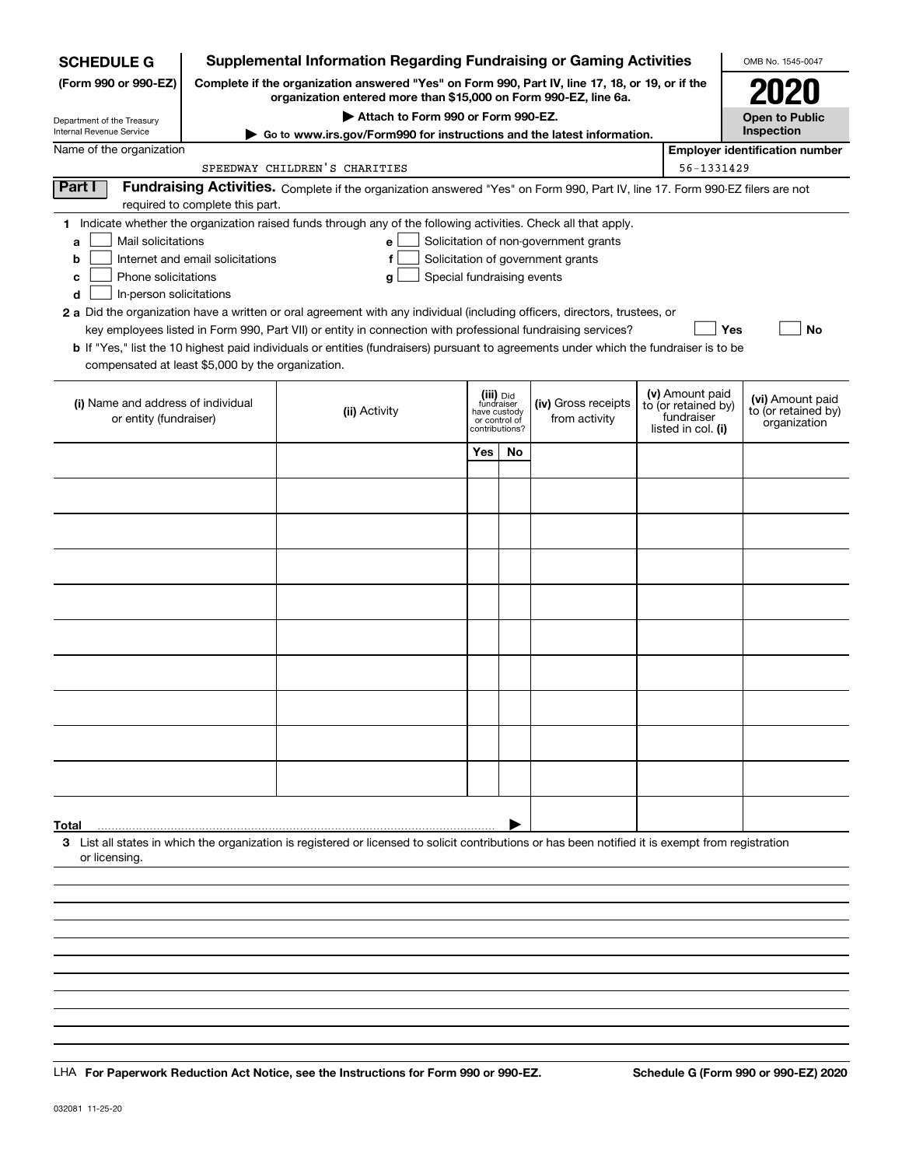| <b>SCHEDULE G</b>                                    |                                  | <b>Supplemental Information Regarding Fundraising or Gaming Activities</b>                                                                                          |                               |    |                                       |                                        | OMB No. 1545-0047                                   |
|------------------------------------------------------|----------------------------------|---------------------------------------------------------------------------------------------------------------------------------------------------------------------|-------------------------------|----|---------------------------------------|----------------------------------------|-----------------------------------------------------|
| (Form 990 or 990-EZ)                                 |                                  | Complete if the organization answered "Yes" on Form 990, Part IV, line 17, 18, or 19, or if the<br>organization entered more than \$15,000 on Form 990-EZ, line 6a. |                               |    |                                       |                                        |                                                     |
| Department of the Treasury                           |                                  | Attach to Form 990 or Form 990-EZ.                                                                                                                                  |                               |    |                                       |                                        | <b>Open to Public</b>                               |
| Internal Revenue Service<br>Name of the organization |                                  | Go to www.irs.gov/Form990 for instructions and the latest information.                                                                                              |                               |    |                                       |                                        | Inspection<br><b>Employer identification number</b> |
|                                                      |                                  | SPEEDWAY CHILDREN'S CHARITIES                                                                                                                                       |                               |    |                                       | 56-1331429                             |                                                     |
| Part I                                               |                                  | Fundraising Activities. Complete if the organization answered "Yes" on Form 990, Part IV, line 17. Form 990-EZ filers are not                                       |                               |    |                                       |                                        |                                                     |
|                                                      | required to complete this part.  |                                                                                                                                                                     |                               |    |                                       |                                        |                                                     |
|                                                      |                                  | 1 Indicate whether the organization raised funds through any of the following activities. Check all that apply.                                                     |                               |    |                                       |                                        |                                                     |
| Mail solicitations<br>a                              |                                  | е                                                                                                                                                                   |                               |    | Solicitation of non-government grants |                                        |                                                     |
| b                                                    | Internet and email solicitations | f                                                                                                                                                                   |                               |    | Solicitation of government grants     |                                        |                                                     |
| Phone solicitations<br>с                             |                                  | Special fundraising events<br>g                                                                                                                                     |                               |    |                                       |                                        |                                                     |
| In-person solicitations<br>d                         |                                  |                                                                                                                                                                     |                               |    |                                       |                                        |                                                     |
|                                                      |                                  | 2 a Did the organization have a written or oral agreement with any individual (including officers, directors, trustees, or                                          |                               |    |                                       |                                        |                                                     |
|                                                      |                                  | key employees listed in Form 990, Part VII) or entity in connection with professional fundraising services?                                                         |                               |    |                                       | Yes                                    | <b>No</b>                                           |
| compensated at least \$5,000 by the organization.    |                                  | <b>b</b> If "Yes," list the 10 highest paid individuals or entities (fundraisers) pursuant to agreements under which the fundraiser is to be                        |                               |    |                                       |                                        |                                                     |
|                                                      |                                  |                                                                                                                                                                     |                               |    |                                       |                                        |                                                     |
| (i) Name and address of individual                   |                                  |                                                                                                                                                                     | (iii) Did<br>fundraiser       |    | (iv) Gross receipts                   | (v) Amount paid<br>to (or retained by) | (vi) Amount paid                                    |
| or entity (fundraiser)                               |                                  | (ii) Activity                                                                                                                                                       | have custody<br>or control of |    | from activity                         | fundraiser                             | to (or retained by)<br>organization                 |
|                                                      |                                  |                                                                                                                                                                     | contributions?                |    |                                       | listed in col. (i)                     |                                                     |
|                                                      |                                  |                                                                                                                                                                     | Yes                           | No |                                       |                                        |                                                     |
|                                                      |                                  |                                                                                                                                                                     |                               |    |                                       |                                        |                                                     |
|                                                      |                                  |                                                                                                                                                                     |                               |    |                                       |                                        |                                                     |
|                                                      |                                  |                                                                                                                                                                     |                               |    |                                       |                                        |                                                     |
|                                                      |                                  |                                                                                                                                                                     |                               |    |                                       |                                        |                                                     |
|                                                      |                                  |                                                                                                                                                                     |                               |    |                                       |                                        |                                                     |
|                                                      |                                  |                                                                                                                                                                     |                               |    |                                       |                                        |                                                     |
|                                                      |                                  |                                                                                                                                                                     |                               |    |                                       |                                        |                                                     |
|                                                      |                                  |                                                                                                                                                                     |                               |    |                                       |                                        |                                                     |
|                                                      |                                  |                                                                                                                                                                     |                               |    |                                       |                                        |                                                     |
|                                                      |                                  |                                                                                                                                                                     |                               |    |                                       |                                        |                                                     |
|                                                      |                                  |                                                                                                                                                                     |                               |    |                                       |                                        |                                                     |
|                                                      |                                  |                                                                                                                                                                     |                               |    |                                       |                                        |                                                     |
|                                                      |                                  |                                                                                                                                                                     |                               |    |                                       |                                        |                                                     |
|                                                      |                                  |                                                                                                                                                                     |                               |    |                                       |                                        |                                                     |
|                                                      |                                  |                                                                                                                                                                     |                               |    |                                       |                                        |                                                     |
|                                                      |                                  |                                                                                                                                                                     |                               |    |                                       |                                        |                                                     |
|                                                      |                                  |                                                                                                                                                                     |                               |    |                                       |                                        |                                                     |
|                                                      |                                  |                                                                                                                                                                     |                               |    |                                       |                                        |                                                     |
| Total                                                |                                  |                                                                                                                                                                     |                               |    |                                       |                                        |                                                     |
| or licensing.                                        |                                  | 3 List all states in which the organization is registered or licensed to solicit contributions or has been notified it is exempt from registration                  |                               |    |                                       |                                        |                                                     |
|                                                      |                                  |                                                                                                                                                                     |                               |    |                                       |                                        |                                                     |
|                                                      |                                  |                                                                                                                                                                     |                               |    |                                       |                                        |                                                     |
|                                                      |                                  |                                                                                                                                                                     |                               |    |                                       |                                        |                                                     |
|                                                      |                                  |                                                                                                                                                                     |                               |    |                                       |                                        |                                                     |
|                                                      |                                  |                                                                                                                                                                     |                               |    |                                       |                                        |                                                     |

LHA For Paperwork Reduction Act Notice, see the Instructions for Form 990 or 990-EZ. Schedule G (Form 990 or 990-EZ) 2020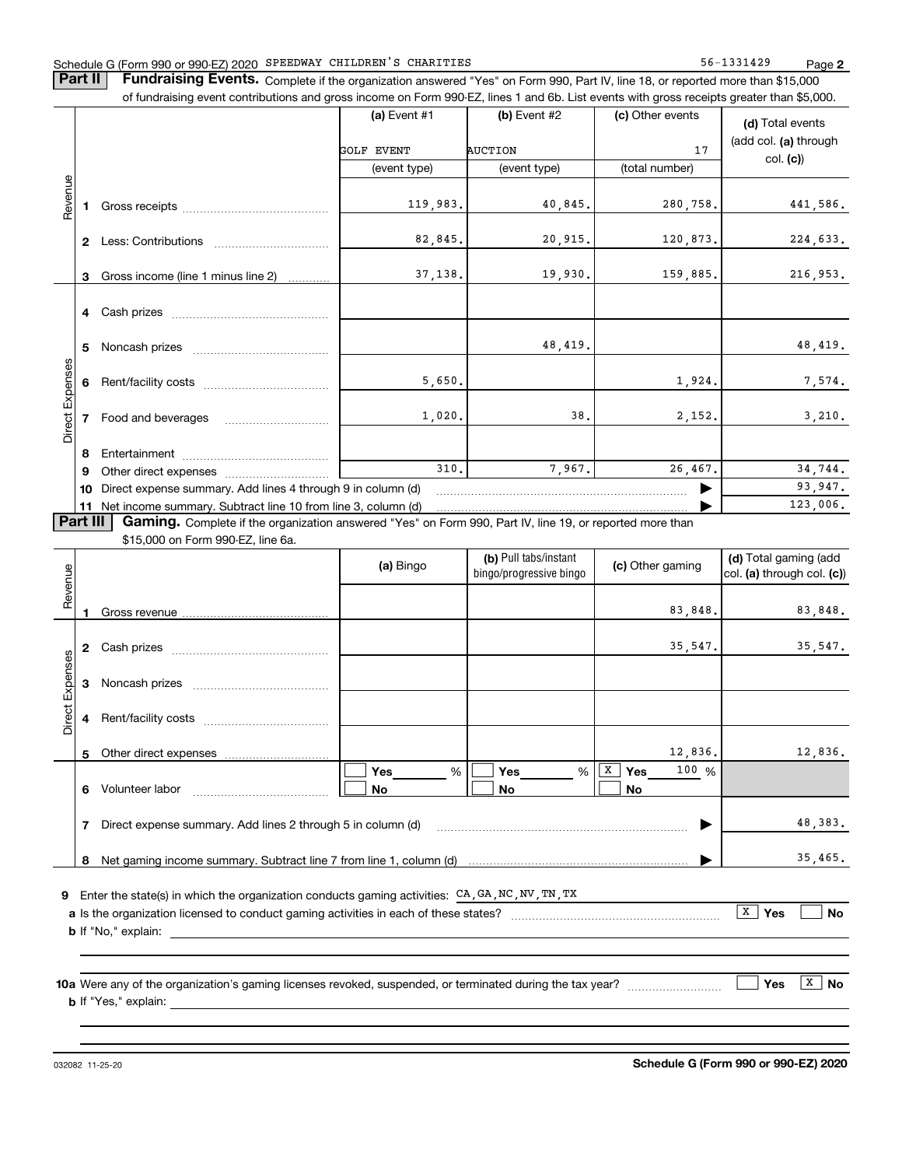#### Schedule G (Form 990 or 990-EZ) 2020 Page SPEEDWAY CHILDREN'S CHARITIES 56-1331429

**2**

**Part II** | Fundraising Events. Complete if the organization answered "Yes" on Form 990, Part IV, line 18, or reported more than \$15,000 of fundraising event contributions and gross income on Form 990-EZ, lines 1 and 6b. List events with gross receipts greater than \$5,000.

|                 |              |                                                                                                                                                                                                                                | (a) Event $#1$ | $(b)$ Event #2 | (c) Other events | (d) Total events                                                                                                            |  |  |  |  |  |  |  |  |  |
|-----------------|--------------|--------------------------------------------------------------------------------------------------------------------------------------------------------------------------------------------------------------------------------|----------------|----------------|------------------|-----------------------------------------------------------------------------------------------------------------------------|--|--|--|--|--|--|--|--|--|
|                 |              |                                                                                                                                                                                                                                | GOLF EVENT     | <b>AUCTION</b> | 17               | (add col. (a) through<br>col. (c)                                                                                           |  |  |  |  |  |  |  |  |  |
|                 |              |                                                                                                                                                                                                                                | (event type)   | (event type)   | (total number)   |                                                                                                                             |  |  |  |  |  |  |  |  |  |
| Revenue         |              | Gross receipts and the control of the control of the control of the control of the control of the control of the control of the control of the control of the control of the control of the control of the control of the cont | 119,983.       | 40,845.        | 280,758.         | 441,586.                                                                                                                    |  |  |  |  |  |  |  |  |  |
|                 | $\mathbf{2}$ | Less: Contributions                                                                                                                                                                                                            | 82,845.        | 20,915.        | 120,873.         | 224,633.                                                                                                                    |  |  |  |  |  |  |  |  |  |
|                 | 3            | Gross income (line 1 minus line 2)                                                                                                                                                                                             | 37,138.        | 19,930.        | 159,885.         | 216,953.                                                                                                                    |  |  |  |  |  |  |  |  |  |
|                 | 4            |                                                                                                                                                                                                                                |                |                |                  |                                                                                                                             |  |  |  |  |  |  |  |  |  |
|                 | 5            |                                                                                                                                                                                                                                |                | 48,419.        |                  | 48,419.                                                                                                                     |  |  |  |  |  |  |  |  |  |
|                 | 6            |                                                                                                                                                                                                                                | 5,650.         |                | 1,924.           | 7,574.                                                                                                                      |  |  |  |  |  |  |  |  |  |
| Direct Expenses |              | Food and beverages                                                                                                                                                                                                             | 1,020.         | 38.            | 2,152.           | 3,210.                                                                                                                      |  |  |  |  |  |  |  |  |  |
|                 | 8            | Entertainment                                                                                                                                                                                                                  |                |                |                  |                                                                                                                             |  |  |  |  |  |  |  |  |  |
|                 | 9            |                                                                                                                                                                                                                                | 310.           | 7,967.         | 26,467.          | 34,744.                                                                                                                     |  |  |  |  |  |  |  |  |  |
|                 | 10           | Direct expense summary. Add lines 4 through 9 in column (d)                                                                                                                                                                    |                |                |                  | 93,947.                                                                                                                     |  |  |  |  |  |  |  |  |  |
|                 | 11           | Net income summary. Subtract line 10 from line 3, column (d)                                                                                                                                                                   |                |                |                  | 123,006.                                                                                                                    |  |  |  |  |  |  |  |  |  |
|                 |              |                                                                                                                                                                                                                                |                |                |                  | <b>Part III</b><br>Gaming. Complete if the organization answered "Yes" on Form 990, Part IV, line 19, or reported more than |  |  |  |  |  |  |  |  |  |

\$15,000 on Form 990-EZ, line 6a.

| Revenue         |                       |                                                                                                                                                                                                                                | (a) Bingo     | (b) Pull tabs/instant<br>bingo/progressive bingo | (c) Other gaming          | (d) Total gaming (add<br>col. (a) through col. (c)) |  |  |  |  |
|-----------------|-----------------------|--------------------------------------------------------------------------------------------------------------------------------------------------------------------------------------------------------------------------------|---------------|--------------------------------------------------|---------------------------|-----------------------------------------------------|--|--|--|--|
|                 |                       |                                                                                                                                                                                                                                |               |                                                  | 83,848.                   | 83,848.                                             |  |  |  |  |
|                 | $\mathbf{2}$          |                                                                                                                                                                                                                                |               |                                                  | 35, 547.                  | 35,547.                                             |  |  |  |  |
| Direct Expenses | 3                     |                                                                                                                                                                                                                                |               |                                                  |                           |                                                     |  |  |  |  |
|                 | 4                     |                                                                                                                                                                                                                                |               |                                                  |                           |                                                     |  |  |  |  |
|                 | 5                     |                                                                                                                                                                                                                                |               |                                                  | 12,836.                   | 12,836.                                             |  |  |  |  |
|                 | 6                     |                                                                                                                                                                                                                                | $Yes$ %<br>No | Yes________ % $ \overline{X} $<br>No             | 100 %<br>Yes<br><b>No</b> |                                                     |  |  |  |  |
|                 | 7                     | Direct expense summary. Add lines 2 through 5 in column (d) [11] manus and the summan manuscription of the summan manuscription of the summan manuscription of the summan manuscription of the summan manuscription of the sum |               |                                                  | ▶                         | 48,383.                                             |  |  |  |  |
|                 | 8                     |                                                                                                                                                                                                                                |               |                                                  |                           | 35,465.                                             |  |  |  |  |
| 9               |                       | Enter the state(s) in which the organization conducts gaming activities: CA, GA, NC, NV, TN, TX                                                                                                                                |               |                                                  |                           |                                                     |  |  |  |  |
|                 |                       | <b>b</b> If "No," explain:                                                                                                                                                                                                     |               |                                                  |                           | $\boxed{\text{X}}$<br>Yes<br><b>No</b>              |  |  |  |  |
|                 |                       |                                                                                                                                                                                                                                |               |                                                  |                           |                                                     |  |  |  |  |
|                 | X<br>Yes<br><b>No</b> |                                                                                                                                                                                                                                |               |                                                  |                           |                                                     |  |  |  |  |
|                 |                       |                                                                                                                                                                                                                                |               |                                                  |                           |                                                     |  |  |  |  |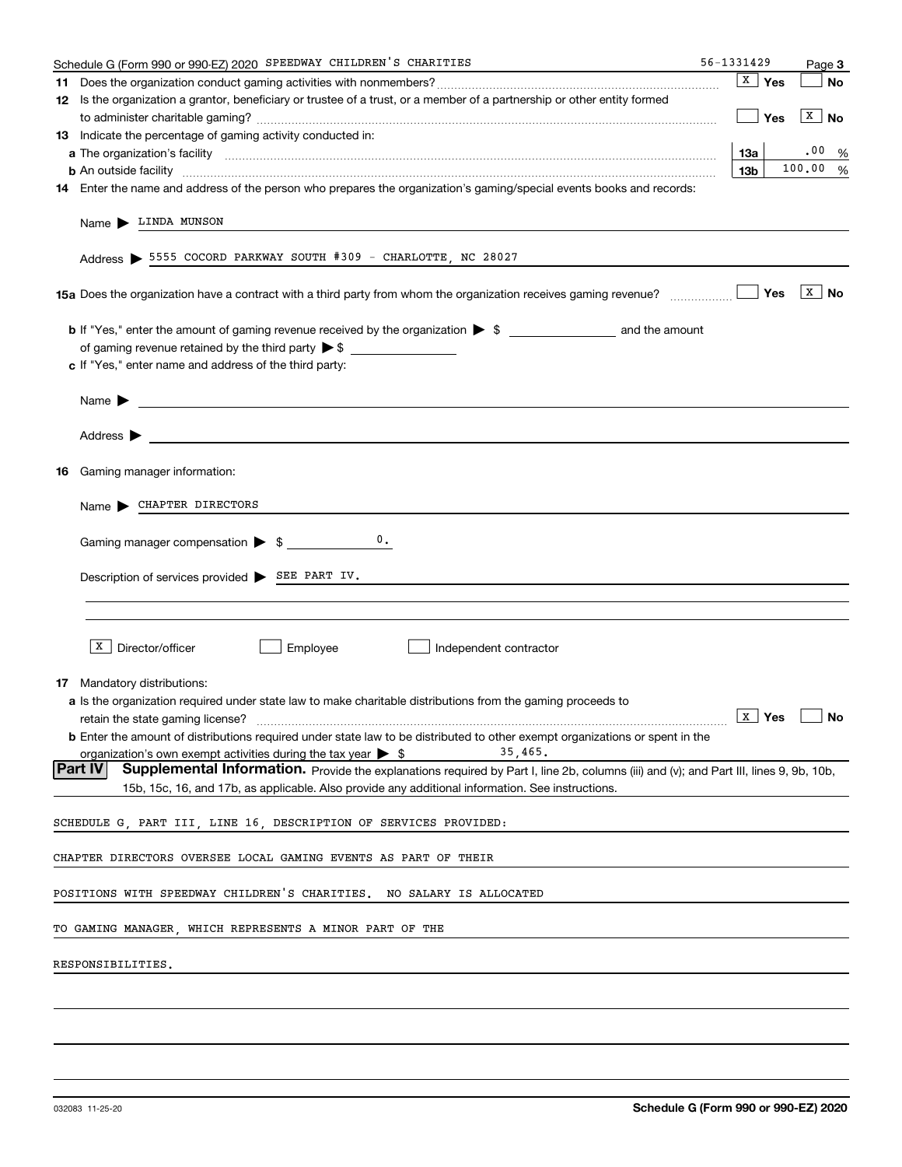| Schedule G (Form 990 or 990-EZ) 2020 SPEEDWAY CHILDREN'S CHARITIES                                                                                | 56-1331429      |                         | Page 3                |
|---------------------------------------------------------------------------------------------------------------------------------------------------|-----------------|-------------------------|-----------------------|
|                                                                                                                                                   |                 | $\sqrt{\mathbf{x}}$ Yes | No                    |
| 12 Is the organization a grantor, beneficiary or trustee of a trust, or a member of a partnership or other entity formed                          |                 |                         |                       |
|                                                                                                                                                   |                 | $\vert$ Yes             | $\boxed{\text{X}}$ No |
| 13 Indicate the percentage of gaming activity conducted in:                                                                                       |                 |                         |                       |
|                                                                                                                                                   | 13а             |                         | .00%                  |
| <b>b</b> An outside facility <i>www.communicality www.communicality.communicality www.communicality www.communicality.communicality</i>           | 13 <sub>b</sub> |                         | 100.00 %              |
| 14 Enter the name and address of the person who prepares the organization's gaming/special events books and records:                              |                 |                         |                       |
| Name LINDA MUNSON                                                                                                                                 |                 |                         |                       |
| Address > 5555 COCORD PARKWAY SOUTH #309 - CHARLOTTE, NC 28027                                                                                    |                 |                         |                       |
|                                                                                                                                                   |                 |                         | $\vert x \vert$ No    |
|                                                                                                                                                   |                 |                         |                       |
|                                                                                                                                                   |                 |                         |                       |
| c If "Yes," enter name and address of the third party:                                                                                            |                 |                         |                       |
|                                                                                                                                                   |                 |                         |                       |
| Name $\blacktriangleright$ $\lrcorner$                                                                                                            |                 |                         |                       |
|                                                                                                                                                   |                 |                         |                       |
| Address $\blacktriangleright$                                                                                                                     |                 |                         |                       |
| <b>16</b> Gaming manager information:                                                                                                             |                 |                         |                       |
|                                                                                                                                                   |                 |                         |                       |
| Name CHAPTER DIRECTORS                                                                                                                            |                 |                         |                       |
| 0.<br>Gaming manager compensation > \$                                                                                                            |                 |                         |                       |
|                                                                                                                                                   |                 |                         |                       |
| Description of services provided > SEE PART IV.                                                                                                   |                 |                         |                       |
|                                                                                                                                                   |                 |                         |                       |
|                                                                                                                                                   |                 |                         |                       |
|                                                                                                                                                   |                 |                         |                       |
| $X$ Director/officer<br>Employee<br>Independent contractor                                                                                        |                 |                         |                       |
|                                                                                                                                                   |                 |                         |                       |
| 17 Mandatory distributions:                                                                                                                       |                 |                         |                       |
| <b>a</b> Is the organization required under state law to make charitable distributions from the gaming proceeds to                                |                 |                         |                       |
| $\overline{\mathbf{x}}$ Yes $\Box$ No<br>retain the state gaming license?                                                                         |                 |                         |                       |
| <b>b</b> Enter the amount of distributions required under state law to be distributed to other exempt organizations or spent in the               |                 |                         |                       |
| 35,465.<br>organization's own exempt activities during the tax year $\triangleright$ \$                                                           |                 |                         |                       |
| Part IV<br>Supplemental Information. Provide the explanations required by Part I, line 2b, columns (iii) and (v); and Part III, lines 9, 9b, 10b, |                 |                         |                       |
| 15b, 15c, 16, and 17b, as applicable. Also provide any additional information. See instructions.                                                  |                 |                         |                       |
| SCHEDULE G, PART III, LINE 16, DESCRIPTION OF SERVICES PROVIDED:                                                                                  |                 |                         |                       |
|                                                                                                                                                   |                 |                         |                       |
| CHAPTER DIRECTORS OVERSEE LOCAL GAMING EVENTS AS PART OF THEIR                                                                                    |                 |                         |                       |
| POSITIONS WITH SPEEDWAY CHILDREN'S CHARITIES. NO SALARY IS ALLOCATED                                                                              |                 |                         |                       |
| TO GAMING MANAGER, WHICH REPRESENTS A MINOR PART OF THE                                                                                           |                 |                         |                       |
| RESPONSIBILITIES.                                                                                                                                 |                 |                         |                       |
|                                                                                                                                                   |                 |                         |                       |
|                                                                                                                                                   |                 |                         |                       |
|                                                                                                                                                   |                 |                         |                       |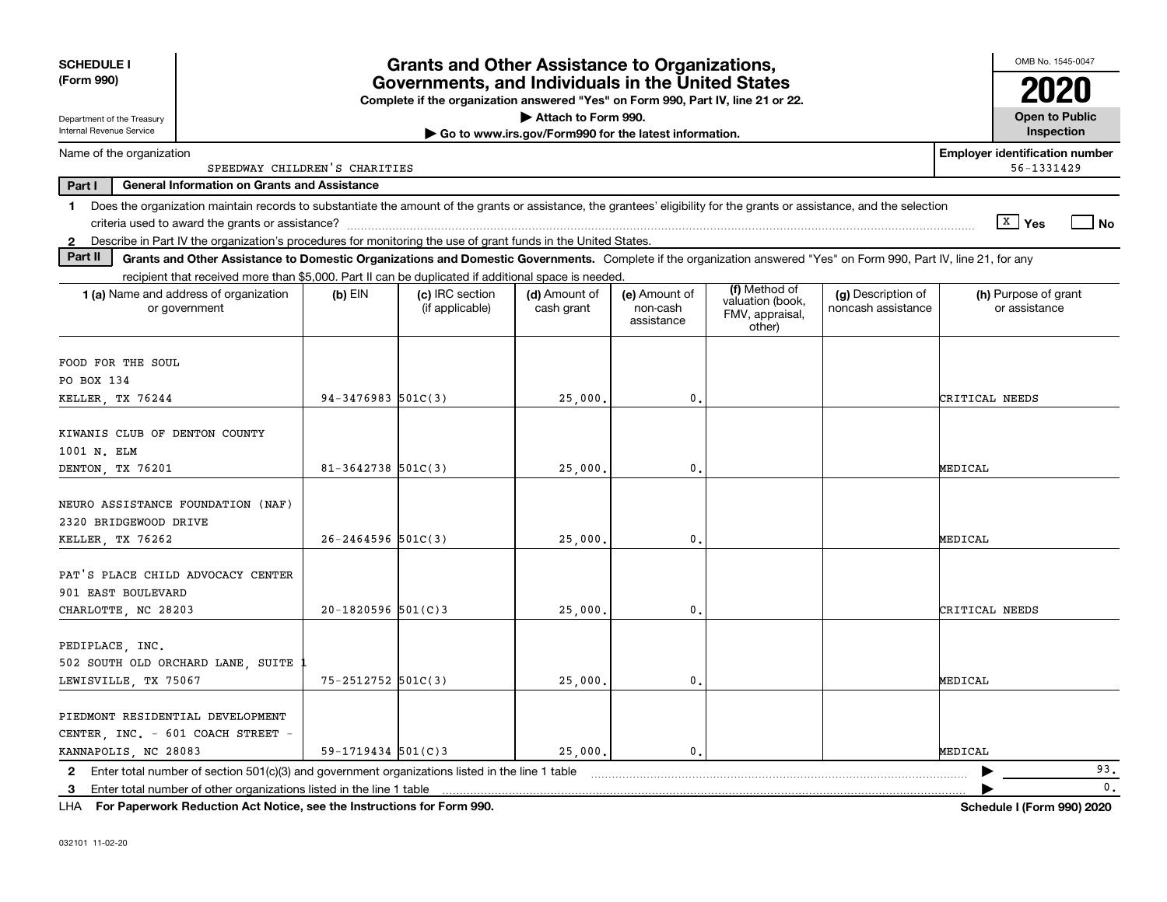| <b>SCHEDULE I</b>                                                                                                                                                              |                               | <b>Grants and Other Assistance to Organizations,</b>                                                                                  |                                                       |                                         |                                                                |                                          | OMB No. 1545-0047                                   |
|--------------------------------------------------------------------------------------------------------------------------------------------------------------------------------|-------------------------------|---------------------------------------------------------------------------------------------------------------------------------------|-------------------------------------------------------|-----------------------------------------|----------------------------------------------------------------|------------------------------------------|-----------------------------------------------------|
| (Form 990)                                                                                                                                                                     |                               | Governments, and Individuals in the United States<br>Complete if the organization answered "Yes" on Form 990, Part IV, line 21 or 22. |                                                       |                                         |                                                                |                                          |                                                     |
| Department of the Treasury                                                                                                                                                     |                               |                                                                                                                                       | Attach to Form 990.                                   |                                         |                                                                |                                          | <b>Open to Public</b>                               |
| Internal Revenue Service                                                                                                                                                       |                               |                                                                                                                                       | Go to www.irs.gov/Form990 for the latest information. |                                         |                                                                |                                          | Inspection                                          |
| Name of the organization                                                                                                                                                       | SPEEDWAY CHILDREN'S CHARITIES |                                                                                                                                       |                                                       |                                         |                                                                |                                          | <b>Employer identification number</b><br>56-1331429 |
| Part I<br><b>General Information on Grants and Assistance</b>                                                                                                                  |                               |                                                                                                                                       |                                                       |                                         |                                                                |                                          |                                                     |
| Does the organization maintain records to substantiate the amount of the grants or assistance, the grantees' eligibility for the grants or assistance, and the selection<br>1. |                               |                                                                                                                                       |                                                       |                                         |                                                                |                                          |                                                     |
|                                                                                                                                                                                |                               |                                                                                                                                       |                                                       |                                         |                                                                |                                          | ∣ <sup>x</sup> ∣ Yes<br>No                          |
| Describe in Part IV the organization's procedures for monitoring the use of grant funds in the United States.<br>$\mathbf{2}$                                                  |                               |                                                                                                                                       |                                                       |                                         |                                                                |                                          |                                                     |
| Part II<br>Grants and Other Assistance to Domestic Organizations and Domestic Governments. Complete if the organization answered "Yes" on Form 990, Part IV, line 21, for any  |                               |                                                                                                                                       |                                                       |                                         |                                                                |                                          |                                                     |
| recipient that received more than \$5,000. Part II can be duplicated if additional space is needed.                                                                            |                               |                                                                                                                                       |                                                       |                                         |                                                                |                                          |                                                     |
| 1 (a) Name and address of organization<br>or government                                                                                                                        | $(b)$ EIN                     | (c) IRC section<br>(if applicable)                                                                                                    | (d) Amount of<br>cash grant                           | (e) Amount of<br>non-cash<br>assistance | (f) Method of<br>valuation (book,<br>FMV, appraisal,<br>other) | (g) Description of<br>noncash assistance | (h) Purpose of grant<br>or assistance               |
|                                                                                                                                                                                |                               |                                                                                                                                       |                                                       |                                         |                                                                |                                          |                                                     |
| FOOD FOR THE SOUL                                                                                                                                                              |                               |                                                                                                                                       |                                                       |                                         |                                                                |                                          |                                                     |
| PO BOX 134                                                                                                                                                                     |                               |                                                                                                                                       |                                                       |                                         |                                                                |                                          |                                                     |
| KELLER, TX 76244                                                                                                                                                               | $94-3476983$ 501C(3)          |                                                                                                                                       | 25,000.                                               | $\mathbf{0}$ .                          |                                                                |                                          | CRITICAL NEEDS                                      |
| KIWANIS CLUB OF DENTON COUNTY                                                                                                                                                  |                               |                                                                                                                                       |                                                       |                                         |                                                                |                                          |                                                     |
| 1001 N. ELM                                                                                                                                                                    |                               |                                                                                                                                       |                                                       |                                         |                                                                |                                          |                                                     |
| DENTON, TX 76201                                                                                                                                                               | $81 - 3642738$ 501C(3)        |                                                                                                                                       | 25,000                                                | $\mathbf{0}$ .                          |                                                                |                                          | MEDICAL                                             |
|                                                                                                                                                                                |                               |                                                                                                                                       |                                                       |                                         |                                                                |                                          |                                                     |
| NEURO ASSISTANCE FOUNDATION (NAF)                                                                                                                                              |                               |                                                                                                                                       |                                                       |                                         |                                                                |                                          |                                                     |
| 2320 BRIDGEWOOD DRIVE                                                                                                                                                          |                               |                                                                                                                                       |                                                       |                                         |                                                                |                                          |                                                     |
| KELLER TX 76262                                                                                                                                                                | $26 - 2464596$ 501C(3)        |                                                                                                                                       | 25,000                                                | 0.                                      |                                                                |                                          | MEDICAL                                             |
|                                                                                                                                                                                |                               |                                                                                                                                       |                                                       |                                         |                                                                |                                          |                                                     |
| PAT'S PLACE CHILD ADVOCACY CENTER                                                                                                                                              |                               |                                                                                                                                       |                                                       |                                         |                                                                |                                          |                                                     |
| 901 EAST BOULEVARD                                                                                                                                                             |                               |                                                                                                                                       |                                                       |                                         |                                                                |                                          |                                                     |
| CHARLOTTE, NC 28203                                                                                                                                                            | $20 - 1820596$ 501(C)3        |                                                                                                                                       | 25,000                                                | 0.                                      |                                                                |                                          | CRITICAL NEEDS                                      |
|                                                                                                                                                                                |                               |                                                                                                                                       |                                                       |                                         |                                                                |                                          |                                                     |
| PEDIPLACE, INC.                                                                                                                                                                |                               |                                                                                                                                       |                                                       |                                         |                                                                |                                          |                                                     |
| 502 SOUTH OLD ORCHARD LANE, SUITE                                                                                                                                              |                               |                                                                                                                                       |                                                       |                                         |                                                                |                                          |                                                     |
| LEWISVILLE, TX 75067                                                                                                                                                           | 75-2512752 501C(3)            |                                                                                                                                       | 25,000.                                               | $\mathbf{0}$ .                          |                                                                |                                          | MEDICAL                                             |
|                                                                                                                                                                                |                               |                                                                                                                                       |                                                       |                                         |                                                                |                                          |                                                     |
| PIEDMONT RESIDENTIAL DEVELOPMENT                                                                                                                                               |                               |                                                                                                                                       |                                                       |                                         |                                                                |                                          |                                                     |
| CENTER INC. - 601 COACH STREET -                                                                                                                                               |                               |                                                                                                                                       |                                                       |                                         |                                                                |                                          |                                                     |
| KANNAPOLIS, NC 28083                                                                                                                                                           | $59-1719434$ $501(C)3$        |                                                                                                                                       | 25,000.                                               | $\mathbf{0}$ .                          |                                                                |                                          | MEDICAL                                             |
| 2 Enter total number of section 501(c)(3) and government organizations listed in the line 1 table                                                                              |                               |                                                                                                                                       |                                                       |                                         |                                                                |                                          | 93.                                                 |
| Enter total number of other organizations listed in the line 1 table<br>-3                                                                                                     |                               |                                                                                                                                       |                                                       |                                         |                                                                |                                          | $\mathbf{0}$ .                                      |

**For Paperwork Reduction Act Notice, see the Instructions for Form 990. Schedule I (Form 990) 2020** LHA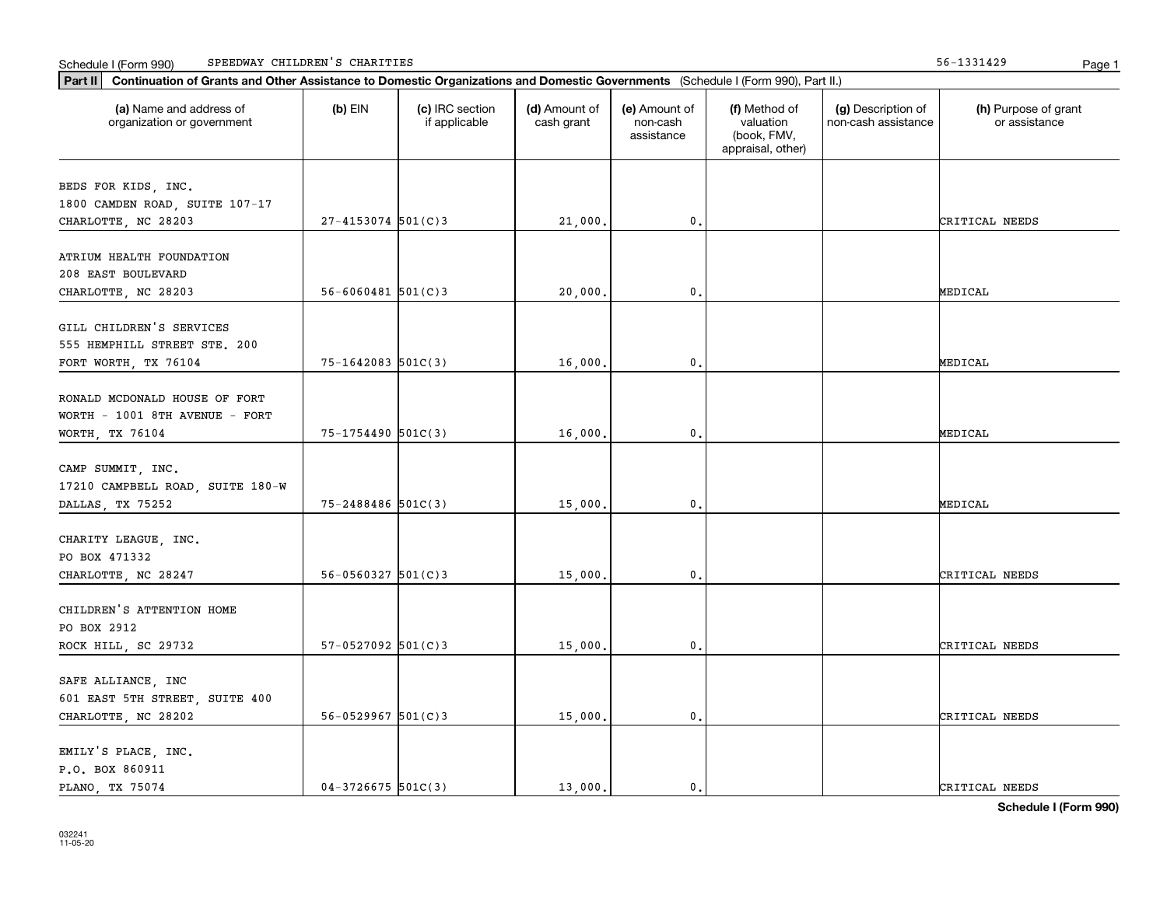|  | Schedule I (Form 990) | SPEEDWAY CHILDREN'S | CHARITIES | .<br>1991427 | Page |  |
|--|-----------------------|---------------------|-----------|--------------|------|--|
|--|-----------------------|---------------------|-----------|--------------|------|--|

| (a) Name and address of<br>organization or government | $(b)$ EIN                | (c) IRC section<br>if applicable | (d) Amount of<br>cash grant | (e) Amount of<br>non-cash<br>assistance | (f) Method of<br>valuation<br>(book, FMV,<br>appraisal, other) | (g) Description of<br>non-cash assistance | (h) Purpose of grant<br>or assistance |
|-------------------------------------------------------|--------------------------|----------------------------------|-----------------------------|-----------------------------------------|----------------------------------------------------------------|-------------------------------------------|---------------------------------------|
| BEDS FOR KIDS, INC.                                   |                          |                                  |                             |                                         |                                                                |                                           |                                       |
| 1800 CAMDEN ROAD, SUITE 107-17                        |                          |                                  |                             |                                         |                                                                |                                           |                                       |
| CHARLOTTE, NC 28203                                   | $27 - 4153074$ 501(C)3   |                                  | 21,000.                     | $\mathbf{0}$ .                          |                                                                |                                           | CRITICAL NEEDS                        |
| ATRIUM HEALTH FOUNDATION                              |                          |                                  |                             |                                         |                                                                |                                           |                                       |
| 208 EAST BOULEVARD                                    |                          |                                  |                             |                                         |                                                                |                                           |                                       |
| CHARLOTTE, NC 28203                                   | $56 - 6060481$ $501(C)3$ |                                  | 20,000                      | $\mathbf{0}$ .                          |                                                                |                                           | MEDICAL                               |
| GILL CHILDREN'S SERVICES                              |                          |                                  |                             |                                         |                                                                |                                           |                                       |
| 555 HEMPHILL STREET STE. 200                          |                          |                                  |                             |                                         |                                                                |                                           |                                       |
| FORT WORTH, TX 76104                                  | $75 - 1642083$ 501C(3)   |                                  | 16,000.                     | $\mathbf{0}$ .                          |                                                                |                                           | MEDICAL                               |
|                                                       |                          |                                  |                             |                                         |                                                                |                                           |                                       |
| RONALD MCDONALD HOUSE OF FORT                         |                          |                                  |                             |                                         |                                                                |                                           |                                       |
| WORTH - 1001 8TH AVENUE - FORT                        |                          |                                  |                             |                                         |                                                                |                                           |                                       |
| WORTH, TX 76104                                       | 75-1754490 501C(3)       |                                  | 16,000.                     | $\mathbf 0$ .                           |                                                                |                                           | MEDICAL                               |
|                                                       |                          |                                  |                             |                                         |                                                                |                                           |                                       |
| CAMP SUMMIT, INC.                                     |                          |                                  |                             |                                         |                                                                |                                           |                                       |
| 17210 CAMPBELL ROAD, SUITE 180-W                      |                          |                                  |                             |                                         |                                                                |                                           |                                       |
| DALLAS, TX 75252                                      | 75-2488486 501C(3)       |                                  | 15,000.                     | $\mathbf 0$ .                           |                                                                |                                           | MEDICAL                               |
| CHARITY LEAGUE, INC.                                  |                          |                                  |                             |                                         |                                                                |                                           |                                       |
| PO BOX 471332                                         |                          |                                  |                             |                                         |                                                                |                                           |                                       |
| CHARLOTTE, NC 28247                                   | $56 - 0560327$ $501(C)3$ |                                  | 15,000.                     | 0.                                      |                                                                |                                           | CRITICAL NEEDS                        |
|                                                       |                          |                                  |                             |                                         |                                                                |                                           |                                       |
| CHILDREN'S ATTENTION HOME                             |                          |                                  |                             |                                         |                                                                |                                           |                                       |
| PO BOX 2912                                           |                          |                                  |                             |                                         |                                                                |                                           |                                       |
| ROCK HILL, SC 29732                                   | $57-0527092$ 501(C)3     |                                  | 15,000.                     | $\mathbf{0}$ .                          |                                                                |                                           | CRITICAL NEEDS                        |
|                                                       |                          |                                  |                             |                                         |                                                                |                                           |                                       |
| SAFE ALLIANCE, INC                                    |                          |                                  |                             |                                         |                                                                |                                           |                                       |
| 601 EAST 5TH STREET, SUITE 400                        | $56 - 0529967$ 501(C)3   |                                  |                             |                                         |                                                                |                                           |                                       |
| CHARLOTTE, NC 28202                                   |                          |                                  | 15,000.                     | $\mathbf{0}$ .                          |                                                                |                                           | CRITICAL NEEDS                        |
| EMILY'S PLACE, INC.                                   |                          |                                  |                             |                                         |                                                                |                                           |                                       |
| P.O. BOX 860911                                       |                          |                                  |                             |                                         |                                                                |                                           |                                       |
| PLANO, TX 75074                                       | $04-3726675$ 501C(3)     |                                  | 13,000.                     | $\mathbf{0}$ .                          |                                                                |                                           | CRITICAL NEEDS                        |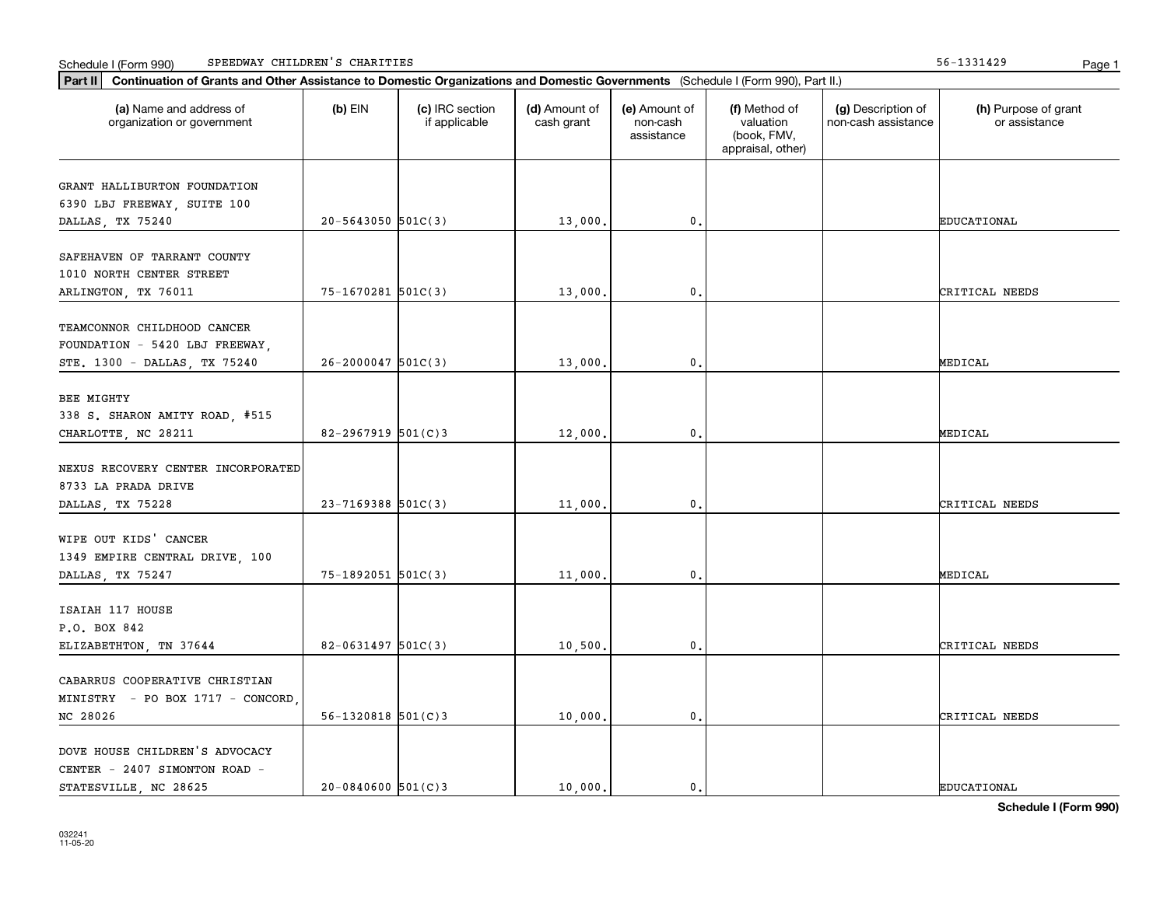|  | Schedule I (Form 990) | SPEEDWAY CHILDREN'S | CHARITIES | .<br>1991427 | Page |  |
|--|-----------------------|---------------------|-----------|--------------|------|--|
|--|-----------------------|---------------------|-----------|--------------|------|--|

| (a) Name and address of<br>organization or government                                         | $(b)$ EIN                | (c) IRC section<br>if applicable | (d) Amount of<br>cash grant | (e) Amount of<br>non-cash<br>assistance | (f) Method of<br>valuation<br>(book, FMV,<br>appraisal, other) | (g) Description of<br>non-cash assistance | (h) Purpose of grant<br>or assistance |
|-----------------------------------------------------------------------------------------------|--------------------------|----------------------------------|-----------------------------|-----------------------------------------|----------------------------------------------------------------|-------------------------------------------|---------------------------------------|
| GRANT HALLIBURTON FOUNDATION<br>6390 LBJ FREEWAY, SUITE 100                                   |                          |                                  |                             |                                         |                                                                |                                           |                                       |
| DALLAS, TX 75240                                                                              | $20 - 5643050$ 501C(3)   |                                  | 13,000.                     | 0.                                      |                                                                |                                           | <b>EDUCATIONAL</b>                    |
| SAFEHAVEN OF TARRANT COUNTY<br>1010 NORTH CENTER STREET<br>ARLINGTON, TX 76011                | 75-1670281 501C(3)       |                                  | 13,000.                     | 0.                                      |                                                                |                                           | CRITICAL NEEDS                        |
|                                                                                               |                          |                                  |                             |                                         |                                                                |                                           |                                       |
| TEAMCONNOR CHILDHOOD CANCER<br>FOUNDATION - 5420 LBJ FREEWAY,<br>STE. 1300 - DALLAS, TX 75240 | $26 - 2000047$ 501C(3)   |                                  | 13,000.                     | $\mathbf 0$ .                           |                                                                |                                           | MEDICAL                               |
|                                                                                               |                          |                                  |                             |                                         |                                                                |                                           |                                       |
| BEE MIGHTY<br>338 S. SHARON AMITY ROAD, #515<br>CHARLOTTE, NC 28211                           | 82-2967919 $501(C)3$     |                                  | 12,000,                     | 0.                                      |                                                                |                                           | MEDICAL                               |
| NEXUS RECOVERY CENTER INCORPORATED<br>8733 LA PRADA DRIVE                                     |                          |                                  |                             |                                         |                                                                |                                           |                                       |
| DALLAS, TX 75228                                                                              | $23 - 7169388$ 501C(3)   |                                  | 11,000.                     | $\mathfrak o$ .                         |                                                                |                                           | CRITICAL NEEDS                        |
| WIPE OUT KIDS' CANCER<br>1349 EMPIRE CENTRAL DRIVE, 100                                       | 75-1892051 501C(3)       |                                  | 11,000.                     | 0.                                      |                                                                |                                           | MEDICAL                               |
| DALLAS, TX 75247                                                                              |                          |                                  |                             |                                         |                                                                |                                           |                                       |
| ISAIAH 117 HOUSE<br>P.O. BOX 842                                                              |                          |                                  |                             |                                         |                                                                |                                           |                                       |
| ELIZABETHTON, TN 37644                                                                        | $82 - 0631497$ 501C(3)   |                                  | 10,500.                     | $\mathbf{0}$ .                          |                                                                |                                           | CRITICAL NEEDS                        |
| CABARRUS COOPERATIVE CHRISTIAN<br>MINISTRY - PO BOX 1717 - CONCORD,                           |                          |                                  |                             |                                         |                                                                |                                           |                                       |
| NC 28026                                                                                      | $56 - 1320818$ $501(C)3$ |                                  | 10,000.                     | $\mathsf{0}$ .                          |                                                                |                                           | CRITICAL NEEDS                        |
| DOVE HOUSE CHILDREN'S ADVOCACY<br>CENTER - 2407 SIMONTON ROAD -<br>STATESVILLE, NC 28625      | $20 - 0840600$ 501(C)3   |                                  | 10,000.                     | $\mathbf{0}$ .                          |                                                                |                                           | <b>EDUCATIONAL</b>                    |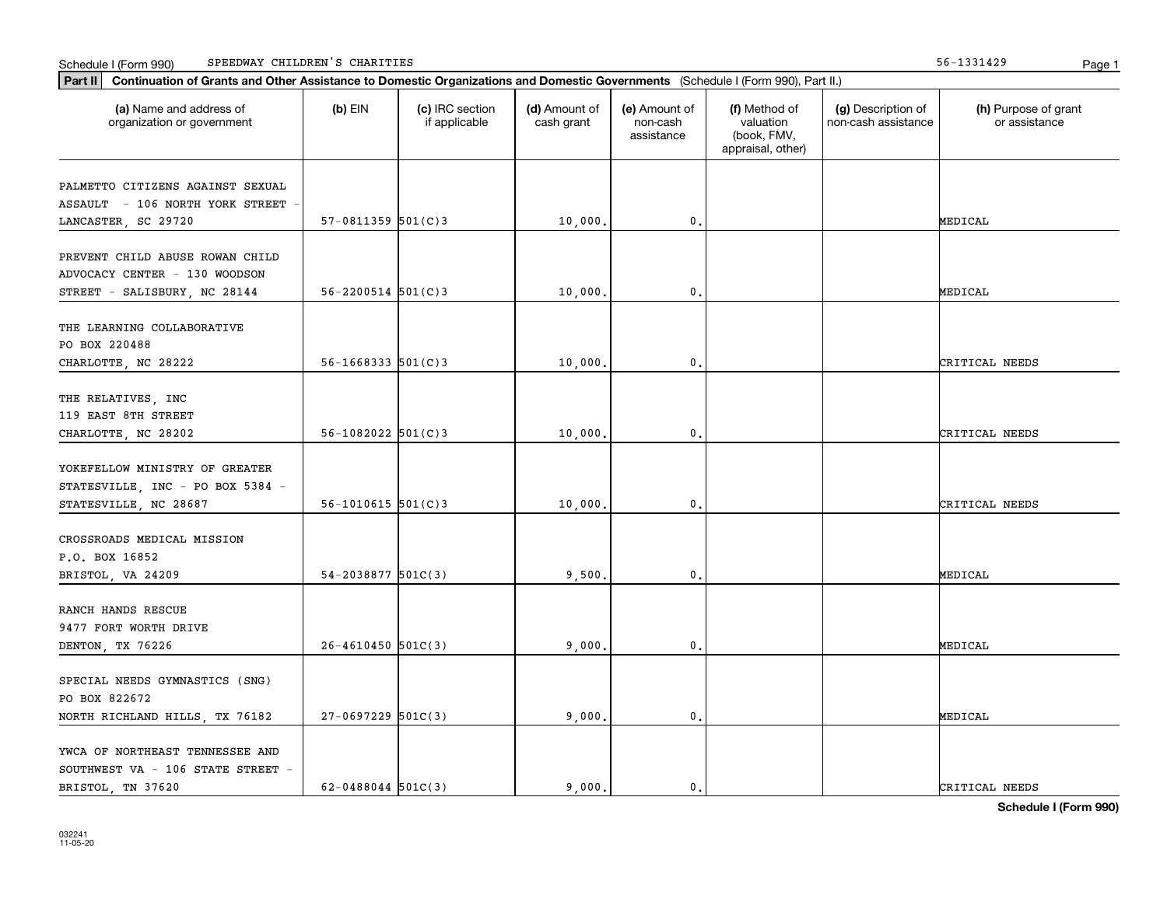|  | Schedule I (Form 990) | SPEEDWAY CHILDREN'S | CHARITIES | .<br>1991427 | Page |  |
|--|-----------------------|---------------------|-----------|--------------|------|--|
|--|-----------------------|---------------------|-----------|--------------|------|--|

| Part II   Continuation of Grants and Other Assistance to Domestic Organizations and Domestic Governments (Schedule I (Form 990), Part II.) |                          |                                  |                             |                                         |                                                                |                                           |                                       |
|--------------------------------------------------------------------------------------------------------------------------------------------|--------------------------|----------------------------------|-----------------------------|-----------------------------------------|----------------------------------------------------------------|-------------------------------------------|---------------------------------------|
| (a) Name and address of<br>organization or government                                                                                      | $(b)$ EIN                | (c) IRC section<br>if applicable | (d) Amount of<br>cash grant | (e) Amount of<br>non-cash<br>assistance | (f) Method of<br>valuation<br>(book, FMV,<br>appraisal, other) | (g) Description of<br>non-cash assistance | (h) Purpose of grant<br>or assistance |
| PALMETTO CITIZENS AGAINST SEXUAL                                                                                                           |                          |                                  |                             |                                         |                                                                |                                           |                                       |
| ASSAULT - 106 NORTH YORK STREET<br>LANCASTER, SC 29720                                                                                     | $57-0811359$ $501(C)3$   |                                  | 10,000.                     | $\mathbf 0$ .                           |                                                                |                                           | MEDICAL                               |
| PREVENT CHILD ABUSE ROWAN CHILD                                                                                                            |                          |                                  |                             |                                         |                                                                |                                           |                                       |
| ADVOCACY CENTER - 130 WOODSON<br>STREET - SALISBURY, NC 28144                                                                              | $56 - 2200514$ $501(C)3$ |                                  | 10,000                      | $\mathbf{0}$ .                          |                                                                |                                           | MEDICAL                               |
| THE LEARNING COLLABORATIVE                                                                                                                 |                          |                                  |                             |                                         |                                                                |                                           |                                       |
| PO BOX 220488<br>CHARLOTTE, NC 28222                                                                                                       | $56 - 1668333$ $501(C)3$ |                                  | 10,000.                     | $\mathbf{0}$ .                          |                                                                |                                           | CRITICAL NEEDS                        |
|                                                                                                                                            |                          |                                  |                             |                                         |                                                                |                                           |                                       |
| THE RELATIVES, INC<br>119 EAST 8TH STREET                                                                                                  |                          |                                  |                             |                                         |                                                                |                                           |                                       |
| CHARLOTTE, NC 28202                                                                                                                        | $56 - 1082022$ $501(C)3$ |                                  | 10,000                      | $\mathbf 0$ .                           |                                                                |                                           | CRITICAL NEEDS                        |
| YOKEFELLOW MINISTRY OF GREATER                                                                                                             |                          |                                  |                             |                                         |                                                                |                                           |                                       |
| STATESVILLE, INC - PO BOX 5384 -<br>STATESVILLE, NC 28687                                                                                  | $56 - 1010615$ $501(C)3$ |                                  | 10,000                      | $\mathbf{0}$                            |                                                                |                                           | CRITICAL NEEDS                        |
| CROSSROADS MEDICAL MISSION                                                                                                                 |                          |                                  |                             |                                         |                                                                |                                           |                                       |
| P.O. BOX 16852                                                                                                                             |                          |                                  |                             |                                         |                                                                |                                           |                                       |
| BRISTOL, VA 24209                                                                                                                          | $54 - 2038877$ 501C(3)   |                                  | 9,500.                      | 0.                                      |                                                                |                                           | MEDICAL                               |
| RANCH HANDS RESCUE                                                                                                                         |                          |                                  |                             |                                         |                                                                |                                           |                                       |
| 9477 FORT WORTH DRIVE                                                                                                                      |                          |                                  |                             |                                         |                                                                |                                           |                                       |
| DENTON, TX 76226                                                                                                                           | $26 - 4610450$ 501C(3)   |                                  | 9,000.                      | $\mathbf{0}$ .                          |                                                                |                                           | MEDICAL                               |
| SPECIAL NEEDS GYMNASTICS (SNG)<br>PO BOX 822672                                                                                            |                          |                                  |                             |                                         |                                                                |                                           |                                       |
| NORTH RICHLAND HILLS, TX 76182                                                                                                             | $27-0697229$ 501C(3)     |                                  | 9,000.                      | $\mathbf{0}$ .                          |                                                                |                                           | MEDICAL                               |
| YWCA OF NORTHEAST TENNESSEE AND<br>SOUTHWEST VA - 106 STATE STREET -                                                                       |                          |                                  |                             |                                         |                                                                |                                           |                                       |
| BRISTOL, TN 37620                                                                                                                          | $62 - 0488044$ 501C(3)   |                                  | 9.000.                      | $\mathbf{0}$ .                          |                                                                |                                           | CRITICAL NEEDS                        |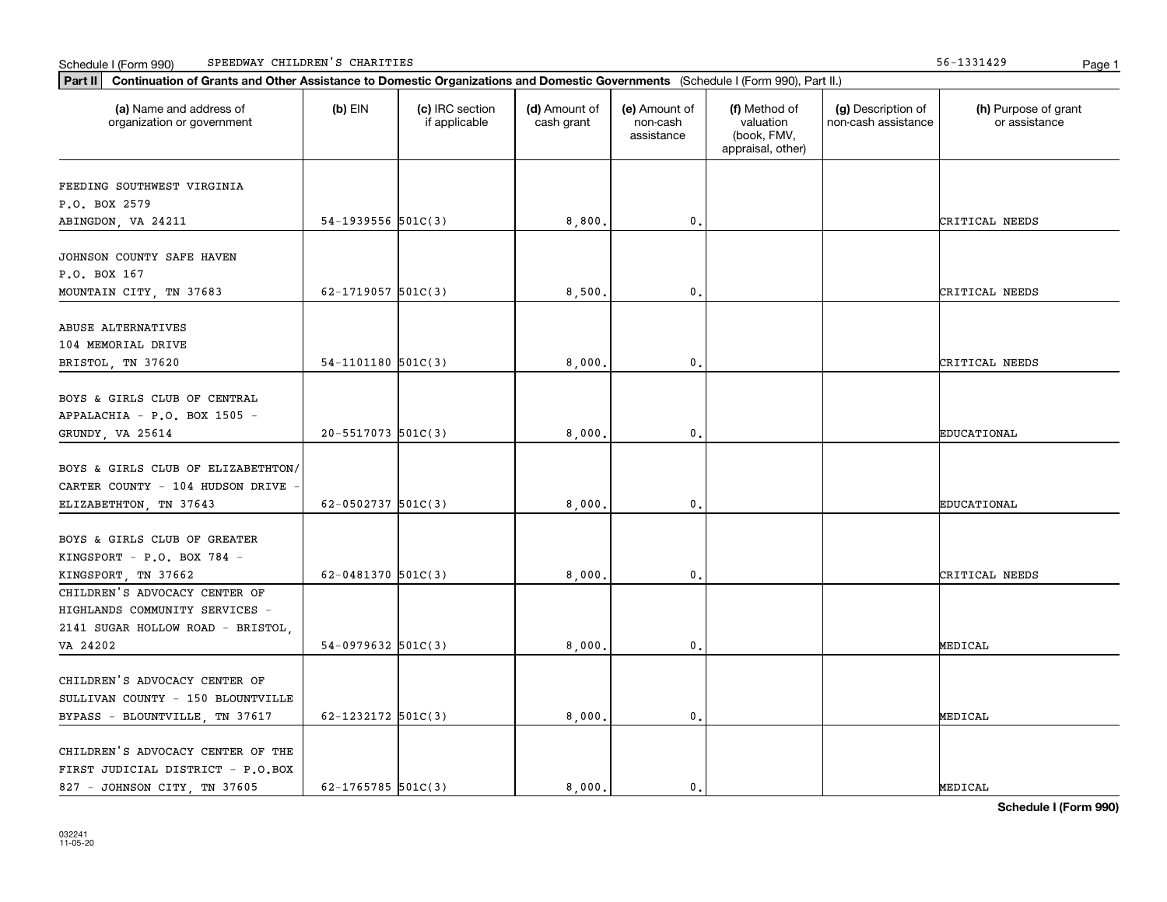|  | Schedule I (Form 990) | SPEEDWAY CHILDREN'S | CHARITIES | .<br>1991427 | Page |  |
|--|-----------------------|---------------------|-----------|--------------|------|--|
|--|-----------------------|---------------------|-----------|--------------|------|--|

| Part II   Continuation of Grants and Other Assistance to Domestic Organizations and Domestic Governments (Schedule I (Form 990), Part II.) |                        |                                  |                             |                                         |                                                                |                                           |                                       |
|--------------------------------------------------------------------------------------------------------------------------------------------|------------------------|----------------------------------|-----------------------------|-----------------------------------------|----------------------------------------------------------------|-------------------------------------------|---------------------------------------|
| (a) Name and address of<br>organization or government                                                                                      | $(b)$ EIN              | (c) IRC section<br>if applicable | (d) Amount of<br>cash grant | (e) Amount of<br>non-cash<br>assistance | (f) Method of<br>valuation<br>(book, FMV,<br>appraisal, other) | (g) Description of<br>non-cash assistance | (h) Purpose of grant<br>or assistance |
| FEEDING SOUTHWEST VIRGINIA                                                                                                                 |                        |                                  |                             |                                         |                                                                |                                           |                                       |
| P.O. BOX 2579                                                                                                                              |                        |                                  |                             |                                         |                                                                |                                           |                                       |
| ABINGDON, VA 24211                                                                                                                         | $54-1939556$ $501C(3)$ |                                  | 8,800.                      | 0.                                      |                                                                |                                           | CRITICAL NEEDS                        |
|                                                                                                                                            |                        |                                  |                             |                                         |                                                                |                                           |                                       |
| JOHNSON COUNTY SAFE HAVEN                                                                                                                  |                        |                                  |                             |                                         |                                                                |                                           |                                       |
| P.O. BOX 167                                                                                                                               |                        |                                  |                             |                                         |                                                                |                                           |                                       |
| MOUNTAIN CITY, TN 37683                                                                                                                    | 62-1719057 $501C(3)$   |                                  | 8,500                       | 0.                                      |                                                                |                                           | CRITICAL NEEDS                        |
|                                                                                                                                            |                        |                                  |                             |                                         |                                                                |                                           |                                       |
| ABUSE ALTERNATIVES                                                                                                                         |                        |                                  |                             |                                         |                                                                |                                           |                                       |
| 104 MEMORIAL DRIVE                                                                                                                         |                        |                                  |                             |                                         |                                                                |                                           |                                       |
| BRISTOL, TN 37620                                                                                                                          | $54-1101180$ $501C(3)$ |                                  | 8,000.                      | 0.                                      |                                                                |                                           | CRITICAL NEEDS                        |
| BOYS & GIRLS CLUB OF CENTRAL                                                                                                               |                        |                                  |                             |                                         |                                                                |                                           |                                       |
| APPALACHIA - P.O. BOX 1505 -                                                                                                               |                        |                                  |                             |                                         |                                                                |                                           |                                       |
| GRUNDY, VA 25614                                                                                                                           | 20-5517073 501C(3)     |                                  | 8,000,                      | 0.                                      |                                                                |                                           | EDUCATIONAL                           |
|                                                                                                                                            |                        |                                  |                             |                                         |                                                                |                                           |                                       |
| BOYS & GIRLS CLUB OF ELIZABETHTON/                                                                                                         |                        |                                  |                             |                                         |                                                                |                                           |                                       |
| CARTER COUNTY - 104 HUDSON DRIVE                                                                                                           |                        |                                  |                             |                                         |                                                                |                                           |                                       |
| ELIZABETHTON, TN 37643                                                                                                                     | 62-0502737 $501C(3)$   |                                  | 8,000,                      | 0.                                      |                                                                |                                           | EDUCATIONAL                           |
|                                                                                                                                            |                        |                                  |                             |                                         |                                                                |                                           |                                       |
| BOYS & GIRLS CLUB OF GREATER                                                                                                               |                        |                                  |                             |                                         |                                                                |                                           |                                       |
| KINGSPORT - P.O. BOX 784 -                                                                                                                 |                        |                                  |                             |                                         |                                                                |                                           |                                       |
| KINGSPORT, TN 37662                                                                                                                        | 62-0481370 $501C(3)$   |                                  | 8,000,                      | 0.                                      |                                                                |                                           | CRITICAL NEEDS                        |
| CHILDREN'S ADVOCACY CENTER OF                                                                                                              |                        |                                  |                             |                                         |                                                                |                                           |                                       |
| HIGHLANDS COMMUNITY SERVICES -                                                                                                             |                        |                                  |                             |                                         |                                                                |                                           |                                       |
| 2141 SUGAR HOLLOW ROAD - BRISTOL,                                                                                                          |                        |                                  |                             |                                         |                                                                |                                           |                                       |
| VA 24202                                                                                                                                   | $54-0979632$ 501C(3)   |                                  | 8,000,                      | 0.                                      |                                                                |                                           | MEDICAL                               |
|                                                                                                                                            |                        |                                  |                             |                                         |                                                                |                                           |                                       |
| CHILDREN'S ADVOCACY CENTER OF                                                                                                              |                        |                                  |                             |                                         |                                                                |                                           |                                       |
| SULLIVAN COUNTY - 150 BLOUNTVILLE                                                                                                          |                        |                                  |                             |                                         |                                                                |                                           |                                       |
| BYPASS - BLOUNTVILLE, TN 37617                                                                                                             | $62 - 1232172$ 501C(3) |                                  | 8,000,                      | $\mathfrak o$ .                         |                                                                |                                           | MEDICAL                               |
| CHILDREN'S ADVOCACY CENTER OF THE                                                                                                          |                        |                                  |                             |                                         |                                                                |                                           |                                       |
| FIRST JUDICIAL DISTRICT - P.O.BOX                                                                                                          |                        |                                  |                             |                                         |                                                                |                                           |                                       |
| 827 - JOHNSON CITY, TN 37605                                                                                                               | 62-1765785 $501C(3)$   |                                  | 8.000.                      | $\mathbf{0}$ .                          |                                                                |                                           | MEDICAL                               |
|                                                                                                                                            |                        |                                  |                             |                                         |                                                                |                                           |                                       |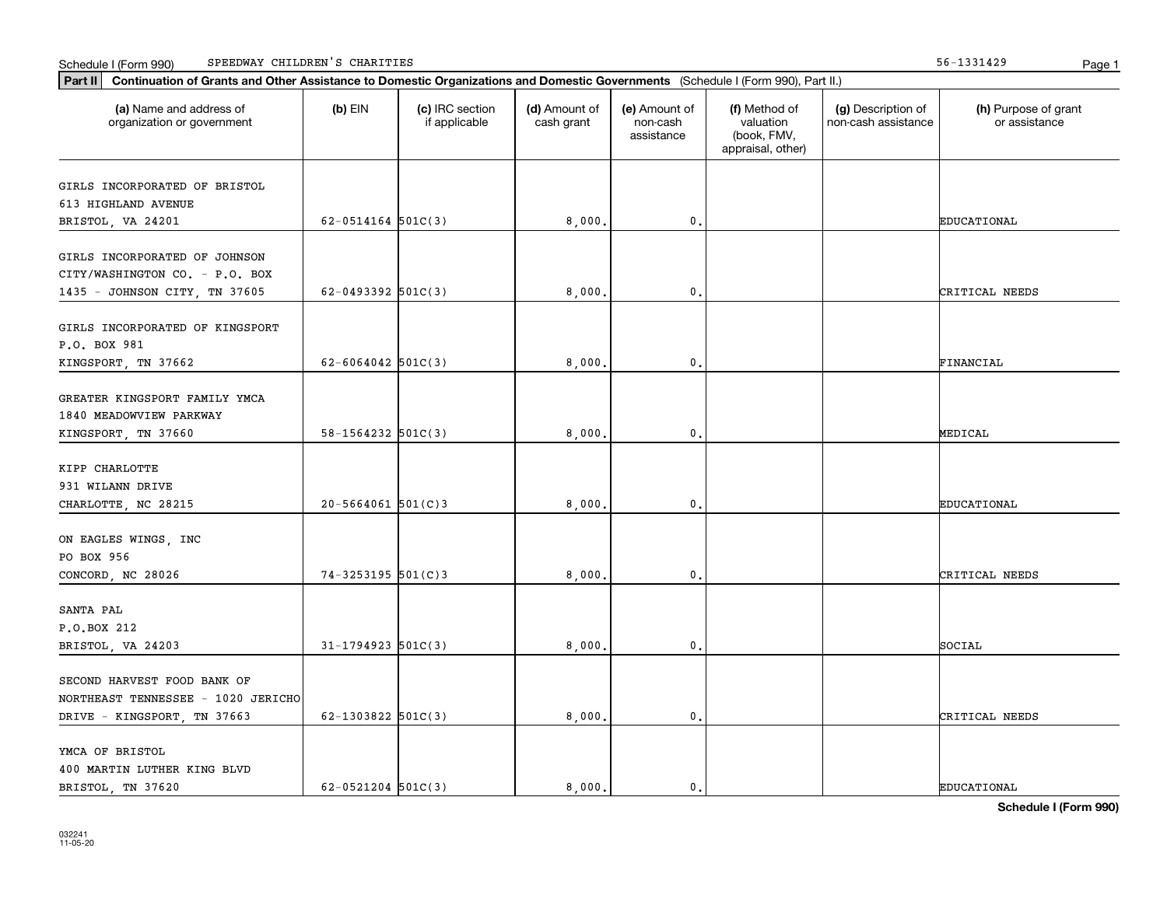|  | Schedule I (Form 990) | SPEEDWAY CHILDREN'S | CHARITIES | .<br>1991427 | Page |  |
|--|-----------------------|---------------------|-----------|--------------|------|--|
|--|-----------------------|---------------------|-----------|--------------|------|--|

| Part II   Continuation of Grants and Other Assistance to Domestic Organizations and Domestic Governments (Schedule I (Form 990), Part II.) |                        |                                  |                             |                                         |                                                                |                                           |                                       |
|--------------------------------------------------------------------------------------------------------------------------------------------|------------------------|----------------------------------|-----------------------------|-----------------------------------------|----------------------------------------------------------------|-------------------------------------------|---------------------------------------|
| (a) Name and address of<br>organization or government                                                                                      | $(b)$ EIN              | (c) IRC section<br>if applicable | (d) Amount of<br>cash grant | (e) Amount of<br>non-cash<br>assistance | (f) Method of<br>valuation<br>(book, FMV,<br>appraisal, other) | (g) Description of<br>non-cash assistance | (h) Purpose of grant<br>or assistance |
| GIRLS INCORPORATED OF BRISTOL                                                                                                              |                        |                                  |                             |                                         |                                                                |                                           |                                       |
| 613 HIGHLAND AVENUE                                                                                                                        |                        |                                  |                             |                                         |                                                                |                                           |                                       |
| BRISTOL, VA 24201                                                                                                                          | $62-0514164$ $501C(3)$ |                                  | 8,000.                      | 0.                                      |                                                                |                                           | EDUCATIONAL                           |
|                                                                                                                                            |                        |                                  |                             |                                         |                                                                |                                           |                                       |
| GIRLS INCORPORATED OF JOHNSON                                                                                                              |                        |                                  |                             |                                         |                                                                |                                           |                                       |
| CITY/WASHINGTON CO. - P.O. BOX                                                                                                             |                        |                                  |                             |                                         |                                                                |                                           |                                       |
| 1435 - JOHNSON CITY, TN 37605                                                                                                              | $62 - 0493392$ 501C(3) |                                  | 8,000                       | 0.                                      |                                                                |                                           | CRITICAL NEEDS                        |
|                                                                                                                                            |                        |                                  |                             |                                         |                                                                |                                           |                                       |
| GIRLS INCORPORATED OF KINGSPORT                                                                                                            |                        |                                  |                             |                                         |                                                                |                                           |                                       |
| P.O. BOX 981                                                                                                                               |                        |                                  |                             |                                         |                                                                |                                           |                                       |
| KINGSPORT, TN 37662                                                                                                                        | $62 - 6064042$ 501C(3) |                                  | 8,000                       | $\mathsf{0}\,.$                         |                                                                |                                           | FINANCIAL                             |
| GREATER KINGSPORT FAMILY YMCA                                                                                                              |                        |                                  |                             |                                         |                                                                |                                           |                                       |
| 1840 MEADOWVIEW PARKWAY                                                                                                                    |                        |                                  |                             |                                         |                                                                |                                           |                                       |
| KINGSPORT, TN 37660                                                                                                                        | 58-1564232 501C(3)     |                                  | 8,000.                      | $\mathbf 0$ .                           |                                                                |                                           | MEDICAL                               |
|                                                                                                                                            |                        |                                  |                             |                                         |                                                                |                                           |                                       |
| KIPP CHARLOTTE                                                                                                                             |                        |                                  |                             |                                         |                                                                |                                           |                                       |
| 931 WILANN DRIVE                                                                                                                           |                        |                                  |                             |                                         |                                                                |                                           |                                       |
| CHARLOTTE, NC 28215                                                                                                                        | $20 - 5664061$ 501(C)3 |                                  | 8,000,                      | 0.                                      |                                                                |                                           | EDUCATIONAL                           |
|                                                                                                                                            |                        |                                  |                             |                                         |                                                                |                                           |                                       |
| ON EAGLES WINGS, INC                                                                                                                       |                        |                                  |                             |                                         |                                                                |                                           |                                       |
| PO BOX 956                                                                                                                                 |                        |                                  |                             |                                         |                                                                |                                           |                                       |
| CONCORD, NC 28026                                                                                                                          | 74-3253195 501(C)3     |                                  | 8,000,                      | 0.                                      |                                                                |                                           | CRITICAL NEEDS                        |
|                                                                                                                                            |                        |                                  |                             |                                         |                                                                |                                           |                                       |
| SANTA PAL                                                                                                                                  |                        |                                  |                             |                                         |                                                                |                                           |                                       |
| P.O.BOX 212                                                                                                                                |                        |                                  |                             |                                         |                                                                |                                           |                                       |
| BRISTOL, VA 24203                                                                                                                          | $31 - 1794923$ 501C(3) |                                  | 8,000.                      | 0.                                      |                                                                |                                           | SOCIAL                                |
|                                                                                                                                            |                        |                                  |                             |                                         |                                                                |                                           |                                       |
| SECOND HARVEST FOOD BANK OF                                                                                                                |                        |                                  |                             |                                         |                                                                |                                           |                                       |
| NORTHEAST TENNESSEE - 1020 JERICHO                                                                                                         |                        |                                  |                             |                                         |                                                                |                                           |                                       |
| DRIVE - KINGSPORT, TN 37663                                                                                                                | $62 - 1303822$ 501C(3) |                                  | 8,000,                      | $\mathfrak o$ .                         |                                                                |                                           | CRITICAL NEEDS                        |
| YMCA OF BRISTOL                                                                                                                            |                        |                                  |                             |                                         |                                                                |                                           |                                       |
| 400 MARTIN LUTHER KING BLVD                                                                                                                |                        |                                  |                             |                                         |                                                                |                                           |                                       |
| BRISTOL, TN 37620                                                                                                                          | $62 - 0521204$ 501C(3) |                                  | 8.000.                      | $\mathbf{0}$ .                          |                                                                |                                           | <b>EDUCATIONAL</b>                    |
|                                                                                                                                            |                        |                                  |                             |                                         |                                                                |                                           |                                       |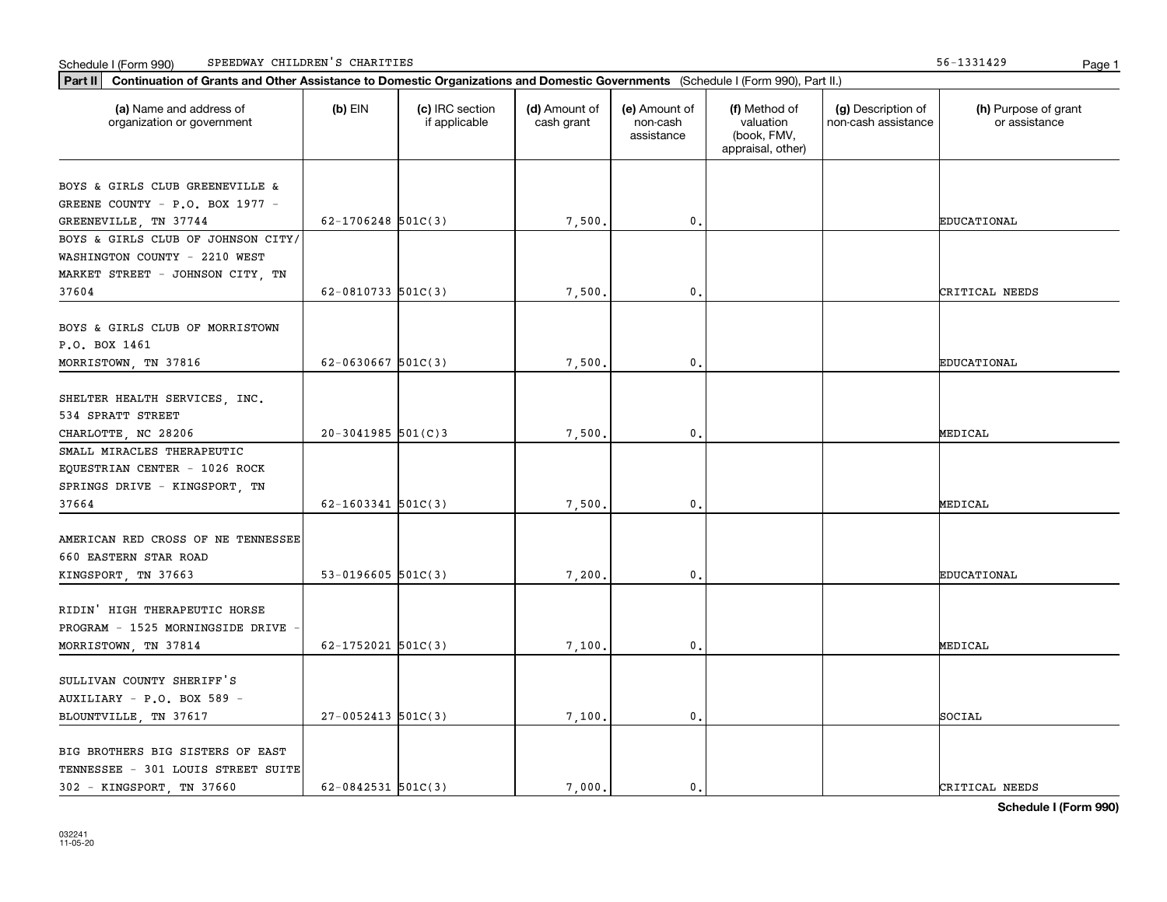#### Schedule I (Form 990) Page 1 SPEEDWAY CHILDREN'S CHARITIES 56-1331429

| Part II   Continuation of Grants and Other Assistance to Domestic Organizations and Domestic Governments (Schedule I (Form 990), Part II.) |                         |                                  |                             |                                         |                                                                |                                           |                                       |
|--------------------------------------------------------------------------------------------------------------------------------------------|-------------------------|----------------------------------|-----------------------------|-----------------------------------------|----------------------------------------------------------------|-------------------------------------------|---------------------------------------|
| (a) Name and address of<br>organization or government                                                                                      | $(b)$ EIN               | (c) IRC section<br>if applicable | (d) Amount of<br>cash grant | (e) Amount of<br>non-cash<br>assistance | (f) Method of<br>valuation<br>(book, FMV,<br>appraisal, other) | (g) Description of<br>non-cash assistance | (h) Purpose of grant<br>or assistance |
|                                                                                                                                            |                         |                                  |                             |                                         |                                                                |                                           |                                       |
| BOYS & GIRLS CLUB GREENEVILLE &<br>GREENE COUNTY - P.O. BOX 1977 -                                                                         |                         |                                  |                             |                                         |                                                                |                                           |                                       |
| GREENEVILLE, TN 37744                                                                                                                      | $62 - 1706248$ 501C(3)  |                                  | 7,500.                      | $\mathbf 0$ .                           |                                                                |                                           | <b>EDUCATIONAL</b>                    |
| BOYS & GIRLS CLUB OF JOHNSON CITY/                                                                                                         |                         |                                  |                             |                                         |                                                                |                                           |                                       |
| WASHINGTON COUNTY - 2210 WEST                                                                                                              |                         |                                  |                             |                                         |                                                                |                                           |                                       |
| MARKET STREET - JOHNSON CITY, TN                                                                                                           |                         |                                  |                             |                                         |                                                                |                                           |                                       |
| 37604                                                                                                                                      | $62 - 0810733$ 501C(3)  |                                  | 7,500.                      | $\mathbf{0}$ .                          |                                                                |                                           | CRITICAL NEEDS                        |
|                                                                                                                                            |                         |                                  |                             |                                         |                                                                |                                           |                                       |
| BOYS & GIRLS CLUB OF MORRISTOWN                                                                                                            |                         |                                  |                             |                                         |                                                                |                                           |                                       |
| P.O. BOX 1461                                                                                                                              |                         |                                  |                             |                                         |                                                                |                                           |                                       |
| MORRISTOWN, TN 37816                                                                                                                       | $62 - 0630667$ 501C(3)  |                                  | 7,500.                      | $\mathbf{0}$ .                          |                                                                |                                           | <b>EDUCATIONAL</b>                    |
|                                                                                                                                            |                         |                                  |                             |                                         |                                                                |                                           |                                       |
| SHELTER HEALTH SERVICES, INC.                                                                                                              |                         |                                  |                             |                                         |                                                                |                                           |                                       |
| 534 SPRATT STREET                                                                                                                          |                         |                                  |                             |                                         |                                                                |                                           |                                       |
| CHARLOTTE, NC 28206                                                                                                                        | $20 - 3041985$ 501(C) 3 |                                  | 7,500.                      | $\mathbf{0}$                            |                                                                |                                           | MEDICAL                               |
| SMALL MIRACLES THERAPEUTIC                                                                                                                 |                         |                                  |                             |                                         |                                                                |                                           |                                       |
| EQUESTRIAN CENTER - 1026 ROCK                                                                                                              |                         |                                  |                             |                                         |                                                                |                                           |                                       |
|                                                                                                                                            |                         |                                  |                             |                                         |                                                                |                                           |                                       |
| SPRINGS DRIVE - KINGSPORT, TN<br>37664                                                                                                     | $62 - 1603341$ 501C(3)  |                                  | 7,500                       | $\mathbf{0}$                            |                                                                |                                           | MEDICAL                               |
|                                                                                                                                            |                         |                                  |                             |                                         |                                                                |                                           |                                       |
| AMERICAN RED CROSS OF NE TENNESSEE                                                                                                         |                         |                                  |                             |                                         |                                                                |                                           |                                       |
| 660 EASTERN STAR ROAD                                                                                                                      |                         |                                  |                             |                                         |                                                                |                                           |                                       |
|                                                                                                                                            | $53-0196605$ $501C(3)$  |                                  | 7,200                       | $\mathbf{0}$ .                          |                                                                |                                           | <b>EDUCATIONAL</b>                    |
| KINGSPORT, TN 37663                                                                                                                        |                         |                                  |                             |                                         |                                                                |                                           |                                       |
| RIDIN' HIGH THERAPEUTIC HORSE                                                                                                              |                         |                                  |                             |                                         |                                                                |                                           |                                       |
|                                                                                                                                            |                         |                                  |                             |                                         |                                                                |                                           |                                       |
| PROGRAM - 1525 MORNINGSIDE DRIVE                                                                                                           |                         |                                  |                             |                                         |                                                                |                                           |                                       |
| MORRISTOWN, TN 37814                                                                                                                       | $62 - 1752021$ 501C(3)  |                                  | 7,100.                      | $\mathfrak{o}$ .                        |                                                                |                                           | MEDICAL                               |
|                                                                                                                                            |                         |                                  |                             |                                         |                                                                |                                           |                                       |
| SULLIVAN COUNTY SHERIFF'S                                                                                                                  |                         |                                  |                             |                                         |                                                                |                                           |                                       |
| AUXILIARY - P.O. BOX 589 -                                                                                                                 |                         |                                  |                             |                                         |                                                                |                                           |                                       |
| BLOUNTVILLE, TN 37617                                                                                                                      | $27-0052413$ 501C(3)    |                                  | 7,100.                      | $\mathbf{0}$                            |                                                                |                                           | SOCIAL                                |
|                                                                                                                                            |                         |                                  |                             |                                         |                                                                |                                           |                                       |
| BIG BROTHERS BIG SISTERS OF EAST                                                                                                           |                         |                                  |                             |                                         |                                                                |                                           |                                       |
| TENNESSEE - 301 LOUIS STREET SUITE                                                                                                         |                         |                                  |                             |                                         |                                                                |                                           |                                       |
| 302 - KINGSPORT, TN 37660                                                                                                                  | $62 - 0842531$ 501C(3)  |                                  | 7.000.                      | $\mathbf{0}$ .                          |                                                                |                                           | CRITICAL NEEDS                        |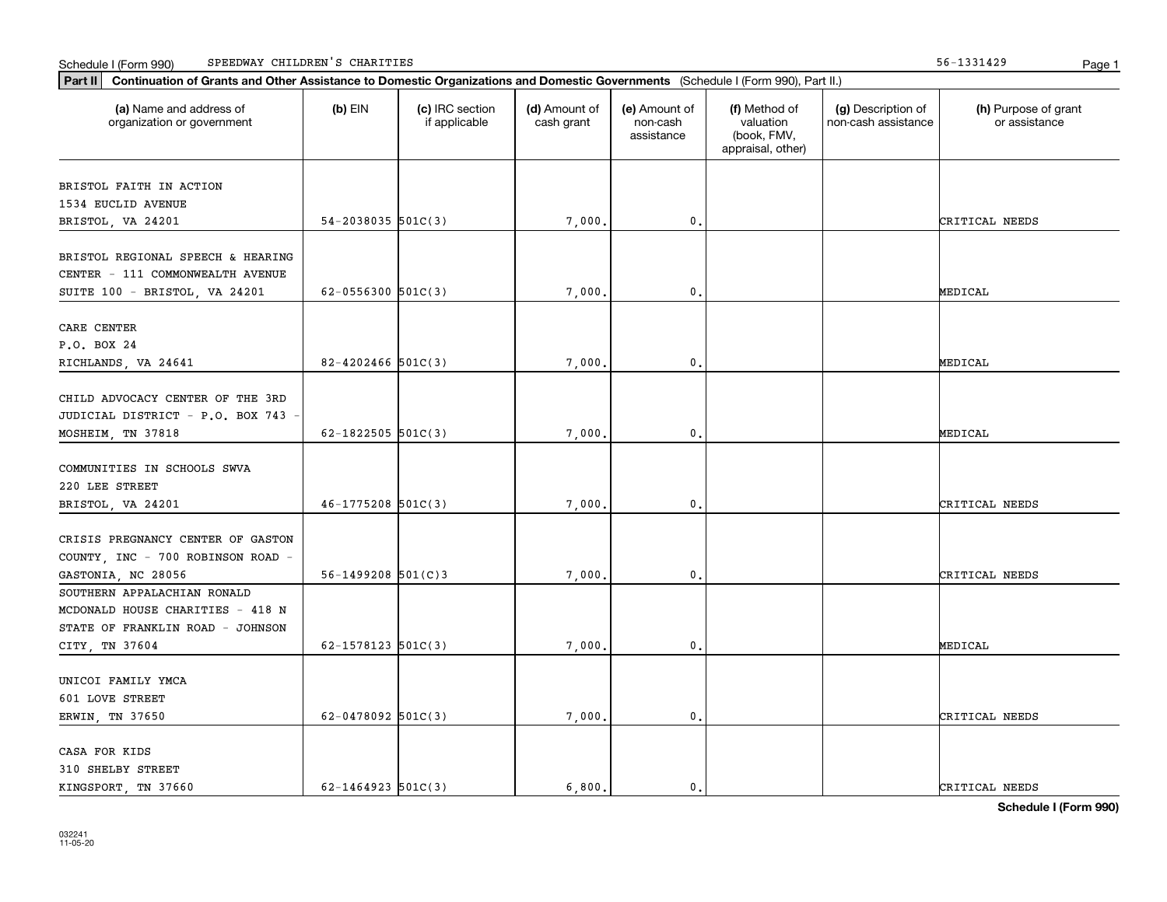|  | Schedule I (Form 990) | SPEEDWAY CHILDREN'S | CHARITIES | .<br>1991427 | Page |  |
|--|-----------------------|---------------------|-----------|--------------|------|--|
|--|-----------------------|---------------------|-----------|--------------|------|--|

| (a) Name and address of<br>organization or government | $(b)$ EIN                | (c) IRC section<br>if applicable | (d) Amount of<br>cash grant | (e) Amount of<br>non-cash<br>assistance | (f) Method of<br>valuation<br>(book, FMV,<br>appraisal, other) | (g) Description of<br>non-cash assistance | (h) Purpose of grant<br>or assistance |
|-------------------------------------------------------|--------------------------|----------------------------------|-----------------------------|-----------------------------------------|----------------------------------------------------------------|-------------------------------------------|---------------------------------------|
| BRISTOL FAITH IN ACTION                               |                          |                                  |                             |                                         |                                                                |                                           |                                       |
| 1534 EUCLID AVENUE                                    |                          |                                  |                             |                                         |                                                                |                                           |                                       |
| BRISTOL, VA 24201                                     | $54 - 2038035$ 501C(3)   |                                  | 7,000.                      | $\mathbf{0}$ .                          |                                                                |                                           | CRITICAL NEEDS                        |
| BRISTOL REGIONAL SPEECH & HEARING                     |                          |                                  |                             |                                         |                                                                |                                           |                                       |
| CENTER - 111 COMMONWEALTH AVENUE                      |                          |                                  |                             |                                         |                                                                |                                           |                                       |
| SUITE 100 - BRISTOL, VA 24201                         | $62 - 0556300$ $501C(3)$ |                                  | 7,000.                      | $\mathbf{0}$ .                          |                                                                |                                           | MEDICAL                               |
| CARE CENTER                                           |                          |                                  |                             |                                         |                                                                |                                           |                                       |
| P.O. BOX 24                                           |                          |                                  |                             |                                         |                                                                |                                           |                                       |
| RICHLANDS, VA 24641                                   | $82 - 4202466$ 501C(3)   |                                  | 7,000.                      | $\mathbf{0}$ .                          |                                                                |                                           | MEDICAL                               |
|                                                       |                          |                                  |                             |                                         |                                                                |                                           |                                       |
| CHILD ADVOCACY CENTER OF THE 3RD                      |                          |                                  |                             |                                         |                                                                |                                           |                                       |
| JUDICIAL DISTRICT - P.O. BOX 743 -                    |                          |                                  |                             |                                         |                                                                |                                           |                                       |
| MOSHEIM, TN 37818                                     | 62-1822505 $501C(3)$     |                                  | 7,000.                      | $\mathbf 0$ .                           |                                                                |                                           | MEDICAL                               |
| COMMUNITIES IN SCHOOLS SWVA                           |                          |                                  |                             |                                         |                                                                |                                           |                                       |
| 220 LEE STREET                                        |                          |                                  |                             |                                         |                                                                |                                           |                                       |
| BRISTOL, VA 24201                                     | $46 - 1775208$ 501C(3)   |                                  | 7,000.                      | $\mathbf{0}$                            |                                                                |                                           | CRITICAL NEEDS                        |
|                                                       |                          |                                  |                             |                                         |                                                                |                                           |                                       |
| CRISIS PREGNANCY CENTER OF GASTON                     |                          |                                  |                             |                                         |                                                                |                                           |                                       |
| COUNTY, INC - 700 ROBINSON ROAD -                     |                          |                                  |                             |                                         |                                                                |                                           |                                       |
| GASTONIA, NC 28056                                    | $56 - 1499208$ $501(C)3$ |                                  | 7,000.                      | 0.                                      |                                                                |                                           | CRITICAL NEEDS                        |
| SOUTHERN APPALACHIAN RONALD                           |                          |                                  |                             |                                         |                                                                |                                           |                                       |
| MCDONALD HOUSE CHARITIES - 418 N                      |                          |                                  |                             |                                         |                                                                |                                           |                                       |
| STATE OF FRANKLIN ROAD - JOHNSON                      |                          |                                  |                             |                                         |                                                                |                                           |                                       |
| CITY, TN 37604                                        | $62 - 1578123$ $501C(3)$ |                                  | 7,000.                      | $\mathbf{0}$ .                          |                                                                |                                           | MEDICAL                               |
| UNICOI FAMILY YMCA                                    |                          |                                  |                             |                                         |                                                                |                                           |                                       |
| 601 LOVE STREET                                       |                          |                                  |                             |                                         |                                                                |                                           |                                       |
| ERWIN, TN 37650                                       | $62 - 0478092$ 501C(3)   |                                  | 7,000.                      | $\mathbf{0}$ .                          |                                                                |                                           | CRITICAL NEEDS                        |
|                                                       |                          |                                  |                             |                                         |                                                                |                                           |                                       |
| CASA FOR KIDS                                         |                          |                                  |                             |                                         |                                                                |                                           |                                       |
| 310 SHELBY STREET                                     |                          |                                  |                             |                                         |                                                                |                                           |                                       |
| KINGSPORT, TN 37660                                   | $62 - 1464923$ 501C(3)   |                                  | 6.800.                      | $\mathbf{0}$ .                          |                                                                |                                           | CRITICAL NEEDS                        |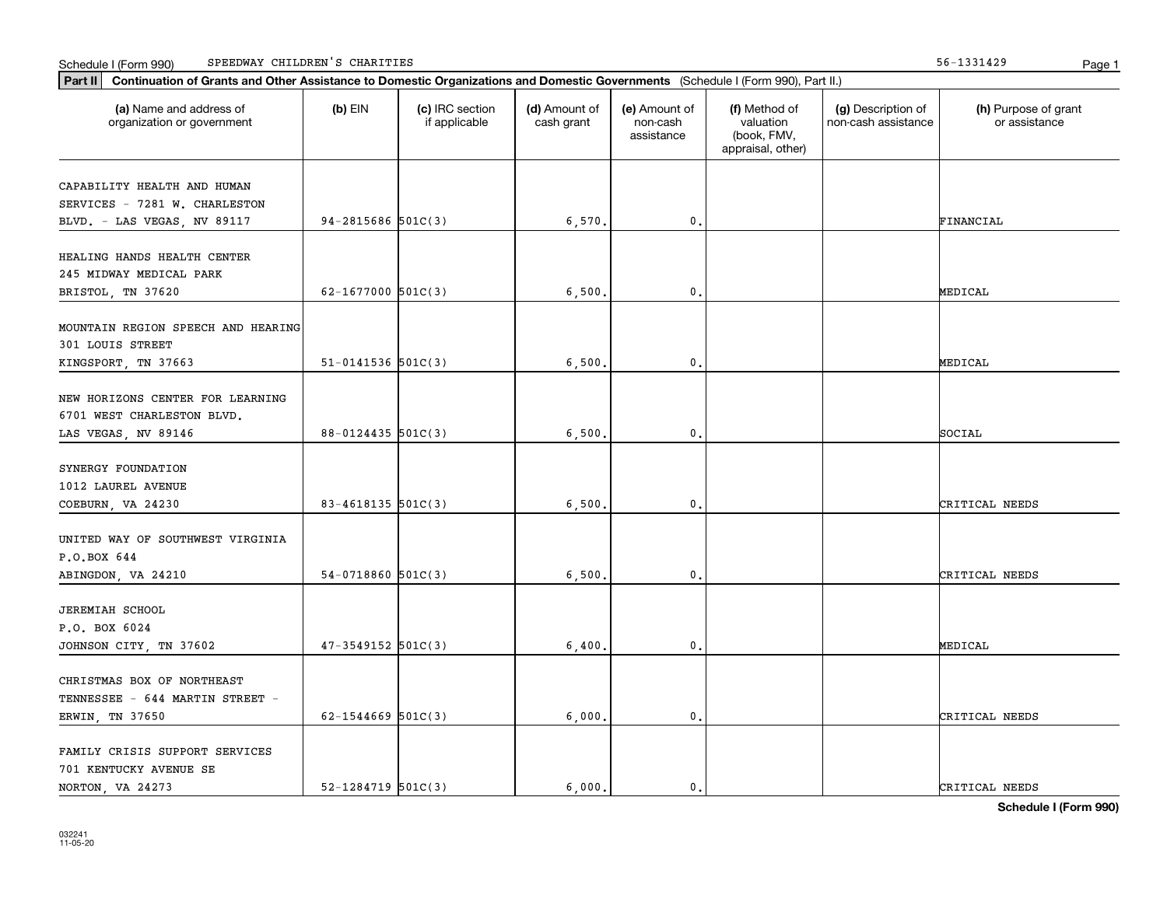Schedule I (Form 990) Page 1 SPEEDWAY CHILDREN'S CHARITIES 56-1331429

| Part II   Continuation of Grants and Other Assistance to Domestic Organizations and Domestic Governments (Schedule I (Form 990), Part II.) |                          |                                  |                             |                                         |                                                                |                                           |                                       |  |
|--------------------------------------------------------------------------------------------------------------------------------------------|--------------------------|----------------------------------|-----------------------------|-----------------------------------------|----------------------------------------------------------------|-------------------------------------------|---------------------------------------|--|
| (a) Name and address of<br>organization or government                                                                                      | $(b)$ EIN                | (c) IRC section<br>if applicable | (d) Amount of<br>cash grant | (e) Amount of<br>non-cash<br>assistance | (f) Method of<br>valuation<br>(book, FMV,<br>appraisal, other) | (g) Description of<br>non-cash assistance | (h) Purpose of grant<br>or assistance |  |
|                                                                                                                                            |                          |                                  |                             |                                         |                                                                |                                           |                                       |  |
| CAPABILITY HEALTH AND HUMAN<br>SERVICES - 7281 W. CHARLESTON                                                                               |                          |                                  |                             |                                         |                                                                |                                           |                                       |  |
| BLVD. - LAS VEGAS, NV 89117                                                                                                                | $94 - 2815686$ 501C(3)   |                                  | 6,570.                      | 0.                                      |                                                                |                                           | FINANCIAL                             |  |
|                                                                                                                                            |                          |                                  |                             |                                         |                                                                |                                           |                                       |  |
| HEALING HANDS HEALTH CENTER                                                                                                                |                          |                                  |                             |                                         |                                                                |                                           |                                       |  |
| 245 MIDWAY MEDICAL PARK                                                                                                                    |                          |                                  |                             |                                         |                                                                |                                           |                                       |  |
| BRISTOL, TN 37620                                                                                                                          | 62-1677000 $501C(3)$     |                                  | 6,500                       | 0.                                      |                                                                |                                           | MEDICAL                               |  |
|                                                                                                                                            |                          |                                  |                             |                                         |                                                                |                                           |                                       |  |
| MOUNTAIN REGION SPEECH AND HEARING                                                                                                         |                          |                                  |                             |                                         |                                                                |                                           |                                       |  |
| 301 LOUIS STREET                                                                                                                           |                          |                                  |                             |                                         |                                                                |                                           |                                       |  |
| KINGSPORT, TN 37663                                                                                                                        | $51 - 0141536$ 501C(3)   |                                  | 6,500.                      | $\mathsf{0}\,.$                         |                                                                |                                           | MEDICAL                               |  |
| NEW HORIZONS CENTER FOR LEARNING                                                                                                           |                          |                                  |                             |                                         |                                                                |                                           |                                       |  |
| 6701 WEST CHARLESTON BLVD.                                                                                                                 |                          |                                  |                             |                                         |                                                                |                                           |                                       |  |
| LAS VEGAS, NV 89146                                                                                                                        | 88-0124435 501C(3)       |                                  | 6,500.                      | $\mathbf 0$ .                           |                                                                |                                           | SOCIAL                                |  |
|                                                                                                                                            |                          |                                  |                             |                                         |                                                                |                                           |                                       |  |
| SYNERGY FOUNDATION                                                                                                                         |                          |                                  |                             |                                         |                                                                |                                           |                                       |  |
| 1012 LAUREL AVENUE                                                                                                                         |                          |                                  |                             |                                         |                                                                |                                           |                                       |  |
| COEBURN, VA 24230                                                                                                                          | 83-4618135 501C(3)       |                                  | 6, 500,                     | 0.                                      |                                                                |                                           | CRITICAL NEEDS                        |  |
|                                                                                                                                            |                          |                                  |                             |                                         |                                                                |                                           |                                       |  |
| UNITED WAY OF SOUTHWEST VIRGINIA                                                                                                           |                          |                                  |                             |                                         |                                                                |                                           |                                       |  |
| P.O.BOX 644                                                                                                                                |                          |                                  |                             |                                         |                                                                |                                           |                                       |  |
| ABINGDON, VA 24210                                                                                                                         | $54-0718860$ 501C(3)     |                                  | 6, 500,                     | 0.                                      |                                                                |                                           | CRITICAL NEEDS                        |  |
| <b>JEREMIAH SCHOOL</b>                                                                                                                     |                          |                                  |                             |                                         |                                                                |                                           |                                       |  |
| P.O. BOX 6024                                                                                                                              |                          |                                  |                             |                                         |                                                                |                                           |                                       |  |
| JOHNSON CITY, TN 37602                                                                                                                     | $47 - 3549152$ 501C(3)   |                                  | 6,400.                      | 0.                                      |                                                                |                                           | MEDICAL                               |  |
|                                                                                                                                            |                          |                                  |                             |                                         |                                                                |                                           |                                       |  |
| CHRISTMAS BOX OF NORTHEAST                                                                                                                 |                          |                                  |                             |                                         |                                                                |                                           |                                       |  |
| TENNESSEE - 644 MARTIN STREET -                                                                                                            |                          |                                  |                             |                                         |                                                                |                                           |                                       |  |
| ERWIN, TN 37650                                                                                                                            | $62 - 1544669$ 501C(3)   |                                  | 6,000,                      | $\mathfrak o$ .                         |                                                                |                                           | CRITICAL NEEDS                        |  |
|                                                                                                                                            |                          |                                  |                             |                                         |                                                                |                                           |                                       |  |
| FAMILY CRISIS SUPPORT SERVICES                                                                                                             |                          |                                  |                             |                                         |                                                                |                                           |                                       |  |
| 701 KENTUCKY AVENUE SE                                                                                                                     |                          |                                  |                             |                                         |                                                                |                                           |                                       |  |
| NORTON, VA 24273                                                                                                                           | $52 - 1284719$ $501C(3)$ |                                  | 6.000.                      | $\mathbf{0}$ .                          |                                                                |                                           | CRITICAL NEEDS                        |  |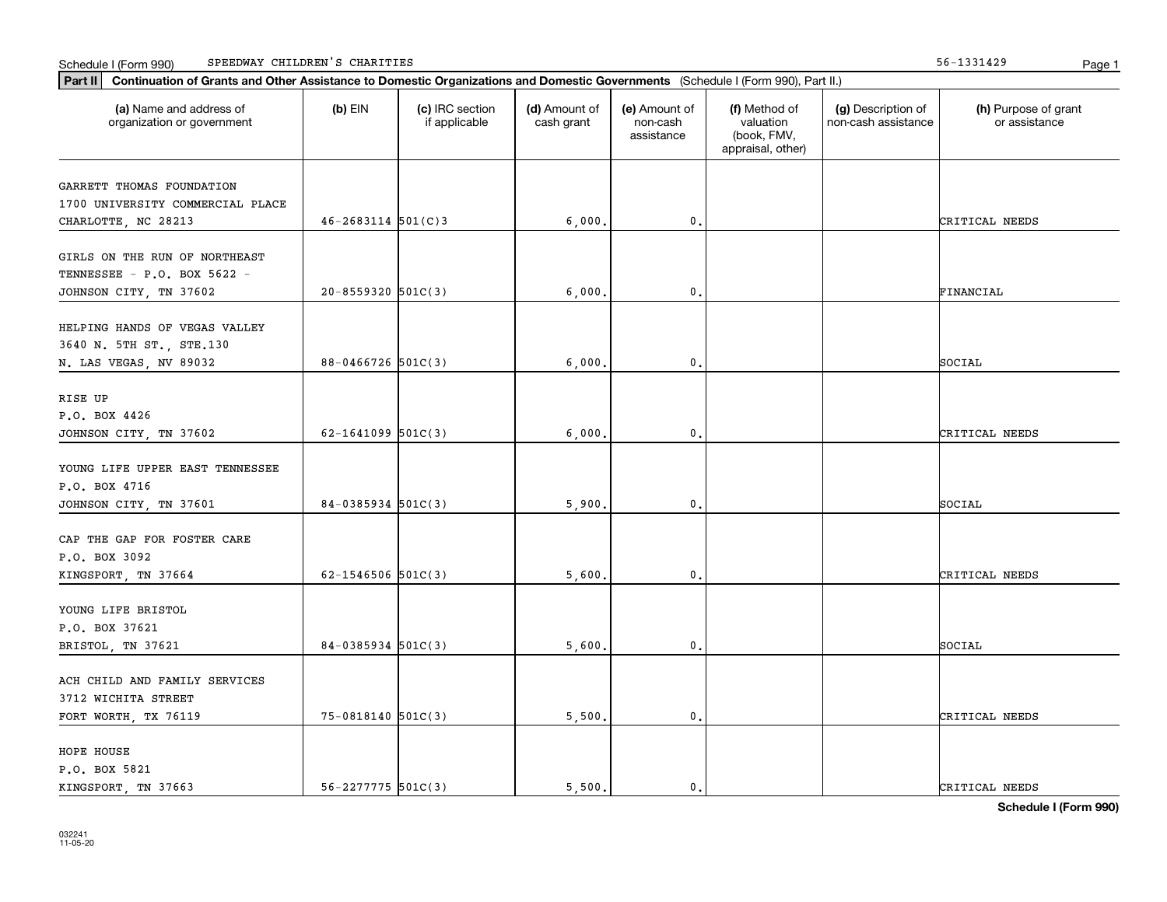|  | Schedule I (Form 990) | SPEEDWAY CHILDREN'S | CHARITIES | .<br>1991427 | Page |  |
|--|-----------------------|---------------------|-----------|--------------|------|--|
|--|-----------------------|---------------------|-----------|--------------|------|--|

| Part II   Continuation of Grants and Other Assistance to Domestic Organizations and Domestic Governments (Schedule I (Form 990), Part II.) |                          |                                  |                             |                                         |                                                                |                                           |                                       |
|--------------------------------------------------------------------------------------------------------------------------------------------|--------------------------|----------------------------------|-----------------------------|-----------------------------------------|----------------------------------------------------------------|-------------------------------------------|---------------------------------------|
| (a) Name and address of<br>organization or government                                                                                      | $(b)$ EIN                | (c) IRC section<br>if applicable | (d) Amount of<br>cash grant | (e) Amount of<br>non-cash<br>assistance | (f) Method of<br>valuation<br>(book, FMV,<br>appraisal, other) | (g) Description of<br>non-cash assistance | (h) Purpose of grant<br>or assistance |
|                                                                                                                                            |                          |                                  |                             |                                         |                                                                |                                           |                                       |
| GARRETT THOMAS FOUNDATION<br>1700 UNIVERSITY COMMERCIAL PLACE                                                                              |                          |                                  |                             |                                         |                                                                |                                           |                                       |
| CHARLOTTE, NC 28213                                                                                                                        | $46 - 2683114$ 501(C)3   |                                  | 6,000.                      | 0.                                      |                                                                |                                           | CRITICAL NEEDS                        |
|                                                                                                                                            |                          |                                  |                             |                                         |                                                                |                                           |                                       |
| GIRLS ON THE RUN OF NORTHEAST                                                                                                              |                          |                                  |                             |                                         |                                                                |                                           |                                       |
| TENNESSEE - P.O. BOX 5622 -                                                                                                                |                          |                                  |                             |                                         |                                                                |                                           |                                       |
| JOHNSON CITY, TN 37602                                                                                                                     | $20 - 8559320$ 501C(3)   |                                  | 6,000.                      | 0.                                      |                                                                |                                           | FINANCIAL                             |
|                                                                                                                                            |                          |                                  |                             |                                         |                                                                |                                           |                                       |
| HELPING HANDS OF VEGAS VALLEY                                                                                                              |                          |                                  |                             |                                         |                                                                |                                           |                                       |
| 3640 N. 5TH ST., STE.130                                                                                                                   |                          |                                  |                             |                                         |                                                                |                                           |                                       |
| N. LAS VEGAS, NV 89032                                                                                                                     | $88 - 0466726$ 501C(3)   |                                  | 6,000.                      | $\mathsf{0}\,.$                         |                                                                |                                           | SOCIAL                                |
| RISE UP                                                                                                                                    |                          |                                  |                             |                                         |                                                                |                                           |                                       |
| P.O. BOX 4426                                                                                                                              |                          |                                  |                             |                                         |                                                                |                                           |                                       |
| JOHNSON CITY, TN 37602                                                                                                                     | $62 - 1641099$ $501C(3)$ |                                  | 6,000,                      | $\mathbf 0$ .                           |                                                                |                                           | CRITICAL NEEDS                        |
|                                                                                                                                            |                          |                                  |                             |                                         |                                                                |                                           |                                       |
| YOUNG LIFE UPPER EAST TENNESSEE                                                                                                            |                          |                                  |                             |                                         |                                                                |                                           |                                       |
| P.O. BOX 4716                                                                                                                              |                          |                                  |                             |                                         |                                                                |                                           |                                       |
| JOHNSON CITY, TN 37601                                                                                                                     | $84-0385934$ 501C(3)     |                                  | 5,900.                      | 0.                                      |                                                                |                                           | SOCIAL                                |
|                                                                                                                                            |                          |                                  |                             |                                         |                                                                |                                           |                                       |
| CAP THE GAP FOR FOSTER CARE                                                                                                                |                          |                                  |                             |                                         |                                                                |                                           |                                       |
| P.O. BOX 3092                                                                                                                              |                          |                                  |                             |                                         |                                                                |                                           |                                       |
| KINGSPORT, TN 37664                                                                                                                        | $62 - 1546506$ 501C(3)   |                                  | 5,600,                      | 0.                                      |                                                                |                                           | CRITICAL NEEDS                        |
| YOUNG LIFE BRISTOL                                                                                                                         |                          |                                  |                             |                                         |                                                                |                                           |                                       |
| P.O. BOX 37621                                                                                                                             |                          |                                  |                             |                                         |                                                                |                                           |                                       |
| BRISTOL, TN 37621                                                                                                                          | $84-0385934$ 501C(3)     |                                  | 5,600.                      | 0.                                      |                                                                |                                           | SOCIAL                                |
|                                                                                                                                            |                          |                                  |                             |                                         |                                                                |                                           |                                       |
| ACH CHILD AND FAMILY SERVICES                                                                                                              |                          |                                  |                             |                                         |                                                                |                                           |                                       |
| 3712 WICHITA STREET                                                                                                                        |                          |                                  |                             |                                         |                                                                |                                           |                                       |
| FORT WORTH, TX 76119                                                                                                                       | 75-0818140 501C(3)       |                                  | 5,500.                      | $\mathfrak o$ .                         |                                                                |                                           | CRITICAL NEEDS                        |
|                                                                                                                                            |                          |                                  |                             |                                         |                                                                |                                           |                                       |
| HOPE HOUSE                                                                                                                                 |                          |                                  |                             |                                         |                                                                |                                           |                                       |
| P.O. BOX 5821                                                                                                                              |                          |                                  |                             |                                         |                                                                |                                           |                                       |
| KINGSPORT, TN 37663                                                                                                                        | $56 - 2277775$ 501C(3)   |                                  | 5.500.                      | $\mathbf{0}$ .                          |                                                                |                                           | CRITICAL NEEDS                        |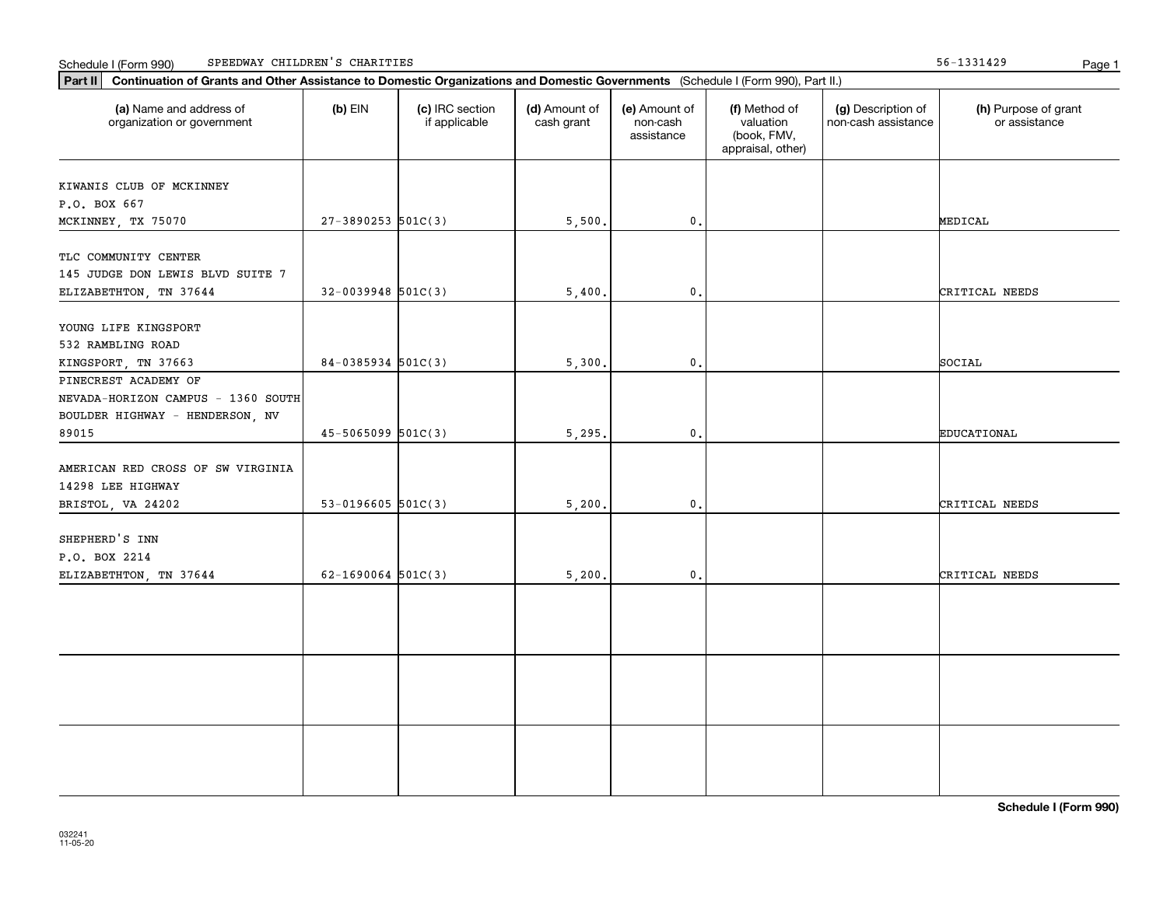|  | Schedule I (Form 990) | SPEEDWAY CHILDREN'S | CHARITIES | .<br>1991427 | Page |  |
|--|-----------------------|---------------------|-----------|--------------|------|--|
|--|-----------------------|---------------------|-----------|--------------|------|--|

56-1331429

| Part II   Continuation of Grants and Other Assistance to Domestic Organizations and Domestic Governments (Schedule I (Form 990), Part II.) |                        |                                  |                             |                                         |                                                                |                                           |                                       |
|--------------------------------------------------------------------------------------------------------------------------------------------|------------------------|----------------------------------|-----------------------------|-----------------------------------------|----------------------------------------------------------------|-------------------------------------------|---------------------------------------|
| (a) Name and address of<br>organization or government                                                                                      | $(b)$ EIN              | (c) IRC section<br>if applicable | (d) Amount of<br>cash grant | (e) Amount of<br>non-cash<br>assistance | (f) Method of<br>valuation<br>(book, FMV,<br>appraisal, other) | (g) Description of<br>non-cash assistance | (h) Purpose of grant<br>or assistance |
|                                                                                                                                            |                        |                                  |                             |                                         |                                                                |                                           |                                       |
| KIWANIS CLUB OF MCKINNEY                                                                                                                   |                        |                                  |                             |                                         |                                                                |                                           |                                       |
| P.O. BOX 667<br>MCKINNEY, TX 75070                                                                                                         | $27 - 3890253$ 501C(3) |                                  | 5,500.                      | $\mathsf{0}\,.$                         |                                                                |                                           | MEDICAL                               |
|                                                                                                                                            |                        |                                  |                             |                                         |                                                                |                                           |                                       |
| TLC COMMUNITY CENTER                                                                                                                       |                        |                                  |                             |                                         |                                                                |                                           |                                       |
| 145 JUDGE DON LEWIS BLVD SUITE 7                                                                                                           |                        |                                  |                             |                                         |                                                                |                                           |                                       |
| ELIZABETHTON, TN 37644                                                                                                                     | $32-0039948$ 501C(3)   |                                  | 5,400.                      | 0.                                      |                                                                |                                           | CRITICAL NEEDS                        |
|                                                                                                                                            |                        |                                  |                             |                                         |                                                                |                                           |                                       |
| YOUNG LIFE KINGSPORT                                                                                                                       |                        |                                  |                             |                                         |                                                                |                                           |                                       |
| 532 RAMBLING ROAD                                                                                                                          |                        |                                  |                             |                                         |                                                                |                                           |                                       |
| KINGSPORT, TN 37663                                                                                                                        | $84-0385934$ 501C(3)   |                                  | 5,300.                      | 0.                                      |                                                                |                                           | SOCIAL                                |
| PINECREST ACADEMY OF                                                                                                                       |                        |                                  |                             |                                         |                                                                |                                           |                                       |
| NEVADA-HORIZON CAMPUS - 1360 SOUTH                                                                                                         |                        |                                  |                             |                                         |                                                                |                                           |                                       |
| BOULDER HIGHWAY - HENDERSON, NV                                                                                                            |                        |                                  |                             |                                         |                                                                |                                           |                                       |
| 89015                                                                                                                                      | $45 - 5065099$ 501C(3) |                                  | 5,295.                      | 0.                                      |                                                                |                                           | EDUCATIONAL                           |
|                                                                                                                                            |                        |                                  |                             |                                         |                                                                |                                           |                                       |
| AMERICAN RED CROSS OF SW VIRGINIA                                                                                                          |                        |                                  |                             |                                         |                                                                |                                           |                                       |
| 14298 LEE HIGHWAY                                                                                                                          |                        |                                  |                             |                                         |                                                                |                                           |                                       |
| BRISTOL, VA 24202                                                                                                                          | $53 - 0196605$ 501C(3) |                                  | 5,200.                      | 0.                                      |                                                                |                                           | CRITICAL NEEDS                        |
| SHEPHERD'S INN                                                                                                                             |                        |                                  |                             |                                         |                                                                |                                           |                                       |
| P.O. BOX 2214                                                                                                                              |                        |                                  |                             |                                         |                                                                |                                           |                                       |
| ELIZABETHTON, TN 37644                                                                                                                     | $62 - 1690064$ 501C(3) |                                  | 5,200.                      | 0.                                      |                                                                |                                           | CRITICAL NEEDS                        |
|                                                                                                                                            |                        |                                  |                             |                                         |                                                                |                                           |                                       |
|                                                                                                                                            |                        |                                  |                             |                                         |                                                                |                                           |                                       |
|                                                                                                                                            |                        |                                  |                             |                                         |                                                                |                                           |                                       |
|                                                                                                                                            |                        |                                  |                             |                                         |                                                                |                                           |                                       |
|                                                                                                                                            |                        |                                  |                             |                                         |                                                                |                                           |                                       |
|                                                                                                                                            |                        |                                  |                             |                                         |                                                                |                                           |                                       |
|                                                                                                                                            |                        |                                  |                             |                                         |                                                                |                                           |                                       |
|                                                                                                                                            |                        |                                  |                             |                                         |                                                                |                                           |                                       |
|                                                                                                                                            |                        |                                  |                             |                                         |                                                                |                                           |                                       |
|                                                                                                                                            |                        |                                  |                             |                                         |                                                                |                                           |                                       |
|                                                                                                                                            |                        |                                  |                             |                                         |                                                                |                                           |                                       |
|                                                                                                                                            |                        |                                  |                             |                                         |                                                                |                                           |                                       |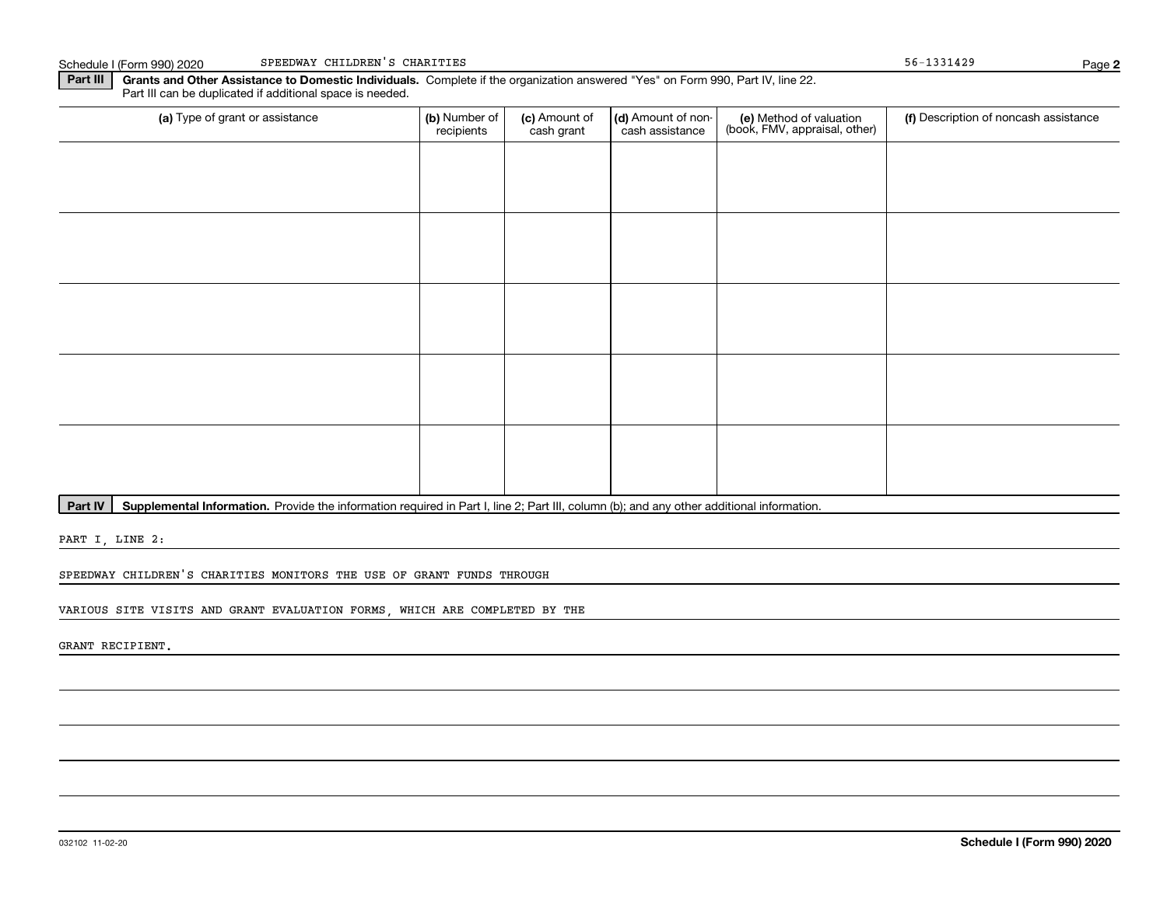Schedule I (Form 990) 2020 Page SPEEDWAY CHILDREN'S CHARITIES 56-1331429

**Part III | Grants and Other Assistance to Domestic Individuals. Complete if the organization answered "Yes" on Form 990, Part IV, line 22.** Part III can be duplicated if additional space is needed.

| (a) Type of grant or assistance | (b) Number of<br>recipients | (c) Amount of<br>cash grant | (d) Amount of non-<br>cash assistance | (e) Method of valuation<br>(book, FMV, appraisal, other) | (f) Description of noncash assistance |
|---------------------------------|-----------------------------|-----------------------------|---------------------------------------|----------------------------------------------------------|---------------------------------------|
|                                 |                             |                             |                                       |                                                          |                                       |
|                                 |                             |                             |                                       |                                                          |                                       |
|                                 |                             |                             |                                       |                                                          |                                       |
|                                 |                             |                             |                                       |                                                          |                                       |
|                                 |                             |                             |                                       |                                                          |                                       |
|                                 |                             |                             |                                       |                                                          |                                       |
|                                 |                             |                             |                                       |                                                          |                                       |
|                                 |                             |                             |                                       |                                                          |                                       |
|                                 |                             |                             |                                       |                                                          |                                       |
|                                 |                             |                             |                                       |                                                          |                                       |

Part IV | Supplemental Information. Provide the information required in Part I, line 2; Part III, column (b); and any other additional information.

PART I, LINE 2:

SPEEDWAY CHILDREN'S CHARITIES MONITORS THE USE OF GRANT FUNDS THROUGH

VARIOUS SITE VISITS AND GRANT EVALUATION FORMS, WHICH ARE COMPLETED BY THE

GRANT RECIPIENT.

**2**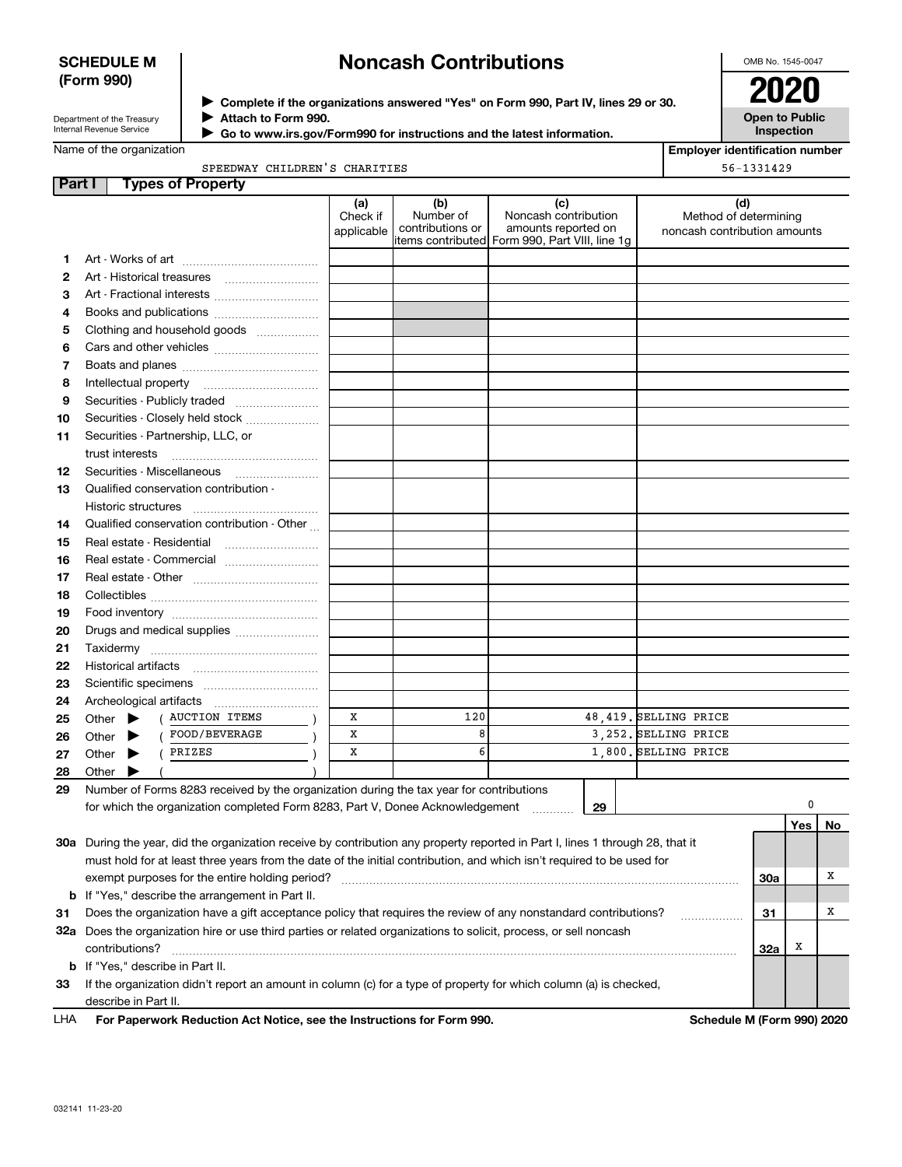## **SCHEDULE M (Form 990)**

# **Noncash Contributions**

OMB No. 1545-0047

| Department of the Treasury |  |
|----------------------------|--|
| Internal Revenue Service   |  |

**Complete if the organizations answered "Yes" on Form 990, Part IV, lines 29 or 30.** <sup>J</sup>**2020 Attach to Form 990.** J

 **Go to www.irs.gov/Form990 for instructions and the latest information.** J

**Open to Public Inspection**

**Employer identification number**

| Name of the organization |  |  |  |
|--------------------------|--|--|--|
|                          |  |  |  |

SPEEDWAY CHILDREN'S CHARITIES

|               | SPEEDWAY CHILDREN'S CHARITIES<br>56-1331429                                                                                    |                               |                                      |                                                                                                       |  |                                                       |     |     |    |  |
|---------------|--------------------------------------------------------------------------------------------------------------------------------|-------------------------------|--------------------------------------|-------------------------------------------------------------------------------------------------------|--|-------------------------------------------------------|-----|-----|----|--|
| <b>Part I</b> | <b>Types of Property</b>                                                                                                       |                               |                                      |                                                                                                       |  |                                                       |     |     |    |  |
|               |                                                                                                                                | (a)<br>Check if<br>applicable | (b)<br>Number of<br>contributions or | (c)<br>Noncash contribution<br>amounts reported on<br>litems contributed Form 990, Part VIII, line 1g |  | Method of determining<br>noncash contribution amounts | (d) |     |    |  |
| 1             |                                                                                                                                |                               |                                      |                                                                                                       |  |                                                       |     |     |    |  |
| 2             |                                                                                                                                |                               |                                      |                                                                                                       |  |                                                       |     |     |    |  |
| з             | Art - Fractional interests                                                                                                     |                               |                                      |                                                                                                       |  |                                                       |     |     |    |  |
| 4             | Books and publications                                                                                                         |                               |                                      |                                                                                                       |  |                                                       |     |     |    |  |
| 5             | Clothing and household goods                                                                                                   |                               |                                      |                                                                                                       |  |                                                       |     |     |    |  |
| 6             |                                                                                                                                |                               |                                      |                                                                                                       |  |                                                       |     |     |    |  |
| 7             |                                                                                                                                |                               |                                      |                                                                                                       |  |                                                       |     |     |    |  |
| 8             |                                                                                                                                |                               |                                      |                                                                                                       |  |                                                       |     |     |    |  |
| 9             | Securities - Publicly traded                                                                                                   |                               |                                      |                                                                                                       |  |                                                       |     |     |    |  |
| 10            | Securities - Closely held stock                                                                                                |                               |                                      |                                                                                                       |  |                                                       |     |     |    |  |
| 11            | Securities - Partnership, LLC, or                                                                                              |                               |                                      |                                                                                                       |  |                                                       |     |     |    |  |
|               | trust interests                                                                                                                |                               |                                      |                                                                                                       |  |                                                       |     |     |    |  |
| 12            |                                                                                                                                |                               |                                      |                                                                                                       |  |                                                       |     |     |    |  |
| 13            | Qualified conservation contribution -                                                                                          |                               |                                      |                                                                                                       |  |                                                       |     |     |    |  |
|               | Historic structures                                                                                                            |                               |                                      |                                                                                                       |  |                                                       |     |     |    |  |
| 14            | Qualified conservation contribution - Other                                                                                    |                               |                                      |                                                                                                       |  |                                                       |     |     |    |  |
| 15            | Real estate - Residential                                                                                                      |                               |                                      |                                                                                                       |  |                                                       |     |     |    |  |
| 16            | Real estate - Commercial                                                                                                       |                               |                                      |                                                                                                       |  |                                                       |     |     |    |  |
| 17            |                                                                                                                                |                               |                                      |                                                                                                       |  |                                                       |     |     |    |  |
| 18            |                                                                                                                                |                               |                                      |                                                                                                       |  |                                                       |     |     |    |  |
| 19            |                                                                                                                                |                               |                                      |                                                                                                       |  |                                                       |     |     |    |  |
| 20            | Drugs and medical supplies                                                                                                     |                               |                                      |                                                                                                       |  |                                                       |     |     |    |  |
| 21            |                                                                                                                                |                               |                                      |                                                                                                       |  |                                                       |     |     |    |  |
| 22            |                                                                                                                                |                               |                                      |                                                                                                       |  |                                                       |     |     |    |  |
| 23            |                                                                                                                                |                               |                                      |                                                                                                       |  |                                                       |     |     |    |  |
| 24            |                                                                                                                                |                               |                                      |                                                                                                       |  |                                                       |     |     |    |  |
| 25            | <b>AUCTION ITEMS</b><br>Other $\blacktriangleright$                                                                            | х                             | 120                                  |                                                                                                       |  | 48,419. SELLING PRICE                                 |     |     |    |  |
| 26            | FOOD/BEVERAGE<br>Other $\blacktriangleright$                                                                                   | x                             | 8                                    |                                                                                                       |  | 3,252. SELLING PRICE                                  |     |     |    |  |
| 27            | PRIZES<br>Other $\blacktriangleright$                                                                                          | X                             | 6                                    |                                                                                                       |  | 1,800. SELLING PRICE                                  |     |     |    |  |
| 28            | Other $\blacktriangleright$                                                                                                    |                               |                                      |                                                                                                       |  |                                                       |     |     |    |  |
| 29            | Number of Forms 8283 received by the organization during the tax year for contributions                                        |                               |                                      |                                                                                                       |  |                                                       |     |     |    |  |
|               | for which the organization completed Form 8283, Part V, Donee Acknowledgement                                                  |                               |                                      | 29<br>.                                                                                               |  |                                                       |     | 0   |    |  |
|               |                                                                                                                                |                               |                                      |                                                                                                       |  |                                                       |     | Yes | No |  |
|               | 30a During the year, did the organization receive by contribution any property reported in Part I, lines 1 through 28, that it |                               |                                      |                                                                                                       |  |                                                       |     |     |    |  |
|               | must hold for at least three years from the date of the initial contribution, and which isn't required to be used for          |                               |                                      |                                                                                                       |  |                                                       |     |     |    |  |
|               | exempt purposes for the entire holding period?                                                                                 |                               |                                      |                                                                                                       |  |                                                       | 30a |     | х  |  |
| b             | If "Yes," describe the arrangement in Part II.                                                                                 |                               |                                      |                                                                                                       |  |                                                       |     |     |    |  |
| 31            | Does the organization have a gift acceptance policy that requires the review of any nonstandard contributions?                 |                               |                                      |                                                                                                       |  |                                                       | 31  |     | х  |  |
|               | 32a Does the organization hire or use third parties or related organizations to solicit, process, or sell noncash              |                               |                                      |                                                                                                       |  |                                                       |     |     |    |  |
|               | contributions?                                                                                                                 |                               |                                      |                                                                                                       |  |                                                       | 32a | х   |    |  |
| b             | If "Yes," describe in Part II.                                                                                                 |                               |                                      |                                                                                                       |  |                                                       |     |     |    |  |
| 33            | If the organization didn't report an amount in column (c) for a type of property for which column (a) is checked,              |                               |                                      |                                                                                                       |  |                                                       |     |     |    |  |
|               | describe in Part II.                                                                                                           |                               |                                      |                                                                                                       |  |                                                       |     |     |    |  |
| LHA           | For Paperwork Reduction Act Notice, see the Instructions for Form 990.                                                         |                               |                                      |                                                                                                       |  | Schedule M (Form 990) 2020                            |     |     |    |  |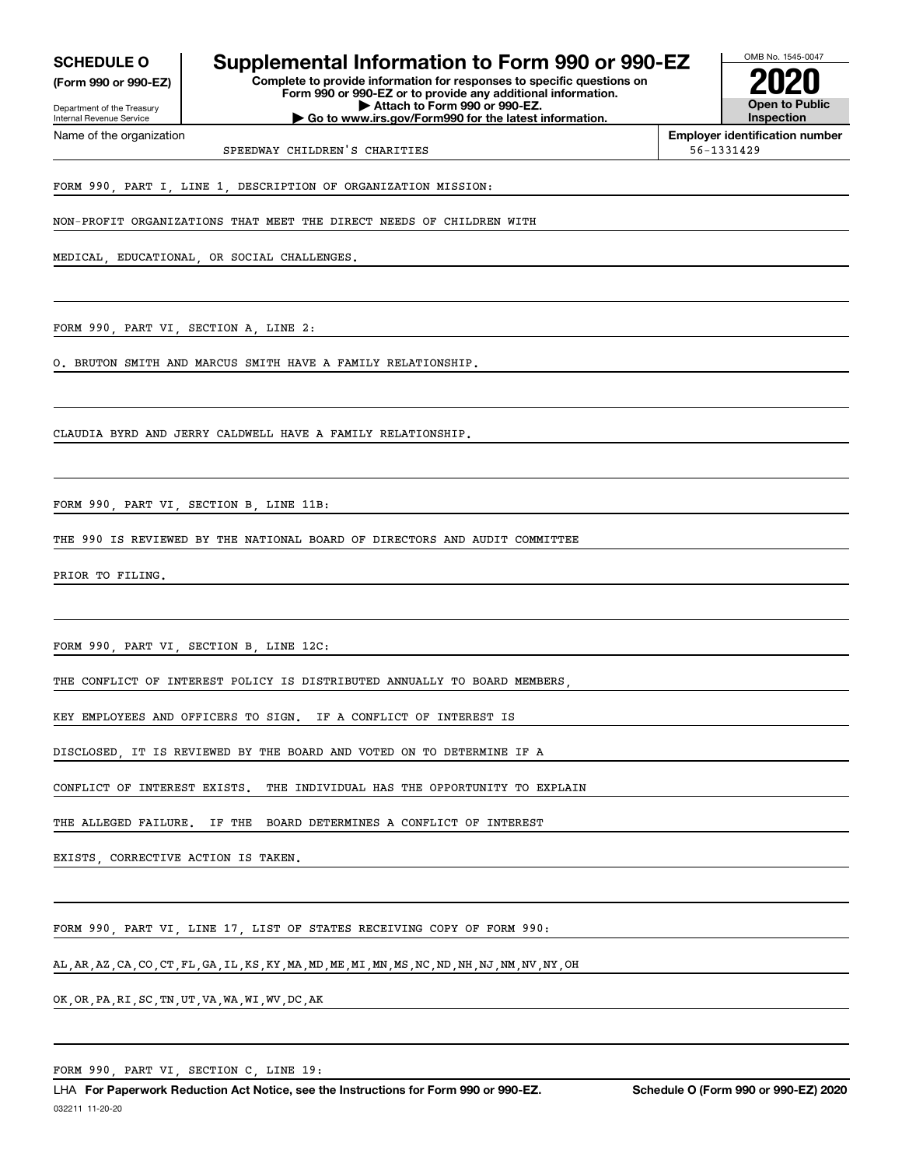Internal Revenue Service

Department of the Treasury **(Form 990 or 990-EZ)**

Name of the organization

## **SCHEDULE O Supplemental Information to Form 990 or 990-EZ**

**Complete to provide information for responses to specific questions on Form 990 or 990-EZ or to provide any additional information. | Attach to Form 990 or 990-EZ. | Go to www.irs.gov/Form990 for the latest information.**



**Employer identification number**

SPEEDWAY CHILDREN'S CHARITIES 66-1331429

FORM 990, PART I, LINE 1, DESCRIPTION OF ORGANIZATION MISSION:

NON-PROFIT ORGANIZATIONS THAT MEET THE DIRECT NEEDS OF CHILDREN WITH

MEDICAL, EDUCATIONAL, OR SOCIAL CHALLENGES.

FORM 990, PART VI, SECTION A, LINE 2:

O. BRUTON SMITH AND MARCUS SMITH HAVE A FAMILY RELATIONSHIP.

CLAUDIA BYRD AND JERRY CALDWELL HAVE A FAMILY RELATIONSHIP.

FORM 990, PART VI, SECTION B, LINE 11B:

THE 990 IS REVIEWED BY THE NATIONAL BOARD OF DIRECTORS AND AUDIT COMMITTEE

PRIOR TO FILING.

FORM 990, PART VI, SECTION B, LINE 12C:

THE CONFLICT OF INTEREST POLICY IS DISTRIBUTED ANNUALLY TO BOARD MEMBERS

KEY EMPLOYEES AND OFFICERS TO SIGN. IF A CONFLICT OF INTEREST IS

DISCLOSED, IT IS REVIEWED BY THE BOARD AND VOTED ON TO DETERMINE IF A

CONFLICT OF INTEREST EXISTS. THE INDIVIDUAL HAS THE OPPORTUNITY TO EXPLAIN

THE ALLEGED FAILURE. IF THE BOARD DETERMINES A CONFLICT OF INTEREST

EXISTS, CORRECTIVE ACTION IS TAKEN.

FORM 990, PART VI, LINE 17, LIST OF STATES RECEIVING COPY OF FORM 990:

AL,AR,AZ,CA,CO,CT,FL,GA,IL,KS,KY,MA,MD,ME,MI,MN,MS,NC,ND,NH,NJ,NM,NV,NY,OH

OK,OR,PA,RI,SC,TN,UT,VA,WA,WI,WV,DC,AK

FORM 990, PART VI, SECTION C, LINE 19: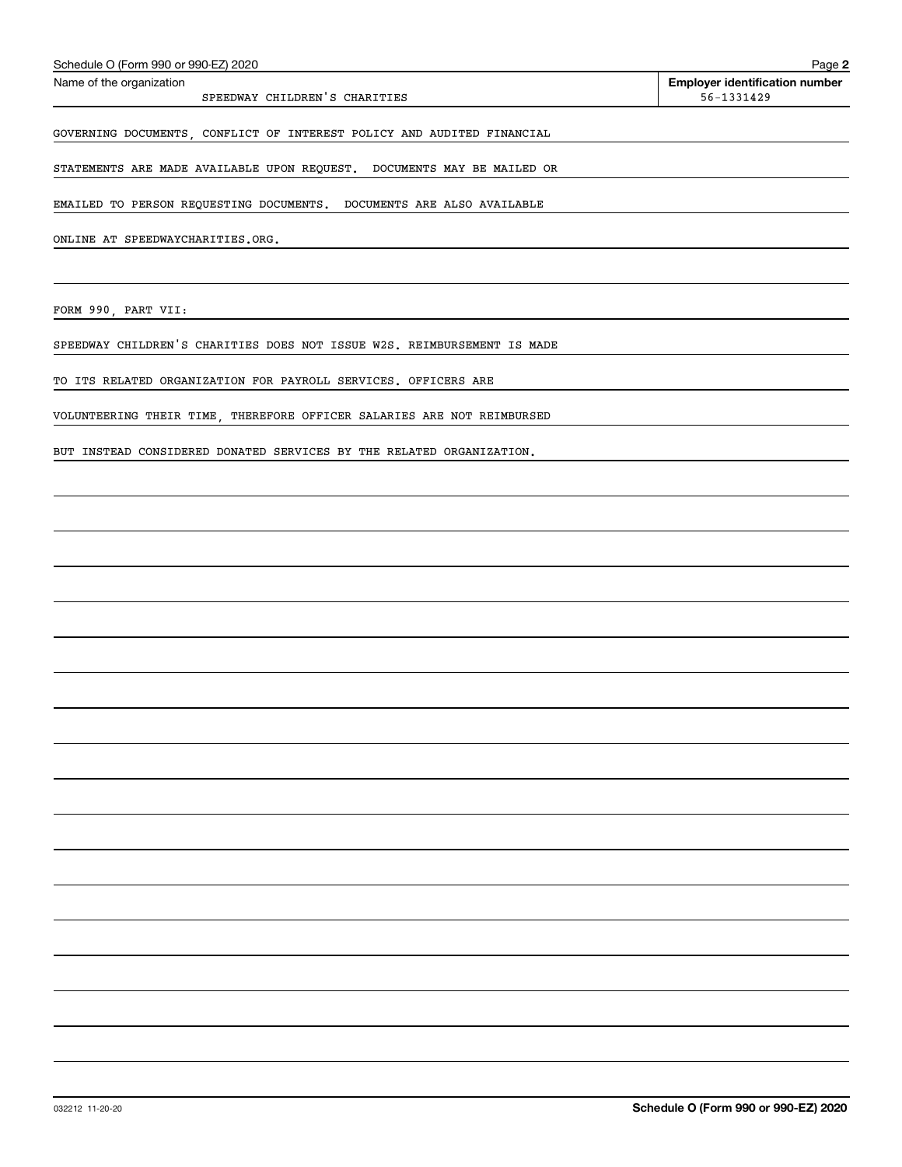| Schedule O (Form 990 or 990-EZ) 2020                                    | Page 2                                              |
|-------------------------------------------------------------------------|-----------------------------------------------------|
| Name of the organization<br>SPEEDWAY CHILDREN'S CHARITIES               | <b>Employer identification number</b><br>56-1331429 |
| GOVERNING DOCUMENTS, CONFLICT OF INTEREST POLICY AND AUDITED FINANCIAL  |                                                     |
| STATEMENTS ARE MADE AVAILABLE UPON REQUEST. DOCUMENTS MAY BE MAILED OR  |                                                     |
| EMAILED TO PERSON REQUESTING DOCUMENTS. DOCUMENTS ARE ALSO AVAILABLE    |                                                     |
| ONLINE AT SPEEDWAYCHARITIES.ORG.                                        |                                                     |
| FORM 990, PART VII:                                                     |                                                     |
| SPEEDWAY CHILDREN'S CHARITIES DOES NOT ISSUE W2S. REIMBURSEMENT IS MADE |                                                     |
| TO ITS RELATED ORGANIZATION FOR PAYROLL SERVICES. OFFICERS ARE          |                                                     |
| VOLUNTEERING THEIR TIME, THEREFORE OFFICER SALARIES ARE NOT REIMBURSED  |                                                     |
| BUT INSTEAD CONSIDERED DONATED SERVICES BY THE RELATED ORGANIZATION.    |                                                     |
|                                                                         |                                                     |
|                                                                         |                                                     |
|                                                                         |                                                     |
|                                                                         |                                                     |
|                                                                         |                                                     |
|                                                                         |                                                     |
|                                                                         |                                                     |
|                                                                         |                                                     |
|                                                                         |                                                     |
|                                                                         |                                                     |
|                                                                         |                                                     |
|                                                                         |                                                     |
|                                                                         |                                                     |
|                                                                         |                                                     |
|                                                                         |                                                     |
|                                                                         |                                                     |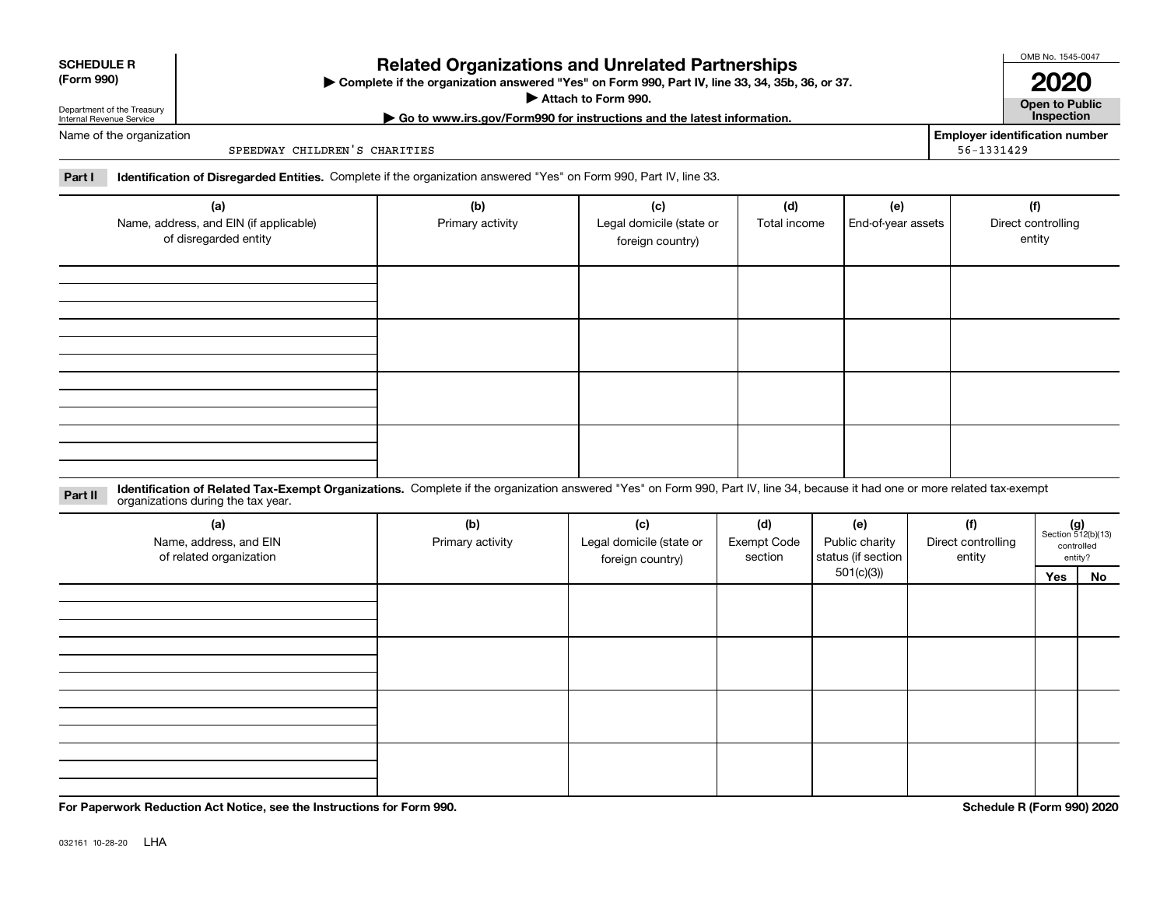| <b>SCHEDULE R</b> |  |
|-------------------|--|
|                   |  |

### **(Form 990)**

## **Related Organizations and Unrelated Partnerships**

**Complete if the organization answered "Yes" on Form 990, Part IV, line 33, 34, 35b, 36, or 37.** |

**Attach to Form 990.**  |

OMB No. 1545-0047

**Open to Public | Go to www.irs.gov/Form990 for instructions and the latest information. Inspection 2020**

**Employer identification number**<br>56-1331429

Department of the Treasury Internal Revenue Service Name of the organization

SPEEDWAY CHILDREN'S CHARITIES

**Part I Identification of Disregarded Entities.**  Complete if the organization answered "Yes" on Form 990, Part IV, line 33.

| (a)<br>Name, address, and EIN (if applicable)<br>of disregarded entity | (b)<br>Primary activity | (c)<br>Legal domicile (state or<br>foreign country) | (d)<br>Total income | (e)<br>End-of-year assets | (f)<br>Direct controlling<br>entity |
|------------------------------------------------------------------------|-------------------------|-----------------------------------------------------|---------------------|---------------------------|-------------------------------------|
|                                                                        |                         |                                                     |                     |                           |                                     |
|                                                                        |                         |                                                     |                     |                           |                                     |
|                                                                        |                         |                                                     |                     |                           |                                     |
|                                                                        |                         |                                                     |                     |                           |                                     |

**Identification of Related Tax-Exempt Organizations.** Complete if the organization answered "Yes" on Form 990, Part IV, line 34, because it had one or more related tax-exempt **Part II** organizations during the tax year.

| (a)<br>Name, address, and EIN<br>of related organization | (b)<br>Primary activity | (c)<br>Legal domicile (state or<br>foreign country) | (d)<br><b>Exempt Code</b><br>section | (e)<br>Public charity<br>status (if section | (f)<br>Direct controlling<br>entity |     | $(g)$<br>Section 512(b)(13)<br>controlled<br>entity? |  |
|----------------------------------------------------------|-------------------------|-----------------------------------------------------|--------------------------------------|---------------------------------------------|-------------------------------------|-----|------------------------------------------------------|--|
|                                                          |                         |                                                     |                                      | 501(c)(3)                                   |                                     | Yes | No                                                   |  |
|                                                          |                         |                                                     |                                      |                                             |                                     |     |                                                      |  |
|                                                          |                         |                                                     |                                      |                                             |                                     |     |                                                      |  |
|                                                          |                         |                                                     |                                      |                                             |                                     |     |                                                      |  |
|                                                          |                         |                                                     |                                      |                                             |                                     |     |                                                      |  |
|                                                          |                         |                                                     |                                      |                                             |                                     |     |                                                      |  |
|                                                          |                         |                                                     |                                      |                                             |                                     |     |                                                      |  |
|                                                          |                         |                                                     |                                      |                                             |                                     |     |                                                      |  |
|                                                          |                         |                                                     |                                      |                                             |                                     |     |                                                      |  |
|                                                          |                         |                                                     |                                      |                                             |                                     |     |                                                      |  |
|                                                          |                         |                                                     |                                      |                                             |                                     |     |                                                      |  |
|                                                          |                         |                                                     |                                      |                                             |                                     |     |                                                      |  |
|                                                          |                         |                                                     |                                      |                                             |                                     |     |                                                      |  |

**For Paperwork Reduction Act Notice, see the Instructions for Form 990. Schedule R (Form 990) 2020**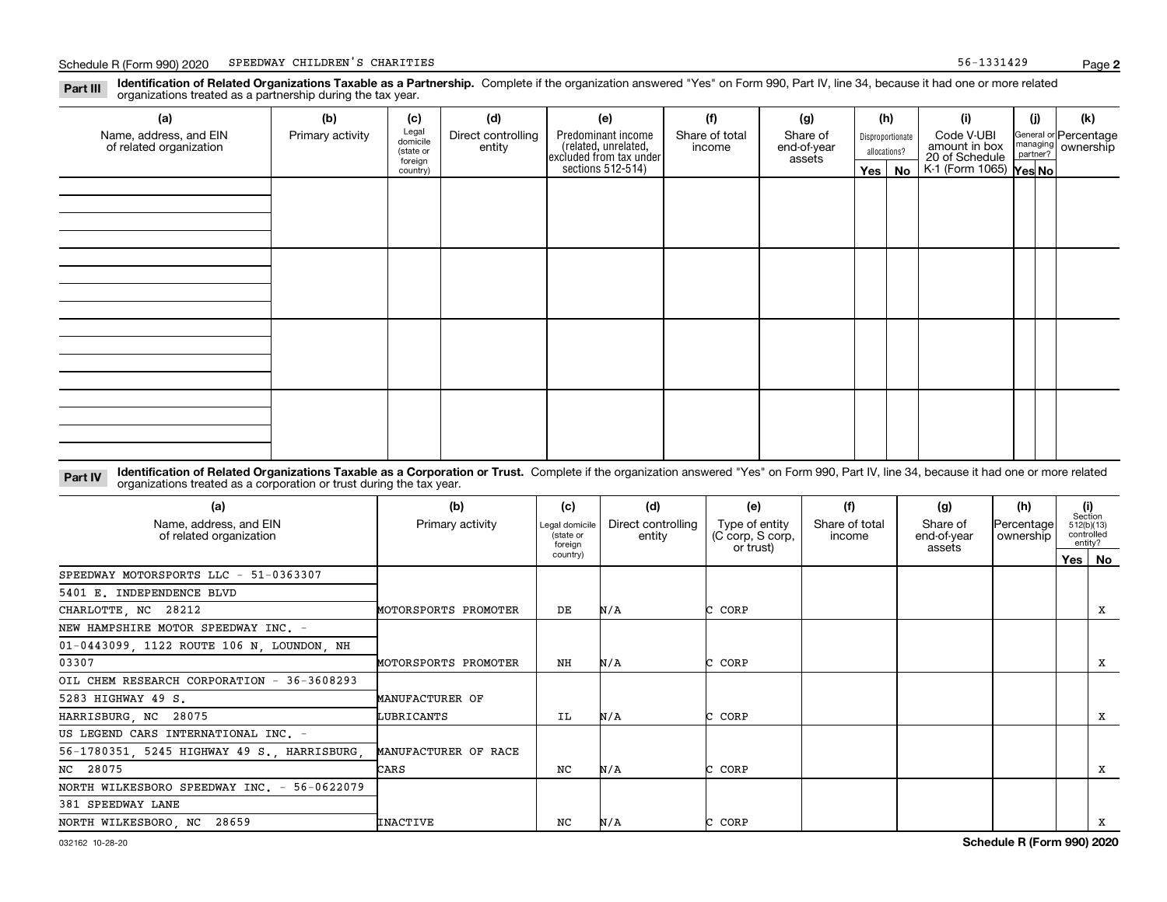**Identification of Related Organizations Taxable as a Partnership.** Complete if the organization answered "Yes" on Form 990, Part IV, line 34, because it had one or more related **Part III** organizations treated as a partnership during the tax year.

| (a)<br>Name, address, and EIN<br>of related organization | (b)<br>Primary activity | (c)<br>Legal<br>domicile<br>(state or<br>foreign<br>country) | (d)<br>Direct controlling<br>entity | (e)<br>Predominant income<br>(related, unrelated,<br>excluded from tax under<br>sections 512-514) | (f)<br>Share of total<br>income | (g)<br>Share of<br>end-of-year<br>assets | (h)<br>Yes $ $ | Disproportionate<br>allocations?<br>No | (i)<br>Code V-UBI<br>amount in box<br>20 of Schedule<br>K-1 (Form 1065) <b>Yes No</b> | (i) | (k)<br>General or Percentage<br>managing<br>partner?<br>partner? |
|----------------------------------------------------------|-------------------------|--------------------------------------------------------------|-------------------------------------|---------------------------------------------------------------------------------------------------|---------------------------------|------------------------------------------|----------------|----------------------------------------|---------------------------------------------------------------------------------------|-----|------------------------------------------------------------------|
|                                                          |                         |                                                              |                                     |                                                                                                   |                                 |                                          |                |                                        |                                                                                       |     |                                                                  |
|                                                          |                         |                                                              |                                     |                                                                                                   |                                 |                                          |                |                                        |                                                                                       |     |                                                                  |
|                                                          |                         |                                                              |                                     |                                                                                                   |                                 |                                          |                |                                        |                                                                                       |     |                                                                  |
|                                                          |                         |                                                              |                                     |                                                                                                   |                                 |                                          |                |                                        |                                                                                       |     |                                                                  |

**Identification of Related Organizations Taxable as a Corporation or Trust.** Complete if the organization answered "Yes" on Form 990, Part IV, line 34, because it had one or more related **Part IV** organizations treated as a corporation or trust during the tax year.

| (a)<br>Name, address, and EIN<br>of related organization | (b)<br>Primary activity | (c)<br>Legal domicile<br>(state or<br>foreign | (d)<br>Direct controlling<br>entity | (e)<br>Type of entity<br>(C corp, S corp,<br>or trust) | (f)<br>Share of total<br>income | (g)<br>Share of<br>end-of-year<br>assets | (h)<br>Percentage<br>ownership | controlled<br>entity? | (i)<br>Section<br>512(b)(13) |
|----------------------------------------------------------|-------------------------|-----------------------------------------------|-------------------------------------|--------------------------------------------------------|---------------------------------|------------------------------------------|--------------------------------|-----------------------|------------------------------|
|                                                          |                         | country)                                      |                                     |                                                        |                                 |                                          |                                |                       | Yes   No                     |
| SPEEDWAY MOTORSPORTS LLC - 51-0363307                    |                         |                                               |                                     |                                                        |                                 |                                          |                                |                       |                              |
| 5401 E. INDEPENDENCE BLVD                                |                         |                                               |                                     |                                                        |                                 |                                          |                                |                       |                              |
| CHARLOTTE, NC 28212                                      | MOTORSPORTS PROMOTER    | DE                                            | N/A                                 | : CORP                                                 |                                 |                                          |                                |                       | х                            |
| NEW HAMPSHIRE MOTOR SPEEDWAY INC. -                      |                         |                                               |                                     |                                                        |                                 |                                          |                                |                       |                              |
| 01-0443099, 1122 ROUTE 106 N, LOUNDON, NH                |                         |                                               |                                     |                                                        |                                 |                                          |                                |                       |                              |
| 03307                                                    | MOTORSPORTS PROMOTER    | NH                                            | N/A                                 | C CORP                                                 |                                 |                                          |                                |                       | x                            |
| OIL CHEM RESEARCH CORPORATION - 36-3608293               |                         |                                               |                                     |                                                        |                                 |                                          |                                |                       |                              |
| 5283 HIGHWAY 49 S.                                       | MANUFACTURER OF         |                                               |                                     |                                                        |                                 |                                          |                                |                       |                              |
| HARRISBURG, NC 28075                                     | LUBRICANTS              | ΙL                                            | N/A                                 | C CORP                                                 |                                 |                                          |                                |                       | Х                            |
| US LEGEND CARS INTERNATIONAL INC. -                      |                         |                                               |                                     |                                                        |                                 |                                          |                                |                       |                              |
| 56-1780351, 5245 HIGHWAY 49 S., HARRISBURG,              | MANUFACTURER OF RACE    |                                               |                                     |                                                        |                                 |                                          |                                |                       |                              |
| NC 28075                                                 | CARS                    | NC                                            | N/A                                 | CORP                                                   |                                 |                                          |                                |                       | х                            |
| NORTH WILKESBORO SPEEDWAY INC. - 56-0622079              |                         |                                               |                                     |                                                        |                                 |                                          |                                |                       |                              |
| 381 SPEEDWAY LANE                                        |                         |                                               |                                     |                                                        |                                 |                                          |                                |                       |                              |
| NORTH WILKESBORO, NC 28659                               | INACTIVE                | NC                                            | N/A                                 | CORP                                                   |                                 |                                          |                                |                       | Х                            |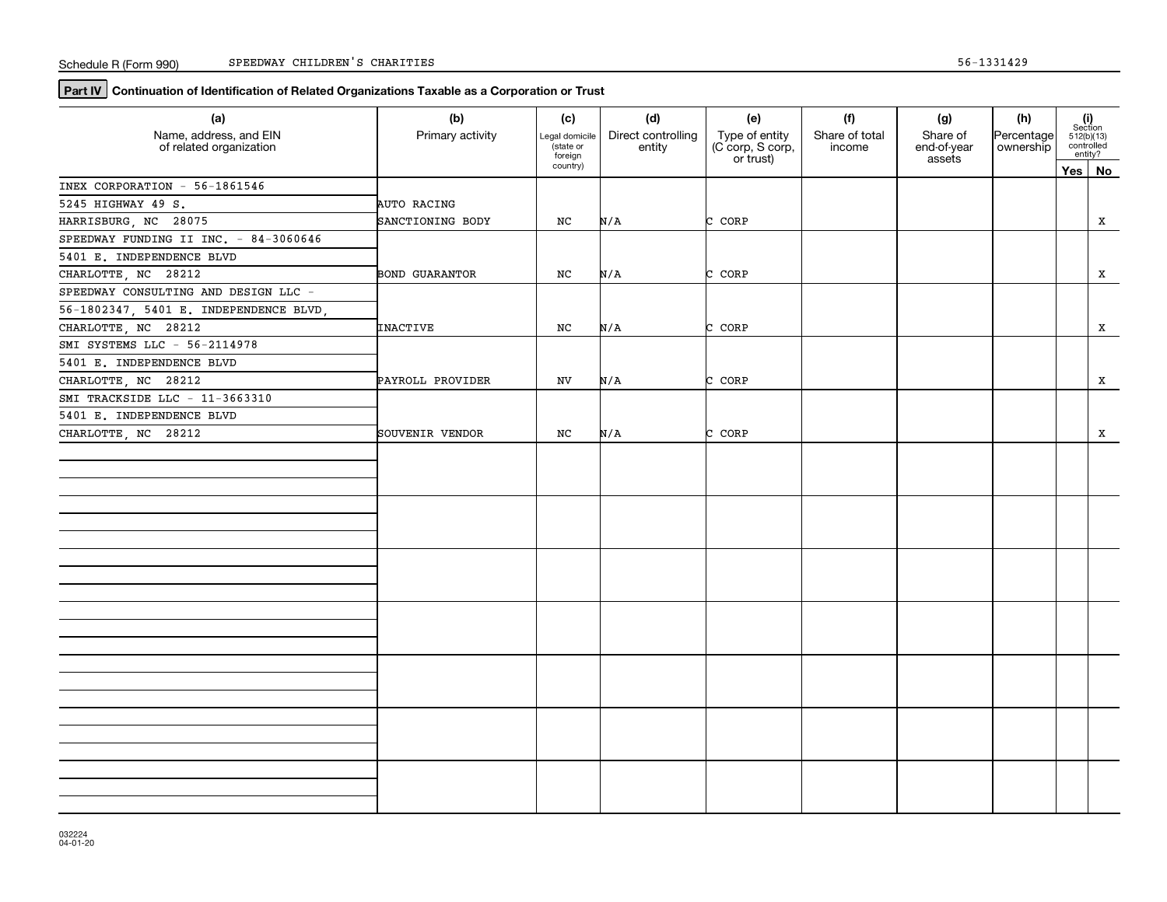**Part IV** Continuation of Identification of Related Organizations Taxable as a Corporation or Trust

| (a)<br>Name, address, and EIN          | (b)<br>Primary activity | (c)<br>Legal domicile           | (d)<br>Direct controlling | (e)                                             | (f)<br>Share of total | (g)<br>Share of       | (h)<br>Percentage |     | $\begin{array}{c} \textbf{(i)}\\ \text{Section}\\ 512 \text{(b)} \text{(13)}\\ \text{controlled}\\ \text{entity?} \end{array}$ |
|----------------------------------------|-------------------------|---------------------------------|---------------------------|-------------------------------------------------|-----------------------|-----------------------|-------------------|-----|--------------------------------------------------------------------------------------------------------------------------------|
| of related organization                |                         | state or<br>foreign<br>country) | entity                    | Type of entity<br>(C corp, S corp,<br>or trust) | income                | end-of-year<br>assets | ownership         |     |                                                                                                                                |
|                                        |                         |                                 |                           |                                                 |                       |                       |                   | Yes | No                                                                                                                             |
| INEX CORPORATION - 56-1861546          |                         |                                 |                           |                                                 |                       |                       |                   |     |                                                                                                                                |
| 5245 HIGHWAY 49 S.                     | AUTO RACING             |                                 |                           |                                                 |                       |                       |                   |     |                                                                                                                                |
| HARRISBURG, NC 28075                   | SANCTIONING BODY        | NC                              | N/A                       | C CORP                                          |                       |                       |                   |     | x                                                                                                                              |
| SPEEDWAY FUNDING II INC. - 84-3060646  |                         |                                 |                           |                                                 |                       |                       |                   |     |                                                                                                                                |
| 5401 E. INDEPENDENCE BLVD              |                         |                                 |                           |                                                 |                       |                       |                   |     |                                                                                                                                |
| CHARLOTTE, NC 28212                    | <b>BOND GUARANTOR</b>   | NC                              | N/A                       | C CORP                                          |                       |                       |                   |     | x                                                                                                                              |
| SPEEDWAY CONSULTING AND DESIGN LLC -   |                         |                                 |                           |                                                 |                       |                       |                   |     |                                                                                                                                |
| 56-1802347, 5401 E. INDEPENDENCE BLVD, |                         |                                 |                           |                                                 |                       |                       |                   |     |                                                                                                                                |
| CHARLOTTE, NC 28212                    | INACTIVE                | NC                              | N/A                       | C CORP                                          |                       |                       |                   |     | x                                                                                                                              |
| SMI SYSTEMS LLC - 56-2114978           |                         |                                 |                           |                                                 |                       |                       |                   |     |                                                                                                                                |
| 5401 E. INDEPENDENCE BLVD              |                         |                                 |                           |                                                 |                       |                       |                   |     |                                                                                                                                |
| CHARLOTTE, NC 28212                    | PAYROLL PROVIDER        | NV                              | N/A                       | C CORP                                          |                       |                       |                   |     | X                                                                                                                              |
| SMI TRACKSIDE LLC - 11-3663310         |                         |                                 |                           |                                                 |                       |                       |                   |     |                                                                                                                                |
| 5401 E. INDEPENDENCE BLVD              |                         |                                 |                           |                                                 |                       |                       |                   |     |                                                                                                                                |
| CHARLOTTE, NC 28212                    | SOUVENIR VENDOR         | NC                              | N/A                       | C CORP                                          |                       |                       |                   |     | x                                                                                                                              |
|                                        |                         |                                 |                           |                                                 |                       |                       |                   |     |                                                                                                                                |
|                                        |                         |                                 |                           |                                                 |                       |                       |                   |     |                                                                                                                                |
|                                        |                         |                                 |                           |                                                 |                       |                       |                   |     |                                                                                                                                |
|                                        |                         |                                 |                           |                                                 |                       |                       |                   |     |                                                                                                                                |
|                                        |                         |                                 |                           |                                                 |                       |                       |                   |     |                                                                                                                                |
|                                        |                         |                                 |                           |                                                 |                       |                       |                   |     |                                                                                                                                |
|                                        |                         |                                 |                           |                                                 |                       |                       |                   |     |                                                                                                                                |
|                                        |                         |                                 |                           |                                                 |                       |                       |                   |     |                                                                                                                                |
|                                        |                         |                                 |                           |                                                 |                       |                       |                   |     |                                                                                                                                |
|                                        |                         |                                 |                           |                                                 |                       |                       |                   |     |                                                                                                                                |
|                                        |                         |                                 |                           |                                                 |                       |                       |                   |     |                                                                                                                                |
|                                        |                         |                                 |                           |                                                 |                       |                       |                   |     |                                                                                                                                |
|                                        |                         |                                 |                           |                                                 |                       |                       |                   |     |                                                                                                                                |
|                                        |                         |                                 |                           |                                                 |                       |                       |                   |     |                                                                                                                                |
|                                        |                         |                                 |                           |                                                 |                       |                       |                   |     |                                                                                                                                |
|                                        |                         |                                 |                           |                                                 |                       |                       |                   |     |                                                                                                                                |
|                                        |                         |                                 |                           |                                                 |                       |                       |                   |     |                                                                                                                                |
|                                        |                         |                                 |                           |                                                 |                       |                       |                   |     |                                                                                                                                |
|                                        |                         |                                 |                           |                                                 |                       |                       |                   |     |                                                                                                                                |
|                                        |                         |                                 |                           |                                                 |                       |                       |                   |     |                                                                                                                                |
|                                        |                         |                                 |                           |                                                 |                       |                       |                   |     |                                                                                                                                |
|                                        |                         |                                 |                           |                                                 |                       |                       |                   |     |                                                                                                                                |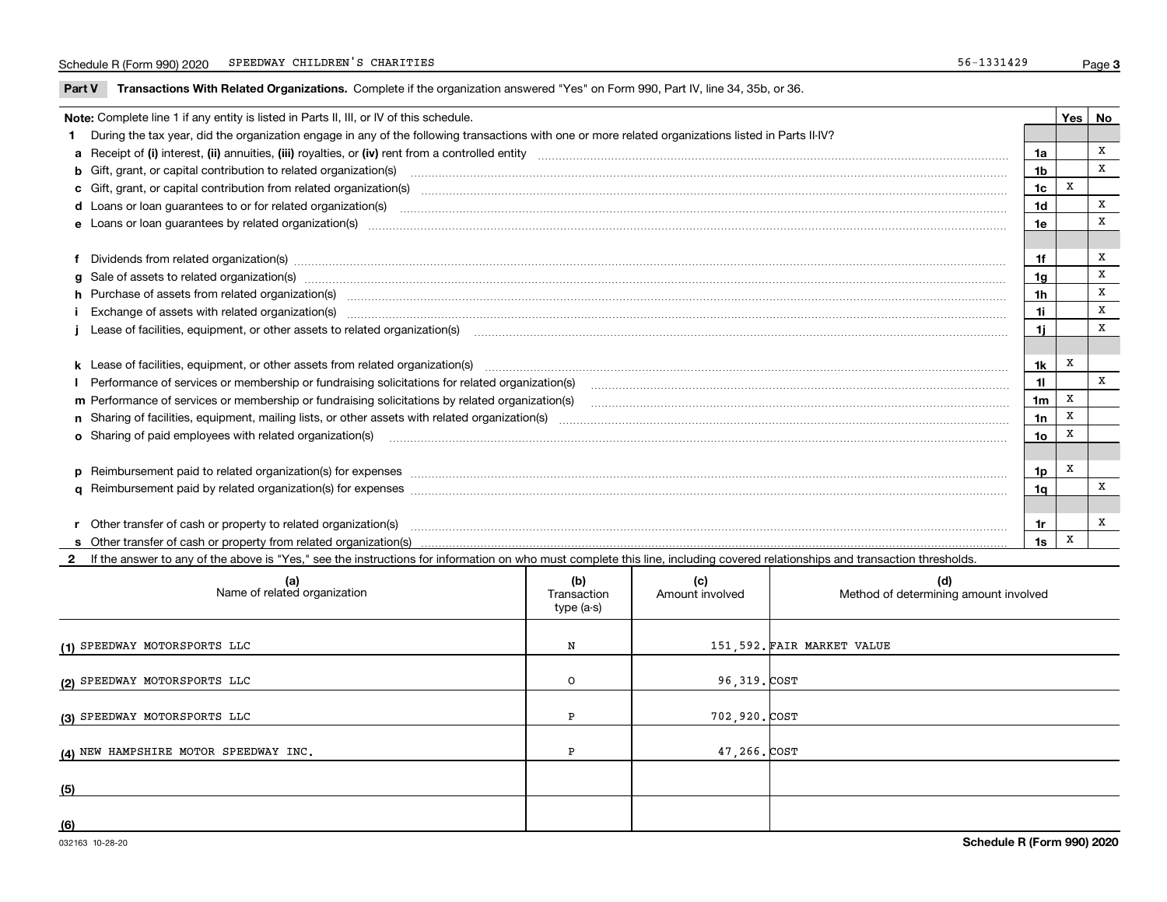**Part V** T**ransactions With Related Organizations.** Complete if the organization answered "Yes" on Form 990, Part IV, line 34, 35b, or 36.

| Note: Complete line 1 if any entity is listed in Parts II, III, or IV of this schedule.                                                                                                                                        |                 | Yes | No |
|--------------------------------------------------------------------------------------------------------------------------------------------------------------------------------------------------------------------------------|-----------------|-----|----|
| 1 During the tax year, did the organization engage in any of the following transactions with one or more related organizations listed in Parts II-IV?                                                                          |                 |     |    |
|                                                                                                                                                                                                                                | 1a              |     | X  |
| b Gift, grant, or capital contribution to related organization(s) material contracts and contribution to related organization(s)                                                                                               | 1 <sub>b</sub>  |     | X  |
| c Gift, grant, or capital contribution from related organization(s) manufaction contribution from related organization(s) manufaction contribution from related organization(s) manufaction manufaction contribution from rela | 1c              | x   |    |
|                                                                                                                                                                                                                                | 1 <sub>d</sub>  |     | х  |
|                                                                                                                                                                                                                                | 1e              |     | X  |
|                                                                                                                                                                                                                                |                 |     |    |
| f Dividends from related organization(s) manufactured contains and contained a series of the contact of the contact of the contact of the contact of the contact of the contact of the contact of the contact of the contact o | 1f              |     | X  |
| g Sale of assets to related organization(s) www.assettion.com/www.assettion.com/www.assettion.com/www.assettion.com/www.assettion.com/www.assettion.com/www.assettion.com/www.assettion.com/www.assettion.com/www.assettion.co | 1g              |     | x  |
| h Purchase of assets from related organization(s) manufactured and content and content and content and content and content and content and content and content and content and content and content and content and content and | 1h              |     | X  |
|                                                                                                                                                                                                                                | 1i              |     | X  |
| Lease of facilities, equipment, or other assets to related organization(s) The manufaction content to the manufacture of facilities, equipment, or other assets to related organization(s)                                     | 1i.             |     | X  |
|                                                                                                                                                                                                                                |                 |     |    |
| k Lease of facilities, equipment, or other assets from related organization(s) manufaction content and content and content and content and content and content and content and content and content and content and content and | 1k              | х   |    |
| Performance of services or membership or fundraising solicitations for related organization(s)                                                                                                                                 | 11              |     | X  |
| m Performance of services or membership or fundraising solicitations by related organization(s)                                                                                                                                | 1 <sub>m</sub>  | X   |    |
|                                                                                                                                                                                                                                | 1n              | X   |    |
|                                                                                                                                                                                                                                | 10 <sub>o</sub> | X   |    |
|                                                                                                                                                                                                                                |                 |     |    |
| p Reimbursement paid to related organization(s) for expenses [111] and the material content of the separation of the separation of the separation of the separation of the separation of the separation of the separation of t | 1p              | X   |    |
|                                                                                                                                                                                                                                | 1q              |     | х  |
|                                                                                                                                                                                                                                |                 |     |    |
|                                                                                                                                                                                                                                | 1r              |     | х  |
|                                                                                                                                                                                                                                | 1s              | X   |    |

**2**If the answer to any of the above is "Yes," see the instructions for information on who must complete this line, including covered relationships and transaction thresholds.

| (a)<br>Name of related organization   | (b)<br>Transaction<br>type (a-s) | (c)<br>Amount involved | (d)<br>Method of determining amount involved |
|---------------------------------------|----------------------------------|------------------------|----------------------------------------------|
| (1) SPEEDWAY MOTORSPORTS LLC          | N                                |                        | 151,592. FAIR MARKET VALUE                   |
| (2) SPEEDWAY MOTORSPORTS LLC          | $\circ$                          | 96,319. COST           |                                              |
| (3) SPEEDWAY MOTORSPORTS LLC          | Ð                                | 702,920. COST          |                                              |
| (4) NEW HAMPSHIRE MOTOR SPEEDWAY INC. | ה                                | 47,266.COST            |                                              |
| (5)                                   |                                  |                        |                                              |
| (6)                                   |                                  |                        |                                              |